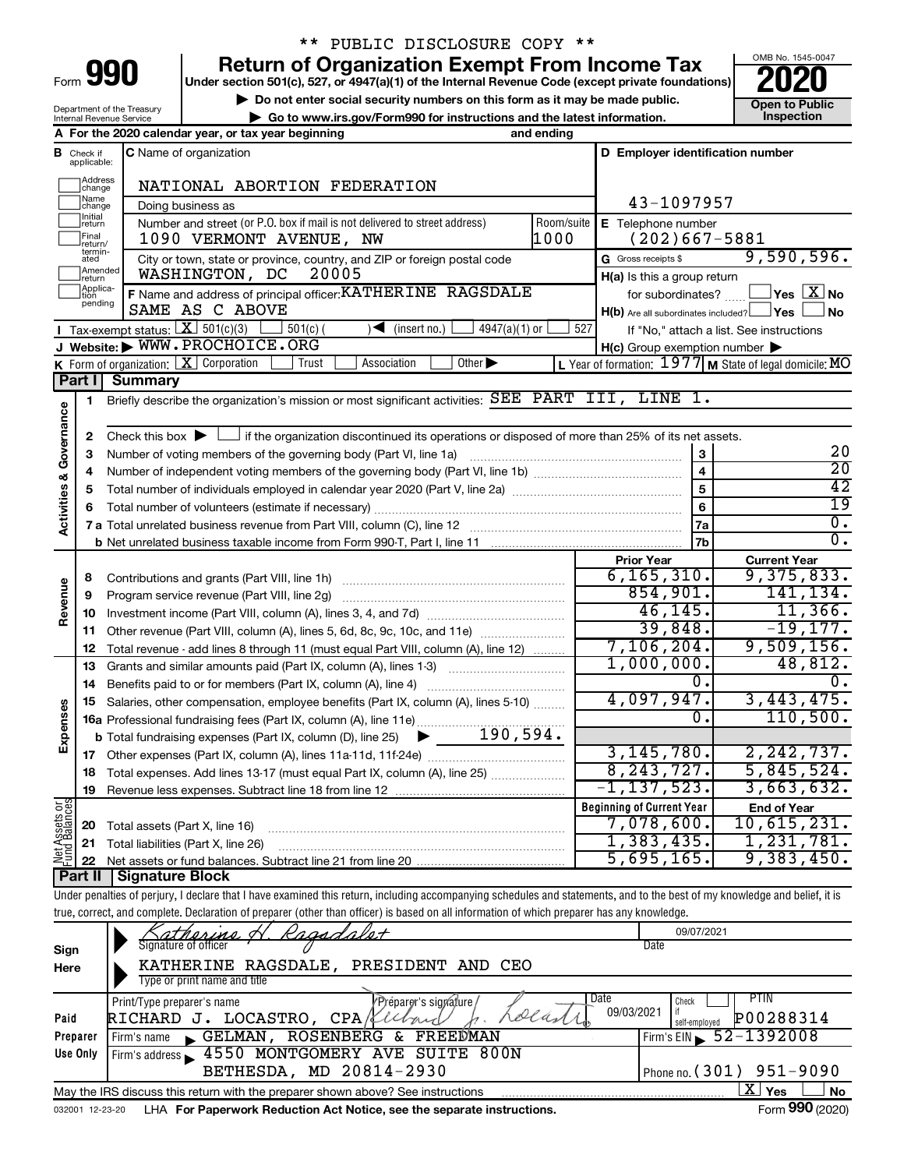| -orm |  |  |
|------|--|--|
|      |  |  |

## \*\* PUBLIC DISCLOSURE COPY \*\*

**990** Return of Organization Exempt From Income Tax <br>
Under section 501(c), 527, or 4947(a)(1) of the Internal Revenue Code (except private foundations)<br> **PO20** 

**▶ Do not enter social security numbers on this form as it may be made public. Open to Public**<br>
inspection instructions and the latest information. Inspection **| Go to www.irs.gov/Form990 for instructions and the latest information. Inspection**



Department of the Treasury Internal Revenue Service

|               |                               | and ending<br>A For the 2020 calendar year, or tax year beginning                                                                                                          |                                                           |                                                                  |
|---------------|-------------------------------|----------------------------------------------------------------------------------------------------------------------------------------------------------------------------|-----------------------------------------------------------|------------------------------------------------------------------|
|               | <b>B</b> Check if applicable: | C Name of organization                                                                                                                                                     | D Employer identification number                          |                                                                  |
|               |                               |                                                                                                                                                                            |                                                           |                                                                  |
|               | Address<br>change             | NATIONAL ABORTION FEDERATION                                                                                                                                               |                                                           |                                                                  |
|               | Name<br>change                | Doing business as                                                                                                                                                          | 43-1097957                                                |                                                                  |
|               | Initial<br>return             | Number and street (or P.O. box if mail is not delivered to street address)<br>Room/suite                                                                                   | E Telephone number                                        |                                                                  |
|               | Final<br>return/              | 1000<br>1090 VERMONT AVENUE, NW                                                                                                                                            | $(202)667 - 5881$                                         |                                                                  |
|               | termin-<br>ated               | City or town, state or province, country, and ZIP or foreign postal code                                                                                                   | G Gross receipts \$                                       | 9,590,596.                                                       |
|               | Amended<br>return             | 20005<br>WASHINGTON, DC                                                                                                                                                    | H(a) Is this a group return                               |                                                                  |
|               | Applica-<br>tion              | F Name and address of principal officer: KATHERINE RAGSDALE                                                                                                                |                                                           | for subordinates? $\text{mm}$ $\Box$ Yes $\boxed{\mathbf{X}}$ No |
|               | pending                       | SAME AS C ABOVE                                                                                                                                                            | $H(b)$ Are all subordinates included? $\Box$ Yes          | ∫No                                                              |
|               |                               | <b>I</b> Tax-exempt status: $X \ 501(c)(3)$<br>$501(c)$ (<br>$4947(a)(1)$ or<br>$\sqrt{\bullet}$ (insert no.)                                                              | 527                                                       | If "No," attach a list. See instructions                         |
|               |                               | J Website: WWW.PROCHOICE.ORG                                                                                                                                               | $H(c)$ Group exemption number $\blacktriangleright$       |                                                                  |
|               |                               | K Form of organization: $X$ Corporation<br>Association<br>Other $\blacktriangleright$<br>Trust                                                                             | L Year of formation: $1977$ M State of legal domicile: MO |                                                                  |
|               | Part I                        | <b>Summary</b>                                                                                                                                                             |                                                           |                                                                  |
|               | 1                             | Briefly describe the organization's mission or most significant activities: SEE PART III, LINE 1.                                                                          |                                                           |                                                                  |
|               |                               |                                                                                                                                                                            |                                                           |                                                                  |
| Governance    | 2                             | Check this box $\blacktriangleright$ $\Box$ if the organization discontinued its operations or disposed of more than 25% of its net assets.                                |                                                           |                                                                  |
|               | З                             |                                                                                                                                                                            | 3                                                         | 20                                                               |
| œ             | 4                             |                                                                                                                                                                            | $\overline{\mathbf{4}}$                                   | $\overline{20}$                                                  |
|               | 5                             |                                                                                                                                                                            | 5                                                         | 42                                                               |
|               | 6                             |                                                                                                                                                                            | 6                                                         | 19                                                               |
| Activities    |                               |                                                                                                                                                                            | 7a                                                        | $\overline{0}$ .                                                 |
|               |                               |                                                                                                                                                                            | 7b                                                        | $\overline{0}$ .                                                 |
|               |                               |                                                                                                                                                                            | <b>Prior Year</b>                                         | <b>Current Year</b>                                              |
|               | 8                             |                                                                                                                                                                            | 6, 165, 310.                                              | 9,375,833.                                                       |
|               | 9                             | Program service revenue (Part VIII, line 2g)                                                                                                                               | 854,901.                                                  | 141, 134.                                                        |
| Revenue       | 10                            |                                                                                                                                                                            | 46, 145.                                                  | 11,366.                                                          |
|               | 11                            | Other revenue (Part VIII, column (A), lines 5, 6d, 8c, 9c, 10c, and 11e)                                                                                                   | 39,848.                                                   | $-19,177.$                                                       |
|               | 12                            | Total revenue - add lines 8 through 11 (must equal Part VIII, column (A), line 12)                                                                                         | $7,106,204$ .                                             | 9,509,156.                                                       |
|               | 13                            | Grants and similar amounts paid (Part IX, column (A), lines 1-3)                                                                                                           | 1,000,000.                                                | 48,812.                                                          |
|               | 14                            |                                                                                                                                                                            | 0.                                                        | 0.                                                               |
|               | 15                            | Salaries, other compensation, employee benefits (Part IX, column (A), lines 5-10)                                                                                          | 4,097,947.                                                | 3,443,475.                                                       |
|               |                               |                                                                                                                                                                            | 0.                                                        | 110,500.                                                         |
| Expenses      |                               | $\blacktriangleright$ 190,594.<br><b>b</b> Total fundraising expenses (Part IX, column (D), line 25)                                                                       |                                                           |                                                                  |
|               |                               |                                                                                                                                                                            | 3, 145, 780.                                              | 2, 242, 737.                                                     |
|               |                               | 18 Total expenses. Add lines 13-17 (must equal Part IX, column (A), line 25)                                                                                               | 8, 243, 727.                                              | 5,845,524.                                                       |
|               | 19                            | Revenue less expenses. Subtract line 18 from line 12                                                                                                                       | $-1$ ,137,523.                                            | $3,663,632$ .                                                    |
| Net Assets or |                               |                                                                                                                                                                            | <b>Beginning of Current Year</b>                          | <b>End of Year</b>                                               |
|               | 20                            | Total assets (Part X, line 16)                                                                                                                                             | $7,078,600$ .                                             | 10,615,231.                                                      |
|               | 21                            | Total liabilities (Part X, line 26)                                                                                                                                        | 1,383,435.                                                | 1,231,781.                                                       |
|               | 22                            | Net assets or fund balances. Subtract line 21 from line 20                                                                                                                 | 5,695,165.                                                | 9,383,450.                                                       |
|               | Part II                       | <b>Signature Block</b>                                                                                                                                                     |                                                           |                                                                  |
|               |                               | Under penalties of perjury, I declare that I have examined this return, including accompanying schedules and statements, and to the best of my knowledge and belief, it is |                                                           |                                                                  |
|               |                               | true, correct, and complete. Declaration of preparer (other than officer) is based on all information of which preparer has any knowledge.                                 |                                                           |                                                                  |
|               |                               |                                                                                                                                                                            | 09/07/2021                                                |                                                                  |
| Sign          |                               | Signature of officer                                                                                                                                                       | Date                                                      |                                                                  |
| Here          |                               | KATHERINE RAGSDALE,<br>PRESIDENT AND<br>CEO                                                                                                                                |                                                           |                                                                  |
|               |                               | Type or print name and title                                                                                                                                               |                                                           |                                                                  |
|               |                               | Préparer's signature<br>Print/Type preparer's name                                                                                                                         | Date<br>Check                                             | <b>PTIN</b>                                                      |
| Paid          |                               | dea<br>RICHARD J. LOCASTRO, CPA/4<br>econ                                                                                                                                  | 09/03/2021<br>if<br>self-employed                         | P00288314                                                        |
|               | Preparer                      | ROSENBERG & FREEDMAN<br>GELMAN,<br>Firm's name                                                                                                                             | Firm's $EIN$                                              | 52-1392008                                                       |
|               | Use Only                      | 4550 MONTGOMERY AVE SUITE 800N<br>Firm's address $\blacktriangleright$                                                                                                     |                                                           |                                                                  |
|               |                               | BETHESDA, MD 20814-2930                                                                                                                                                    |                                                           | Phone no. (301) 951-9090                                         |

**Yes No**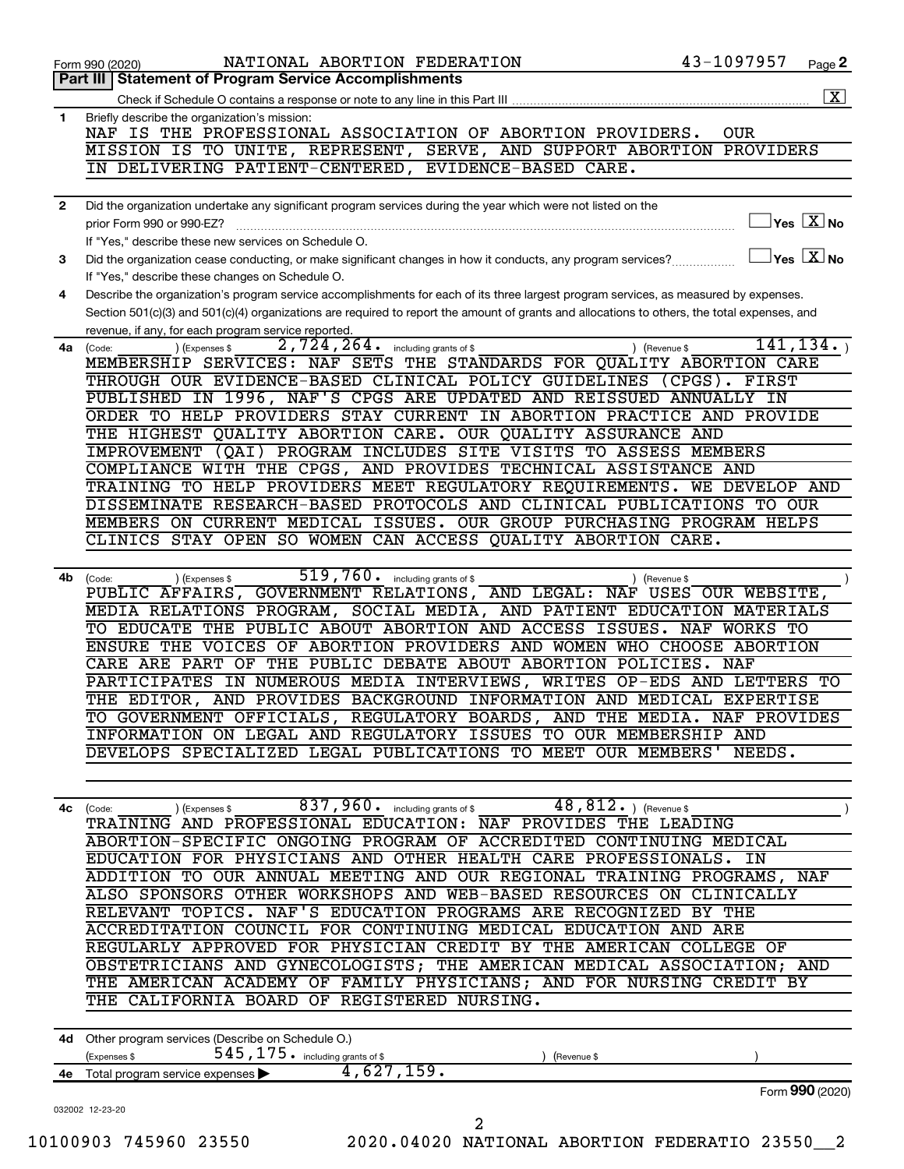|              | $\boxed{\text{X}}$                                                                                                                                |
|--------------|---------------------------------------------------------------------------------------------------------------------------------------------------|
| 1            | Briefly describe the organization's mission:                                                                                                      |
|              | NAF IS THE PROFESSIONAL ASSOCIATION OF ABORTION PROVIDERS.<br><b>OUR</b><br>MISSION IS TO UNITE, REPRESENT, SERVE, AND SUPPORT ABORTION PROVIDERS |
|              | IN DELIVERING PATIENT-CENTERED, EVIDENCE-BASED CARE.                                                                                              |
|              |                                                                                                                                                   |
| $\mathbf{2}$ | Did the organization undertake any significant program services during the year which were not listed on the                                      |
|              | $\sqrt{\mathsf{Yes}\mathord{\;\mathbb{X}}\mathord{\;\mathsf{No}}}$<br>prior Form 990 or 990-EZ?                                                   |
|              | If "Yes," describe these new services on Schedule O.                                                                                              |
| 3            | $\Box$ Yes $[\,\mathbf{X}\,]$ No<br>Did the organization cease conducting, or make significant changes in how it conducts, any program services?  |
|              | If "Yes," describe these changes on Schedule O.                                                                                                   |
| 4            | Describe the organization's program service accomplishments for each of its three largest program services, as measured by expenses.              |
|              | Section 501(c)(3) and 501(c)(4) organizations are required to report the amount of grants and allocations to others, the total expenses, and      |
|              | revenue, if any, for each program service reported.<br>2,724,264.<br>141, 134.                                                                    |
| 4a           | including grants of \$<br>(Expenses \$<br>) (Revenue \$<br>(Code:<br>MEMBERSHIP SERVICES: NAF SETS THE STANDARDS FOR QUALITY ABORTION CARE        |
|              | THROUGH OUR EVIDENCE-BASED CLINICAL POLICY GUIDELINES (CPGS).<br>FIRST                                                                            |
|              | PUBLISHED IN 1996, NAF'S CPGS ARE UPDATED AND REISSUED ANNUALLY IN                                                                                |
|              | ORDER TO HELP PROVIDERS STAY CURRENT IN ABORTION PRACTICE AND PROVIDE                                                                             |
|              | THE HIGHEST OUALITY ABORTION CARE. OUR OUALITY ASSURANCE AND                                                                                      |
|              | IMPROVEMENT (QAI) PROGRAM INCLUDES SITE VISITS TO ASSESS MEMBERS                                                                                  |
|              | COMPLIANCE WITH THE CPGS, AND PROVIDES TECHNICAL ASSISTANCE AND                                                                                   |
|              | TRAINING TO HELP PROVIDERS MEET REGULATORY REQUIREMENTS. WE DEVELOP AND                                                                           |
|              | DISSEMINATE RESEARCH-BASED PROTOCOLS AND CLINICAL PUBLICATIONS TO OUR                                                                             |
|              | MEMBERS ON CURRENT MEDICAL ISSUES. OUR GROUP PURCHASING PROGRAM HELPS<br>CLINICS STAY OPEN SO WOMEN CAN ACCESS QUALITY ABORTION CARE.             |
|              |                                                                                                                                                   |
| 4b           | 519, 760 . including grants of \$<br>(Expenses \$<br>(Revenue \$<br>(Code:                                                                        |
|              | PUBLIC AFFAIRS, GOVERNMENT RELATIONS, AND LEGAL: NAF USES OUR WEBSITE,                                                                            |
|              | MEDIA RELATIONS PROGRAM, SOCIAL MEDIA, AND PATIENT EDUCATION MATERIALS                                                                            |
|              | TO EDUCATE THE PUBLIC ABOUT ABORTION AND ACCESS ISSUES. NAF WORKS TO                                                                              |
|              | ENSURE THE VOICES OF ABORTION PROVIDERS AND WOMEN WHO CHOOSE ABORTION                                                                             |
|              | CARE ARE PART OF THE PUBLIC DEBATE ABOUT ABORTION POLICIES.<br>NAF                                                                                |
|              | PARTICIPATES IN NUMEROUS MEDIA INTERVIEWS, WRITES OP-EDS AND LETTERS TO                                                                           |
|              | THE EDITOR, AND PROVIDES BACKGROUND INFORMATION AND MEDICAL EXPERTISE                                                                             |
|              | TO GOVERNMENT OFFICIALS, REGULATORY BOARDS, AND THE MEDIA. NAF PROVIDES                                                                           |
|              | INFORMATION ON LEGAL AND REGULATORY ISSUES TO OUR MEMBERSHIP AND<br>DEVELOPS SPECIALIZED LEGAL PUBLICATIONS TO MEET OUR MEMBERS'<br>NEEDS.        |
|              |                                                                                                                                                   |
|              |                                                                                                                                                   |
| 4с           | 837, 960 . including grants of \$<br>$48,812.$ ) (Revenue \$<br>(Expenses \$<br>(Code:                                                            |
|              | TRAINING AND PROFESSIONAL EDUCATION: NAF PROVIDES THE LEADING                                                                                     |
|              | ABORTION-SPECIFIC ONGOING PROGRAM OF ACCREDITED CONTINUING MEDICAL                                                                                |
|              | EDUCATION FOR PHYSICIANS AND OTHER HEALTH CARE PROFESSIONALS.<br>IN                                                                               |
|              | ADDITION TO OUR ANNUAL MEETING AND OUR REGIONAL TRAINING PROGRAMS, NAF                                                                            |
|              | ALSO SPONSORS OTHER WORKSHOPS AND WEB-BASED RESOURCES ON CLINICALLY                                                                               |
|              | RELEVANT TOPICS. NAF'S EDUCATION PROGRAMS ARE RECOGNIZED BY THE<br>ACCREDITATION COUNCIL FOR CONTINUING MEDICAL EDUCATION AND ARE                 |
|              | REGULARLY APPROVED FOR PHYSICIAN CREDIT BY THE AMERICAN COLLEGE OF                                                                                |
|              | OBSTETRICIANS AND GYNECOLOGISTS; THE AMERICAN MEDICAL ASSOCIATION; AND                                                                            |
|              | THE AMERICAN ACADEMY OF FAMILY PHYSICIANS; AND FOR NURSING CREDIT BY                                                                              |
|              | THE CALIFORNIA BOARD OF REGISTERED NURSING.                                                                                                       |
|              |                                                                                                                                                   |
|              | 4d Other program services (Describe on Schedule O.)                                                                                               |
|              | 545, 175. including grants of \$<br>(Expenses \$<br>(Revenue \$                                                                                   |
|              | 4,627,159.<br>Total program service expenses                                                                                                      |
|              |                                                                                                                                                   |
| 4e           | Form 990 (2020)                                                                                                                                   |
|              | 032002 12-23-20                                                                                                                                   |
|              | 2<br>10100903 745960 23550<br>2020.04020 NATIONAL ABORTION FEDERATIO 23550 2                                                                      |

**2**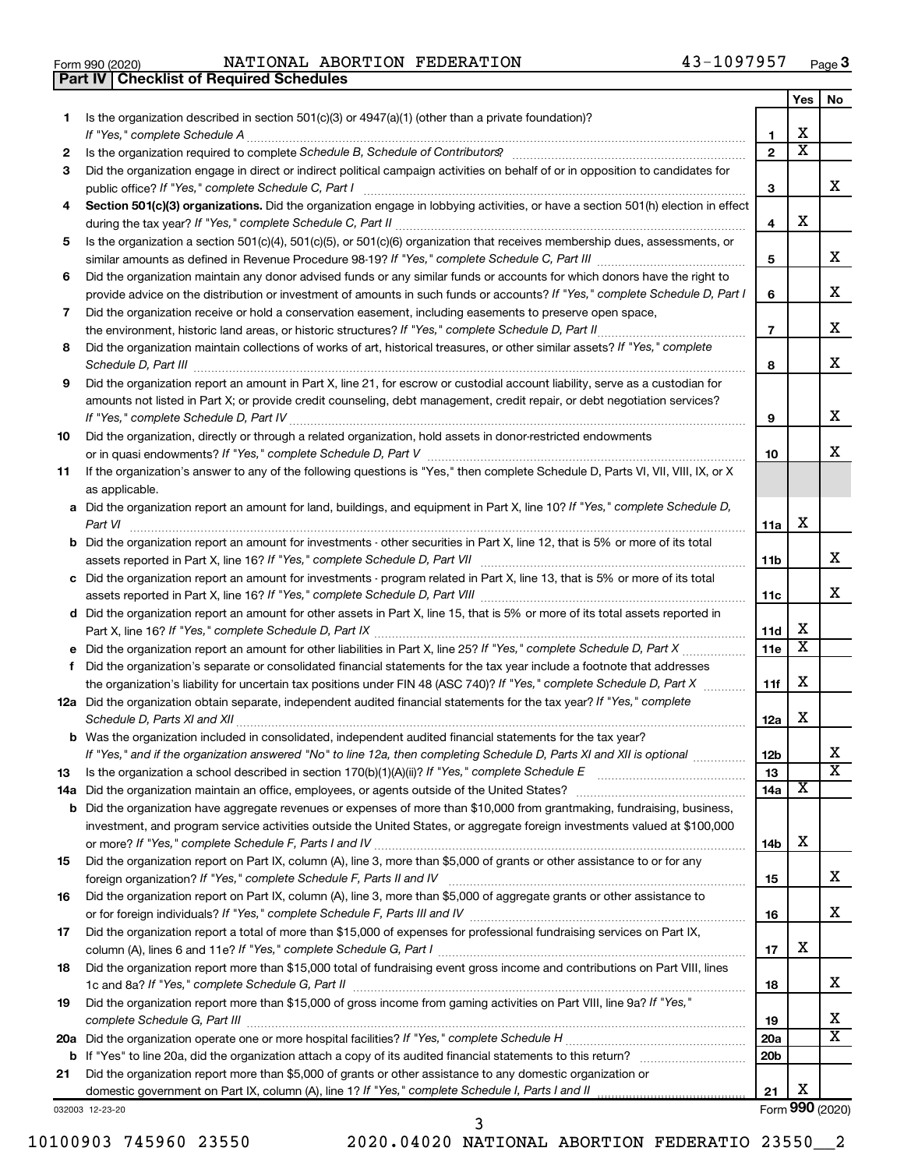**Part IV Checklist of Required Schedules**

Form 990 (2020) Page NATIONAL ABORTION FEDERATION 43-1097957

|     |                                                                                                                                                                                                                                                              |                 | Yes | No                    |
|-----|--------------------------------------------------------------------------------------------------------------------------------------------------------------------------------------------------------------------------------------------------------------|-----------------|-----|-----------------------|
| 1.  | Is the organization described in section $501(c)(3)$ or $4947(a)(1)$ (other than a private foundation)?                                                                                                                                                      |                 |     |                       |
|     | If "Yes," complete Schedule A                                                                                                                                                                                                                                | 1               | x   |                       |
| 2   | Is the organization required to complete Schedule B, Schedule of Contributors? [1111] [12] the organization required to complete Schedule B, Schedule of Contributors?                                                                                       | $\overline{2}$  | х   |                       |
| 3   | Did the organization engage in direct or indirect political campaign activities on behalf of or in opposition to candidates for                                                                                                                              |                 |     |                       |
|     | public office? If "Yes," complete Schedule C, Part I                                                                                                                                                                                                         | З               |     | x                     |
| 4   | Section 501(c)(3) organizations. Did the organization engage in lobbying activities, or have a section 501(h) election in effect                                                                                                                             |                 |     |                       |
|     |                                                                                                                                                                                                                                                              | 4               | x   |                       |
| 5   | Is the organization a section 501(c)(4), 501(c)(5), or 501(c)(6) organization that receives membership dues, assessments, or                                                                                                                                 |                 |     | x                     |
|     |                                                                                                                                                                                                                                                              | 5               |     |                       |
| 6   | Did the organization maintain any donor advised funds or any similar funds or accounts for which donors have the right to<br>provide advice on the distribution or investment of amounts in such funds or accounts? If "Yes," complete Schedule D, Part I    |                 |     | x                     |
|     | Did the organization receive or hold a conservation easement, including easements to preserve open space,                                                                                                                                                    | 6               |     |                       |
| 7   |                                                                                                                                                                                                                                                              | $\overline{7}$  |     | x                     |
| 8   | .<br>Did the organization maintain collections of works of art, historical treasures, or other similar assets? If "Yes," complete                                                                                                                            |                 |     |                       |
|     |                                                                                                                                                                                                                                                              | 8               |     | х                     |
| 9   | Schedule D, Part III <b>Marting Commission Commission Commission</b> Commission Commission Commission Commission Commission<br>Did the organization report an amount in Part X, line 21, for escrow or custodial account liability, serve as a custodian for |                 |     |                       |
|     | amounts not listed in Part X; or provide credit counseling, debt management, credit repair, or debt negotiation services?                                                                                                                                    |                 |     |                       |
|     |                                                                                                                                                                                                                                                              | 9               |     | х                     |
| 10  | Did the organization, directly or through a related organization, hold assets in donor-restricted endowments                                                                                                                                                 |                 |     |                       |
|     |                                                                                                                                                                                                                                                              | 10              |     | x                     |
| 11  | If the organization's answer to any of the following questions is "Yes," then complete Schedule D, Parts VI, VII, VIII, IX, or X                                                                                                                             |                 |     |                       |
|     | as applicable.                                                                                                                                                                                                                                               |                 |     |                       |
|     | a Did the organization report an amount for land, buildings, and equipment in Part X, line 10? If "Yes," complete Schedule D,                                                                                                                                |                 |     |                       |
|     | Part VI                                                                                                                                                                                                                                                      | 11a             | x   |                       |
|     | <b>b</b> Did the organization report an amount for investments - other securities in Part X, line 12, that is 5% or more of its total                                                                                                                        |                 |     |                       |
|     |                                                                                                                                                                                                                                                              | 11b             |     | x                     |
|     | c Did the organization report an amount for investments - program related in Part X, line 13, that is 5% or more of its total                                                                                                                                |                 |     |                       |
|     |                                                                                                                                                                                                                                                              | 11c             |     | x                     |
|     | d Did the organization report an amount for other assets in Part X, line 15, that is 5% or more of its total assets reported in                                                                                                                              |                 |     |                       |
|     |                                                                                                                                                                                                                                                              | 11d             | X   |                       |
|     |                                                                                                                                                                                                                                                              | 11e             | х   |                       |
| f   | Did the organization's separate or consolidated financial statements for the tax year include a footnote that addresses                                                                                                                                      |                 |     |                       |
|     | the organization's liability for uncertain tax positions under FIN 48 (ASC 740)? If "Yes," complete Schedule D, Part X                                                                                                                                       | 11f             | x   |                       |
|     | 12a Did the organization obtain separate, independent audited financial statements for the tax year? If "Yes," complete                                                                                                                                      |                 |     |                       |
|     | Schedule D, Parts XI and XII                                                                                                                                                                                                                                 | 12a             | x   |                       |
|     | <b>b</b> Was the organization included in consolidated, independent audited financial statements for the tax year?                                                                                                                                           |                 |     | Х                     |
|     | If "Yes," and if the organization answered "No" to line 12a, then completing Schedule D, Parts XI and XII is optional <i>www.</i>                                                                                                                            | 12 <sub>b</sub> |     | $\overline{\text{x}}$ |
| 13  | Is the organization a school described in section $170(b)(1)(A)(ii)$ ? If "Yes," complete Schedule E<br>Did the organization maintain an office, employees, or agents outside of the United States?                                                          | 13<br>14a       | х   |                       |
| 14a | <b>b</b> Did the organization have aggregate revenues or expenses of more than \$10,000 from grantmaking, fundraising, business,                                                                                                                             |                 |     |                       |
|     | investment, and program service activities outside the United States, or aggregate foreign investments valued at \$100,000                                                                                                                                   |                 |     |                       |
|     |                                                                                                                                                                                                                                                              | 14b             | x   |                       |
| 15  | Did the organization report on Part IX, column (A), line 3, more than \$5,000 of grants or other assistance to or for any                                                                                                                                    |                 |     |                       |
|     | foreign organization? If "Yes," complete Schedule F, Parts II and IV                                                                                                                                                                                         | 15              |     | x                     |
| 16  | Did the organization report on Part IX, column (A), line 3, more than \$5,000 of aggregate grants or other assistance to                                                                                                                                     |                 |     |                       |
|     |                                                                                                                                                                                                                                                              | 16              |     | x                     |
| 17  | Did the organization report a total of more than \$15,000 of expenses for professional fundraising services on Part IX,                                                                                                                                      |                 |     |                       |
|     |                                                                                                                                                                                                                                                              | 17              | x   |                       |
| 18  | Did the organization report more than \$15,000 total of fundraising event gross income and contributions on Part VIII, lines                                                                                                                                 |                 |     |                       |
|     |                                                                                                                                                                                                                                                              | 18              |     | x                     |
| 19  | Did the organization report more than \$15,000 of gross income from gaming activities on Part VIII, line 9a? If "Yes,"                                                                                                                                       |                 |     |                       |
|     |                                                                                                                                                                                                                                                              | 19              |     | x                     |
|     |                                                                                                                                                                                                                                                              | 20a             |     | X                     |
|     |                                                                                                                                                                                                                                                              | 20 <sub>b</sub> |     |                       |
| 21  | Did the organization report more than \$5,000 of grants or other assistance to any domestic organization or                                                                                                                                                  |                 |     |                       |
|     |                                                                                                                                                                                                                                                              | 21              | x   |                       |
|     | 032003 12-23-20                                                                                                                                                                                                                                              |                 |     | Form 990 (2020)       |

032003 12-23-20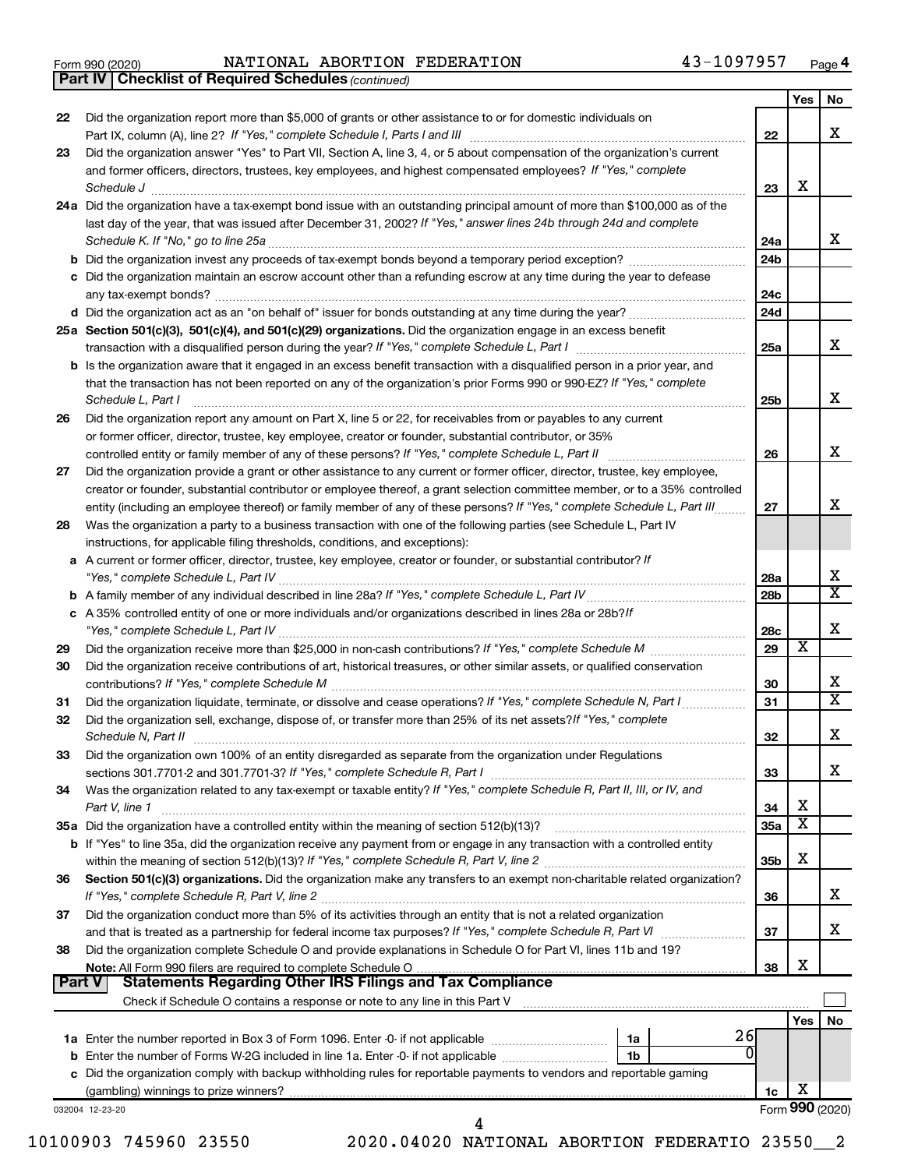|  | Form 990 (2020) |
|--|-----------------|
|  |                 |

*(continued)* **Part IV Checklist of Required Schedules**

|        |                                                                                                                                     |                 | <b>Yes</b> | No.                     |
|--------|-------------------------------------------------------------------------------------------------------------------------------------|-----------------|------------|-------------------------|
| 22     | Did the organization report more than \$5,000 of grants or other assistance to or for domestic individuals on                       |                 |            |                         |
|        |                                                                                                                                     | 22              |            | х                       |
| 23     | Did the organization answer "Yes" to Part VII, Section A, line 3, 4, or 5 about compensation of the organization's current          |                 |            |                         |
|        | and former officers, directors, trustees, key employees, and highest compensated employees? If "Yes," complete                      |                 |            |                         |
|        | Schedule J <b>Execute Schedule Schedule Schedule Schedule</b> J <b>Execute Schedule J Execute Schedule J</b>                        | 23              | X          |                         |
|        | 24a Did the organization have a tax-exempt bond issue with an outstanding principal amount of more than \$100,000 as of the         |                 |            |                         |
|        | last day of the year, that was issued after December 31, 2002? If "Yes," answer lines 24b through 24d and complete                  |                 |            |                         |
|        |                                                                                                                                     | 24a             |            | x                       |
|        |                                                                                                                                     | 24 <sub>b</sub> |            |                         |
|        | c Did the organization maintain an escrow account other than a refunding escrow at any time during the year to defease              |                 |            |                         |
|        |                                                                                                                                     | 24c             |            |                         |
|        |                                                                                                                                     | 24d             |            |                         |
|        | 25a Section 501(c)(3), 501(c)(4), and 501(c)(29) organizations. Did the organization engage in an excess benefit                    |                 |            |                         |
|        |                                                                                                                                     | 25a             |            | х                       |
|        | <b>b</b> Is the organization aware that it engaged in an excess benefit transaction with a disqualified person in a prior year, and |                 |            |                         |
|        | that the transaction has not been reported on any of the organization's prior Forms 990 or 990-EZ? If "Yes," complete               |                 |            |                         |
|        | Schedule L, Part I                                                                                                                  | 25b             |            | x                       |
| 26     | Did the organization report any amount on Part X, line 5 or 22, for receivables from or payables to any current                     |                 |            |                         |
|        | or former officer, director, trustee, key employee, creator or founder, substantial contributor, or 35%                             |                 |            |                         |
|        |                                                                                                                                     | 26              |            | х                       |
| 27     | Did the organization provide a grant or other assistance to any current or former officer, director, trustee, key employee,         |                 |            |                         |
|        | creator or founder, substantial contributor or employee thereof, a grant selection committee member, or to a 35% controlled         |                 |            |                         |
|        | entity (including an employee thereof) or family member of any of these persons? If "Yes," complete Schedule L, Part III            | 27              |            | x                       |
| 28     | Was the organization a party to a business transaction with one of the following parties (see Schedule L, Part IV                   |                 |            |                         |
|        | instructions, for applicable filing thresholds, conditions, and exceptions):                                                        |                 |            |                         |
|        | a A current or former officer, director, trustee, key employee, creator or founder, or substantial contributor? If                  |                 |            |                         |
|        |                                                                                                                                     | 28a             |            | х                       |
|        |                                                                                                                                     | 28 <sub>b</sub> |            | $\overline{\text{X}}$   |
|        | c A 35% controlled entity of one or more individuals and/or organizations described in lines 28a or 28b?If                          |                 |            |                         |
|        |                                                                                                                                     | 28c             |            | х                       |
| 29     |                                                                                                                                     | 29              | X          |                         |
| 30     | Did the organization receive contributions of art, historical treasures, or other similar assets, or qualified conservation         |                 |            |                         |
|        |                                                                                                                                     | 30              |            | х                       |
| 31     | Did the organization liquidate, terminate, or dissolve and cease operations? If "Yes," complete Schedule N, Part I                  | 31              |            | $\overline{\mathtt{x}}$ |
| 32     | Did the organization sell, exchange, dispose of, or transfer more than 25% of its net assets? If "Yes," complete                    |                 |            |                         |
|        |                                                                                                                                     | 32              |            | х                       |
| 33     | Did the organization own 100% of an entity disregarded as separate from the organization under Regulations                          |                 |            |                         |
|        |                                                                                                                                     | 33              |            | x                       |
| 34     | Was the organization related to any tax-exempt or taxable entity? If "Yes," complete Schedule R, Part II, III, or IV, and           |                 |            |                         |
|        | Part V, line 1                                                                                                                      | 34              | X          |                         |
|        |                                                                                                                                     | <b>35a</b>      | X          |                         |
|        | b If "Yes" to line 35a, did the organization receive any payment from or engage in any transaction with a controlled entity         |                 |            |                         |
|        |                                                                                                                                     | 35 <sub>b</sub> | х          |                         |
| 36     | Section 501(c)(3) organizations. Did the organization make any transfers to an exempt non-charitable related organization?          |                 |            |                         |
|        |                                                                                                                                     | 36              |            | х                       |
| 37     | Did the organization conduct more than 5% of its activities through an entity that is not a related organization                    |                 |            |                         |
|        |                                                                                                                                     | 37              |            | x                       |
| 38     | Did the organization complete Schedule O and provide explanations in Schedule O for Part VI, lines 11b and 19?                      |                 |            |                         |
|        |                                                                                                                                     | 38              | х          |                         |
| Part V |                                                                                                                                     |                 |            |                         |
|        |                                                                                                                                     |                 |            |                         |
|        |                                                                                                                                     |                 | Yes        | No                      |
|        | 26<br>1a                                                                                                                            |                 |            |                         |
|        | 0<br>1b                                                                                                                             |                 |            |                         |
|        | c Did the organization comply with backup withholding rules for reportable payments to vendors and reportable gaming                |                 |            |                         |
|        |                                                                                                                                     | 1c              | х          |                         |
|        | 032004 12-23-20                                                                                                                     |                 |            | Form 990 (2020)         |
|        | 4                                                                                                                                   |                 |            |                         |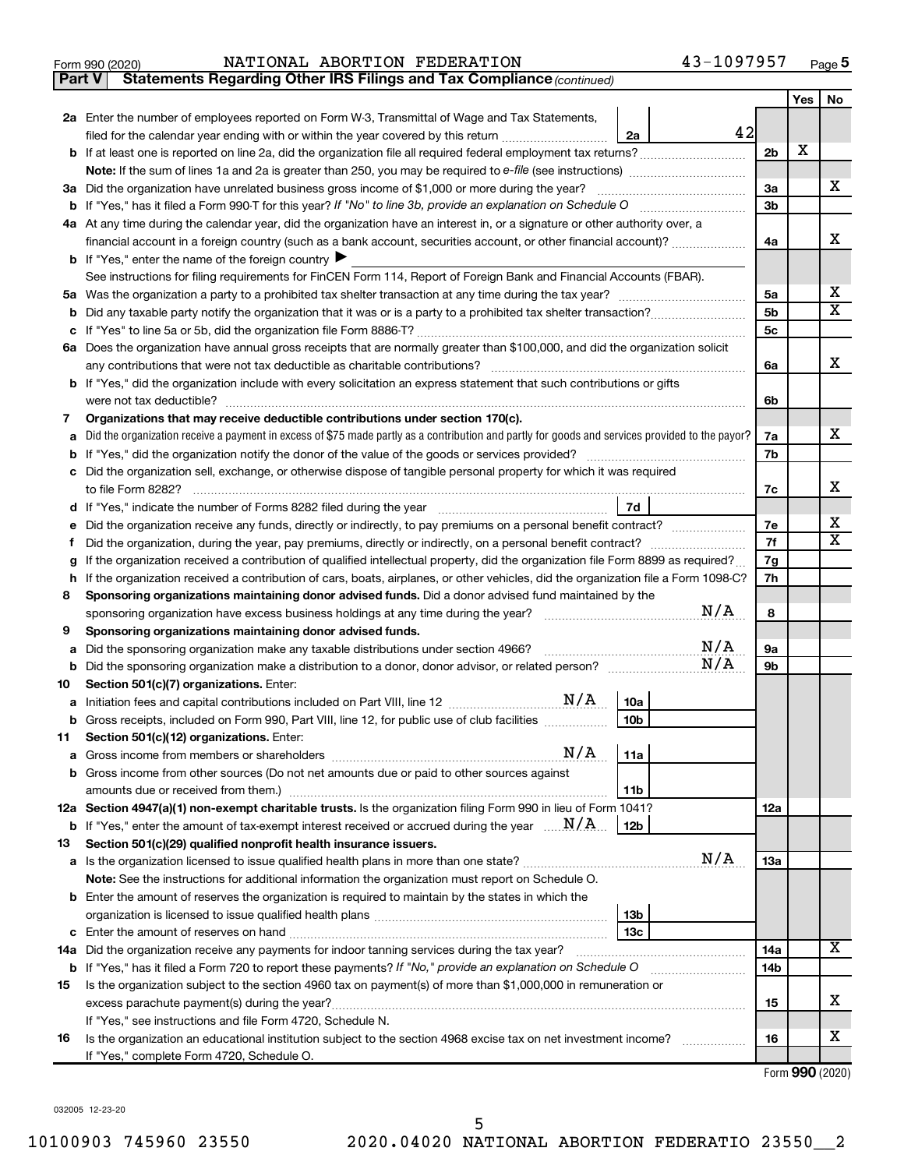|  | orm 990 (2020) <sup>-</sup> |  |
|--|-----------------------------|--|
|  |                             |  |

**Part V** Statements Regarding Other IRS Filings and Tax Compliance (continued)

|     |                                                                                                                                                                                                                                       |                | Yes | No                      |
|-----|---------------------------------------------------------------------------------------------------------------------------------------------------------------------------------------------------------------------------------------|----------------|-----|-------------------------|
|     | 2a Enter the number of employees reported on Form W-3, Transmittal of Wage and Tax Statements,                                                                                                                                        |                |     |                         |
|     | 42<br>filed for the calendar year ending with or within the year covered by this return <i>manumumumum</i><br>2a                                                                                                                      |                |     |                         |
|     | b If at least one is reported on line 2a, did the organization file all required federal employment tax returns?                                                                                                                      | 2 <sub>b</sub> | X   |                         |
|     |                                                                                                                                                                                                                                       |                |     |                         |
|     | 3a Did the organization have unrelated business gross income of \$1,000 or more during the year?                                                                                                                                      | За             |     | х                       |
|     |                                                                                                                                                                                                                                       | 3b             |     |                         |
|     | 4a At any time during the calendar year, did the organization have an interest in, or a signature or other authority over, a                                                                                                          |                |     |                         |
|     | financial account in a foreign country (such as a bank account, securities account, or other financial account)?                                                                                                                      | 4a             |     | х                       |
|     | <b>b</b> If "Yes," enter the name of the foreign country                                                                                                                                                                              |                |     |                         |
|     | See instructions for filing requirements for FinCEN Form 114, Report of Foreign Bank and Financial Accounts (FBAR).                                                                                                                   |                |     |                         |
|     |                                                                                                                                                                                                                                       | 5a             |     | х                       |
| b   |                                                                                                                                                                                                                                       | 5b             |     | х                       |
| с   |                                                                                                                                                                                                                                       | 5 <sub>c</sub> |     |                         |
|     | 6a Does the organization have annual gross receipts that are normally greater than \$100,000, and did the organization solicit                                                                                                        |                |     |                         |
|     | any contributions that were not tax deductible as charitable contributions?                                                                                                                                                           | 6a             |     | х                       |
|     | b If "Yes," did the organization include with every solicitation an express statement that such contributions or gifts                                                                                                                |                |     |                         |
|     | were not tax deductible?                                                                                                                                                                                                              | 6b             |     |                         |
| 7   | Organizations that may receive deductible contributions under section 170(c).                                                                                                                                                         |                |     | x                       |
| а   | Did the organization receive a payment in excess of \$75 made partly as a contribution and partly for goods and services provided to the payor?                                                                                       | 7a             |     |                         |
|     |                                                                                                                                                                                                                                       | 7b             |     |                         |
|     | c Did the organization sell, exchange, or otherwise dispose of tangible personal property for which it was required<br>to file Form 8282?                                                                                             | 7c             |     | х                       |
| d   | 7d<br>If "Yes," indicate the number of Forms 8282 filed during the year manufacture in the way to the number of Forms 8282 filed during the year                                                                                      |                |     |                         |
|     | Did the organization receive any funds, directly or indirectly, to pay premiums on a personal benefit contract?                                                                                                                       | 7e             |     | х                       |
| Ť   | Did the organization, during the year, pay premiums, directly or indirectly, on a personal benefit contract?                                                                                                                          | 7f             |     | $\overline{\textbf{x}}$ |
| g   | If the organization received a contribution of qualified intellectual property, did the organization file Form 8899 as required?                                                                                                      | 7g             |     |                         |
| h   | If the organization received a contribution of cars, boats, airplanes, or other vehicles, did the organization file a Form 1098-C?                                                                                                    | 7h             |     |                         |
| 8   | Sponsoring organizations maintaining donor advised funds. Did a donor advised fund maintained by the                                                                                                                                  |                |     |                         |
|     | N/A<br>sponsoring organization have excess business holdings at any time during the year?                                                                                                                                             | 8              |     |                         |
| 9   | Sponsoring organizations maintaining donor advised funds.                                                                                                                                                                             |                |     |                         |
| а   | N/A<br>Did the sponsoring organization make any taxable distributions under section 4966?                                                                                                                                             | 9а             |     |                         |
| b   | N/A                                                                                                                                                                                                                                   | 9b             |     |                         |
| 10  | Section 501(c)(7) organizations. Enter:                                                                                                                                                                                               |                |     |                         |
| а   | 10a                                                                                                                                                                                                                                   |                |     |                         |
| b   | 10 <sub>b</sub><br>Gross receipts, included on Form 990, Part VIII, line 12, for public use of club facilities                                                                                                                        |                |     |                         |
| 11. | Section 501(c)(12) organizations. Enter:                                                                                                                                                                                              |                |     |                         |
|     |                                                                                                                                                                                                                                       |                |     |                         |
|     | b Gross income from other sources (Do not net amounts due or paid to other sources against                                                                                                                                            |                |     |                         |
|     | amounts due or received from them.)<br>11b                                                                                                                                                                                            |                |     |                         |
|     | 12a Section 4947(a)(1) non-exempt charitable trusts. Is the organization filing Form 990 in lieu of Form 1041?                                                                                                                        | 12a            |     |                         |
|     | <b>b</b> If "Yes," enter the amount of tax-exempt interest received or accrued during the year $\ldots \mathbf{N}/\mathbf{A}$ .<br>12b                                                                                                |                |     |                         |
| 13  | Section 501(c)(29) qualified nonprofit health insurance issuers.                                                                                                                                                                      |                |     |                         |
|     | N/A<br>a Is the organization licensed to issue qualified health plans in more than one state? [111] increases: [11] increases: [11] and the state? [11] increases: [11] and the state? [11] increases: [11] and the state? [11] incre | 13a            |     |                         |
|     | Note: See the instructions for additional information the organization must report on Schedule O.                                                                                                                                     |                |     |                         |
|     | <b>b</b> Enter the amount of reserves the organization is required to maintain by the states in which the                                                                                                                             |                |     |                         |
|     | 13 <sub>b</sub><br>13 <sub>c</sub>                                                                                                                                                                                                    |                |     |                         |
|     | 14a Did the organization receive any payments for indoor tanning services during the tax year?                                                                                                                                        | 14a            |     | х                       |
|     | b If "Yes," has it filed a Form 720 to report these payments? If "No," provide an explanation on Schedule O                                                                                                                           | 14b            |     |                         |
| 15  | Is the organization subject to the section 4960 tax on payment(s) of more than \$1,000,000 in remuneration or                                                                                                                         |                |     |                         |
|     |                                                                                                                                                                                                                                       | 15             |     | x                       |
|     | If "Yes," see instructions and file Form 4720, Schedule N.                                                                                                                                                                            |                |     |                         |
| 16  | Is the organization an educational institution subject to the section 4968 excise tax on net investment income?                                                                                                                       | 16             |     | x                       |
|     | If "Yes," complete Form 4720, Schedule O.                                                                                                                                                                                             |                |     |                         |

Form (2020) **990**

032005 12-23-20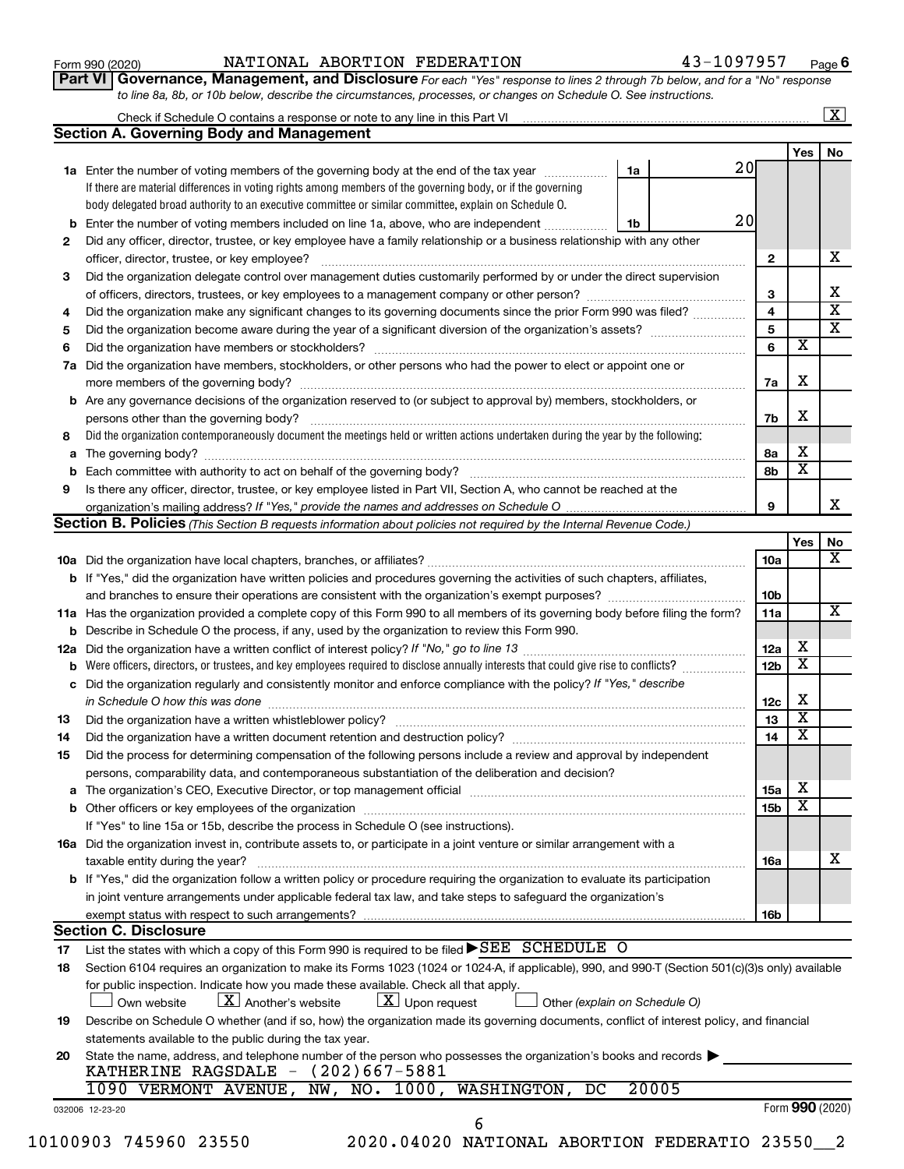**Part VI** Governance, Management, and Disclosure For each "Yes" response to lines 2 through 7b below, and for a "No" response *to line 8a, 8b, or 10b below, describe the circumstances, processes, or changes on Schedule O. See instructions.*

|     |                                                                                                                                                                                                                                |    |       |                 |                         | $\mathbf{X}$            |
|-----|--------------------------------------------------------------------------------------------------------------------------------------------------------------------------------------------------------------------------------|----|-------|-----------------|-------------------------|-------------------------|
|     | <b>Section A. Governing Body and Management</b>                                                                                                                                                                                |    |       |                 |                         |                         |
|     |                                                                                                                                                                                                                                |    |       |                 | Yes                     | No                      |
|     | <b>1a</b> Enter the number of voting members of the governing body at the end of the tax year                                                                                                                                  | 1a | 20    |                 |                         |                         |
|     | If there are material differences in voting rights among members of the governing body, or if the governing                                                                                                                    |    |       |                 |                         |                         |
|     | body delegated broad authority to an executive committee or similar committee, explain on Schedule O.                                                                                                                          |    |       |                 |                         |                         |
| b   | Enter the number of voting members included on line 1a, above, who are independent                                                                                                                                             | 1b | 20    |                 |                         |                         |
| 2   | Did any officer, director, trustee, or key employee have a family relationship or a business relationship with any other                                                                                                       |    |       |                 |                         |                         |
|     | officer, director, trustee, or key employee?                                                                                                                                                                                   |    |       | $\mathbf{2}$    |                         | х                       |
| 3   | Did the organization delegate control over management duties customarily performed by or under the direct supervision                                                                                                          |    |       |                 |                         |                         |
|     |                                                                                                                                                                                                                                |    |       | 3               |                         | x                       |
| 4   | Did the organization make any significant changes to its governing documents since the prior Form 990 was filed?                                                                                                               |    |       | 4               |                         | $\overline{\textbf{x}}$ |
| 5   |                                                                                                                                                                                                                                |    |       | 5               |                         | $\overline{\mathtt{x}}$ |
| 6   |                                                                                                                                                                                                                                |    |       | 6               | $\overline{\textbf{x}}$ |                         |
| 7a  | Did the organization have members, stockholders, or other persons who had the power to elect or appoint one or                                                                                                                 |    |       |                 |                         |                         |
|     |                                                                                                                                                                                                                                |    |       | 7a              | х                       |                         |
|     | <b>b</b> Are any governance decisions of the organization reserved to (or subject to approval by) members, stockholders, or                                                                                                    |    |       |                 |                         |                         |
|     |                                                                                                                                                                                                                                |    |       | 7b              | х                       |                         |
| 8   | Did the organization contemporaneously document the meetings held or written actions undertaken during the year by the following:                                                                                              |    |       |                 |                         |                         |
| а   |                                                                                                                                                                                                                                |    |       | 8а              | х                       |                         |
| b   |                                                                                                                                                                                                                                |    |       | 8b              | $\overline{\textbf{x}}$ |                         |
| 9   | Is there any officer, director, trustee, or key employee listed in Part VII, Section A, who cannot be reached at the                                                                                                           |    |       |                 |                         |                         |
|     |                                                                                                                                                                                                                                |    |       | 9               |                         | x                       |
|     | <b>Section B. Policies</b> (This Section B requests information about policies not required by the Internal Revenue Code.)                                                                                                     |    |       |                 |                         |                         |
|     |                                                                                                                                                                                                                                |    |       |                 | Yes                     | No                      |
|     |                                                                                                                                                                                                                                |    |       | 10a             |                         | $\overline{\mathbf{X}}$ |
|     | b If "Yes," did the organization have written policies and procedures governing the activities of such chapters, affiliates,                                                                                                   |    |       |                 |                         |                         |
|     |                                                                                                                                                                                                                                |    |       | 10 <sub>b</sub> |                         |                         |
|     | 11a Has the organization provided a complete copy of this Form 990 to all members of its governing body before filing the form?                                                                                                |    |       | 11a             |                         | $\overline{\mathbf{X}}$ |
| b   | Describe in Schedule O the process, if any, used by the organization to review this Form 990.                                                                                                                                  |    |       |                 |                         |                         |
| 12a |                                                                                                                                                                                                                                |    |       | 12a             | х                       |                         |
| b   | Were officers, directors, or trustees, and key employees required to disclose annually interests that could give rise to conflicts?                                                                                            |    |       | 12 <sub>b</sub> | $\overline{\textbf{x}}$ |                         |
| с   | Did the organization regularly and consistently monitor and enforce compliance with the policy? If "Yes," describe                                                                                                             |    |       |                 |                         |                         |
|     | in Schedule O how this was done [ with the continuum continuum continuum continuum continuum continuum continuum continuum continuum continuum continuum continuum continuum continuum continuum continuum continuum continuum |    |       | 12c             | X                       |                         |
| 13  |                                                                                                                                                                                                                                |    |       | 13              | $\overline{\text{X}}$   |                         |
| 14  | Did the organization have a written document retention and destruction policy? [11] manufaction materials and the organization have a written document retention and destruction policy?                                       |    |       | 14              | $\overline{\text{X}}$   |                         |
| 15  | Did the process for determining compensation of the following persons include a review and approval by independent                                                                                                             |    |       |                 |                         |                         |
|     | persons, comparability data, and contemporaneous substantiation of the deliberation and decision?                                                                                                                              |    |       |                 |                         |                         |
|     |                                                                                                                                                                                                                                |    |       | 15a             | X                       |                         |
|     |                                                                                                                                                                                                                                |    |       | 15 <sub>b</sub> | X                       |                         |
|     | If "Yes" to line 15a or 15b, describe the process in Schedule O (see instructions).                                                                                                                                            |    |       |                 |                         |                         |
|     | 16a Did the organization invest in, contribute assets to, or participate in a joint venture or similar arrangement with a                                                                                                      |    |       |                 |                         |                         |
|     | taxable entity during the year?                                                                                                                                                                                                |    |       | 16a             |                         | х                       |
|     | <b>b</b> If "Yes," did the organization follow a written policy or procedure requiring the organization to evaluate its participation                                                                                          |    |       |                 |                         |                         |
|     | in joint venture arrangements under applicable federal tax law, and take steps to safequard the organization's                                                                                                                 |    |       |                 |                         |                         |
|     | exempt status with respect to such arrangements?                                                                                                                                                                               |    |       | 16b             |                         |                         |
|     | <b>Section C. Disclosure</b>                                                                                                                                                                                                   |    |       |                 |                         |                         |
| 17  | List the states with which a copy of this Form 990 is required to be filed $\blacktriangleright$ SEE SCHEDULE O                                                                                                                |    |       |                 |                         |                         |
| 18  | Section 6104 requires an organization to make its Forms 1023 (1024 or 1024-A, if applicable), 990, and 990-T (Section 501(c)(3)s only) available                                                                               |    |       |                 |                         |                         |
|     | for public inspection. Indicate how you made these available. Check all that apply.                                                                                                                                            |    |       |                 |                         |                         |
|     | $\lfloor x \rfloor$ Upon request<br>$\lfloor X \rfloor$ Another's website<br>Own website<br>Other (explain on Schedule O)                                                                                                      |    |       |                 |                         |                         |
| 19  | Describe on Schedule O whether (and if so, how) the organization made its governing documents, conflict of interest policy, and financial                                                                                      |    |       |                 |                         |                         |
|     | statements available to the public during the tax year.                                                                                                                                                                        |    |       |                 |                         |                         |
| 20  | State the name, address, and telephone number of the person who possesses the organization's books and records<br>KATHERINE RAGSDALE $-$ (202)667-5881                                                                         |    |       |                 |                         |                         |
|     | NW, NO. 1000,<br>WASHINGTON,<br>DC<br>1090 VERMONT AVENUE,                                                                                                                                                                     |    | 20005 |                 |                         |                         |
|     |                                                                                                                                                                                                                                |    |       |                 |                         | Form 990 (2020)         |
|     | 032006 12-23-20<br>6                                                                                                                                                                                                           |    |       |                 |                         |                         |
|     |                                                                                                                                                                                                                                |    |       |                 |                         |                         |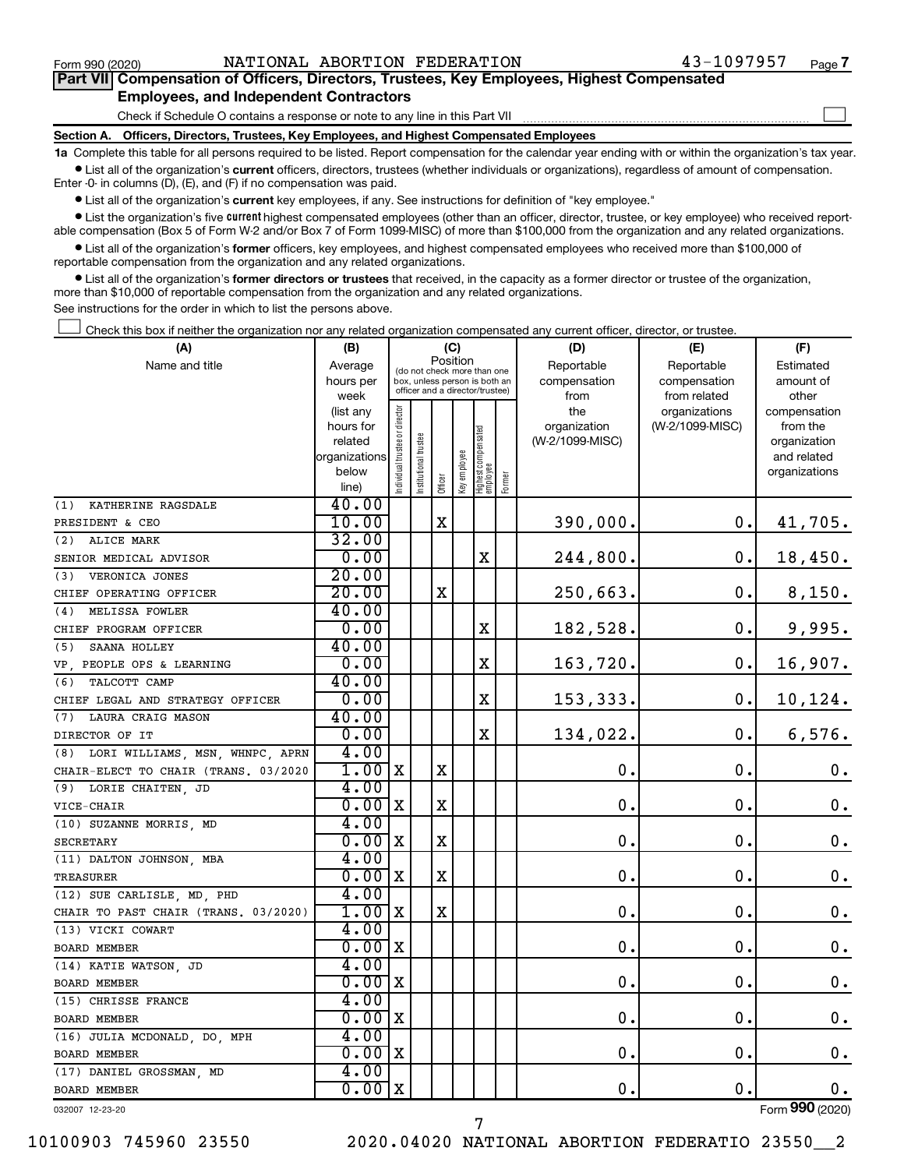$\Box$ 

| Part VII Compensation of Officers, Directors, Trustees, Key Employees, Highest Compensated |  |  |  |  |
|--------------------------------------------------------------------------------------------|--|--|--|--|
| <b>Employees, and Independent Contractors</b>                                              |  |  |  |  |

Check if Schedule O contains a response or note to any line in this Part VII

**Section A. Officers, Directors, Trustees, Key Employees, and Highest Compensated Employees**

**1a**  Complete this table for all persons required to be listed. Report compensation for the calendar year ending with or within the organization's tax year.  $\bullet$  List all of the organization's current officers, directors, trustees (whether individuals or organizations), regardless of amount of compensation.

Enter -0- in columns (D), (E), and (F) if no compensation was paid.

**•** List all of the organization's current key employees, if any. See instructions for definition of "key employee."

• List the organization's five *current* highest compensated employees (other than an officer, director, trustee, or key employee) who received reportable compensation (Box 5 of Form W-2 and/or Box 7 of Form 1099-MISC) of more than \$100,000 from the organization and any related organizations.

 $\bullet$  List all of the organization's former officers, key employees, and highest compensated employees who received more than \$100,000 of reportable compensation from the organization and any related organizations.

**•** List all of the organization's former directors or trustees that received, in the capacity as a former director or trustee of the organization, more than \$10,000 of reportable compensation from the organization and any related organizations.

See instructions for the order in which to list the persons above.

Check this box if neither the organization nor any related organization compensated any current officer, director, or trustee.  $\Box$ 

| Position<br>Name and title<br>Reportable<br>Reportable<br>Estimated<br>Average<br>(do not check more than one<br>hours per<br>box, unless person is both an<br>compensation<br>compensation<br>amount of<br>officer and a director/trustee)<br>week<br>from<br>from related<br>other<br>Individual trustee or director<br>(list any<br>the<br>organizations<br>compensation<br>(W-2/1099-MISC)<br>hours for<br>organization<br>from the<br>Highest compensated<br> employee<br>Institutional trustee<br>(W-2/1099-MISC)<br>related<br>organization<br>Key employee<br>organizations<br>and related<br>below<br>organizations<br>Former<br>Officer<br>line)<br>40.00<br>KATHERINE RAGSDALE<br>(1)<br>10.00<br>X<br>390,000.<br>0.<br>41,705.<br>PRESIDENT & CEO<br>32.00<br>(2) ALICE MARK<br>0.00<br>X<br>244,800.<br>0.<br>18,450.<br>SENIOR MEDICAL ADVISOR<br>20.00<br>(3) VERONICA JONES<br>20.00<br>X<br>250,663.<br>$\mathbf 0$ .<br>8,150.<br>CHIEF OPERATING OFFICER<br>40.00<br>MELISSA FOWLER<br>(4)<br>0.00<br>0.<br>X<br>182,528<br>9,995.<br>CHIEF PROGRAM OFFICER<br>40.00<br>(5)<br>SAANA HOLLEY<br>0.00<br>X<br>$\mathbf 0$ .<br>16,907.<br>163,720.<br>VP, PEOPLE OPS & LEARNING<br>40.00<br>TALCOTT CAMP<br>(6)<br>0.00<br>X<br>153,333.<br>0.<br>10,124.<br>CHIEF LEGAL AND STRATEGY OFFICER<br>40.00<br>LAURA CRAIG MASON<br>(7)<br>0.00<br>$\mathbf X$<br>134,022.<br>$\mathbf 0$ .<br>6,576.<br>DIRECTOR OF IT<br>4.00<br>(8) LORI WILLIAMS, MSN, WHNPC, APRN<br>$1.00$ X<br>X<br>$\mathbf 0$ .<br>$\mathbf 0$ .<br>$\boldsymbol{0}$ .<br>CHAIR-ELECT TO CHAIR (TRANS, 03/2020<br>4.00<br>(9) LORIE CHAITEN, JD<br>X<br>0.00<br>X<br>0.<br>О.<br>0.<br>VICE-CHAIR<br>4.00<br>(10) SUZANNE MORRIS, MD<br>0.00<br>X<br>$\mathbf 0$ .<br>О.<br>0.<br>X<br><b>SECRETARY</b><br>4.00<br>(11) DALTON JOHNSON, MBA<br>0.00<br>X<br>$\mathbf 0$ .<br>О.<br>$\mathbf 0$ .<br>х<br>TREASURER<br>4.00<br>(12) SUE CARLISLE, MD, PHD<br>$\mathbf 0$ .<br>$\mathbf 0$ .<br>$\mathbf 0$ .<br>1.00 <br>X<br>X<br>CHAIR TO PAST CHAIR (TRANS. 03/2020)<br>4.00<br>(13) VICKI COWART<br>0.00<br>X<br>$\mathbf 0$ .<br>О.<br>$\boldsymbol{0}$ .<br><b>BOARD MEMBER</b><br>4.00<br>(14) KATIE WATSON, JD<br>0.00x<br>$\mathbf 0$ .<br>$\mathbf 0$ .<br>$\mathbf 0$ .<br>BOARD MEMBER<br>4.00<br>(15) CHRISSE FRANCE<br>0.00x<br>$\mathbf 0$ .<br>0.<br>0.<br>BOARD MEMBER<br>4.00<br>(16) JULIA MCDONALD, DO, MPH<br>0.<br>0.<br>$\mathbf 0$ .<br>0.00x<br>BOARD MEMBER<br>4.00<br>(17) DANIEL GROSSMAN, MD<br>$0.00 \, \mathrm{x}$<br>0.<br>0.<br>0.<br><b>BOARD MEMBER</b> | (A) | (B) |  | (C) |  | (D) | (E) | (F) |
|---------------------------------------------------------------------------------------------------------------------------------------------------------------------------------------------------------------------------------------------------------------------------------------------------------------------------------------------------------------------------------------------------------------------------------------------------------------------------------------------------------------------------------------------------------------------------------------------------------------------------------------------------------------------------------------------------------------------------------------------------------------------------------------------------------------------------------------------------------------------------------------------------------------------------------------------------------------------------------------------------------------------------------------------------------------------------------------------------------------------------------------------------------------------------------------------------------------------------------------------------------------------------------------------------------------------------------------------------------------------------------------------------------------------------------------------------------------------------------------------------------------------------------------------------------------------------------------------------------------------------------------------------------------------------------------------------------------------------------------------------------------------------------------------------------------------------------------------------------------------------------------------------------------------------------------------------------------------------------------------------------------------------------------------------------------------------------------------------------------------------------------------------------------------------------------------------------------------------------------------------------------------------------------------------------------------------------------------------------------------------------------------------------------------------------------------------------------------------------------------------------------------------------------------------------------------------------|-----|-----|--|-----|--|-----|-----|-----|
|                                                                                                                                                                                                                                                                                                                                                                                                                                                                                                                                                                                                                                                                                                                                                                                                                                                                                                                                                                                                                                                                                                                                                                                                                                                                                                                                                                                                                                                                                                                                                                                                                                                                                                                                                                                                                                                                                                                                                                                                                                                                                                                                                                                                                                                                                                                                                                                                                                                                                                                                                                                 |     |     |  |     |  |     |     |     |
|                                                                                                                                                                                                                                                                                                                                                                                                                                                                                                                                                                                                                                                                                                                                                                                                                                                                                                                                                                                                                                                                                                                                                                                                                                                                                                                                                                                                                                                                                                                                                                                                                                                                                                                                                                                                                                                                                                                                                                                                                                                                                                                                                                                                                                                                                                                                                                                                                                                                                                                                                                                 |     |     |  |     |  |     |     |     |
|                                                                                                                                                                                                                                                                                                                                                                                                                                                                                                                                                                                                                                                                                                                                                                                                                                                                                                                                                                                                                                                                                                                                                                                                                                                                                                                                                                                                                                                                                                                                                                                                                                                                                                                                                                                                                                                                                                                                                                                                                                                                                                                                                                                                                                                                                                                                                                                                                                                                                                                                                                                 |     |     |  |     |  |     |     |     |
|                                                                                                                                                                                                                                                                                                                                                                                                                                                                                                                                                                                                                                                                                                                                                                                                                                                                                                                                                                                                                                                                                                                                                                                                                                                                                                                                                                                                                                                                                                                                                                                                                                                                                                                                                                                                                                                                                                                                                                                                                                                                                                                                                                                                                                                                                                                                                                                                                                                                                                                                                                                 |     |     |  |     |  |     |     |     |
|                                                                                                                                                                                                                                                                                                                                                                                                                                                                                                                                                                                                                                                                                                                                                                                                                                                                                                                                                                                                                                                                                                                                                                                                                                                                                                                                                                                                                                                                                                                                                                                                                                                                                                                                                                                                                                                                                                                                                                                                                                                                                                                                                                                                                                                                                                                                                                                                                                                                                                                                                                                 |     |     |  |     |  |     |     |     |
|                                                                                                                                                                                                                                                                                                                                                                                                                                                                                                                                                                                                                                                                                                                                                                                                                                                                                                                                                                                                                                                                                                                                                                                                                                                                                                                                                                                                                                                                                                                                                                                                                                                                                                                                                                                                                                                                                                                                                                                                                                                                                                                                                                                                                                                                                                                                                                                                                                                                                                                                                                                 |     |     |  |     |  |     |     |     |
|                                                                                                                                                                                                                                                                                                                                                                                                                                                                                                                                                                                                                                                                                                                                                                                                                                                                                                                                                                                                                                                                                                                                                                                                                                                                                                                                                                                                                                                                                                                                                                                                                                                                                                                                                                                                                                                                                                                                                                                                                                                                                                                                                                                                                                                                                                                                                                                                                                                                                                                                                                                 |     |     |  |     |  |     |     |     |
|                                                                                                                                                                                                                                                                                                                                                                                                                                                                                                                                                                                                                                                                                                                                                                                                                                                                                                                                                                                                                                                                                                                                                                                                                                                                                                                                                                                                                                                                                                                                                                                                                                                                                                                                                                                                                                                                                                                                                                                                                                                                                                                                                                                                                                                                                                                                                                                                                                                                                                                                                                                 |     |     |  |     |  |     |     |     |
|                                                                                                                                                                                                                                                                                                                                                                                                                                                                                                                                                                                                                                                                                                                                                                                                                                                                                                                                                                                                                                                                                                                                                                                                                                                                                                                                                                                                                                                                                                                                                                                                                                                                                                                                                                                                                                                                                                                                                                                                                                                                                                                                                                                                                                                                                                                                                                                                                                                                                                                                                                                 |     |     |  |     |  |     |     |     |
|                                                                                                                                                                                                                                                                                                                                                                                                                                                                                                                                                                                                                                                                                                                                                                                                                                                                                                                                                                                                                                                                                                                                                                                                                                                                                                                                                                                                                                                                                                                                                                                                                                                                                                                                                                                                                                                                                                                                                                                                                                                                                                                                                                                                                                                                                                                                                                                                                                                                                                                                                                                 |     |     |  |     |  |     |     |     |
|                                                                                                                                                                                                                                                                                                                                                                                                                                                                                                                                                                                                                                                                                                                                                                                                                                                                                                                                                                                                                                                                                                                                                                                                                                                                                                                                                                                                                                                                                                                                                                                                                                                                                                                                                                                                                                                                                                                                                                                                                                                                                                                                                                                                                                                                                                                                                                                                                                                                                                                                                                                 |     |     |  |     |  |     |     |     |
|                                                                                                                                                                                                                                                                                                                                                                                                                                                                                                                                                                                                                                                                                                                                                                                                                                                                                                                                                                                                                                                                                                                                                                                                                                                                                                                                                                                                                                                                                                                                                                                                                                                                                                                                                                                                                                                                                                                                                                                                                                                                                                                                                                                                                                                                                                                                                                                                                                                                                                                                                                                 |     |     |  |     |  |     |     |     |
|                                                                                                                                                                                                                                                                                                                                                                                                                                                                                                                                                                                                                                                                                                                                                                                                                                                                                                                                                                                                                                                                                                                                                                                                                                                                                                                                                                                                                                                                                                                                                                                                                                                                                                                                                                                                                                                                                                                                                                                                                                                                                                                                                                                                                                                                                                                                                                                                                                                                                                                                                                                 |     |     |  |     |  |     |     |     |
|                                                                                                                                                                                                                                                                                                                                                                                                                                                                                                                                                                                                                                                                                                                                                                                                                                                                                                                                                                                                                                                                                                                                                                                                                                                                                                                                                                                                                                                                                                                                                                                                                                                                                                                                                                                                                                                                                                                                                                                                                                                                                                                                                                                                                                                                                                                                                                                                                                                                                                                                                                                 |     |     |  |     |  |     |     |     |
|                                                                                                                                                                                                                                                                                                                                                                                                                                                                                                                                                                                                                                                                                                                                                                                                                                                                                                                                                                                                                                                                                                                                                                                                                                                                                                                                                                                                                                                                                                                                                                                                                                                                                                                                                                                                                                                                                                                                                                                                                                                                                                                                                                                                                                                                                                                                                                                                                                                                                                                                                                                 |     |     |  |     |  |     |     |     |
|                                                                                                                                                                                                                                                                                                                                                                                                                                                                                                                                                                                                                                                                                                                                                                                                                                                                                                                                                                                                                                                                                                                                                                                                                                                                                                                                                                                                                                                                                                                                                                                                                                                                                                                                                                                                                                                                                                                                                                                                                                                                                                                                                                                                                                                                                                                                                                                                                                                                                                                                                                                 |     |     |  |     |  |     |     |     |
|                                                                                                                                                                                                                                                                                                                                                                                                                                                                                                                                                                                                                                                                                                                                                                                                                                                                                                                                                                                                                                                                                                                                                                                                                                                                                                                                                                                                                                                                                                                                                                                                                                                                                                                                                                                                                                                                                                                                                                                                                                                                                                                                                                                                                                                                                                                                                                                                                                                                                                                                                                                 |     |     |  |     |  |     |     |     |
|                                                                                                                                                                                                                                                                                                                                                                                                                                                                                                                                                                                                                                                                                                                                                                                                                                                                                                                                                                                                                                                                                                                                                                                                                                                                                                                                                                                                                                                                                                                                                                                                                                                                                                                                                                                                                                                                                                                                                                                                                                                                                                                                                                                                                                                                                                                                                                                                                                                                                                                                                                                 |     |     |  |     |  |     |     |     |
|                                                                                                                                                                                                                                                                                                                                                                                                                                                                                                                                                                                                                                                                                                                                                                                                                                                                                                                                                                                                                                                                                                                                                                                                                                                                                                                                                                                                                                                                                                                                                                                                                                                                                                                                                                                                                                                                                                                                                                                                                                                                                                                                                                                                                                                                                                                                                                                                                                                                                                                                                                                 |     |     |  |     |  |     |     |     |
|                                                                                                                                                                                                                                                                                                                                                                                                                                                                                                                                                                                                                                                                                                                                                                                                                                                                                                                                                                                                                                                                                                                                                                                                                                                                                                                                                                                                                                                                                                                                                                                                                                                                                                                                                                                                                                                                                                                                                                                                                                                                                                                                                                                                                                                                                                                                                                                                                                                                                                                                                                                 |     |     |  |     |  |     |     |     |
|                                                                                                                                                                                                                                                                                                                                                                                                                                                                                                                                                                                                                                                                                                                                                                                                                                                                                                                                                                                                                                                                                                                                                                                                                                                                                                                                                                                                                                                                                                                                                                                                                                                                                                                                                                                                                                                                                                                                                                                                                                                                                                                                                                                                                                                                                                                                                                                                                                                                                                                                                                                 |     |     |  |     |  |     |     |     |
|                                                                                                                                                                                                                                                                                                                                                                                                                                                                                                                                                                                                                                                                                                                                                                                                                                                                                                                                                                                                                                                                                                                                                                                                                                                                                                                                                                                                                                                                                                                                                                                                                                                                                                                                                                                                                                                                                                                                                                                                                                                                                                                                                                                                                                                                                                                                                                                                                                                                                                                                                                                 |     |     |  |     |  |     |     |     |
|                                                                                                                                                                                                                                                                                                                                                                                                                                                                                                                                                                                                                                                                                                                                                                                                                                                                                                                                                                                                                                                                                                                                                                                                                                                                                                                                                                                                                                                                                                                                                                                                                                                                                                                                                                                                                                                                                                                                                                                                                                                                                                                                                                                                                                                                                                                                                                                                                                                                                                                                                                                 |     |     |  |     |  |     |     |     |
|                                                                                                                                                                                                                                                                                                                                                                                                                                                                                                                                                                                                                                                                                                                                                                                                                                                                                                                                                                                                                                                                                                                                                                                                                                                                                                                                                                                                                                                                                                                                                                                                                                                                                                                                                                                                                                                                                                                                                                                                                                                                                                                                                                                                                                                                                                                                                                                                                                                                                                                                                                                 |     |     |  |     |  |     |     |     |
|                                                                                                                                                                                                                                                                                                                                                                                                                                                                                                                                                                                                                                                                                                                                                                                                                                                                                                                                                                                                                                                                                                                                                                                                                                                                                                                                                                                                                                                                                                                                                                                                                                                                                                                                                                                                                                                                                                                                                                                                                                                                                                                                                                                                                                                                                                                                                                                                                                                                                                                                                                                 |     |     |  |     |  |     |     |     |
|                                                                                                                                                                                                                                                                                                                                                                                                                                                                                                                                                                                                                                                                                                                                                                                                                                                                                                                                                                                                                                                                                                                                                                                                                                                                                                                                                                                                                                                                                                                                                                                                                                                                                                                                                                                                                                                                                                                                                                                                                                                                                                                                                                                                                                                                                                                                                                                                                                                                                                                                                                                 |     |     |  |     |  |     |     |     |
|                                                                                                                                                                                                                                                                                                                                                                                                                                                                                                                                                                                                                                                                                                                                                                                                                                                                                                                                                                                                                                                                                                                                                                                                                                                                                                                                                                                                                                                                                                                                                                                                                                                                                                                                                                                                                                                                                                                                                                                                                                                                                                                                                                                                                                                                                                                                                                                                                                                                                                                                                                                 |     |     |  |     |  |     |     |     |
|                                                                                                                                                                                                                                                                                                                                                                                                                                                                                                                                                                                                                                                                                                                                                                                                                                                                                                                                                                                                                                                                                                                                                                                                                                                                                                                                                                                                                                                                                                                                                                                                                                                                                                                                                                                                                                                                                                                                                                                                                                                                                                                                                                                                                                                                                                                                                                                                                                                                                                                                                                                 |     |     |  |     |  |     |     |     |
|                                                                                                                                                                                                                                                                                                                                                                                                                                                                                                                                                                                                                                                                                                                                                                                                                                                                                                                                                                                                                                                                                                                                                                                                                                                                                                                                                                                                                                                                                                                                                                                                                                                                                                                                                                                                                                                                                                                                                                                                                                                                                                                                                                                                                                                                                                                                                                                                                                                                                                                                                                                 |     |     |  |     |  |     |     |     |
|                                                                                                                                                                                                                                                                                                                                                                                                                                                                                                                                                                                                                                                                                                                                                                                                                                                                                                                                                                                                                                                                                                                                                                                                                                                                                                                                                                                                                                                                                                                                                                                                                                                                                                                                                                                                                                                                                                                                                                                                                                                                                                                                                                                                                                                                                                                                                                                                                                                                                                                                                                                 |     |     |  |     |  |     |     |     |
|                                                                                                                                                                                                                                                                                                                                                                                                                                                                                                                                                                                                                                                                                                                                                                                                                                                                                                                                                                                                                                                                                                                                                                                                                                                                                                                                                                                                                                                                                                                                                                                                                                                                                                                                                                                                                                                                                                                                                                                                                                                                                                                                                                                                                                                                                                                                                                                                                                                                                                                                                                                 |     |     |  |     |  |     |     |     |
|                                                                                                                                                                                                                                                                                                                                                                                                                                                                                                                                                                                                                                                                                                                                                                                                                                                                                                                                                                                                                                                                                                                                                                                                                                                                                                                                                                                                                                                                                                                                                                                                                                                                                                                                                                                                                                                                                                                                                                                                                                                                                                                                                                                                                                                                                                                                                                                                                                                                                                                                                                                 |     |     |  |     |  |     |     |     |
|                                                                                                                                                                                                                                                                                                                                                                                                                                                                                                                                                                                                                                                                                                                                                                                                                                                                                                                                                                                                                                                                                                                                                                                                                                                                                                                                                                                                                                                                                                                                                                                                                                                                                                                                                                                                                                                                                                                                                                                                                                                                                                                                                                                                                                                                                                                                                                                                                                                                                                                                                                                 |     |     |  |     |  |     |     |     |
|                                                                                                                                                                                                                                                                                                                                                                                                                                                                                                                                                                                                                                                                                                                                                                                                                                                                                                                                                                                                                                                                                                                                                                                                                                                                                                                                                                                                                                                                                                                                                                                                                                                                                                                                                                                                                                                                                                                                                                                                                                                                                                                                                                                                                                                                                                                                                                                                                                                                                                                                                                                 |     |     |  |     |  |     |     |     |
|                                                                                                                                                                                                                                                                                                                                                                                                                                                                                                                                                                                                                                                                                                                                                                                                                                                                                                                                                                                                                                                                                                                                                                                                                                                                                                                                                                                                                                                                                                                                                                                                                                                                                                                                                                                                                                                                                                                                                                                                                                                                                                                                                                                                                                                                                                                                                                                                                                                                                                                                                                                 |     |     |  |     |  |     |     |     |
|                                                                                                                                                                                                                                                                                                                                                                                                                                                                                                                                                                                                                                                                                                                                                                                                                                                                                                                                                                                                                                                                                                                                                                                                                                                                                                                                                                                                                                                                                                                                                                                                                                                                                                                                                                                                                                                                                                                                                                                                                                                                                                                                                                                                                                                                                                                                                                                                                                                                                                                                                                                 |     |     |  |     |  |     |     |     |
|                                                                                                                                                                                                                                                                                                                                                                                                                                                                                                                                                                                                                                                                                                                                                                                                                                                                                                                                                                                                                                                                                                                                                                                                                                                                                                                                                                                                                                                                                                                                                                                                                                                                                                                                                                                                                                                                                                                                                                                                                                                                                                                                                                                                                                                                                                                                                                                                                                                                                                                                                                                 |     |     |  |     |  |     |     |     |
|                                                                                                                                                                                                                                                                                                                                                                                                                                                                                                                                                                                                                                                                                                                                                                                                                                                                                                                                                                                                                                                                                                                                                                                                                                                                                                                                                                                                                                                                                                                                                                                                                                                                                                                                                                                                                                                                                                                                                                                                                                                                                                                                                                                                                                                                                                                                                                                                                                                                                                                                                                                 |     |     |  |     |  |     |     |     |
|                                                                                                                                                                                                                                                                                                                                                                                                                                                                                                                                                                                                                                                                                                                                                                                                                                                                                                                                                                                                                                                                                                                                                                                                                                                                                                                                                                                                                                                                                                                                                                                                                                                                                                                                                                                                                                                                                                                                                                                                                                                                                                                                                                                                                                                                                                                                                                                                                                                                                                                                                                                 |     |     |  |     |  |     |     |     |
|                                                                                                                                                                                                                                                                                                                                                                                                                                                                                                                                                                                                                                                                                                                                                                                                                                                                                                                                                                                                                                                                                                                                                                                                                                                                                                                                                                                                                                                                                                                                                                                                                                                                                                                                                                                                                                                                                                                                                                                                                                                                                                                                                                                                                                                                                                                                                                                                                                                                                                                                                                                 |     |     |  |     |  |     |     |     |
|                                                                                                                                                                                                                                                                                                                                                                                                                                                                                                                                                                                                                                                                                                                                                                                                                                                                                                                                                                                                                                                                                                                                                                                                                                                                                                                                                                                                                                                                                                                                                                                                                                                                                                                                                                                                                                                                                                                                                                                                                                                                                                                                                                                                                                                                                                                                                                                                                                                                                                                                                                                 |     |     |  |     |  |     |     |     |
|                                                                                                                                                                                                                                                                                                                                                                                                                                                                                                                                                                                                                                                                                                                                                                                                                                                                                                                                                                                                                                                                                                                                                                                                                                                                                                                                                                                                                                                                                                                                                                                                                                                                                                                                                                                                                                                                                                                                                                                                                                                                                                                                                                                                                                                                                                                                                                                                                                                                                                                                                                                 |     |     |  |     |  |     |     |     |

7

032007 12-23-20

Form (2020) **990**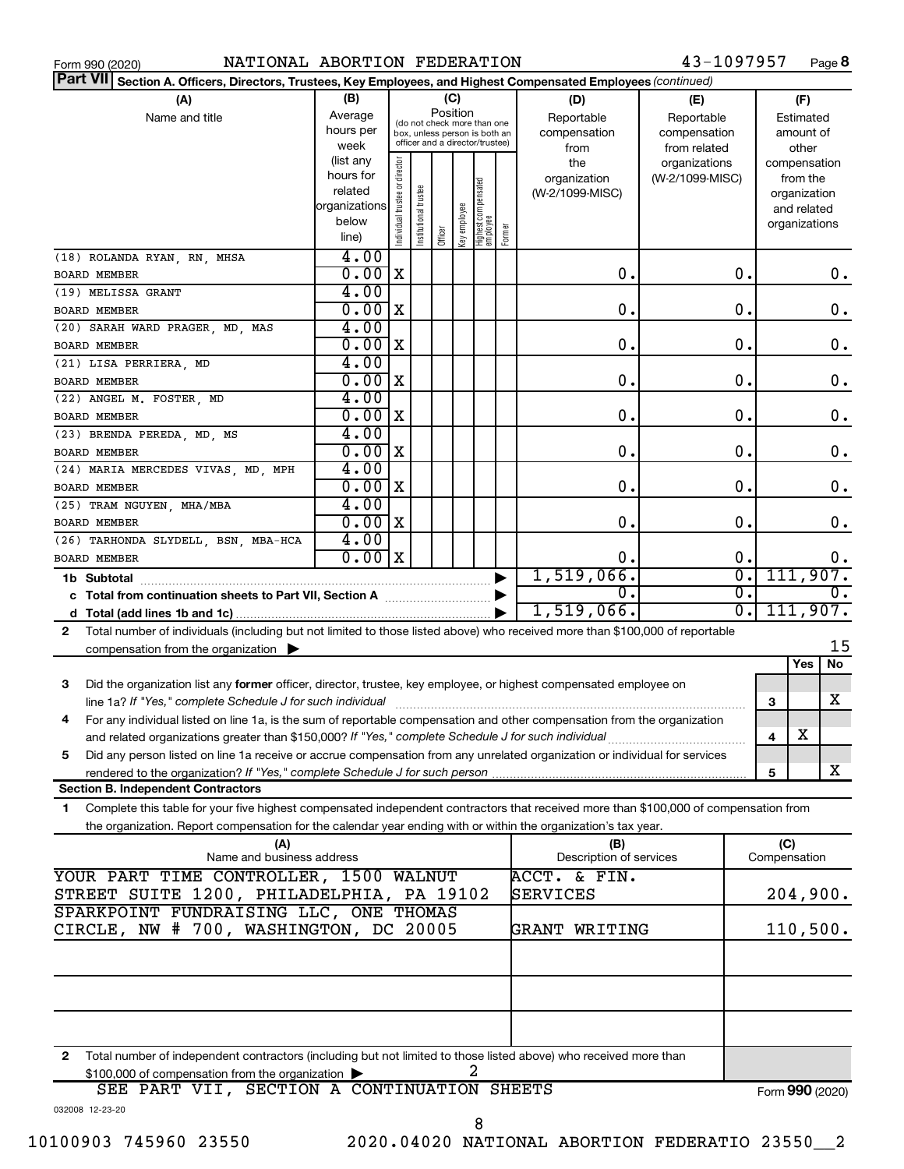|  | Form 990 (2020) |
|--|-----------------|

43-1097957 Page 8

| Part VII Section A. Officers, Directors, Trustees, Key Employees, and Highest Compensated Employees (continued)                           |                |                               |                       |          |              |                                                              |        |                         |                 |                  |                 |
|-------------------------------------------------------------------------------------------------------------------------------------------|----------------|-------------------------------|-----------------------|----------|--------------|--------------------------------------------------------------|--------|-------------------------|-----------------|------------------|-----------------|
| (A)                                                                                                                                       | (B)            |                               |                       |          | (C)          |                                                              |        | (D)                     | (E)             |                  | (F)             |
| Name and title                                                                                                                            | Average        |                               |                       | Position |              |                                                              |        | Reportable              | Reportable      |                  | Estimated       |
|                                                                                                                                           | hours per      |                               |                       |          |              | (do not check more than one<br>box, unless person is both an |        | compensation            | compensation    |                  | amount of       |
|                                                                                                                                           | week           |                               |                       |          |              | officer and a director/trustee)                              |        | from                    | from related    |                  | other           |
|                                                                                                                                           | (list any      |                               |                       |          |              |                                                              |        | the                     | organizations   |                  | compensation    |
|                                                                                                                                           | hours for      |                               |                       |          |              |                                                              |        | organization            | (W-2/1099-MISC) |                  | from the        |
|                                                                                                                                           | related        |                               |                       |          |              |                                                              |        | (W-2/1099-MISC)         |                 |                  | organization    |
|                                                                                                                                           | organizations  |                               |                       |          |              |                                                              |        |                         |                 |                  | and related     |
|                                                                                                                                           | below<br>line) | ndividual trustee or director | Institutional trustee | Officer  | Key employee | Highest compensated<br>  employee                            | Former |                         |                 |                  | organizations   |
|                                                                                                                                           |                |                               |                       |          |              |                                                              |        |                         |                 |                  |                 |
| (18) ROLANDA RYAN, RN, MHSA                                                                                                               | 4.00           |                               |                       |          |              |                                                              |        |                         |                 |                  |                 |
| <b>BOARD MEMBER</b>                                                                                                                       | 0.00           | X                             |                       |          |              |                                                              |        | $\mathbf 0$ .           |                 | 0.               | $0$ .           |
| (19) MELISSA GRANT                                                                                                                        | 4.00           |                               |                       |          |              |                                                              |        |                         |                 |                  |                 |
| BOARD MEMBER                                                                                                                              | 0.00           | X                             |                       |          |              |                                                              |        | $\mathbf 0$ .           |                 | 0.               | 0.              |
| (20) SARAH WARD PRAGER, MD, MAS                                                                                                           | 4.00           |                               |                       |          |              |                                                              |        |                         |                 |                  |                 |
| BOARD MEMBER                                                                                                                              | 0.00           | X                             |                       |          |              |                                                              |        | $\mathbf 0$ .           |                 | 0.               | 0.              |
| (21) LISA PERRIERA, MD                                                                                                                    | 4.00           |                               |                       |          |              |                                                              |        |                         |                 |                  |                 |
| BOARD MEMBER                                                                                                                              | 0.00           | X                             |                       |          |              |                                                              |        | $\mathbf 0$ .           |                 | 0.               | 0.              |
| (22) ANGEL M. FOSTER, MD                                                                                                                  | 4.00           |                               |                       |          |              |                                                              |        |                         |                 |                  |                 |
| BOARD MEMBER                                                                                                                              | 0.00           | X                             |                       |          |              |                                                              |        | $\mathbf 0$ .           |                 | 0.               | 0.              |
| (23) BRENDA PEREDA, MD, MS                                                                                                                | 4.00           |                               |                       |          |              |                                                              |        |                         |                 |                  |                 |
| BOARD MEMBER                                                                                                                              | 0.00           | X                             |                       |          |              |                                                              |        | $\mathbf 0$ .           |                 | 0.               | 0.              |
| (24) MARIA MERCEDES VIVAS, MD, MPH                                                                                                        | 4.00           |                               |                       |          |              |                                                              |        |                         |                 |                  |                 |
| BOARD MEMBER                                                                                                                              | 0.00           | X                             |                       |          |              |                                                              |        | О.                      |                 | 0.               | 0.              |
| (25) TRAM NGUYEN, MHA/MBA                                                                                                                 | 4.00           |                               |                       |          |              |                                                              |        |                         |                 |                  |                 |
| BOARD MEMBER                                                                                                                              | 0.00           | X                             |                       |          |              |                                                              |        | $\mathbf 0$ .           |                 | $\mathbf 0$ .    | 0.              |
| (26) TARHONDA SLYDELL, BSN, MBA-HCA                                                                                                       | 4.00           |                               |                       |          |              |                                                              |        |                         |                 |                  |                 |
| <b>BOARD MEMBER</b>                                                                                                                       | 0.00x          |                               |                       |          |              |                                                              |        | 0.                      |                 | 0.               | 0.              |
| 1b Subtotal                                                                                                                               |                |                               |                       |          |              |                                                              |        | 1,519,066.              |                 | σ.               | 111,907.        |
| c Total from continuation sheets to Part VII, Section A [11, 11, 11, 11, 11]                                                              |                |                               |                       |          |              |                                                              |        | 0.                      |                 | $\overline{0}$ . | 0.              |
|                                                                                                                                           |                |                               |                       |          |              |                                                              |        | 1,519,066.              |                 | σ.               | 111,907.        |
|                                                                                                                                           |                |                               |                       |          |              |                                                              |        |                         |                 |                  |                 |
| Total number of individuals (including but not limited to those listed above) who received more than \$100,000 of reportable<br>2         |                |                               |                       |          |              |                                                              |        |                         |                 |                  | 15              |
| compensation from the organization                                                                                                        |                |                               |                       |          |              |                                                              |        |                         |                 |                  | Yes<br>No       |
|                                                                                                                                           |                |                               |                       |          |              |                                                              |        |                         |                 |                  |                 |
| Did the organization list any former officer, director, trustee, key employee, or highest compensated employee on<br>3                    |                |                               |                       |          |              |                                                              |        |                         |                 |                  |                 |
| line 1a? If "Yes," complete Schedule J for such individual                                                                                |                |                               |                       |          |              |                                                              |        |                         |                 |                  | x<br>3          |
| For any individual listed on line 1a, is the sum of reportable compensation and other compensation from the organization<br>4             |                |                               |                       |          |              |                                                              |        |                         |                 |                  |                 |
| and related organizations greater than \$150,000? If "Yes," complete Schedule J for such individual                                       |                |                               |                       |          |              |                                                              |        |                         |                 |                  | X<br>4          |
| Did any person listed on line 1a receive or accrue compensation from any unrelated organization or individual for services<br>5           |                |                               |                       |          |              |                                                              |        |                         |                 |                  |                 |
| rendered to the organization? If "Yes," complete Schedule J for such person.                                                              |                |                               |                       |          |              |                                                              |        |                         |                 |                  | x<br>5          |
| <b>Section B. Independent Contractors</b>                                                                                                 |                |                               |                       |          |              |                                                              |        |                         |                 |                  |                 |
| Complete this table for your five highest compensated independent contractors that received more than \$100,000 of compensation from<br>1 |                |                               |                       |          |              |                                                              |        |                         |                 |                  |                 |
| the organization. Report compensation for the calendar year ending with or within the organization's tax year.                            |                |                               |                       |          |              |                                                              |        |                         |                 |                  |                 |
| (A)                                                                                                                                       |                |                               |                       |          |              |                                                              |        | (B)                     |                 |                  | (C)             |
| Name and business address                                                                                                                 |                |                               |                       |          |              |                                                              |        | Description of services |                 |                  | Compensation    |
| YOUR PART TIME CONTROLLER, 1500 WALNUT                                                                                                    |                |                               |                       |          |              |                                                              |        | ACCT. & FIN.            |                 |                  |                 |
| STREET SUITE 1200, PHILADELPHIA, PA 19102                                                                                                 |                |                               |                       |          |              |                                                              |        | SERVICES                |                 |                  | 204,900.        |
| SPARKPOINT FUNDRAISING LLC, ONE THOMAS                                                                                                    |                |                               |                       |          |              |                                                              |        |                         |                 |                  |                 |
| CIRCLE, NW # 700, WASHINGTON, DC 20005                                                                                                    |                |                               |                       |          |              |                                                              |        | GRANT WRITING           |                 |                  | 110,500.        |
|                                                                                                                                           |                |                               |                       |          |              |                                                              |        |                         |                 |                  |                 |
|                                                                                                                                           |                |                               |                       |          |              |                                                              |        |                         |                 |                  |                 |
|                                                                                                                                           |                |                               |                       |          |              |                                                              |        |                         |                 |                  |                 |
|                                                                                                                                           |                |                               |                       |          |              |                                                              |        |                         |                 |                  |                 |
|                                                                                                                                           |                |                               |                       |          |              |                                                              |        |                         |                 |                  |                 |
|                                                                                                                                           |                |                               |                       |          |              |                                                              |        |                         |                 |                  |                 |
| Total number of independent contractors (including but not limited to those listed above) who received more than<br>2                     |                |                               |                       |          |              |                                                              |        |                         |                 |                  |                 |
| \$100,000 of compensation from the organization                                                                                           |                |                               |                       |          |              | 2                                                            |        |                         |                 |                  |                 |
| SEE PART VII, SECTION A CONTINUATION SHEETS                                                                                               |                |                               |                       |          |              |                                                              |        |                         |                 |                  | Form 990 (2020) |
| 032008 12-23-20                                                                                                                           |                |                               |                       |          |              |                                                              |        |                         |                 |                  |                 |
|                                                                                                                                           |                |                               |                       |          |              | 8                                                            |        |                         |                 |                  |                 |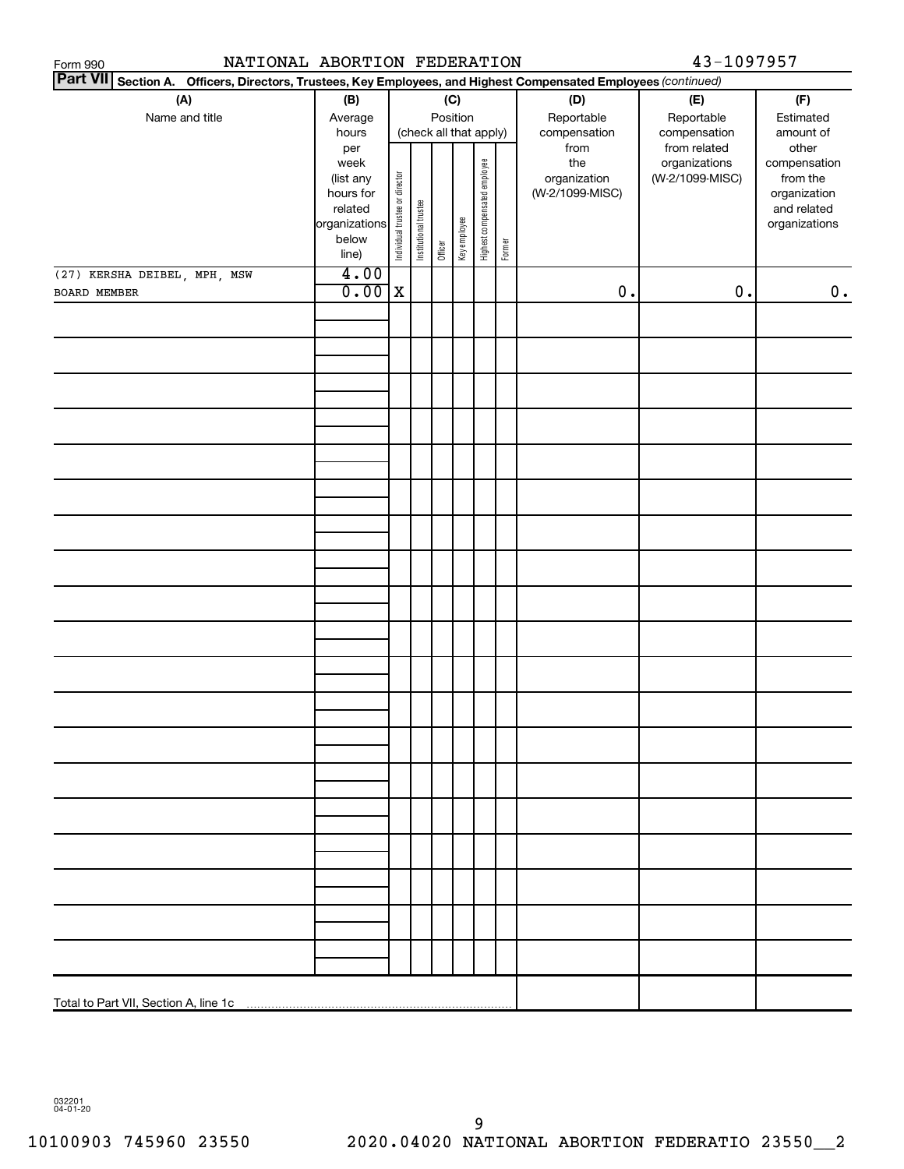| NATIONAL ABORTION FEDERATION<br>Form 990                                                                           |                          |                                |                       |         |              |                              |        |                 | 43-1097957      |                              |
|--------------------------------------------------------------------------------------------------------------------|--------------------------|--------------------------------|-----------------------|---------|--------------|------------------------------|--------|-----------------|-----------------|------------------------------|
| Part VII Section A.<br>Officers, Directors, Trustees, Key Employees, and Highest Compensated Employees (continued) |                          |                                |                       |         |              |                              |        |                 |                 |                              |
| (A)                                                                                                                | (B)                      |                                |                       |         | (C)          |                              |        | (D)             | (E)             | (F)                          |
| Name and title                                                                                                     | Average                  |                                |                       |         | Position     |                              |        | Reportable      | Reportable      | Estimated                    |
|                                                                                                                    | hours                    |                                |                       |         |              | (check all that apply)       |        | compensation    | compensation    | amount of                    |
|                                                                                                                    | per                      |                                |                       |         |              |                              |        | from            | from related    | other                        |
|                                                                                                                    | week                     |                                |                       |         |              |                              |        | the             | organizations   | compensation                 |
|                                                                                                                    | (list any                |                                |                       |         |              |                              |        | organization    | (W-2/1099-MISC) | from the                     |
|                                                                                                                    | hours for                |                                |                       |         |              |                              |        | (W-2/1099-MISC) |                 | organization                 |
|                                                                                                                    | related<br>organizations |                                |                       |         |              |                              |        |                 |                 | and related<br>organizations |
|                                                                                                                    | below                    |                                |                       |         |              |                              |        |                 |                 |                              |
|                                                                                                                    | line)                    | Individual trustee or director | Institutional trustee | Officer | Key employee | Highest compensated employee | Former |                 |                 |                              |
| (27) KERSHA DEIBEL, MPH, MSW                                                                                       | 4.00                     |                                |                       |         |              |                              |        |                 |                 |                              |
| BOARD MEMBER                                                                                                       | 0.00                     | $\mathbf X$                    |                       |         |              |                              |        | $\mathbf 0$ .   | $\mathbf 0$ .   | 0.                           |
|                                                                                                                    |                          |                                |                       |         |              |                              |        |                 |                 |                              |
|                                                                                                                    |                          |                                |                       |         |              |                              |        |                 |                 |                              |
|                                                                                                                    |                          |                                |                       |         |              |                              |        |                 |                 |                              |
|                                                                                                                    |                          |                                |                       |         |              |                              |        |                 |                 |                              |
|                                                                                                                    |                          |                                |                       |         |              |                              |        |                 |                 |                              |
|                                                                                                                    |                          |                                |                       |         |              |                              |        |                 |                 |                              |
|                                                                                                                    |                          |                                |                       |         |              |                              |        |                 |                 |                              |
|                                                                                                                    |                          |                                |                       |         |              |                              |        |                 |                 |                              |
|                                                                                                                    |                          |                                |                       |         |              |                              |        |                 |                 |                              |
|                                                                                                                    |                          |                                |                       |         |              |                              |        |                 |                 |                              |
|                                                                                                                    |                          |                                |                       |         |              |                              |        |                 |                 |                              |
|                                                                                                                    |                          |                                |                       |         |              |                              |        |                 |                 |                              |
|                                                                                                                    |                          |                                |                       |         |              |                              |        |                 |                 |                              |
|                                                                                                                    |                          |                                |                       |         |              |                              |        |                 |                 |                              |
|                                                                                                                    |                          |                                |                       |         |              |                              |        |                 |                 |                              |
|                                                                                                                    |                          |                                |                       |         |              |                              |        |                 |                 |                              |
|                                                                                                                    |                          |                                |                       |         |              |                              |        |                 |                 |                              |
|                                                                                                                    |                          |                                |                       |         |              |                              |        |                 |                 |                              |
|                                                                                                                    |                          |                                |                       |         |              |                              |        |                 |                 |                              |
|                                                                                                                    |                          |                                |                       |         |              |                              |        |                 |                 |                              |
|                                                                                                                    |                          |                                |                       |         |              |                              |        |                 |                 |                              |
|                                                                                                                    |                          |                                |                       |         |              |                              |        |                 |                 |                              |
|                                                                                                                    |                          |                                |                       |         |              |                              |        |                 |                 |                              |
|                                                                                                                    |                          |                                |                       |         |              |                              |        |                 |                 |                              |
|                                                                                                                    |                          |                                |                       |         |              |                              |        |                 |                 |                              |
|                                                                                                                    |                          |                                |                       |         |              |                              |        |                 |                 |                              |
|                                                                                                                    |                          |                                |                       |         |              |                              |        |                 |                 |                              |
|                                                                                                                    |                          |                                |                       |         |              |                              |        |                 |                 |                              |
|                                                                                                                    |                          |                                |                       |         |              |                              |        |                 |                 |                              |
|                                                                                                                    |                          |                                |                       |         |              |                              |        |                 |                 |                              |
|                                                                                                                    |                          |                                |                       |         |              |                              |        |                 |                 |                              |
|                                                                                                                    |                          |                                |                       |         |              |                              |        |                 |                 |                              |
|                                                                                                                    |                          |                                |                       |         |              |                              |        |                 |                 |                              |
|                                                                                                                    |                          |                                |                       |         |              |                              |        |                 |                 |                              |
|                                                                                                                    |                          |                                |                       |         |              |                              |        |                 |                 |                              |
|                                                                                                                    |                          |                                |                       |         |              |                              |        |                 |                 |                              |
|                                                                                                                    |                          |                                |                       |         |              |                              |        |                 |                 |                              |
|                                                                                                                    |                          |                                |                       |         |              |                              |        |                 |                 |                              |
|                                                                                                                    |                          |                                |                       |         |              |                              |        |                 |                 |                              |
|                                                                                                                    |                          |                                |                       |         |              |                              |        |                 |                 |                              |
|                                                                                                                    |                          |                                |                       |         |              |                              |        |                 |                 |                              |

032201 04-01-20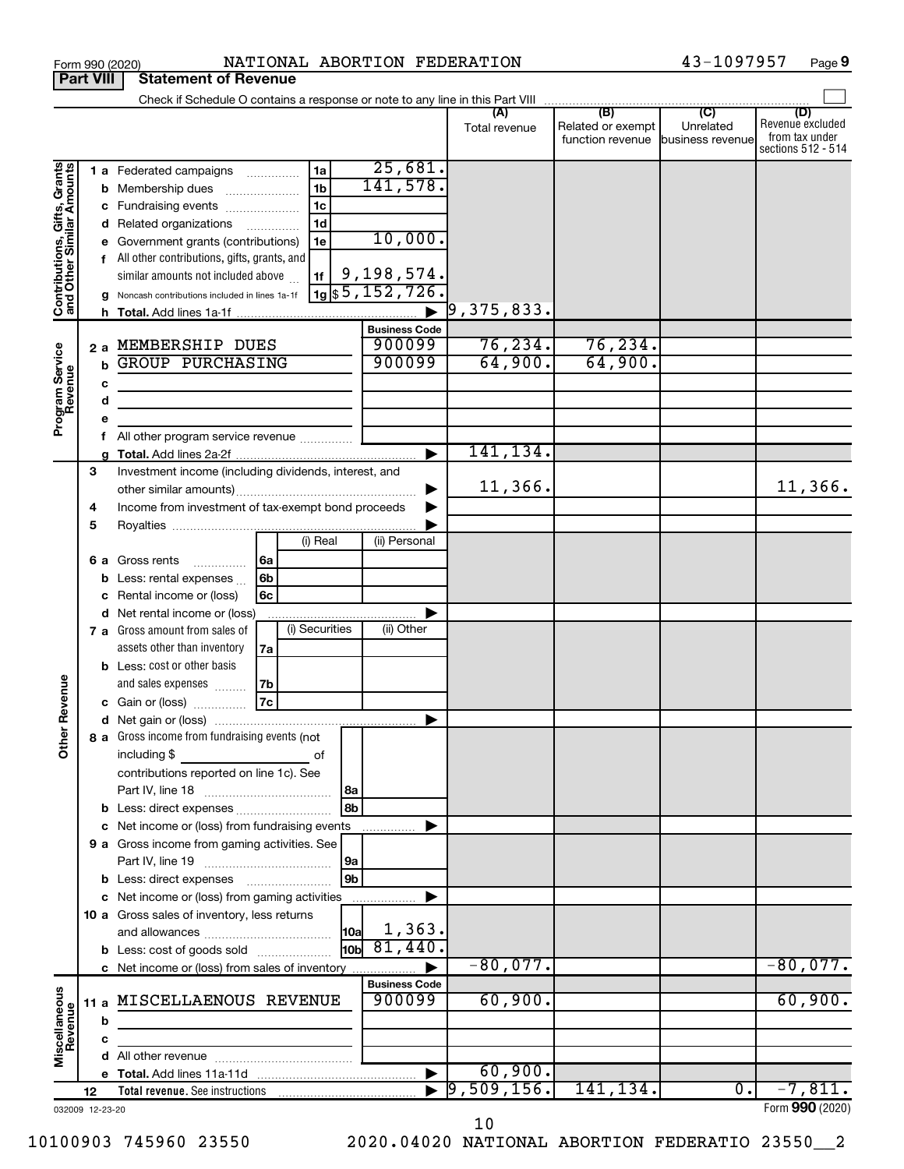|                                                           |                              | NATIONAL ABORTION FEDERATION<br>Form 990 (2020)                                                                                                                                                                                                                                                                                                                                                            |                                                                                                               |                                           |                                                                                              | 43-1097957                    | Page 9                                                          |
|-----------------------------------------------------------|------------------------------|------------------------------------------------------------------------------------------------------------------------------------------------------------------------------------------------------------------------------------------------------------------------------------------------------------------------------------------------------------------------------------------------------------|---------------------------------------------------------------------------------------------------------------|-------------------------------------------|----------------------------------------------------------------------------------------------|-------------------------------|-----------------------------------------------------------------|
|                                                           | <b>Part VIII</b>             | <b>Statement of Revenue</b>                                                                                                                                                                                                                                                                                                                                                                                |                                                                                                               |                                           |                                                                                              |                               |                                                                 |
|                                                           |                              | Check if Schedule O contains a response or note to any line in this Part VIII                                                                                                                                                                                                                                                                                                                              |                                                                                                               |                                           |                                                                                              |                               |                                                                 |
|                                                           |                              |                                                                                                                                                                                                                                                                                                                                                                                                            |                                                                                                               | (A)<br>Total revenue                      | $\overline{(\mathsf{B})}$ $\overline{(\mathsf{C})}$<br>Related or exempt<br>function revenue | Unrelated<br>business revenue | (D)<br>Revenue excluded<br>from tax under<br>sections 512 - 514 |
| Contributions, Gifts, Grants<br>and Other Similar Amounts | b<br>d<br>f<br>h.<br>2a<br>b | 1a<br>1 a Federated campaigns<br>1 <sub>b</sub><br>Membership dues<br>1c<br>Fundraising events<br>1 <sub>d</sub><br>Related organizations<br>$\overline{\phantom{a}}$<br>Government grants (contributions)<br>1e<br>All other contributions, gifts, grants, and<br>similar amounts not included above<br>1f<br>Noncash contributions included in lines 1a-1f<br>MEMBERSHIP DUES<br><b>GROUP PURCHASING</b> | 25,681.<br>141,578.<br>10,000.<br>9,198,574.<br>$19$ \$5,152,726.<br><b>Business Code</b><br>900099<br>900099 | $\vert$ 9,375,833.<br>76, 234.<br>64,900. | 76, 234.<br>64,900.                                                                          |                               |                                                                 |
| Program Service<br>Revenue                                | с<br>d<br>е<br>f             | <u> 1980 - Jan Barbara Barat, martin da basar da basar da basar da basar da basar da basar da basar da basar da b</u><br>All other program service revenue                                                                                                                                                                                                                                                 |                                                                                                               | 141,134.                                  |                                                                                              |                               |                                                                 |
|                                                           | 3                            |                                                                                                                                                                                                                                                                                                                                                                                                            |                                                                                                               |                                           |                                                                                              |                               |                                                                 |
|                                                           | 4<br>5                       | Investment income (including dividends, interest, and<br>Income from investment of tax-exempt bond proceeds                                                                                                                                                                                                                                                                                                |                                                                                                               | 11,366.                                   |                                                                                              |                               | 11,366.                                                         |
|                                                           | 6а<br>b<br>с<br>d            | (i) Real<br>6a<br>Gross rents<br>.<br>6b<br>Less: rental expenses<br>6c<br>Rental income or (loss)<br>Net rental income or (loss)<br>(i) Securities<br>7 a Gross amount from sales of                                                                                                                                                                                                                      | (ii) Personal<br>(ii) Other                                                                                   |                                           |                                                                                              |                               |                                                                 |
| evenue<br>Œ                                               |                              | assets other than inventory<br>7a<br><b>b</b> Less: cost or other basis<br>and sales expenses<br>7b<br>7c<br>c Gain or (loss)                                                                                                                                                                                                                                                                              |                                                                                                               |                                           |                                                                                              |                               |                                                                 |
| Other                                                     | b                            | 8 a Gross income from fundraising events (not<br>including \$<br>of<br>contributions reported on line 1c). See<br>8b<br>Less: direct expenses<br>Net income or (loss) from fundraising events                                                                                                                                                                                                              |                                                                                                               |                                           |                                                                                              |                               |                                                                 |
|                                                           |                              | 9 a Gross income from gaming activities. See                                                                                                                                                                                                                                                                                                                                                               | .                                                                                                             |                                           |                                                                                              |                               |                                                                 |
|                                                           |                              | 9b<br>c Net income or (loss) from gaming activities<br>10 a Gross sales of inventory, less returns<br> 10a<br><b>b</b> Less: cost of goods sold                                                                                                                                                                                                                                                            | 1,363.<br>$\frac{1}{10b}$ 81, 440.                                                                            |                                           |                                                                                              |                               |                                                                 |
|                                                           |                              |                                                                                                                                                                                                                                                                                                                                                                                                            |                                                                                                               | $-80,077.$                                |                                                                                              |                               | $-80,077.$                                                      |
| Miscellaneous<br>Revenue                                  | b                            | 11 a MISCELLAENOUS REVENUE                                                                                                                                                                                                                                                                                                                                                                                 | <b>Business Code</b><br>900099                                                                                | 60,900.                                   |                                                                                              |                               | 60,900.                                                         |
|                                                           | c                            |                                                                                                                                                                                                                                                                                                                                                                                                            |                                                                                                               |                                           |                                                                                              |                               |                                                                 |
|                                                           | d                            |                                                                                                                                                                                                                                                                                                                                                                                                            |                                                                                                               |                                           |                                                                                              |                               |                                                                 |
|                                                           |                              |                                                                                                                                                                                                                                                                                                                                                                                                            | $\blacktriangleright$                                                                                         | 60,900.                                   |                                                                                              |                               |                                                                 |
|                                                           | 12                           |                                                                                                                                                                                                                                                                                                                                                                                                            |                                                                                                               | 9,509,156.                                | 141, 134.                                                                                    | $\overline{0}$ .              | $-7,811.$                                                       |
|                                                           | 032009 12-23-20              |                                                                                                                                                                                                                                                                                                                                                                                                            |                                                                                                               |                                           |                                                                                              |                               | Form 990 (2020)                                                 |

**9**

10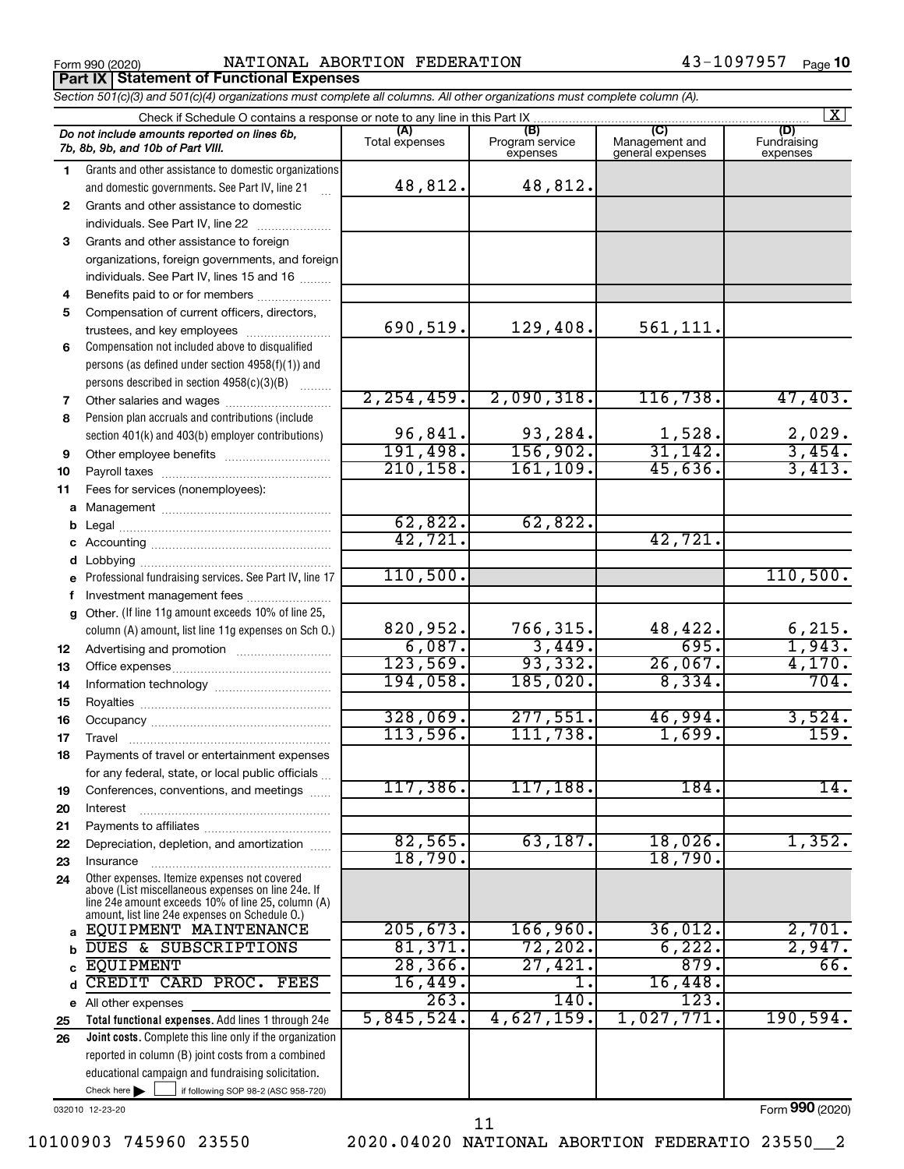**Part IX | Statement of Functional Expenses** 

Form 990 (2020) Page NATIONAL ABORTION FEDERATION 43-1097957

|        | Section 501(c)(3) and 501(c)(4) organizations must complete all columns. All other organizations must complete column (A).                                                                                 |                       |                                    |                                    |                                |  |  |  |  |  |
|--------|------------------------------------------------------------------------------------------------------------------------------------------------------------------------------------------------------------|-----------------------|------------------------------------|------------------------------------|--------------------------------|--|--|--|--|--|
|        | Check if Schedule O contains a response or note to any line in this Part IX                                                                                                                                |                       |                                    |                                    | $\mathbf{X}$                   |  |  |  |  |  |
|        | Do not include amounts reported on lines 6b,<br>7b, 8b, 9b, and 10b of Part VIII.                                                                                                                          | (A)<br>Total expenses | (B)<br>Program service<br>expenses | Management and<br>general expenses | (D)<br>Fundraising<br>expenses |  |  |  |  |  |
| 1.     | Grants and other assistance to domestic organizations<br>and domestic governments. See Part IV, line 21                                                                                                    | 48,812.               | 48,812.                            |                                    |                                |  |  |  |  |  |
| 2      | Grants and other assistance to domestic<br>individuals. See Part IV, line 22                                                                                                                               |                       |                                    |                                    |                                |  |  |  |  |  |
| 3      | Grants and other assistance to foreign                                                                                                                                                                     |                       |                                    |                                    |                                |  |  |  |  |  |
|        | organizations, foreign governments, and foreign                                                                                                                                                            |                       |                                    |                                    |                                |  |  |  |  |  |
|        | individuals. See Part IV, lines 15 and 16                                                                                                                                                                  |                       |                                    |                                    |                                |  |  |  |  |  |
| 4      | Benefits paid to or for members                                                                                                                                                                            |                       |                                    |                                    |                                |  |  |  |  |  |
| 5      | Compensation of current officers, directors,                                                                                                                                                               | 690,519.              | 129,408.                           | 561,111.                           |                                |  |  |  |  |  |
| 6      | Compensation not included above to disqualified                                                                                                                                                            |                       |                                    |                                    |                                |  |  |  |  |  |
|        | persons (as defined under section 4958(f)(1)) and                                                                                                                                                          |                       |                                    |                                    |                                |  |  |  |  |  |
|        | persons described in section 4958(c)(3)(B)                                                                                                                                                                 |                       |                                    |                                    |                                |  |  |  |  |  |
| 7<br>8 | Other salaries and wages<br>Pension plan accruals and contributions (include                                                                                                                               | 2, 254, 459.          | 2,090,318.                         | 116,738.                           | 47,403.                        |  |  |  |  |  |
|        | section 401(k) and 403(b) employer contributions)                                                                                                                                                          | 96,841.               | 93,284.                            | 1,528.                             | 2,029.                         |  |  |  |  |  |
|        |                                                                                                                                                                                                            | 191,498.              | 156,902.                           | 31, 142.                           | 3,454.                         |  |  |  |  |  |
| 9      |                                                                                                                                                                                                            | 210, 158.             | 161,109.                           | 45,636.                            | 3,413.                         |  |  |  |  |  |
| 10     |                                                                                                                                                                                                            |                       |                                    |                                    |                                |  |  |  |  |  |
| 11     | Fees for services (nonemployees):                                                                                                                                                                          |                       |                                    |                                    |                                |  |  |  |  |  |
|        |                                                                                                                                                                                                            | 62,822.               | 62,822.                            |                                    |                                |  |  |  |  |  |
|        |                                                                                                                                                                                                            | 42,721.               |                                    | 42,721.                            |                                |  |  |  |  |  |
|        |                                                                                                                                                                                                            |                       |                                    |                                    |                                |  |  |  |  |  |
|        |                                                                                                                                                                                                            | 110,500.              |                                    |                                    | 110,500.                       |  |  |  |  |  |
| f      | e Professional fundraising services. See Part IV, line 17<br>Investment management fees                                                                                                                    |                       |                                    |                                    |                                |  |  |  |  |  |
|        | g Other. (If line 11g amount exceeds 10% of line 25,                                                                                                                                                       |                       |                                    |                                    |                                |  |  |  |  |  |
|        | column (A) amount, list line 11g expenses on Sch O.)                                                                                                                                                       | 820,952.              | 766,315.                           | 48,422.                            | 6, 215.                        |  |  |  |  |  |
| 12     |                                                                                                                                                                                                            | 6,087.                | 3,449.                             | 695.                               | 1,943.                         |  |  |  |  |  |
| 13     |                                                                                                                                                                                                            | 123,569.              | 93,332.                            | 26,067.                            | 4,170.                         |  |  |  |  |  |
| 14     |                                                                                                                                                                                                            | 194,058.              | 185,020.                           | 8,334.                             | 704.                           |  |  |  |  |  |
| 15     |                                                                                                                                                                                                            |                       |                                    |                                    |                                |  |  |  |  |  |
| 16     |                                                                                                                                                                                                            | 328,069.              | 277,551.                           | 46,994.                            | 3,524.                         |  |  |  |  |  |
| 17     |                                                                                                                                                                                                            | 113,596.              | 111,738.                           | 1,699.                             | 159.                           |  |  |  |  |  |
| 18     | Payments of travel or entertainment expenses                                                                                                                                                               |                       |                                    |                                    |                                |  |  |  |  |  |
|        | for any federal, state, or local public officials                                                                                                                                                          |                       |                                    |                                    |                                |  |  |  |  |  |
| 19     | Conferences, conventions, and meetings                                                                                                                                                                     | 117,386.              | 117,188.                           | 184.                               | 14.                            |  |  |  |  |  |
| 20     | Interest                                                                                                                                                                                                   |                       |                                    |                                    |                                |  |  |  |  |  |
| 21     |                                                                                                                                                                                                            |                       |                                    |                                    |                                |  |  |  |  |  |
| 22     | Depreciation, depletion, and amortization                                                                                                                                                                  | 82,565.               | 63,187.                            | $18,026$ .                         | 1,352.                         |  |  |  |  |  |
| 23     | Insurance                                                                                                                                                                                                  | 18,790.               |                                    | 18,790.                            |                                |  |  |  |  |  |
| 24     | Other expenses. Itemize expenses not covered<br>above (List miscellaneous expenses on line 24e. If<br>line 24e amount exceeds 10% of line 25, column (A)<br>amount, list line 24e expenses on Schedule O.) |                       |                                    |                                    |                                |  |  |  |  |  |
| a      | EQUIPMENT MAINTENANCE                                                                                                                                                                                      | 205, 673.             | 166,960.                           | 36,012.                            | 2,701.                         |  |  |  |  |  |
| b      | DUES & SUBSCRIPTIONS                                                                                                                                                                                       | 81,371.               | 72,202.                            | 6,222.                             | 2,947.                         |  |  |  |  |  |
| c      | <b>EQUIPMENT</b>                                                                                                                                                                                           | 28, 366.              | 27,421                             | 879.                               | 66.                            |  |  |  |  |  |
| d      | CREDIT CARD PROC. FEES                                                                                                                                                                                     | 16,449.               | 1                                  | 16,448.                            |                                |  |  |  |  |  |
|        | e All other expenses                                                                                                                                                                                       | 263.                  | 140.                               | 123.                               |                                |  |  |  |  |  |
| 25     | Total functional expenses. Add lines 1 through 24e                                                                                                                                                         | 5,845,524.            | 4,627,159.                         | 1,027,771.                         | 190,594.                       |  |  |  |  |  |
| 26     | Joint costs. Complete this line only if the organization                                                                                                                                                   |                       |                                    |                                    |                                |  |  |  |  |  |
|        | reported in column (B) joint costs from a combined                                                                                                                                                         |                       |                                    |                                    |                                |  |  |  |  |  |
|        | educational campaign and fundraising solicitation.                                                                                                                                                         |                       |                                    |                                    |                                |  |  |  |  |  |
|        | Check here<br>if following SOP 98-2 (ASC 958-720)                                                                                                                                                          |                       |                                    |                                    |                                |  |  |  |  |  |

032010 12-23-20

Form (2020) **990**

10100903 745960 23550 2020.04020 NATIONAL ABORTION FEDERATIO 23550\_\_2

11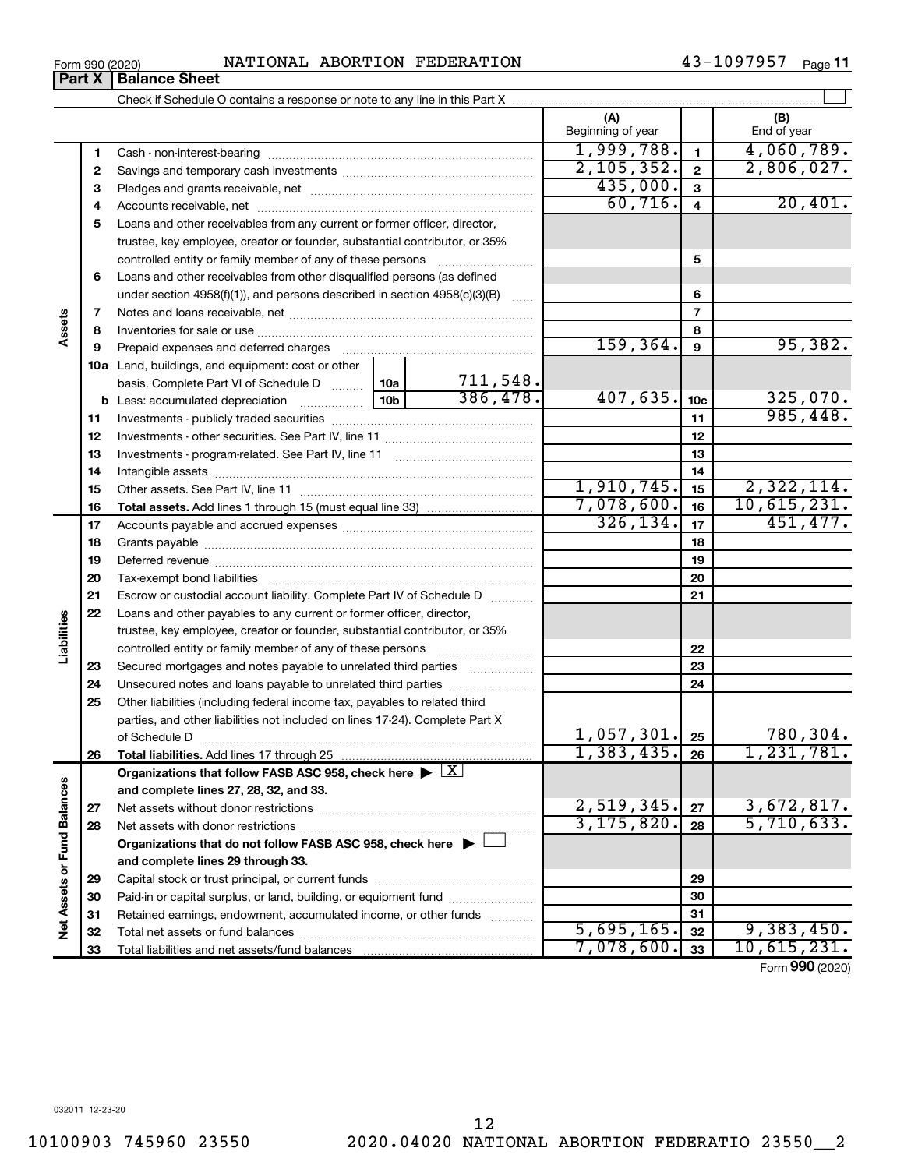## Form 990 (2020) Page NATIONAL ABORTION FEDERATION 43-1097957 **Part X** | Balance Sheet

Check if Schedule O contains a response or note to any line in this Part X

**(A) (B)**

 $\mathbf{I}$ 

43-1097957 Page 11

 $\perp$ 

|                            |          |                                                                                                                                                                                                                                | Beginning of year |                 | End of year     |
|----------------------------|----------|--------------------------------------------------------------------------------------------------------------------------------------------------------------------------------------------------------------------------------|-------------------|-----------------|-----------------|
|                            | 1        |                                                                                                                                                                                                                                | 1,999,788.        | $\mathbf{1}$    | 4,060,789.      |
|                            | 2        |                                                                                                                                                                                                                                | 2,105,352.        | $\overline{2}$  | 2,806,027.      |
|                            | З        |                                                                                                                                                                                                                                | 435,000.          | $\mathbf{3}$    |                 |
|                            | 4        |                                                                                                                                                                                                                                | 60,716.           | $\overline{4}$  | 20,401.         |
|                            | 5        | Loans and other receivables from any current or former officer, director,                                                                                                                                                      |                   |                 |                 |
|                            |          | trustee, key employee, creator or founder, substantial contributor, or 35%                                                                                                                                                     |                   |                 |                 |
|                            |          | controlled entity or family member of any of these persons                                                                                                                                                                     |                   | 5               |                 |
|                            | 6        | Loans and other receivables from other disqualified persons (as defined                                                                                                                                                        |                   |                 |                 |
|                            |          | under section $4958(f)(1)$ , and persons described in section $4958(c)(3)(B)$                                                                                                                                                  |                   | 6               |                 |
|                            | 7        |                                                                                                                                                                                                                                |                   | $\overline{7}$  |                 |
| Assets                     | 8        |                                                                                                                                                                                                                                |                   | 8               |                 |
|                            | 9        | Prepaid expenses and deferred charges                                                                                                                                                                                          | 159, 364.         | 9               | 95,382.         |
|                            |          | <b>10a</b> Land, buildings, and equipment: cost or other                                                                                                                                                                       |                   |                 |                 |
|                            |          | 711,548.<br>basis. Complete Part VI of Schedule D  10a                                                                                                                                                                         |                   |                 |                 |
|                            |          | 386,478.                                                                                                                                                                                                                       | 407,635.          | 10 <sub>c</sub> | 325,070.        |
|                            | 11       |                                                                                                                                                                                                                                |                   | 11              | 985,448.        |
|                            | 12       |                                                                                                                                                                                                                                |                   | 12              |                 |
|                            | 13       |                                                                                                                                                                                                                                |                   | 13              |                 |
|                            | 14       |                                                                                                                                                                                                                                |                   | 14              |                 |
|                            | 15       |                                                                                                                                                                                                                                | 1,910,745.        | 15              | 2,322,114.      |
|                            | 16       |                                                                                                                                                                                                                                | 7,078,600.        | 16              | 10,615,231.     |
|                            | 17       |                                                                                                                                                                                                                                | 326, 134.         | 17              | 451, 477.       |
|                            | 18       |                                                                                                                                                                                                                                |                   | 18              |                 |
|                            | 19       | Deferred revenue manual contracts and contracts are all the contracts and contracts are contracted and contracts are contracted and contract are contracted and contract are contracted and contract are contracted and contra |                   | 19              |                 |
|                            | 20       |                                                                                                                                                                                                                                |                   | 20              |                 |
|                            | 21       | Escrow or custodial account liability. Complete Part IV of Schedule D                                                                                                                                                          |                   | 21              |                 |
| Liabilities                | 22       | Loans and other payables to any current or former officer, director,                                                                                                                                                           |                   |                 |                 |
|                            |          | trustee, key employee, creator or founder, substantial contributor, or 35%                                                                                                                                                     |                   |                 |                 |
|                            |          | controlled entity or family member of any of these persons                                                                                                                                                                     |                   | 22<br>23        |                 |
|                            | 23       | Secured mortgages and notes payable to unrelated third parties                                                                                                                                                                 |                   | 24              |                 |
|                            | 24<br>25 | Unsecured notes and loans payable to unrelated third parties<br>Other liabilities (including federal income tax, payables to related third                                                                                     |                   |                 |                 |
|                            |          | parties, and other liabilities not included on lines 17-24). Complete Part X                                                                                                                                                   |                   |                 |                 |
|                            |          | of Schedule D                                                                                                                                                                                                                  | $1,057,301$ . 25  |                 | 780,304.        |
|                            | 26       |                                                                                                                                                                                                                                | 1,383,435.        | 26              | 1,231,781.      |
|                            |          | Organizations that follow FASB ASC 958, check here $\blacktriangleright \lfloor \underline{X} \rfloor$                                                                                                                         |                   |                 |                 |
| w                          |          | and complete lines 27, 28, 32, and 33.                                                                                                                                                                                         |                   |                 |                 |
|                            | 27       |                                                                                                                                                                                                                                | 2,519,345.        | 27              | 3,672,817.      |
|                            | 28       |                                                                                                                                                                                                                                | 3, 175, 820.      | 28              | 5,710,633.      |
|                            |          | Organizations that do not follow FASB ASC 958, check here $\blacktriangleright$                                                                                                                                                |                   |                 |                 |
|                            |          | and complete lines 29 through 33.                                                                                                                                                                                              |                   |                 |                 |
|                            | 29       |                                                                                                                                                                                                                                |                   | 29              |                 |
| Net Assets or Fund Balance | 30       | Paid-in or capital surplus, or land, building, or equipment fund                                                                                                                                                               |                   | 30              |                 |
|                            | 31       | Retained earnings, endowment, accumulated income, or other funds                                                                                                                                                               |                   | 31              |                 |
|                            | 32       |                                                                                                                                                                                                                                | 5,695,165.        | 32              | 9,383,450.      |
|                            | 33       |                                                                                                                                                                                                                                | 7,078,600.        | 33              | 10,615,231.     |
|                            |          |                                                                                                                                                                                                                                |                   |                 | Form 990 (2020) |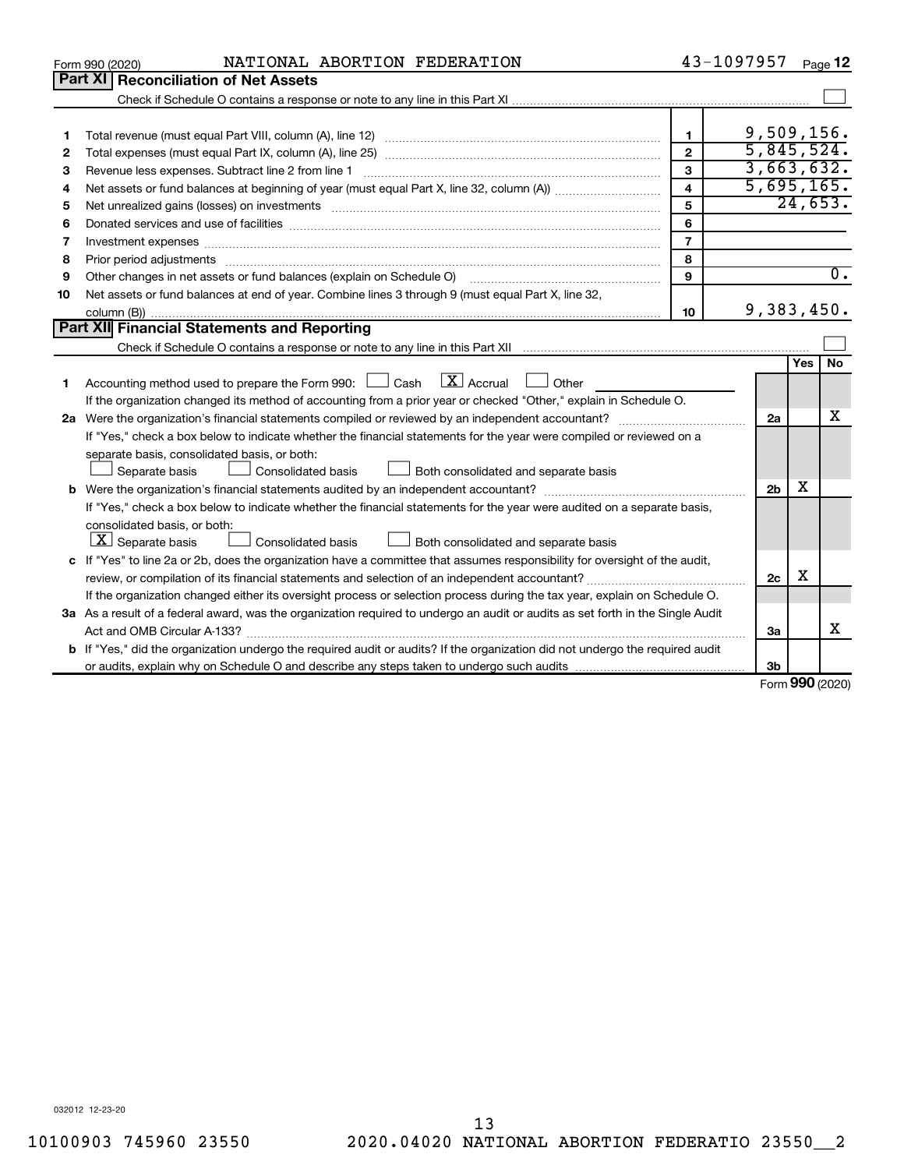|    | NATIONAL ABORTION FEDERATION<br>Form 990 (2020)                                                                                                                                                                                |                         | 43-1097957     |                    | Page 12          |
|----|--------------------------------------------------------------------------------------------------------------------------------------------------------------------------------------------------------------------------------|-------------------------|----------------|--------------------|------------------|
|    | <b>Part XI   Reconciliation of Net Assets</b>                                                                                                                                                                                  |                         |                |                    |                  |
|    |                                                                                                                                                                                                                                |                         |                |                    |                  |
|    |                                                                                                                                                                                                                                |                         |                |                    |                  |
| 1  |                                                                                                                                                                                                                                | $\mathbf 1$             | 9,509,156.     |                    |                  |
| 2  |                                                                                                                                                                                                                                | $\overline{2}$          | 5,845,524.     |                    |                  |
| З  | Revenue less expenses. Subtract line 2 from line 1                                                                                                                                                                             | 3                       | 3,663,632.     |                    |                  |
| 4  |                                                                                                                                                                                                                                | $\overline{\mathbf{4}}$ | 5,695,165.     |                    |                  |
| 5  | Net unrealized gains (losses) on investments [11] matter than the control of the state of the state of the state of the state of the state of the state of the state of the state of the state of the state of the state of th | 5                       |                |                    | 24,653.          |
| 6  | Donated services and use of facilities [[111][12] matter is a series and service in the services and use of facilities [[11][11] matter is a service of facilities [[11] matter is a service of the service of the service of  | 6                       |                |                    |                  |
| 7  |                                                                                                                                                                                                                                | $\overline{7}$          |                |                    |                  |
| 8  | Prior period adjustments www.communication.communication.com/news/communications/communications/                                                                                                                               | 8                       |                |                    |                  |
| 9  | Other changes in net assets or fund balances (explain on Schedule O)                                                                                                                                                           | $\mathbf{9}$            |                |                    | $\overline{0}$ . |
| 10 | Net assets or fund balances at end of year. Combine lines 3 through 9 (must equal Part X, line 32,                                                                                                                             |                         |                |                    |                  |
|    |                                                                                                                                                                                                                                | 10                      | 9,383,450.     |                    |                  |
|    | Part XII Financial Statements and Reporting                                                                                                                                                                                    |                         |                |                    |                  |
|    |                                                                                                                                                                                                                                |                         |                |                    |                  |
|    |                                                                                                                                                                                                                                |                         |                | Yes                | <b>No</b>        |
| 1  | Accounting method used to prepare the Form 990: $\Box$ Cash $\Box$ Accrual $\Box$ Other                                                                                                                                        |                         |                |                    |                  |
|    | If the organization changed its method of accounting from a prior year or checked "Other," explain in Schedule O.                                                                                                              |                         |                |                    |                  |
|    |                                                                                                                                                                                                                                |                         | 2a             |                    | x                |
|    | If "Yes," check a box below to indicate whether the financial statements for the year were compiled or reviewed on a                                                                                                           |                         |                |                    |                  |
|    | separate basis, consolidated basis, or both:                                                                                                                                                                                   |                         |                |                    |                  |
|    | Consolidated basis<br>Both consolidated and separate basis<br>Separate basis                                                                                                                                                   |                         |                |                    |                  |
|    |                                                                                                                                                                                                                                |                         | 2 <sub>b</sub> | x                  |                  |
|    | If "Yes," check a box below to indicate whether the financial statements for the year were audited on a separate basis,                                                                                                        |                         |                |                    |                  |
|    | consolidated basis, or both:                                                                                                                                                                                                   |                         |                |                    |                  |
|    | $ \mathbf{X} $ Separate basis<br>Consolidated basis<br>Both consolidated and separate basis                                                                                                                                    |                         |                |                    |                  |
|    | c If "Yes" to line 2a or 2b, does the organization have a committee that assumes responsibility for oversight of the audit,                                                                                                    |                         |                |                    |                  |
|    |                                                                                                                                                                                                                                |                         | 2c             | х                  |                  |
|    | If the organization changed either its oversight process or selection process during the tax year, explain on Schedule O.                                                                                                      |                         |                |                    |                  |
|    | 3a As a result of a federal award, was the organization required to undergo an audit or audits as set forth in the Single Audit                                                                                                |                         |                |                    |                  |
|    |                                                                                                                                                                                                                                |                         | За             |                    | x                |
|    | <b>b</b> If "Yes," did the organization undergo the required audit or audits? If the organization did not undergo the required audit                                                                                           |                         |                |                    |                  |
|    |                                                                                                                                                                                                                                |                         | 3b             |                    |                  |
|    |                                                                                                                                                                                                                                |                         |                | $000 \text{ days}$ |                  |

Form (2020) **990**

032012 12-23-20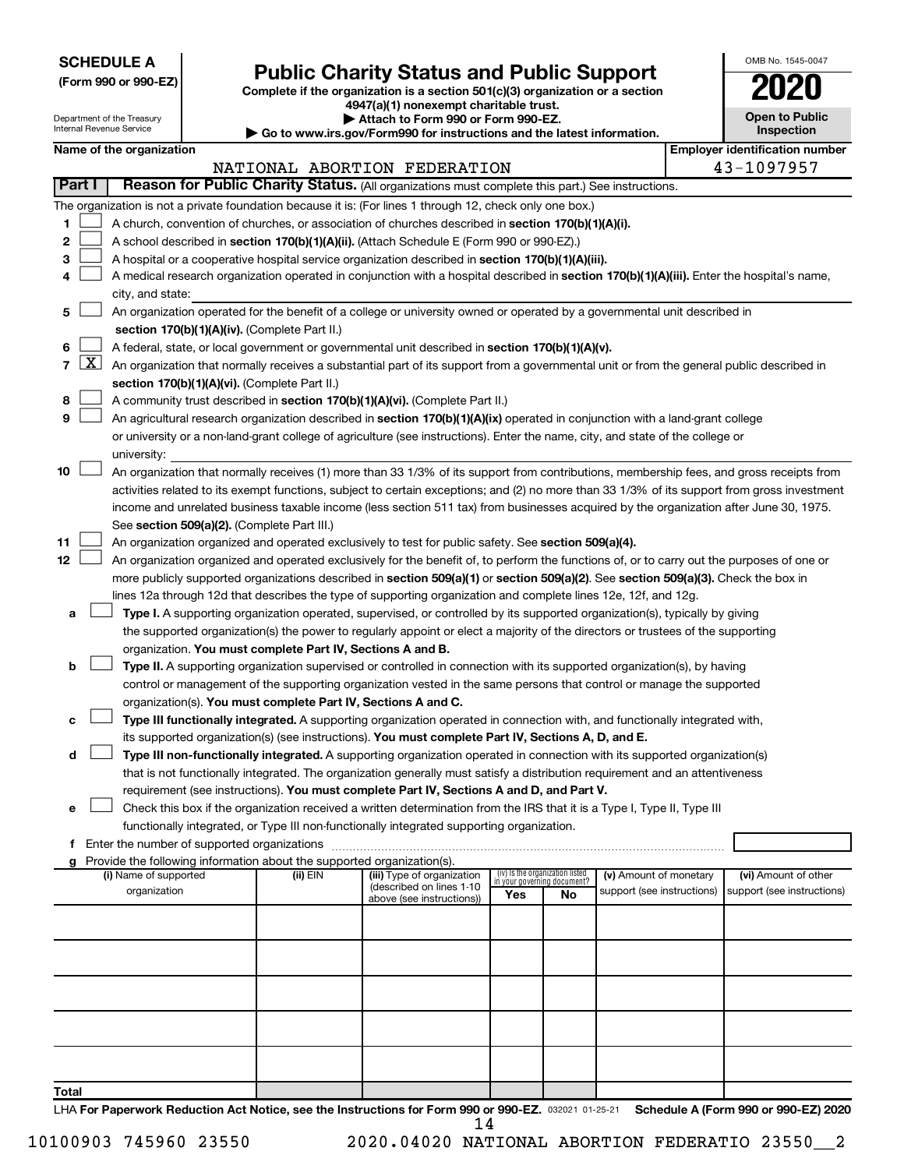**SCHEDULE A**

## **Public Charity Status and Public Support 2020**

**(Form 990 or 990-EZ) Complete if the organization is a section 501(c)(3) organization or a section**

**4947(a)(1) nonexempt charitable trust.**

| OMB No. 1545-0047                   |
|-------------------------------------|
| 020                                 |
| <b>Open to Public</b><br>Inspection |
|                                     |

| $1.1$ , $1.7$ , $1.1$ , $1.0$ , $1.0$ , $1.0$ , $1.1$<br>Attach to Form 990 or Form 990-EZ.<br>Department of the Treasury<br>Internal Revenue Service<br>► Go to www.irs.gov/Form990 for instructions and the latest information. |                     |                                       |                                               |                                                                        |                                                                                                                                              | <b>Open to Public</b><br><b>Inspection</b> |                                 |                                                      |  |                                                    |
|-----------------------------------------------------------------------------------------------------------------------------------------------------------------------------------------------------------------------------------|---------------------|---------------------------------------|-----------------------------------------------|------------------------------------------------------------------------|----------------------------------------------------------------------------------------------------------------------------------------------|--------------------------------------------|---------------------------------|------------------------------------------------------|--|----------------------------------------------------|
|                                                                                                                                                                                                                                   |                     | Name of the organization              |                                               |                                                                        |                                                                                                                                              |                                            |                                 |                                                      |  | <b>Employer identification number</b>              |
|                                                                                                                                                                                                                                   |                     |                                       |                                               |                                                                        |                                                                                                                                              |                                            |                                 |                                                      |  |                                                    |
|                                                                                                                                                                                                                                   |                     |                                       |                                               |                                                                        | NATIONAL ABORTION FEDERATION                                                                                                                 |                                            |                                 |                                                      |  | 43-1097957                                         |
|                                                                                                                                                                                                                                   | Part I              |                                       |                                               |                                                                        | Reason for Public Charity Status. (All organizations must complete this part.) See instructions.                                             |                                            |                                 |                                                      |  |                                                    |
|                                                                                                                                                                                                                                   |                     |                                       |                                               |                                                                        | The organization is not a private foundation because it is: (For lines 1 through 12, check only one box.)                                    |                                            |                                 |                                                      |  |                                                    |
| 1                                                                                                                                                                                                                                 |                     |                                       |                                               |                                                                        | A church, convention of churches, or association of churches described in section 170(b)(1)(A)(i).                                           |                                            |                                 |                                                      |  |                                                    |
| 2                                                                                                                                                                                                                                 |                     |                                       |                                               |                                                                        | A school described in section 170(b)(1)(A)(ii). (Attach Schedule E (Form 990 or 990-EZ).)                                                    |                                            |                                 |                                                      |  |                                                    |
| 3                                                                                                                                                                                                                                 |                     |                                       |                                               |                                                                        | A hospital or a cooperative hospital service organization described in section 170(b)(1)(A)(iii).                                            |                                            |                                 |                                                      |  |                                                    |
| 4                                                                                                                                                                                                                                 |                     |                                       |                                               |                                                                        | A medical research organization operated in conjunction with a hospital described in section 170(b)(1)(A)(iii). Enter the hospital's name,   |                                            |                                 |                                                      |  |                                                    |
|                                                                                                                                                                                                                                   |                     | city, and state:                      |                                               |                                                                        |                                                                                                                                              |                                            |                                 |                                                      |  |                                                    |
| 5                                                                                                                                                                                                                                 |                     |                                       |                                               |                                                                        | An organization operated for the benefit of a college or university owned or operated by a governmental unit described in                    |                                            |                                 |                                                      |  |                                                    |
|                                                                                                                                                                                                                                   |                     |                                       |                                               | section 170(b)(1)(A)(iv). (Complete Part II.)                          |                                                                                                                                              |                                            |                                 |                                                      |  |                                                    |
| 6                                                                                                                                                                                                                                 |                     |                                       |                                               |                                                                        | A federal, state, or local government or governmental unit described in section 170(b)(1)(A)(v).                                             |                                            |                                 |                                                      |  |                                                    |
| $\overline{7}$                                                                                                                                                                                                                    | $\lfloor x \rfloor$ |                                       |                                               |                                                                        | An organization that normally receives a substantial part of its support from a governmental unit or from the general public described in    |                                            |                                 |                                                      |  |                                                    |
|                                                                                                                                                                                                                                   |                     |                                       |                                               | section 170(b)(1)(A)(vi). (Complete Part II.)                          |                                                                                                                                              |                                            |                                 |                                                      |  |                                                    |
| 8                                                                                                                                                                                                                                 |                     |                                       |                                               |                                                                        | A community trust described in section 170(b)(1)(A)(vi). (Complete Part II.)                                                                 |                                            |                                 |                                                      |  |                                                    |
| 9                                                                                                                                                                                                                                 |                     |                                       |                                               |                                                                        | An agricultural research organization described in section 170(b)(1)(A)(ix) operated in conjunction with a land-grant college                |                                            |                                 |                                                      |  |                                                    |
|                                                                                                                                                                                                                                   |                     |                                       |                                               |                                                                        | or university or a non-land-grant college of agriculture (see instructions). Enter the name, city, and state of the college or               |                                            |                                 |                                                      |  |                                                    |
|                                                                                                                                                                                                                                   |                     | university:                           |                                               |                                                                        |                                                                                                                                              |                                            |                                 |                                                      |  |                                                    |
| 10                                                                                                                                                                                                                                |                     |                                       |                                               |                                                                        | An organization that normally receives (1) more than 33 1/3% of its support from contributions, membership fees, and gross receipts from     |                                            |                                 |                                                      |  |                                                    |
|                                                                                                                                                                                                                                   |                     |                                       |                                               |                                                                        | activities related to its exempt functions, subject to certain exceptions; and (2) no more than 33 1/3% of its support from gross investment |                                            |                                 |                                                      |  |                                                    |
|                                                                                                                                                                                                                                   |                     |                                       |                                               |                                                                        | income and unrelated business taxable income (less section 511 tax) from businesses acquired by the organization after June 30, 1975.        |                                            |                                 |                                                      |  |                                                    |
|                                                                                                                                                                                                                                   |                     |                                       |                                               | See section 509(a)(2). (Complete Part III.)                            |                                                                                                                                              |                                            |                                 |                                                      |  |                                                    |
| 11                                                                                                                                                                                                                                |                     |                                       |                                               |                                                                        | An organization organized and operated exclusively to test for public safety. See section 509(a)(4).                                         |                                            |                                 |                                                      |  |                                                    |
| 12                                                                                                                                                                                                                                |                     |                                       |                                               |                                                                        | An organization organized and operated exclusively for the benefit of, to perform the functions of, or to carry out the purposes of one or   |                                            |                                 |                                                      |  |                                                    |
|                                                                                                                                                                                                                                   |                     |                                       |                                               |                                                                        | more publicly supported organizations described in section 509(a)(1) or section 509(a)(2). See section 509(a)(3). Check the box in           |                                            |                                 |                                                      |  |                                                    |
|                                                                                                                                                                                                                                   |                     |                                       |                                               |                                                                        |                                                                                                                                              |                                            |                                 |                                                      |  |                                                    |
|                                                                                                                                                                                                                                   |                     |                                       |                                               |                                                                        | lines 12a through 12d that describes the type of supporting organization and complete lines 12e, 12f, and 12g.                               |                                            |                                 |                                                      |  |                                                    |
| а                                                                                                                                                                                                                                 |                     |                                       |                                               |                                                                        | Type I. A supporting organization operated, supervised, or controlled by its supported organization(s), typically by giving                  |                                            |                                 |                                                      |  |                                                    |
|                                                                                                                                                                                                                                   |                     |                                       |                                               |                                                                        | the supported organization(s) the power to regularly appoint or elect a majority of the directors or trustees of the supporting              |                                            |                                 |                                                      |  |                                                    |
|                                                                                                                                                                                                                                   |                     |                                       |                                               | organization. You must complete Part IV, Sections A and B.             |                                                                                                                                              |                                            |                                 |                                                      |  |                                                    |
| b                                                                                                                                                                                                                                 |                     |                                       |                                               |                                                                        | Type II. A supporting organization supervised or controlled in connection with its supported organization(s), by having                      |                                            |                                 |                                                      |  |                                                    |
|                                                                                                                                                                                                                                   |                     |                                       |                                               |                                                                        | control or management of the supporting organization vested in the same persons that control or manage the supported                         |                                            |                                 |                                                      |  |                                                    |
|                                                                                                                                                                                                                                   |                     |                                       |                                               | organization(s). You must complete Part IV, Sections A and C.          |                                                                                                                                              |                                            |                                 |                                                      |  |                                                    |
| c                                                                                                                                                                                                                                 |                     |                                       |                                               |                                                                        | Type III functionally integrated. A supporting organization operated in connection with, and functionally integrated with,                   |                                            |                                 |                                                      |  |                                                    |
|                                                                                                                                                                                                                                   |                     |                                       |                                               |                                                                        | its supported organization(s) (see instructions). You must complete Part IV, Sections A, D, and E.                                           |                                            |                                 |                                                      |  |                                                    |
| d                                                                                                                                                                                                                                 |                     |                                       |                                               |                                                                        | Type III non-functionally integrated. A supporting organization operated in connection with its supported organization(s)                    |                                            |                                 |                                                      |  |                                                    |
|                                                                                                                                                                                                                                   |                     |                                       |                                               |                                                                        | that is not functionally integrated. The organization generally must satisfy a distribution requirement and an attentiveness                 |                                            |                                 |                                                      |  |                                                    |
|                                                                                                                                                                                                                                   |                     |                                       |                                               |                                                                        | requirement (see instructions). You must complete Part IV, Sections A and D, and Part V.                                                     |                                            |                                 |                                                      |  |                                                    |
| е                                                                                                                                                                                                                                 |                     |                                       |                                               |                                                                        | Check this box if the organization received a written determination from the IRS that it is a Type I, Type II, Type III                      |                                            |                                 |                                                      |  |                                                    |
|                                                                                                                                                                                                                                   |                     |                                       |                                               |                                                                        | functionally integrated, or Type III non-functionally integrated supporting organization.                                                    |                                            |                                 |                                                      |  |                                                    |
|                                                                                                                                                                                                                                   |                     |                                       | f Enter the number of supported organizations |                                                                        |                                                                                                                                              |                                            |                                 |                                                      |  |                                                    |
|                                                                                                                                                                                                                                   |                     |                                       |                                               | Provide the following information about the supported organization(s). |                                                                                                                                              |                                            | (iv) Is the organization listed |                                                      |  |                                                    |
|                                                                                                                                                                                                                                   |                     | (i) Name of supported<br>organization |                                               | (ii) EIN                                                               | (iii) Type of organization<br>(described on lines 1-10                                                                                       |                                            | in your governing document?     | (v) Amount of monetary<br>support (see instructions) |  | (vi) Amount of other<br>support (see instructions) |
|                                                                                                                                                                                                                                   |                     |                                       |                                               |                                                                        | above (see instructions))                                                                                                                    | Yes                                        | No                              |                                                      |  |                                                    |
|                                                                                                                                                                                                                                   |                     |                                       |                                               |                                                                        |                                                                                                                                              |                                            |                                 |                                                      |  |                                                    |
|                                                                                                                                                                                                                                   |                     |                                       |                                               |                                                                        |                                                                                                                                              |                                            |                                 |                                                      |  |                                                    |
|                                                                                                                                                                                                                                   |                     |                                       |                                               |                                                                        |                                                                                                                                              |                                            |                                 |                                                      |  |                                                    |
|                                                                                                                                                                                                                                   |                     |                                       |                                               |                                                                        |                                                                                                                                              |                                            |                                 |                                                      |  |                                                    |
|                                                                                                                                                                                                                                   |                     |                                       |                                               |                                                                        |                                                                                                                                              |                                            |                                 |                                                      |  |                                                    |
|                                                                                                                                                                                                                                   |                     |                                       |                                               |                                                                        |                                                                                                                                              |                                            |                                 |                                                      |  |                                                    |
|                                                                                                                                                                                                                                   |                     |                                       |                                               |                                                                        |                                                                                                                                              |                                            |                                 |                                                      |  |                                                    |
|                                                                                                                                                                                                                                   |                     |                                       |                                               |                                                                        |                                                                                                                                              |                                            |                                 |                                                      |  |                                                    |
|                                                                                                                                                                                                                                   |                     |                                       |                                               |                                                                        |                                                                                                                                              |                                            |                                 |                                                      |  |                                                    |
|                                                                                                                                                                                                                                   |                     |                                       |                                               |                                                                        |                                                                                                                                              |                                            |                                 |                                                      |  |                                                    |

**Total**

LHA For Paperwork Reduction Act Notice, see the Instructions for Form 990 or 990-EZ. 032021 01-25-21 Schedule A (Form 990 or 990-EZ) 2020 14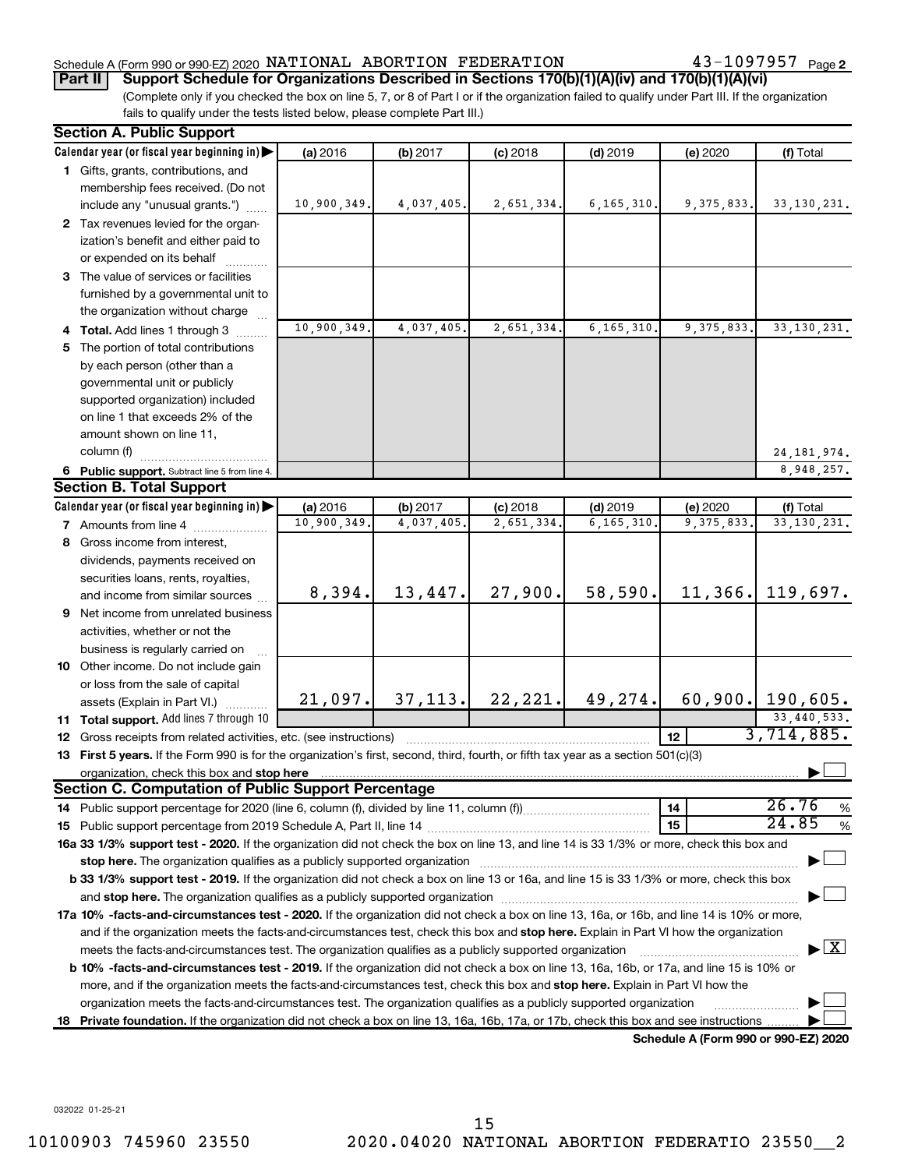## Schedule A (Form 990 or 990-EZ) 2020  $\,$  <code>NATIONAL ABORTION</code>  $\,$  <code>FEDERATION</code>  $\,$  <code>43–1097957</code>  $\,$  <code>Page</code>

43-1097957 Page 2

## **Part II Support Schedule for Organizations Described in Sections 170(b)(1)(A)(iv) and 170(b)(1)(A)(vi)**

(Complete only if you checked the box on line 5, 7, or 8 of Part I or if the organization failed to qualify under Part III. If the organization fails to qualify under the tests listed below, please complete Part III.)

| <b>Section A. Public Support</b>                                                                                                                                                                                               |             |            |            |              |                                      |                                          |
|--------------------------------------------------------------------------------------------------------------------------------------------------------------------------------------------------------------------------------|-------------|------------|------------|--------------|--------------------------------------|------------------------------------------|
| Calendar year (or fiscal year beginning in)                                                                                                                                                                                    | (a) 2016    | (b) 2017   | $(c)$ 2018 | $(d)$ 2019   | (e) 2020                             | (f) Total                                |
| 1 Gifts, grants, contributions, and                                                                                                                                                                                            |             |            |            |              |                                      |                                          |
| membership fees received. (Do not                                                                                                                                                                                              |             |            |            |              |                                      |                                          |
| include any "unusual grants.")                                                                                                                                                                                                 | 10,900,349. | 4,037,405. | 2,651,334. | 6, 165, 310. | 9, 375, 833.                         | 33, 130, 231.                            |
| 2 Tax revenues levied for the organ-                                                                                                                                                                                           |             |            |            |              |                                      |                                          |
| ization's benefit and either paid to                                                                                                                                                                                           |             |            |            |              |                                      |                                          |
| or expended on its behalf                                                                                                                                                                                                      |             |            |            |              |                                      |                                          |
| 3 The value of services or facilities                                                                                                                                                                                          |             |            |            |              |                                      |                                          |
| furnished by a governmental unit to                                                                                                                                                                                            |             |            |            |              |                                      |                                          |
| the organization without charge                                                                                                                                                                                                |             |            |            |              |                                      |                                          |
| 4 Total. Add lines 1 through 3                                                                                                                                                                                                 | 10,900,349  | 4,037,405. | 2,651,334  | 6,165,310    | 9, 375, 833.                         | 33, 130, 231.                            |
| 5 The portion of total contributions                                                                                                                                                                                           |             |            |            |              |                                      |                                          |
| by each person (other than a                                                                                                                                                                                                   |             |            |            |              |                                      |                                          |
| governmental unit or publicly                                                                                                                                                                                                  |             |            |            |              |                                      |                                          |
| supported organization) included                                                                                                                                                                                               |             |            |            |              |                                      |                                          |
| on line 1 that exceeds 2% of the                                                                                                                                                                                               |             |            |            |              |                                      |                                          |
| amount shown on line 11,                                                                                                                                                                                                       |             |            |            |              |                                      |                                          |
| column (f)                                                                                                                                                                                                                     |             |            |            |              |                                      | 24, 181, 974.                            |
| 6 Public support. Subtract line 5 from line 4.                                                                                                                                                                                 |             |            |            |              |                                      | 8,948,257.                               |
| <b>Section B. Total Support</b>                                                                                                                                                                                                |             |            |            |              |                                      |                                          |
| Calendar year (or fiscal year beginning in)                                                                                                                                                                                    | (a) 2016    | (b) 2017   | $(c)$ 2018 | $(d)$ 2019   | (e) 2020                             | (f) Total                                |
| <b>7</b> Amounts from line 4                                                                                                                                                                                                   | 10,900,349  | 4,037,405. | 2,651,334  | 6,165,310    | 9, 375, 833.                         | 33, 130, 231.                            |
| 8 Gross income from interest,                                                                                                                                                                                                  |             |            |            |              |                                      |                                          |
| dividends, payments received on                                                                                                                                                                                                |             |            |            |              |                                      |                                          |
| securities loans, rents, royalties,                                                                                                                                                                                            |             |            |            |              |                                      |                                          |
| and income from similar sources                                                                                                                                                                                                | 8,394.      | 13,447.    | 27,900.    | 58,590.      | 11, 366.                             | 119,697.                                 |
| 9 Net income from unrelated business                                                                                                                                                                                           |             |            |            |              |                                      |                                          |
| activities, whether or not the                                                                                                                                                                                                 |             |            |            |              |                                      |                                          |
| business is regularly carried on                                                                                                                                                                                               |             |            |            |              |                                      |                                          |
| 10 Other income. Do not include gain                                                                                                                                                                                           |             |            |            |              |                                      |                                          |
| or loss from the sale of capital                                                                                                                                                                                               |             |            |            |              |                                      |                                          |
| assets (Explain in Part VI.)                                                                                                                                                                                                   | 21,097.     | 37, 113.   | 22, 221.   | 49,274.      |                                      | $60,900.$ 190,605.                       |
| 11 Total support. Add lines 7 through 10                                                                                                                                                                                       |             |            |            |              |                                      | 33, 440, 533.                            |
| <b>12</b> Gross receipts from related activities, etc. (see instructions)                                                                                                                                                      |             |            |            |              | 12                                   | 3,714,885.                               |
| 13 First 5 years. If the Form 990 is for the organization's first, second, third, fourth, or fifth tax year as a section 501(c)(3)                                                                                             |             |            |            |              |                                      |                                          |
|                                                                                                                                                                                                                                |             |            |            |              |                                      |                                          |
| <b>Section C. Computation of Public Support Percentage</b>                                                                                                                                                                     |             |            |            |              |                                      |                                          |
|                                                                                                                                                                                                                                |             |            |            |              | 14                                   | 26.76<br>%                               |
|                                                                                                                                                                                                                                |             |            |            |              | 15                                   | 24.85<br>%                               |
| 16a 33 1/3% support test - 2020. If the organization did not check the box on line 13, and line 14 is 33 1/3% or more, check this box and                                                                                      |             |            |            |              |                                      |                                          |
| stop here. The organization qualifies as a publicly supported organization manufaction manufacture or the organization                                                                                                         |             |            |            |              |                                      |                                          |
| b 33 1/3% support test - 2019. If the organization did not check a box on line 13 or 16a, and line 15 is 33 1/3% or more, check this box                                                                                       |             |            |            |              |                                      |                                          |
| and stop here. The organization qualifies as a publicly supported organization [11] manuscription manuscription manuscription manuscription manuscription manuscription and starting and starting and starting and starting an |             |            |            |              |                                      |                                          |
| 17a 10% -facts-and-circumstances test - 2020. If the organization did not check a box on line 13, 16a, or 16b, and line 14 is 10% or more,                                                                                     |             |            |            |              |                                      |                                          |
| and if the organization meets the facts-and-circumstances test, check this box and stop here. Explain in Part VI how the organization                                                                                          |             |            |            |              |                                      | $\blacktriangleright$ $\boxed{\text{X}}$ |
| meets the facts-and-circumstances test. The organization qualifies as a publicly supported organization                                                                                                                        |             |            |            |              |                                      |                                          |
| <b>b 10%</b> -facts-and-circumstances test - 2019. If the organization did not check a box on line 13, 16a, 16b, or 17a, and line 15 is 10% or                                                                                 |             |            |            |              |                                      |                                          |
| more, and if the organization meets the facts-and-circumstances test, check this box and <b>stop here.</b> Explain in Part VI how the                                                                                          |             |            |            |              |                                      |                                          |
| organization meets the facts-and-circumstances test. The organization qualifies as a publicly supported organization                                                                                                           |             |            |            |              |                                      |                                          |
| 18 Private foundation. If the organization did not check a box on line 13, 16a, 16b, 17a, or 17b, check this box and see instructions.                                                                                         |             |            |            |              | Schedule A (Form 990 or 990-EZ) 2020 |                                          |
|                                                                                                                                                                                                                                |             |            |            |              |                                      |                                          |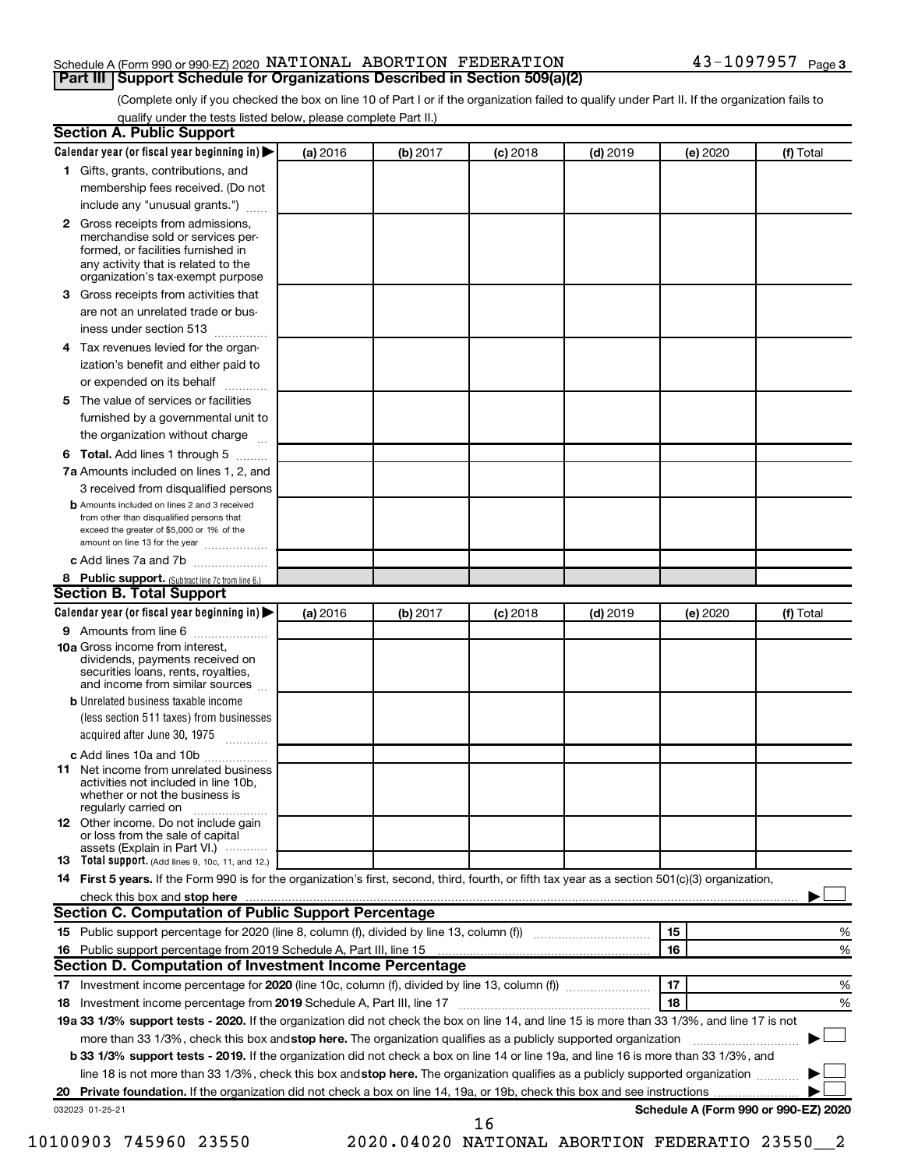## Schedule A (Form 990 or 990-EZ) 2020  $\,$  <code>NATIONAL ABORTION</code>  $\,$  <code>FEDERATION</code>  $\,$  <code>43–1097957</code>  $\,$  <code>Page</code> **Part III | Support Schedule for Organizations Described in Section 509(a)(2)**

(Complete only if you checked the box on line 10 of Part I or if the organization failed to qualify under Part II. If the organization fails to qualify under the tests listed below, please complete Part II.)

| <b>Section A. Public Support</b>                                                                                                                                                                |          |          |            |            |          |                                      |
|-------------------------------------------------------------------------------------------------------------------------------------------------------------------------------------------------|----------|----------|------------|------------|----------|--------------------------------------|
| Calendar year (or fiscal year beginning in)                                                                                                                                                     | (a) 2016 | (b) 2017 | (c) 2018   | $(d)$ 2019 | (e) 2020 | (f) Total                            |
| 1 Gifts, grants, contributions, and                                                                                                                                                             |          |          |            |            |          |                                      |
| membership fees received. (Do not                                                                                                                                                               |          |          |            |            |          |                                      |
| include any "unusual grants.")                                                                                                                                                                  |          |          |            |            |          |                                      |
| <b>2</b> Gross receipts from admissions,<br>merchandise sold or services per-<br>formed, or facilities furnished in<br>any activity that is related to the<br>organization's tax-exempt purpose |          |          |            |            |          |                                      |
| 3 Gross receipts from activities that                                                                                                                                                           |          |          |            |            |          |                                      |
| are not an unrelated trade or bus-                                                                                                                                                              |          |          |            |            |          |                                      |
| iness under section 513                                                                                                                                                                         |          |          |            |            |          |                                      |
| 4 Tax revenues levied for the organ-                                                                                                                                                            |          |          |            |            |          |                                      |
| ization's benefit and either paid to                                                                                                                                                            |          |          |            |            |          |                                      |
| or expended on its behalf                                                                                                                                                                       |          |          |            |            |          |                                      |
| 5 The value of services or facilities                                                                                                                                                           |          |          |            |            |          |                                      |
| furnished by a governmental unit to                                                                                                                                                             |          |          |            |            |          |                                      |
| the organization without charge                                                                                                                                                                 |          |          |            |            |          |                                      |
| <b>6 Total.</b> Add lines 1 through 5                                                                                                                                                           |          |          |            |            |          |                                      |
| 7a Amounts included on lines 1, 2, and                                                                                                                                                          |          |          |            |            |          |                                      |
| 3 received from disqualified persons                                                                                                                                                            |          |          |            |            |          |                                      |
| <b>b</b> Amounts included on lines 2 and 3 received<br>from other than disqualified persons that<br>exceed the greater of \$5,000 or 1% of the<br>amount on line 13 for the year                |          |          |            |            |          |                                      |
| c Add lines 7a and 7b                                                                                                                                                                           |          |          |            |            |          |                                      |
| 8 Public support. (Subtract line 7c from line 6.)                                                                                                                                               |          |          |            |            |          |                                      |
| <b>Section B. Total Support</b>                                                                                                                                                                 |          |          |            |            |          |                                      |
| Calendar year (or fiscal year beginning in)                                                                                                                                                     | (a) 2016 | (b) 2017 | $(c)$ 2018 | $(d)$ 2019 | (e) 2020 | (f) Total                            |
| 9 Amounts from line 6                                                                                                                                                                           |          |          |            |            |          |                                      |
| <b>10a</b> Gross income from interest,<br>dividends, payments received on<br>securities loans, rents, royalties,<br>and income from similar sources                                             |          |          |            |            |          |                                      |
| <b>b</b> Unrelated business taxable income<br>(less section 511 taxes) from businesses<br>acquired after June 30, 1975                                                                          |          |          |            |            |          |                                      |
|                                                                                                                                                                                                 |          |          |            |            |          |                                      |
| c Add lines 10a and 10b<br><b>11</b> Net income from unrelated business<br>activities not included in line 10b.<br>whether or not the business is<br>regularly carried on                       |          |          |            |            |          |                                      |
| 12 Other income. Do not include gain<br>or loss from the sale of capital<br>assets (Explain in Part VI.)                                                                                        |          |          |            |            |          |                                      |
| <b>13</b> Total support. (Add lines 9, 10c, 11, and 12.)                                                                                                                                        |          |          |            |            |          |                                      |
| 14 First 5 years. If the Form 990 is for the organization's first, second, third, fourth, or fifth tax year as a section 501(c)(3) organization,                                                |          |          |            |            |          |                                      |
|                                                                                                                                                                                                 |          |          |            |            |          |                                      |
| Section C. Computation of Public Support Percentage                                                                                                                                             |          |          |            |            |          |                                      |
| 15 Public support percentage for 2020 (line 8, column (f), divided by line 13, column (f) <i></i>                                                                                               |          |          |            |            | 15       | %                                    |
|                                                                                                                                                                                                 |          |          |            |            | 16       | %                                    |
| Section D. Computation of Investment Income Percentage                                                                                                                                          |          |          |            |            |          |                                      |
| 17 Investment income percentage for 2020 (line 10c, column (f), divided by line 13, column (f))                                                                                                 |          |          |            |            | 17       | %                                    |
| 18 Investment income percentage from 2019 Schedule A, Part III, line 17                                                                                                                         |          |          |            |            | 18       | %                                    |
| 19a 33 1/3% support tests - 2020. If the organization did not check the box on line 14, and line 15 is more than 33 1/3%, and line 17 is not                                                    |          |          |            |            |          |                                      |
| more than 33 1/3%, check this box and stop here. The organization qualifies as a publicly supported organization                                                                                |          |          |            |            |          |                                      |
| b 33 1/3% support tests - 2019. If the organization did not check a box on line 14 or line 19a, and line 16 is more than 33 1/3%, and                                                           |          |          |            |            |          |                                      |
| line 18 is not more than 33 1/3%, check this box and stop here. The organization qualifies as a publicly supported organization                                                                 |          |          |            |            |          |                                      |
|                                                                                                                                                                                                 |          |          |            |            |          |                                      |
| 032023 01-25-21                                                                                                                                                                                 |          |          | 16         |            |          | Schedule A (Form 990 or 990-EZ) 2020 |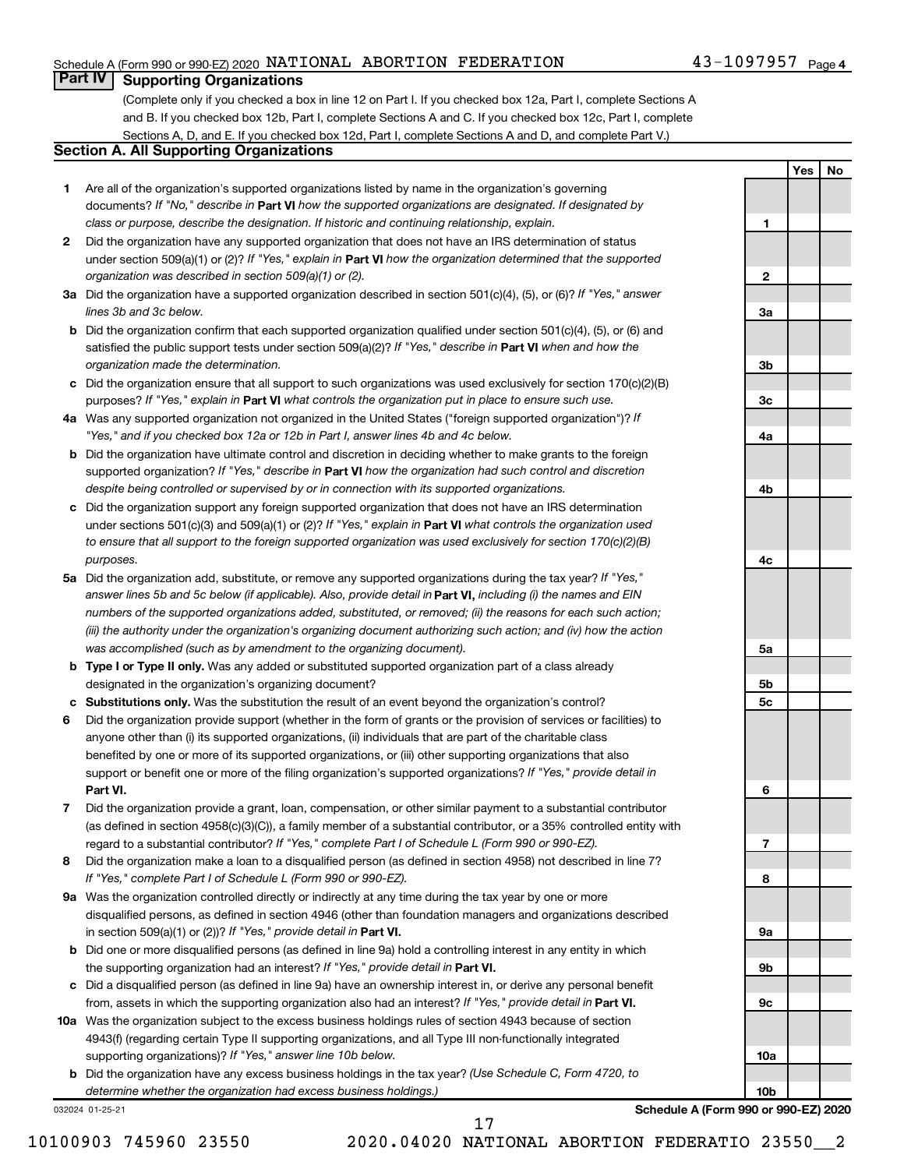## Schedule A (Form 990 or 990-EZ) 2020  $\,$  <code>NATIONAL ABORTION</code>  $\,$  <code>FEDERATION</code>  $\,$  <code>43–1097957</code>  $\,$  <code>Page</code>

## **Part IV Supporting Organizations**

(Complete only if you checked a box in line 12 on Part I. If you checked box 12a, Part I, complete Sections A and B. If you checked box 12b, Part I, complete Sections A and C. If you checked box 12c, Part I, complete Sections A, D, and E. If you checked box 12d, Part I, complete Sections A and D, and complete Part V.)

## **Section A. All Supporting Organizations**

- **1** Are all of the organization's supported organizations listed by name in the organization's governing documents? If "No," describe in Part VI how the supported organizations are designated. If designated by *class or purpose, describe the designation. If historic and continuing relationship, explain.*
- **2** Did the organization have any supported organization that does not have an IRS determination of status under section 509(a)(1) or (2)? If "Yes," explain in Part **VI** how the organization determined that the supported *organization was described in section 509(a)(1) or (2).*
- **3a** Did the organization have a supported organization described in section 501(c)(4), (5), or (6)? If "Yes," answer *lines 3b and 3c below.*
- **b** Did the organization confirm that each supported organization qualified under section 501(c)(4), (5), or (6) and satisfied the public support tests under section 509(a)(2)? If "Yes," describe in Part VI when and how the *organization made the determination.*
- **c** Did the organization ensure that all support to such organizations was used exclusively for section 170(c)(2)(B) purposes? If "Yes," explain in Part VI what controls the organization put in place to ensure such use.
- **4 a** *If* Was any supported organization not organized in the United States ("foreign supported organization")? *"Yes," and if you checked box 12a or 12b in Part I, answer lines 4b and 4c below.*
- **b** Did the organization have ultimate control and discretion in deciding whether to make grants to the foreign supported organization? If "Yes," describe in Part VI how the organization had such control and discretion *despite being controlled or supervised by or in connection with its supported organizations.*
- **c** Did the organization support any foreign supported organization that does not have an IRS determination under sections 501(c)(3) and 509(a)(1) or (2)? If "Yes," explain in Part VI what controls the organization used *to ensure that all support to the foreign supported organization was used exclusively for section 170(c)(2)(B) purposes.*
- **5a** Did the organization add, substitute, or remove any supported organizations during the tax year? If "Yes," answer lines 5b and 5c below (if applicable). Also, provide detail in **Part VI,** including (i) the names and EIN *numbers of the supported organizations added, substituted, or removed; (ii) the reasons for each such action; (iii) the authority under the organization's organizing document authorizing such action; and (iv) how the action was accomplished (such as by amendment to the organizing document).*
- **b Type I or Type II only.** Was any added or substituted supported organization part of a class already designated in the organization's organizing document?
- **c Substitutions only.**  Was the substitution the result of an event beyond the organization's control?
- **6** Did the organization provide support (whether in the form of grants or the provision of services or facilities) to **Part VI.** support or benefit one or more of the filing organization's supported organizations? If "Yes," provide detail in anyone other than (i) its supported organizations, (ii) individuals that are part of the charitable class benefited by one or more of its supported organizations, or (iii) other supporting organizations that also
- **7** Did the organization provide a grant, loan, compensation, or other similar payment to a substantial contributor regard to a substantial contributor? If "Yes," complete Part I of Schedule L (Form 990 or 990-EZ). (as defined in section 4958(c)(3)(C)), a family member of a substantial contributor, or a 35% controlled entity with
- **8** Did the organization make a loan to a disqualified person (as defined in section 4958) not described in line 7? *If "Yes," complete Part I of Schedule L (Form 990 or 990-EZ).*
- **9 a** Was the organization controlled directly or indirectly at any time during the tax year by one or more in section 509(a)(1) or (2))? If "Yes," provide detail in **Part VI.** disqualified persons, as defined in section 4946 (other than foundation managers and organizations described
- **b** Did one or more disqualified persons (as defined in line 9a) hold a controlling interest in any entity in which the supporting organization had an interest? If "Yes," provide detail in Part VI.
- **c** Did a disqualified person (as defined in line 9a) have an ownership interest in, or derive any personal benefit from, assets in which the supporting organization also had an interest? If "Yes," provide detail in Part VI.
- **10 a** Was the organization subject to the excess business holdings rules of section 4943 because of section supporting organizations)? If "Yes," answer line 10b below. 4943(f) (regarding certain Type II supporting organizations, and all Type III non-functionally integrated
	- **b** Did the organization have any excess business holdings in the tax year? (Use Schedule C, Form 4720, to *determine whether the organization had excess business holdings.)*

032024 01-25-21

**3c 4a 4b 4c 5a 5b 5c 6 7 8 9a 9b 9c**

**Schedule A (Form 990 or 990-EZ) 2020**

**10a**

**10b**

**1**

**2**

**3a**

**3b**

**Yes No**

10100903 745960 23550 2020.04020 NATIONAL ABORTION FEDERATIO 23550\_\_2

17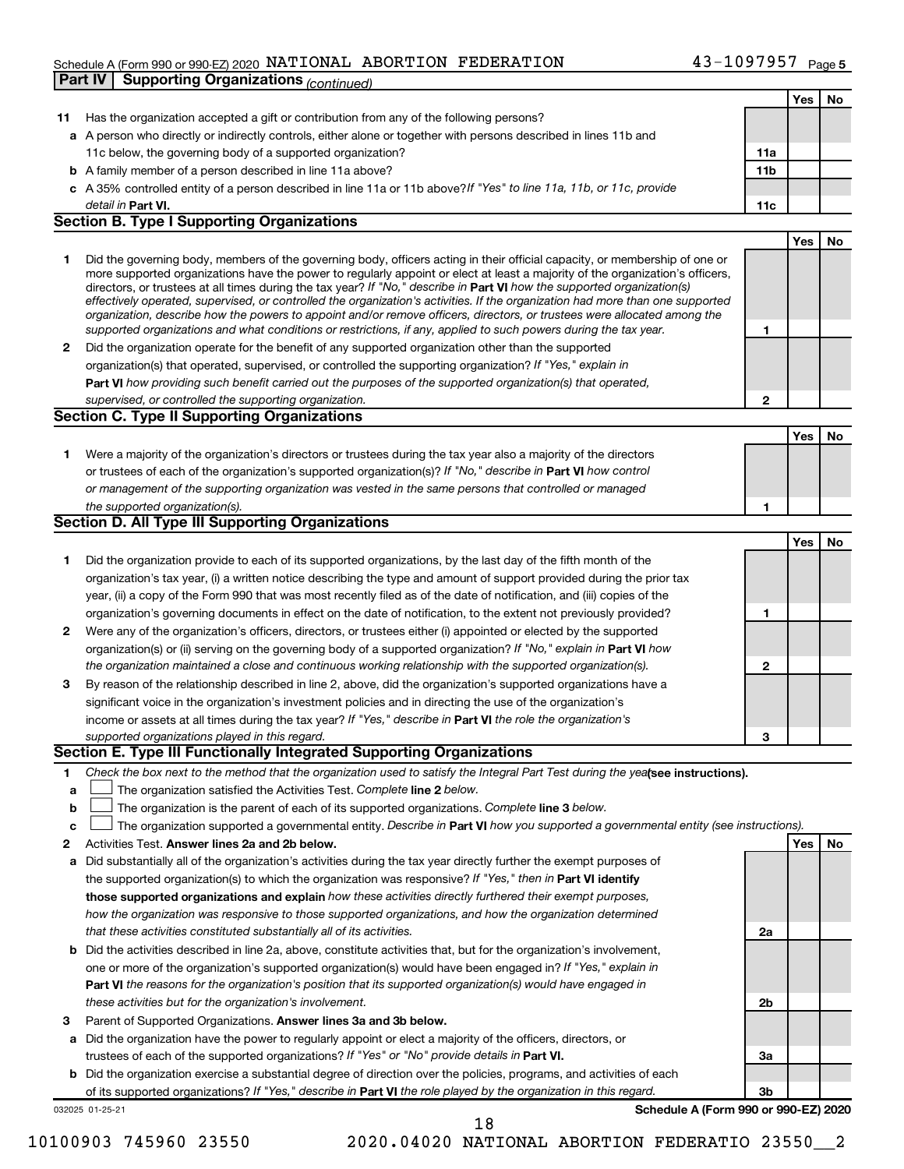## Schedule A (Form 990 or 990-EZ) 2020  $\,$  <code>NATIONAL ABORTION</code>  $\,$  <code>FEDERATION</code>  $\,$  <code>43–1097957</code>  $\,$  <code>Page</code> **Part IV Supporting Organizations** *(continued)*

|              |                                                                                                                                   |              | Yes        | No |
|--------------|-----------------------------------------------------------------------------------------------------------------------------------|--------------|------------|----|
| 11           | Has the organization accepted a gift or contribution from any of the following persons?                                           |              |            |    |
|              | a A person who directly or indirectly controls, either alone or together with persons described in lines 11b and                  |              |            |    |
|              | 11c below, the governing body of a supported organization?                                                                        | 11a          |            |    |
|              | <b>b</b> A family member of a person described in line 11a above?                                                                 | 11b          |            |    |
|              | c A 35% controlled entity of a person described in line 11a or 11b above? If "Yes" to line 11a, 11b, or 11c, provide              |              |            |    |
|              | detail in Part VI.                                                                                                                | 11c          |            |    |
|              | <b>Section B. Type I Supporting Organizations</b>                                                                                 |              |            |    |
|              |                                                                                                                                   |              | <b>Yes</b> | No |
| 1            | Did the governing body, members of the governing body, officers acting in their official capacity, or membership of one or        |              |            |    |
|              | more supported organizations have the power to regularly appoint or elect at least a majority of the organization's officers,     |              |            |    |
|              | directors, or trustees at all times during the tax year? If "No," describe in Part VI how the supported organization(s)           |              |            |    |
|              | effectively operated, supervised, or controlled the organization's activities. If the organization had more than one supported    |              |            |    |
|              | organization, describe how the powers to appoint and/or remove officers, directors, or trustees were allocated among the          |              |            |    |
|              | supported organizations and what conditions or restrictions, if any, applied to such powers during the tax year.                  | 1            |            |    |
| $\mathbf{2}$ | Did the organization operate for the benefit of any supported organization other than the supported                               |              |            |    |
|              | organization(s) that operated, supervised, or controlled the supporting organization? If "Yes," explain in                        |              |            |    |
|              | Part VI how providing such benefit carried out the purposes of the supported organization(s) that operated,                       |              |            |    |
|              | supervised, or controlled the supporting organization.                                                                            | $\mathbf{2}$ |            |    |
|              | <b>Section C. Type II Supporting Organizations</b>                                                                                |              |            |    |
|              |                                                                                                                                   |              | <b>Yes</b> | No |
| 1.           | Were a majority of the organization's directors or trustees during the tax year also a majority of the directors                  |              |            |    |
|              | or trustees of each of the organization's supported organization(s)? If "No," describe in Part VI how control                     |              |            |    |
|              | or management of the supporting organization was vested in the same persons that controlled or managed                            |              |            |    |
|              | the supported organization(s).                                                                                                    | 1            |            |    |
|              | Section D. All Type III Supporting Organizations                                                                                  |              |            |    |
|              |                                                                                                                                   |              | <b>Yes</b> | No |
| 1            | Did the organization provide to each of its supported organizations, by the last day of the fifth month of the                    |              |            |    |
|              | organization's tax year, (i) a written notice describing the type and amount of support provided during the prior tax             |              |            |    |
|              |                                                                                                                                   |              |            |    |
|              | year, (ii) a copy of the Form 990 that was most recently filed as of the date of notification, and (iii) copies of the            |              |            |    |
|              | organization's governing documents in effect on the date of notification, to the extent not previously provided?                  | 1            |            |    |
| $\mathbf{2}$ | Were any of the organization's officers, directors, or trustees either (i) appointed or elected by the supported                  |              |            |    |
|              | organization(s) or (ii) serving on the governing body of a supported organization? If "No," explain in Part VI how                |              |            |    |
|              | the organization maintained a close and continuous working relationship with the supported organization(s).                       | $\mathbf{2}$ |            |    |
| 3            | By reason of the relationship described in line 2, above, did the organization's supported organizations have a                   |              |            |    |
|              | significant voice in the organization's investment policies and in directing the use of the organization's                        |              |            |    |
|              | income or assets at all times during the tax year? If "Yes," describe in Part VI the role the organization's                      |              |            |    |
|              | supported organizations played in this regard.                                                                                    | 3            |            |    |
|              | Section E. Type III Functionally Integrated Supporting Organizations                                                              |              |            |    |
| 1            | Check the box next to the method that the organization used to satisfy the Integral Part Test during the yealsee instructions).   |              |            |    |
| а            | The organization satisfied the Activities Test. Complete line 2 below.                                                            |              |            |    |
| b            | The organization is the parent of each of its supported organizations. Complete line 3 below.                                     |              |            |    |
| с            | The organization supported a governmental entity. Describe in Part VI how you supported a governmental entity (see instructions). |              |            |    |
| 2            | Activities Test. Answer lines 2a and 2b below.                                                                                    |              | Yes        | No |
| а            | Did substantially all of the organization's activities during the tax year directly further the exempt purposes of                |              |            |    |
|              | the supported organization(s) to which the organization was responsive? If "Yes," then in Part VI identify                        |              |            |    |
|              | those supported organizations and explain how these activities directly furthered their exempt purposes,                          |              |            |    |
|              | how the organization was responsive to those supported organizations, and how the organization determined                         |              |            |    |
|              | that these activities constituted substantially all of its activities.                                                            | 2a           |            |    |
|              |                                                                                                                                   |              |            |    |
| b            | Did the activities described in line 2a, above, constitute activities that, but for the organization's involvement,               |              |            |    |
|              | one or more of the organization's supported organization(s) would have been engaged in? If "Yes," explain in                      |              |            |    |
|              | Part VI the reasons for the organization's position that its supported organization(s) would have engaged in                      |              |            |    |
|              | these activities but for the organization's involvement.                                                                          | 2b           |            |    |
| з            | Parent of Supported Organizations. Answer lines 3a and 3b below.                                                                  |              |            |    |
| а            | Did the organization have the power to regularly appoint or elect a majority of the officers, directors, or                       |              |            |    |
|              | trustees of each of the supported organizations? If "Yes" or "No" provide details in Part VI.                                     | За           |            |    |
|              | <b>b</b> Did the organization exercise a substantial degree of direction over the policies, programs, and activities of each      |              |            |    |
|              | of its supported organizations? If "Yes," describe in Part VI the role played by the organization in this regard.                 | Зb           |            |    |
|              | Schedule A (Form 990 or 990-EZ) 2020<br>032025 01-25-21                                                                           |              |            |    |
|              | 18                                                                                                                                |              |            |    |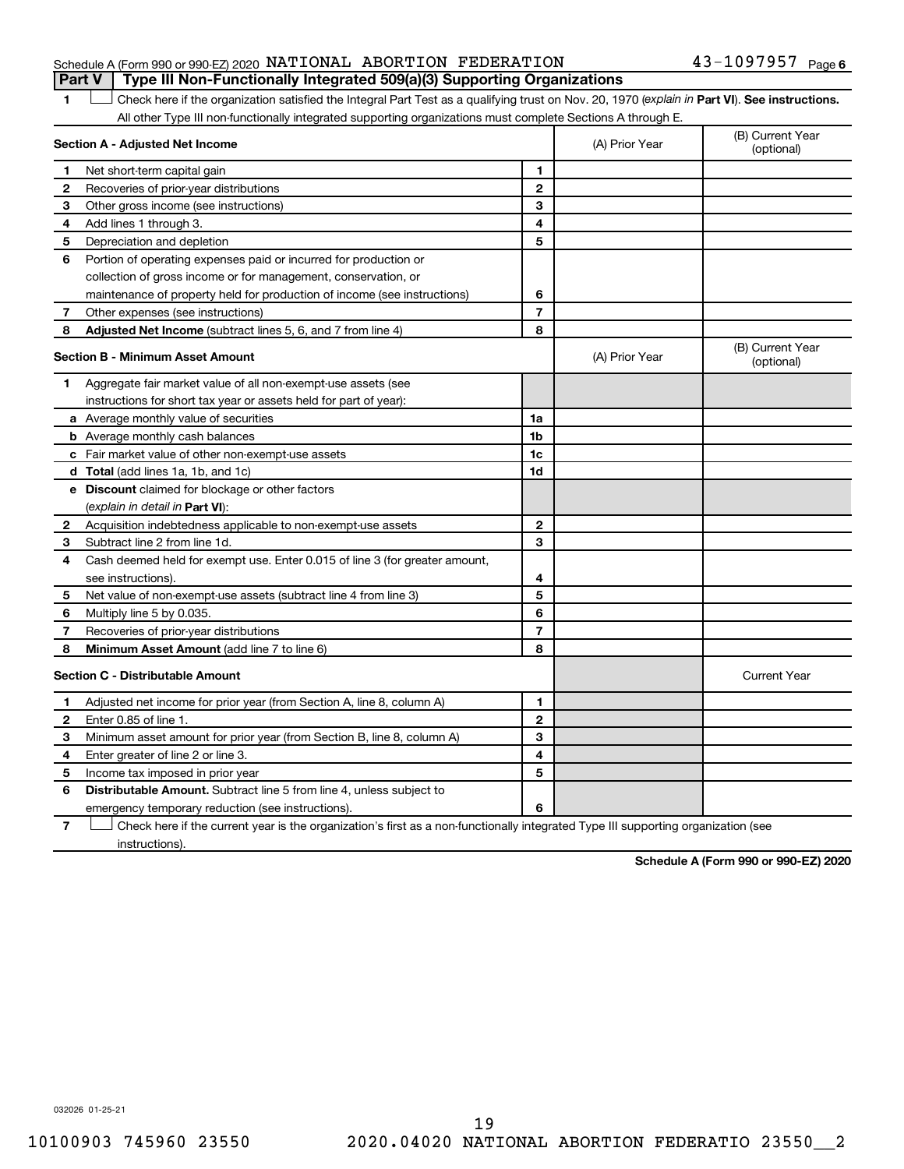## Schedule A (Form 990 or 990-EZ) 2020  $\,$  <code>NATIONAL ABORTION</code>  $\,$  <code>FEDERATION</code>  $\,$  <code>43–1097957</code>  $\,$  <code>Page</code> **Part V Type III Non-Functionally Integrated 509(a)(3) Supporting Organizations**

1 **Letter See instructions.** Check here if the organization satisfied the Integral Part Test as a qualifying trust on Nov. 20, 1970 (*explain in* Part **VI**). See instructions. All other Type III non-functionally integrated supporting organizations must complete Sections A through E.

| Section A - Adjusted Net Income |                                                                                                                                   |                | (A) Prior Year | (B) Current Year<br>(optional) |
|---------------------------------|-----------------------------------------------------------------------------------------------------------------------------------|----------------|----------------|--------------------------------|
| 1                               | Net short-term capital gain                                                                                                       | 1              |                |                                |
| 2                               | Recoveries of prior-year distributions                                                                                            | $\overline{2}$ |                |                                |
| 3                               | Other gross income (see instructions)                                                                                             | 3              |                |                                |
| 4                               | Add lines 1 through 3.                                                                                                            | 4              |                |                                |
| 5                               | Depreciation and depletion                                                                                                        | 5              |                |                                |
| 6                               | Portion of operating expenses paid or incurred for production or                                                                  |                |                |                                |
|                                 | collection of gross income or for management, conservation, or                                                                    |                |                |                                |
|                                 | maintenance of property held for production of income (see instructions)                                                          | 6              |                |                                |
| 7                               | Other expenses (see instructions)                                                                                                 | $\overline{7}$ |                |                                |
| 8                               | Adjusted Net Income (subtract lines 5, 6, and 7 from line 4)                                                                      | 8              |                |                                |
|                                 | <b>Section B - Minimum Asset Amount</b>                                                                                           |                | (A) Prior Year | (B) Current Year<br>(optional) |
| 1                               | Aggregate fair market value of all non-exempt-use assets (see                                                                     |                |                |                                |
|                                 | instructions for short tax year or assets held for part of year):                                                                 |                |                |                                |
|                                 | <b>a</b> Average monthly value of securities                                                                                      | 1a             |                |                                |
|                                 | <b>b</b> Average monthly cash balances                                                                                            | 1 <sub>b</sub> |                |                                |
|                                 | c Fair market value of other non-exempt-use assets                                                                                | 1c             |                |                                |
|                                 | <b>d</b> Total (add lines 1a, 1b, and 1c)                                                                                         | 1d             |                |                                |
|                                 | e Discount claimed for blockage or other factors                                                                                  |                |                |                                |
|                                 | (explain in detail in Part VI):                                                                                                   |                |                |                                |
| 2                               | Acquisition indebtedness applicable to non-exempt-use assets                                                                      | 2              |                |                                |
| 3                               | Subtract line 2 from line 1d.                                                                                                     | 3              |                |                                |
| 4                               | Cash deemed held for exempt use. Enter 0.015 of line 3 (for greater amount,                                                       |                |                |                                |
|                                 | see instructions).                                                                                                                | 4              |                |                                |
| 5                               | Net value of non-exempt-use assets (subtract line 4 from line 3)                                                                  | 5              |                |                                |
| 6                               | Multiply line 5 by 0.035.                                                                                                         | 6              |                |                                |
| 7                               | Recoveries of prior-year distributions                                                                                            | $\overline{7}$ |                |                                |
| 8                               | Minimum Asset Amount (add line 7 to line 6)                                                                                       | 8              |                |                                |
|                                 | <b>Section C - Distributable Amount</b>                                                                                           |                |                | <b>Current Year</b>            |
| 1                               | Adjusted net income for prior year (from Section A, line 8, column A)                                                             | $\mathbf{1}$   |                |                                |
| 2                               | Enter 0.85 of line 1.                                                                                                             | $\mathbf{2}$   |                |                                |
| з                               | Minimum asset amount for prior year (from Section B, line 8, column A)                                                            | 3              |                |                                |
| 4                               | Enter greater of line 2 or line 3.                                                                                                | 4              |                |                                |
| 5                               | Income tax imposed in prior year                                                                                                  | 5              |                |                                |
| 6                               | <b>Distributable Amount.</b> Subtract line 5 from line 4, unless subject to                                                       |                |                |                                |
|                                 | emergency temporary reduction (see instructions).                                                                                 | 6              |                |                                |
| 7                               | Check here if the current year is the organization's first as a non-functionally integrated Type III supporting organization (see |                |                |                                |

instructions).

**Schedule A (Form 990 or 990-EZ) 2020**

032026 01-25-21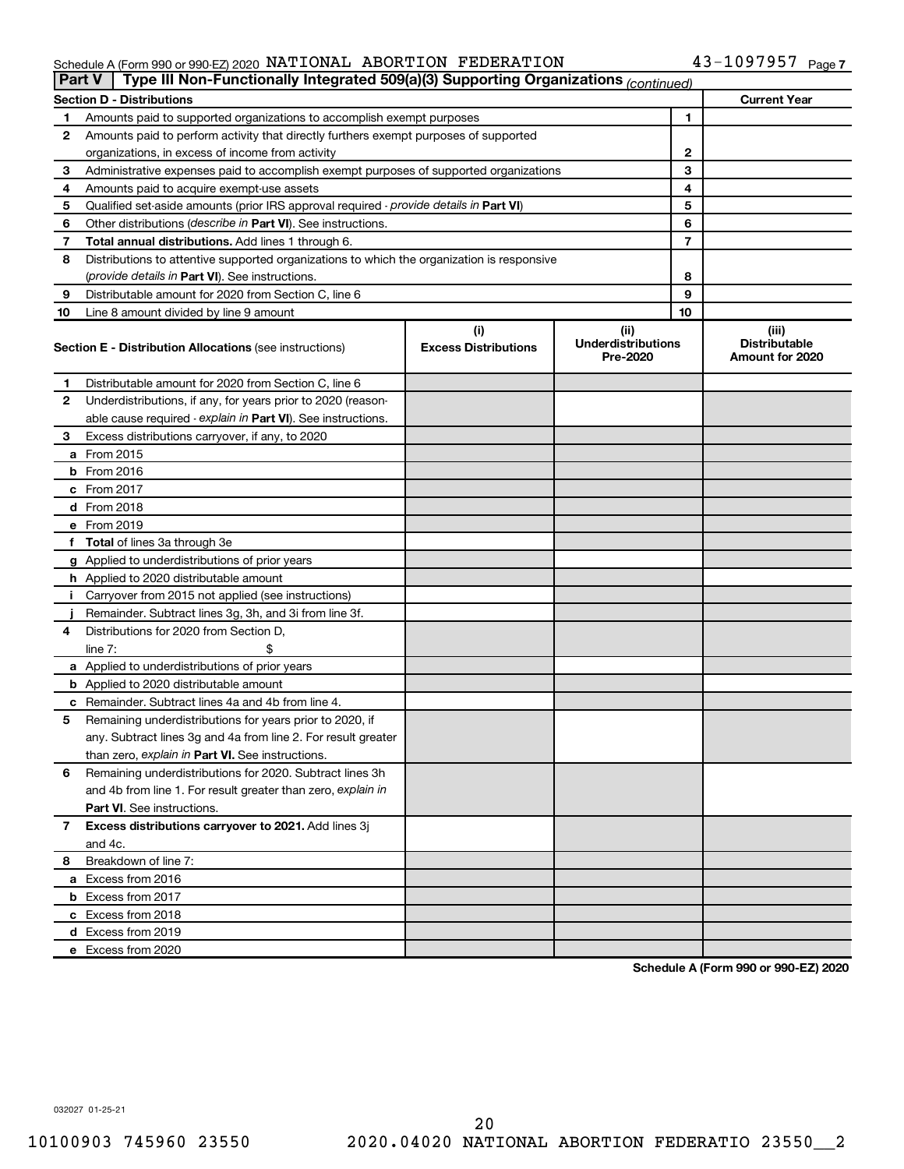#### Schedule A (Form 990 or 990-EZ) 2020 NATIONAL ABORTION FEDERATION NEWSLA 43-1097957 Page NATIONAL ABORTION FEDERATION 43-1097957

|    | Type III Non-Functionally Integrated 509(a)(3) Supporting Organizations (continued)<br>Part V                                                         |  |  |    |                                                  |
|----|-------------------------------------------------------------------------------------------------------------------------------------------------------|--|--|----|--------------------------------------------------|
|    | <b>Section D - Distributions</b>                                                                                                                      |  |  |    | <b>Current Year</b>                              |
| 1  | Amounts paid to supported organizations to accomplish exempt purposes                                                                                 |  |  | 1  |                                                  |
| 2  | Amounts paid to perform activity that directly furthers exempt purposes of supported                                                                  |  |  |    |                                                  |
|    | organizations, in excess of income from activity                                                                                                      |  |  | 2  |                                                  |
| 3  | Administrative expenses paid to accomplish exempt purposes of supported organizations                                                                 |  |  | 3  |                                                  |
| 4  | Amounts paid to acquire exempt-use assets                                                                                                             |  |  | 4  |                                                  |
| 5  | Qualified set-aside amounts (prior IRS approval required - provide details in Part VI)                                                                |  |  | 5  |                                                  |
| 6  | Other distributions (describe in Part VI). See instructions.                                                                                          |  |  | 6  |                                                  |
| 7  | Total annual distributions. Add lines 1 through 6.                                                                                                    |  |  | 7  |                                                  |
| 8  | Distributions to attentive supported organizations to which the organization is responsive                                                            |  |  |    |                                                  |
|    | ( <i>provide details in Part VI</i> ). See instructions.                                                                                              |  |  | 8  |                                                  |
| 9  | Distributable amount for 2020 from Section C, line 6                                                                                                  |  |  | 9  |                                                  |
| 10 | Line 8 amount divided by line 9 amount                                                                                                                |  |  | 10 |                                                  |
|    | (i)<br>(ii)<br><b>Underdistributions</b><br><b>Excess Distributions</b><br><b>Section E - Distribution Allocations (see instructions)</b><br>Pre-2020 |  |  |    | (iii)<br><b>Distributable</b><br>Amount for 2020 |
| 1  | Distributable amount for 2020 from Section C, line 6                                                                                                  |  |  |    |                                                  |
| 2  | Underdistributions, if any, for years prior to 2020 (reason-                                                                                          |  |  |    |                                                  |
|    | able cause required - explain in Part VI). See instructions.                                                                                          |  |  |    |                                                  |
| З  | Excess distributions carryover, if any, to 2020                                                                                                       |  |  |    |                                                  |
|    | a From 2015                                                                                                                                           |  |  |    |                                                  |
|    | $b$ From 2016                                                                                                                                         |  |  |    |                                                  |
|    | c From 2017                                                                                                                                           |  |  |    |                                                  |
|    | <b>d</b> From 2018                                                                                                                                    |  |  |    |                                                  |
|    | e From 2019                                                                                                                                           |  |  |    |                                                  |
|    | f Total of lines 3a through 3e                                                                                                                        |  |  |    |                                                  |
|    | g Applied to underdistributions of prior years                                                                                                        |  |  |    |                                                  |
|    | <b>h</b> Applied to 2020 distributable amount                                                                                                         |  |  |    |                                                  |
| Ť. | Carryover from 2015 not applied (see instructions)                                                                                                    |  |  |    |                                                  |
|    | Remainder. Subtract lines 3g, 3h, and 3i from line 3f.                                                                                                |  |  |    |                                                  |
| 4  | Distributions for 2020 from Section D,                                                                                                                |  |  |    |                                                  |
|    | line 7:                                                                                                                                               |  |  |    |                                                  |
|    | a Applied to underdistributions of prior years                                                                                                        |  |  |    |                                                  |
|    | <b>b</b> Applied to 2020 distributable amount                                                                                                         |  |  |    |                                                  |
|    | c Remainder. Subtract lines 4a and 4b from line 4.                                                                                                    |  |  |    |                                                  |
| 5  | Remaining underdistributions for years prior to 2020, if                                                                                              |  |  |    |                                                  |
|    | any. Subtract lines 3g and 4a from line 2. For result greater                                                                                         |  |  |    |                                                  |
|    | than zero, explain in Part VI. See instructions.                                                                                                      |  |  |    |                                                  |
| 6  | Remaining underdistributions for 2020. Subtract lines 3h                                                                                              |  |  |    |                                                  |
|    | and 4b from line 1. For result greater than zero, explain in                                                                                          |  |  |    |                                                  |
|    | <b>Part VI.</b> See instructions.                                                                                                                     |  |  |    |                                                  |
| 7  | Excess distributions carryover to 2021. Add lines 3j                                                                                                  |  |  |    |                                                  |
|    | and 4c.                                                                                                                                               |  |  |    |                                                  |
| 8  | Breakdown of line 7:                                                                                                                                  |  |  |    |                                                  |
|    | a Excess from 2016                                                                                                                                    |  |  |    |                                                  |
|    | <b>b</b> Excess from 2017                                                                                                                             |  |  |    |                                                  |
|    | c Excess from 2018                                                                                                                                    |  |  |    |                                                  |
|    | d Excess from 2019                                                                                                                                    |  |  |    |                                                  |
|    | e Excess from 2020                                                                                                                                    |  |  |    |                                                  |

**Schedule A (Form 990 or 990-EZ) 2020**

032027 01-25-21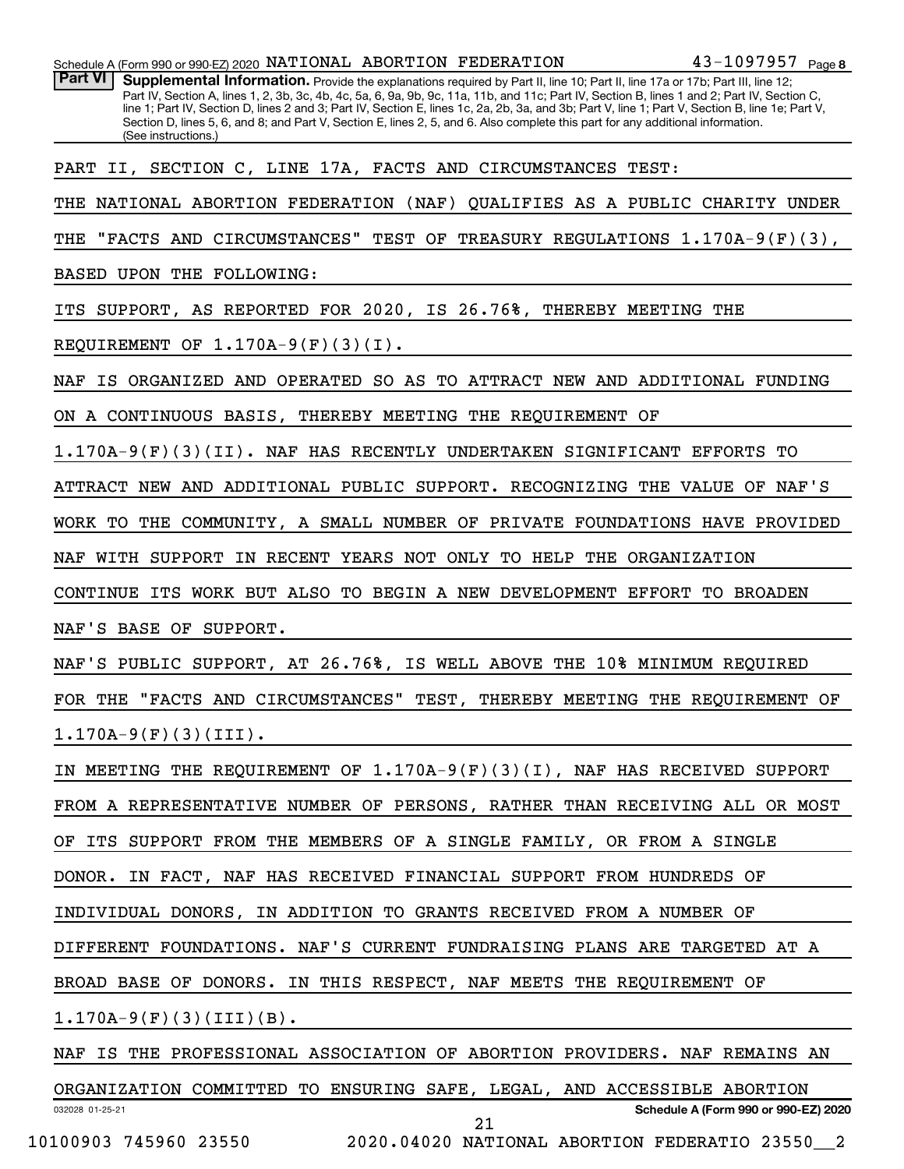| Schedule A (Form 990 or 990-EZ) 2020 NATIONAL ABORTION FEDERATION                                                                                                                                                                                                                                                                                                                                                                                                                                                                                                                                             | 43-1097957 Page 8 |  |  |  |
|---------------------------------------------------------------------------------------------------------------------------------------------------------------------------------------------------------------------------------------------------------------------------------------------------------------------------------------------------------------------------------------------------------------------------------------------------------------------------------------------------------------------------------------------------------------------------------------------------------------|-------------------|--|--|--|
| <b>Part VI</b><br>Supplemental Information. Provide the explanations required by Part II, line 10; Part II, line 17a or 17b; Part III, line 12;<br>Part IV, Section A, lines 1, 2, 3b, 3c, 4b, 4c, 5a, 6, 9a, 9b, 9c, 11a, 11b, and 11c; Part IV, Section B, lines 1 and 2; Part IV, Section C,<br>line 1; Part IV, Section D, lines 2 and 3; Part IV, Section E, lines 1c, 2a, 2b, 3a, and 3b; Part V, line 1; Part V, Section B, line 1e; Part V,<br>Section D, lines 5, 6, and 8; and Part V, Section E, lines 2, 5, and 6. Also complete this part for any additional information.<br>(See instructions.) |                   |  |  |  |
| PART II, SECTION C, LINE 17A, FACTS AND CIRCUMSTANCES TEST:                                                                                                                                                                                                                                                                                                                                                                                                                                                                                                                                                   |                   |  |  |  |
| NATIONAL ABORTION FEDERATION (NAF)<br>QUALIFIES AS A PUBLIC CHARITY UNDER<br>THE                                                                                                                                                                                                                                                                                                                                                                                                                                                                                                                              |                   |  |  |  |
| "FACTS AND CIRCUMSTANCES" TEST OF TREASURY REGULATIONS 1.170A-9(F)(3),<br>THE                                                                                                                                                                                                                                                                                                                                                                                                                                                                                                                                 |                   |  |  |  |
| BASED UPON THE FOLLOWING:                                                                                                                                                                                                                                                                                                                                                                                                                                                                                                                                                                                     |                   |  |  |  |
| SUPPORT, AS REPORTED FOR 2020, IS 26.76%, THEREBY MEETING THE<br>ITS                                                                                                                                                                                                                                                                                                                                                                                                                                                                                                                                          |                   |  |  |  |
| REQUIREMENT OF $1.170A-9(F)(3)(I)$ .                                                                                                                                                                                                                                                                                                                                                                                                                                                                                                                                                                          |                   |  |  |  |
| IS ORGANIZED AND OPERATED SO AS TO ATTRACT NEW AND ADDITIONAL FUNDING<br>NAF                                                                                                                                                                                                                                                                                                                                                                                                                                                                                                                                  |                   |  |  |  |
| ON A CONTINUOUS BASIS, THEREBY MEETING THE REQUIREMENT OF                                                                                                                                                                                                                                                                                                                                                                                                                                                                                                                                                     |                   |  |  |  |
| $1.170A-9(F)(3)(II)$ . NAF HAS RECENTLY UNDERTAKEN SIGNIFICANT EFFORTS                                                                                                                                                                                                                                                                                                                                                                                                                                                                                                                                        | TО                |  |  |  |
| ATTRACT NEW AND ADDITIONAL PUBLIC SUPPORT. RECOGNIZING THE VALUE OF NAF'S                                                                                                                                                                                                                                                                                                                                                                                                                                                                                                                                     |                   |  |  |  |
| WORK TO THE COMMUNITY, A SMALL NUMBER OF PRIVATE FOUNDATIONS HAVE PROVIDED                                                                                                                                                                                                                                                                                                                                                                                                                                                                                                                                    |                   |  |  |  |
| WITH SUPPORT<br>IN RECENT YEARS NOT ONLY TO HELP<br>THE ORGANIZATION<br>NAF                                                                                                                                                                                                                                                                                                                                                                                                                                                                                                                                   |                   |  |  |  |
| CONTINUE ITS WORK BUT ALSO TO BEGIN A NEW DEVELOPMENT EFFORT                                                                                                                                                                                                                                                                                                                                                                                                                                                                                                                                                  | <b>TO BROADEN</b> |  |  |  |
| NAF'S BASE OF SUPPORT.                                                                                                                                                                                                                                                                                                                                                                                                                                                                                                                                                                                        |                   |  |  |  |
| NAF'S PUBLIC SUPPORT, AT 26.76%, IS WELL ABOVE THE 10% MINIMUM REQUIRED                                                                                                                                                                                                                                                                                                                                                                                                                                                                                                                                       |                   |  |  |  |
| "FACTS AND CIRCUMSTANCES" TEST, THEREBY MEETING THE REQUIREMENT OF<br>FOR THE                                                                                                                                                                                                                                                                                                                                                                                                                                                                                                                                 |                   |  |  |  |
| $1.170A-9(F)(3)(III)$ .                                                                                                                                                                                                                                                                                                                                                                                                                                                                                                                                                                                       |                   |  |  |  |
| IN MEETING THE REQUIREMENT OF $1.170A-9(F)(3)(I)$ , NAF HAS RECEIVED SUPPORT                                                                                                                                                                                                                                                                                                                                                                                                                                                                                                                                  |                   |  |  |  |
| FROM A REPRESENTATIVE NUMBER OF PERSONS, RATHER THAN RECEIVING ALL OR MOST                                                                                                                                                                                                                                                                                                                                                                                                                                                                                                                                    |                   |  |  |  |
| OF ITS SUPPORT FROM THE MEMBERS OF A SINGLE FAMILY, OR FROM A SINGLE                                                                                                                                                                                                                                                                                                                                                                                                                                                                                                                                          |                   |  |  |  |
| DONOR. IN FACT, NAF HAS RECEIVED FINANCIAL SUPPORT FROM HUNDREDS OF                                                                                                                                                                                                                                                                                                                                                                                                                                                                                                                                           |                   |  |  |  |
| INDIVIDUAL DONORS, IN ADDITION TO GRANTS RECEIVED FROM A NUMBER OF                                                                                                                                                                                                                                                                                                                                                                                                                                                                                                                                            |                   |  |  |  |
| DIFFERENT FOUNDATIONS. NAF'S CURRENT FUNDRAISING PLANS ARE TARGETED AT A                                                                                                                                                                                                                                                                                                                                                                                                                                                                                                                                      |                   |  |  |  |
| BROAD BASE OF DONORS. IN THIS RESPECT, NAF MEETS THE REQUIREMENT OF                                                                                                                                                                                                                                                                                                                                                                                                                                                                                                                                           |                   |  |  |  |
| $1.170A-9(F)(3)(III)(B).$                                                                                                                                                                                                                                                                                                                                                                                                                                                                                                                                                                                     |                   |  |  |  |
| NAF IS THE PROFESSIONAL ASSOCIATION OF ABORTION PROVIDERS. NAF REMAINS AN                                                                                                                                                                                                                                                                                                                                                                                                                                                                                                                                     |                   |  |  |  |
| ORGANIZATION COMMITTED TO ENSURING SAFE, LEGAL, AND ACCESSIBLE ABORTION                                                                                                                                                                                                                                                                                                                                                                                                                                                                                                                                       |                   |  |  |  |

032028 01-25-21

10100903 745960 23550 2020.04020 NATIONAL ABORTION FEDERATIO 23550\_\_2 21

**Schedule A (Form 990 or 990-EZ) 2020**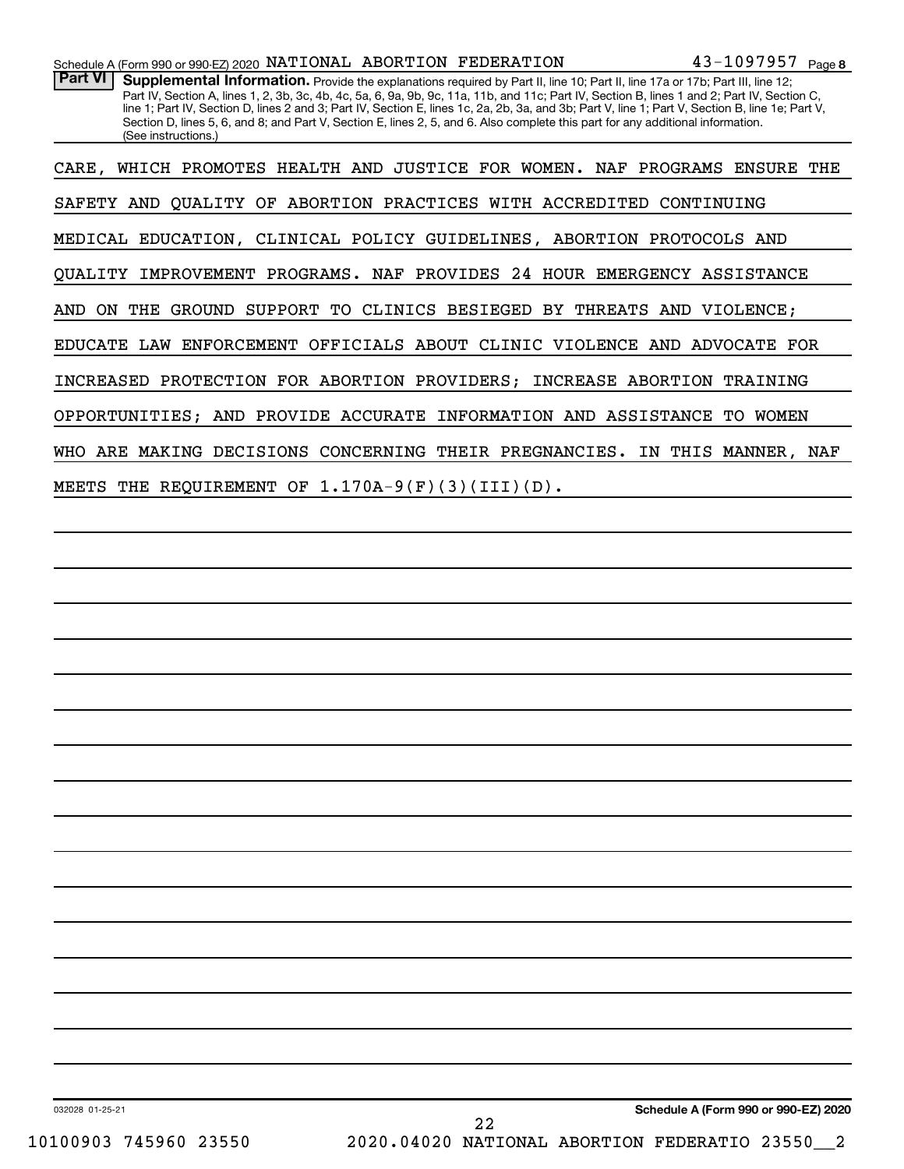CARE, WHICH PROMOTES HEALTH AND JUSTICE FOR WOMEN. NAF PROGRAMS ENSURE THE SAFETY AND QUALITY OF ABORTION PRACTICES WITH ACCREDITED CONTINUING MEDICAL EDUCATION, CLINICAL POLICY GUIDELINES, ABORTION PROTOCOLS AND QUALITY IMPROVEMENT PROGRAMS. NAF PROVIDES 24 HOUR EMERGENCY ASSISTANCE AND ON THE GROUND SUPPORT TO CLINICS BESIEGED BY THREATS AND VIOLENCE; EDUCATE LAW ENFORCEMENT OFFICIALS ABOUT CLINIC VIOLENCE AND ADVOCATE FOR INCREASED PROTECTION FOR ABORTION PROVIDERS; INCREASE ABORTION TRAINING OPPORTUNITIES; AND PROVIDE ACCURATE INFORMATION AND ASSISTANCE TO WOMEN WHO ARE MAKING DECISIONS CONCERNING THEIR PREGNANCIES. IN THIS MANNER, NAF MEETS THE REQUIREMENT OF 1.170A-9(F)(3)(III)(D).

032028 01-25-21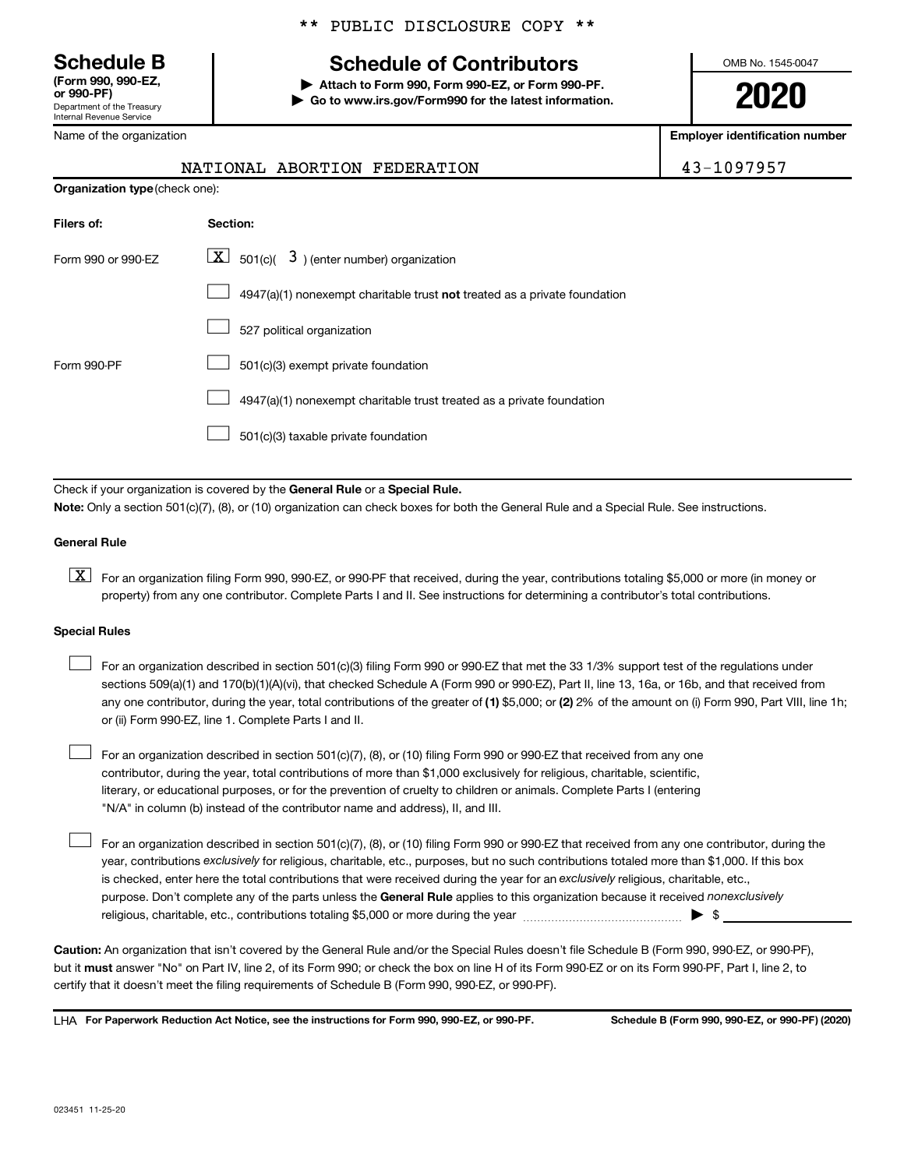**(Form 990, 990-EZ,**

Department of the Treasury Internal Revenue Service

Name of the organization

## **Schedule B Schedule of Contributors**

**or 990-PF) | Attach to Form 990, Form 990-EZ, or Form 990-PF. | Go to www.irs.gov/Form990 for the latest information.** OMB No. 1545-0047

**2020**

**Employer identification number**

| NATIONAL ABORTION FEDERATION | 43-1097957 |
|------------------------------|------------|
|------------------------------|------------|

| <b>Organization type (check one):</b> |                                                                           |  |  |
|---------------------------------------|---------------------------------------------------------------------------|--|--|
| Filers of:                            | Section:                                                                  |  |  |
| Form 990 or 990-EZ                    | $\lfloor x \rfloor$ 501(c)( 3) (enter number) organization                |  |  |
|                                       | 4947(a)(1) nonexempt charitable trust not treated as a private foundation |  |  |
|                                       | 527 political organization                                                |  |  |
| Form 990-PF                           | 501(c)(3) exempt private foundation                                       |  |  |
|                                       | 4947(a)(1) nonexempt charitable trust treated as a private foundation     |  |  |
|                                       | 501(c)(3) taxable private foundation                                      |  |  |

Check if your organization is covered by the General Rule or a Special Rule.

**Note:**  Only a section 501(c)(7), (8), or (10) organization can check boxes for both the General Rule and a Special Rule. See instructions.

## **General Rule**

**K** For an organization filing Form 990, 990-EZ, or 990-PF that received, during the year, contributions totaling \$5,000 or more (in money or property) from any one contributor. Complete Parts I and II. See instructions for determining a contributor's total contributions.

## **Special Rules**

 $\Box$ 

any one contributor, during the year, total contributions of the greater of (1) \$5,000; or (2) 2% of the amount on (i) Form 990, Part VIII, line 1h; For an organization described in section 501(c)(3) filing Form 990 or 990-EZ that met the 33 1/3% support test of the regulations under sections 509(a)(1) and 170(b)(1)(A)(vi), that checked Schedule A (Form 990 or 990-EZ), Part II, line 13, 16a, or 16b, and that received from or (ii) Form 990-EZ, line 1. Complete Parts I and II.  $\Box$ 

For an organization described in section 501(c)(7), (8), or (10) filing Form 990 or 990-EZ that received from any one contributor, during the year, total contributions of more than \$1,000 exclusively for religious, charitable, scientific, literary, or educational purposes, or for the prevention of cruelty to children or animals. Complete Parts I (entering "N/A" in column (b) instead of the contributor name and address), II, and III.  $\Box$ 

purpose. Don't complete any of the parts unless the General Rule applies to this organization because it received nonexclusively year, contributions exclusively for religious, charitable, etc., purposes, but no such contributions totaled more than \$1,000. If this box is checked, enter here the total contributions that were received during the year for an exclusively religious, charitable, etc., For an organization described in section 501(c)(7), (8), or (10) filing Form 990 or 990-EZ that received from any one contributor, during the religious, charitable, etc., contributions totaling \$5,000 or more during the year  $~\ldots\ldots\ldots\ldots\ldots\ldots\ldots\ldots\blacktriangleright~$ \$

**Caution:**  An organization that isn't covered by the General Rule and/or the Special Rules doesn't file Schedule B (Form 990, 990-EZ, or 990-PF),  **must** but it answer "No" on Part IV, line 2, of its Form 990; or check the box on line H of its Form 990-EZ or on its Form 990-PF, Part I, line 2, to certify that it doesn't meet the filing requirements of Schedule B (Form 990, 990-EZ, or 990-PF).

**For Paperwork Reduction Act Notice, see the instructions for Form 990, 990-EZ, or 990-PF. Schedule B (Form 990, 990-EZ, or 990-PF) (2020)** LHA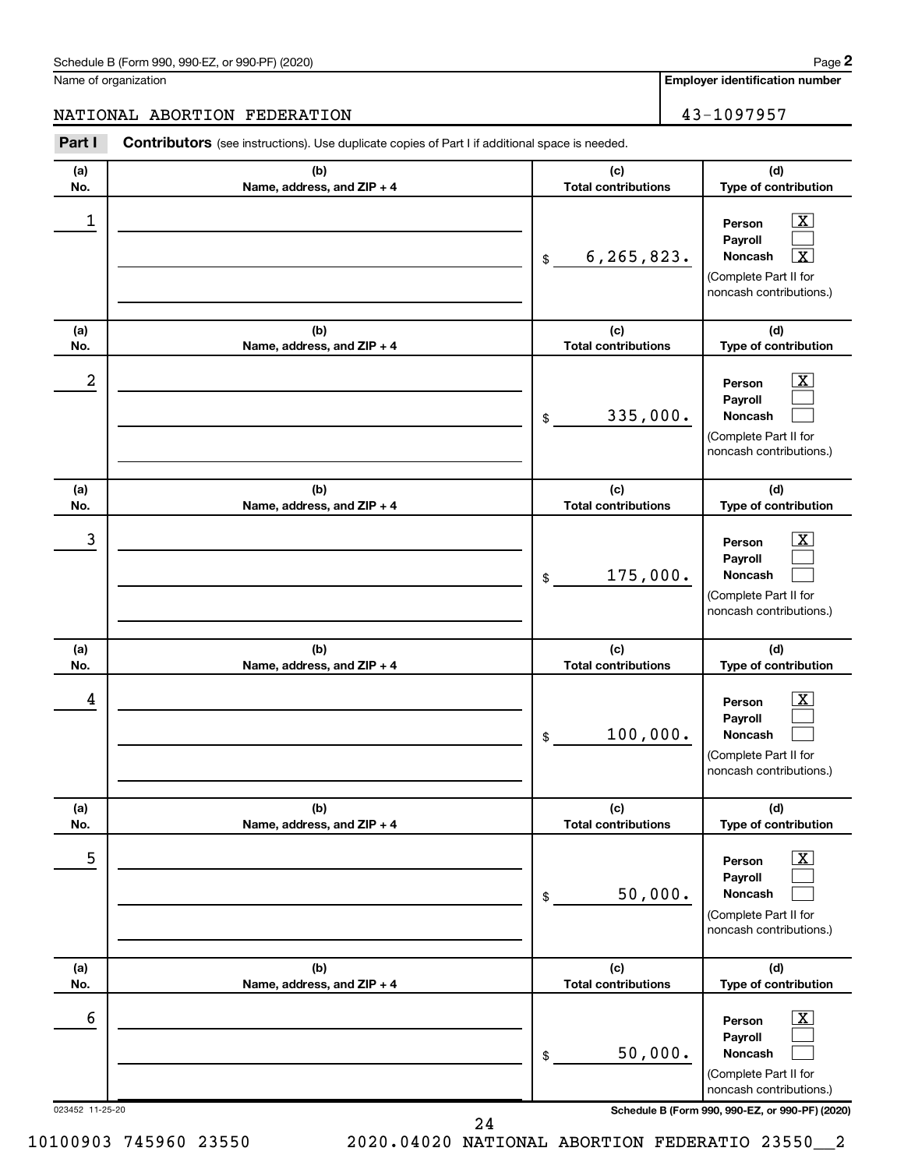Name of organization

**Employer identification number**

## NATIONAL ABORTION FEDERATION 43-1097957

023452 11-25-20 **Schedule B (Form 990, 990-EZ, or 990-PF) (2020) (a) No. (b) Name, address, and ZIP + 4 (c) Total contributions (d) Type of contribution Person Payroll Noncash (a) No. (b) Name, address, and ZIP + 4 (c) Total contributions (d) Type of contribution Person Payroll Noncash (a) No. (b) Name, address, and ZIP + 4 (c) Total contributions (d) Type of contribution Person Payroll Noncash (a) No. (b) Name, address, and ZIP + 4 (c) Total contributions (d) Type of contribution Person Payroll Noncash (a) No. (b) Name, address, and ZIP + 4 (c) Total contributions (d) Type of contribution Person Payroll Noncash (a) No. (b) Name, address, and ZIP + 4 (c) Total contributions (d) Type of contribution Person Payroll Noncash Part I** Contributors (see instructions). Use duplicate copies of Part I if additional space is needed. \$ (Complete Part II for noncash contributions.) \$ (Complete Part II for noncash contributions.) \$ (Complete Part II for noncash contributions.) \$ (Complete Part II for noncash contributions.) \$ (Complete Part II for noncash contributions.) \$ (Complete Part II for noncash contributions.)  $\lfloor x \rfloor$  $\Box$  $\lceil \text{X} \rceil$  $\overline{\mathbf{X}}$  $\Box$  $\Box$  $\boxed{\textbf{X}}$  $\Box$  $\Box$  $\boxed{\text{X}}$  $\Box$  $\Box$  $\boxed{\text{X}}$  $\Box$  $\Box$  $\boxed{\text{X}}$  $\Box$  $\Box$  $\begin{array}{|c|c|c|c|c|}\hline \ \text{1} & \text{Person} & \text{X} \ \hline \end{array}$  $6,265,823.$  $2$  Person  $\overline{\text{X}}$ 335,000.  $\begin{array}{|c|c|c|c|c|c|}\hline \text{3} & \text{Person} & \text{X} \ \hline \end{array}$ 175,000.  $\begin{array}{|c|c|c|c|c|}\hline \text{4} & \text{Person} & \text{\textbf{X}}\ \hline \end{array}$ 100,000. 5 X 50,000.  $\overline{6}$  Person  $\overline{X}$ 50,000.

24

**2**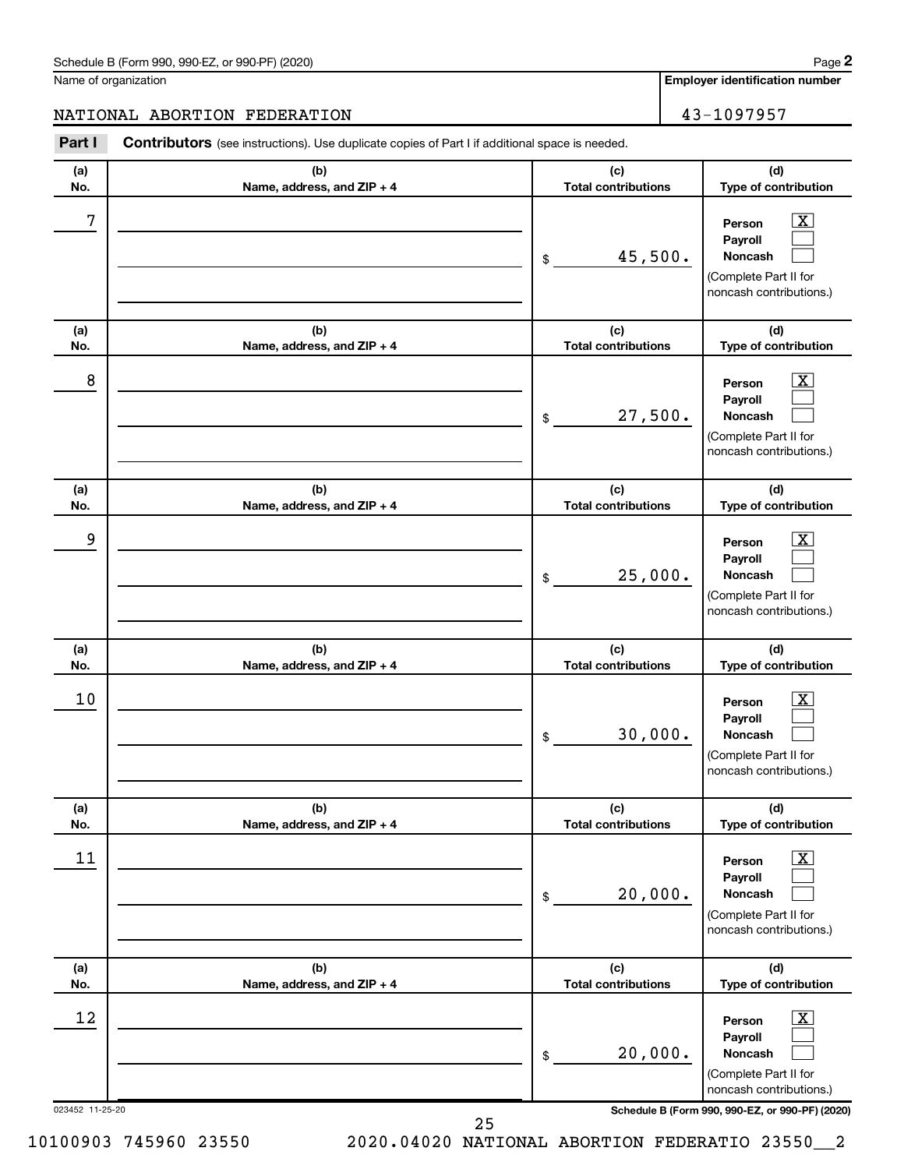Name of organization

**Employer identification number**

## NATIONAL ABORTION FEDERATION 43-1097957

023452 11-25-20 **Schedule B (Form 990, 990-EZ, or 990-PF) (2020) (a) No. (b) Name, address, and ZIP + 4 (c) Total contributions (d) Type of contribution Person Payroll Noncash (a) No. (b) Name, address, and ZIP + 4 (c) Total contributions (d) Type of contribution Person Payroll Noncash (a) No. (b) Name, address, and ZIP + 4 (c) Total contributions (d) Type of contribution Person Payroll Noncash (a) No. (b) Name, address, and ZIP + 4 (c) Total contributions (d) Type of contribution Person Payroll Noncash (a) No. (b) Name, address, and ZIP + 4 (c) Total contributions (d) Type of contribution Person Payroll Noncash (a) No. (b) Name, address, and ZIP + 4 (c) Total contributions (d) Type of contribution Person Payroll Noncash Part I** Contributors (see instructions). Use duplicate copies of Part I if additional space is needed. \$ (Complete Part II for noncash contributions.) \$ (Complete Part II for noncash contributions.) \$ (Complete Part II for noncash contributions.) \$ (Complete Part II for noncash contributions.) \$ (Complete Part II for noncash contributions.) \$ (Complete Part II for noncash contributions.)  $\lfloor x \rfloor$  $\Box$  $\Box$  $\boxed{\textbf{X}}$  $\Box$  $\Box$  $\boxed{\textbf{X}}$  $\Box$  $\Box$  $\boxed{\text{X}}$  $\Box$  $\Box$  $\boxed{\text{X}}$  $\Box$  $\Box$  $\boxed{\text{X}}$  $\Box$  $\Box$  $7$   $|$  Person  $\overline{\text{X}}$ 45,500.  $8$  Person  $\overline{\text{X}}$ 27,500. 9 X 25,000.  $10$  Person  $\overline{\text{X}}$ 30,000.  $\begin{array}{|c|c|c|c|c|}\hline \text{11} & \text{Person} & \text{X} \\\hline \end{array}$ 20,000.  $\begin{array}{|c|c|c|c|c|}\hline \text{12} & \text{Person} & \text{X} \\\hline \end{array}$ 20,000.

25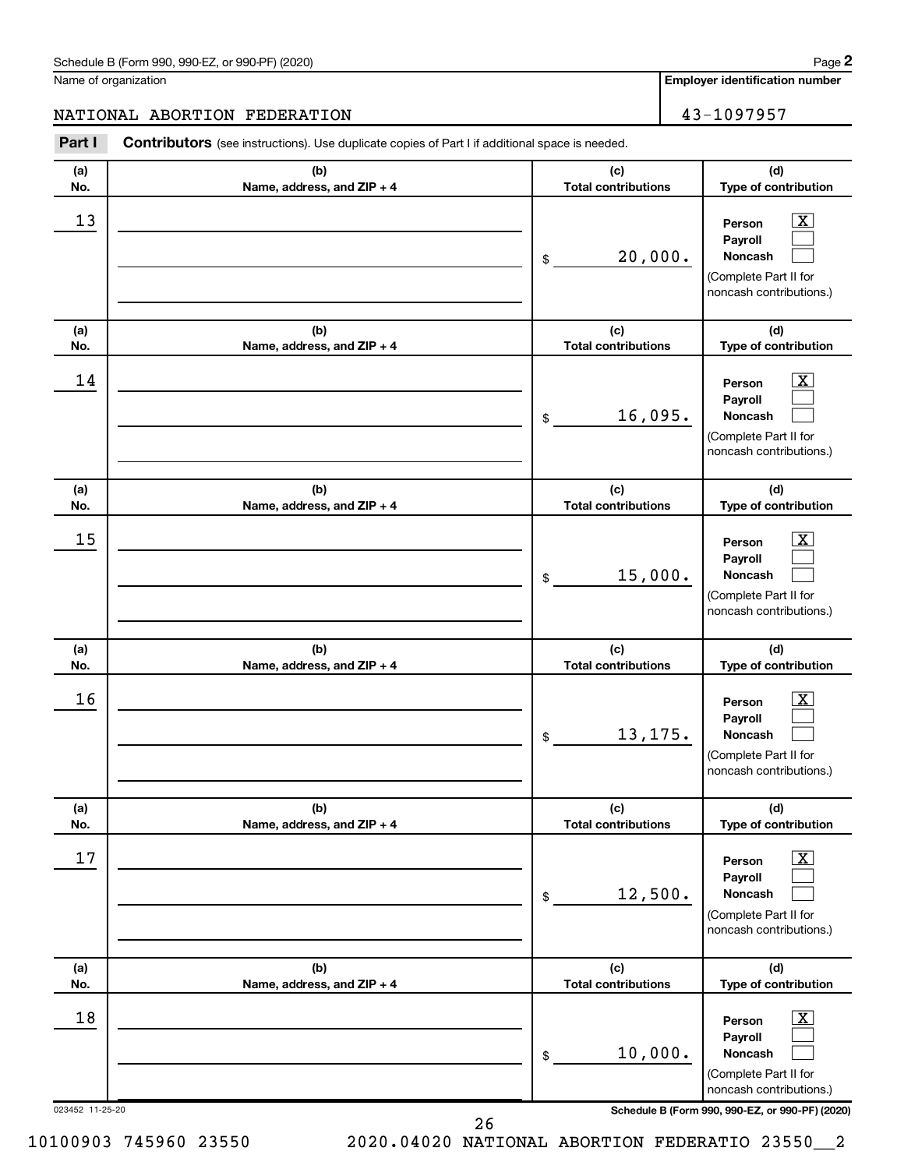Name of organization

**Employer identification number**

## NATIONAL ABORTION FEDERATION 43-1097957

| Part I          | <b>Contributors</b> (see instructions). Use duplicate copies of Part I if additional space is needed. |                                   |                                                                                                                 |
|-----------------|-------------------------------------------------------------------------------------------------------|-----------------------------------|-----------------------------------------------------------------------------------------------------------------|
| (a)<br>No.      | (b)<br>Name, address, and ZIP + 4                                                                     | (c)<br><b>Total contributions</b> | (d)<br>Type of contribution                                                                                     |
| 13              |                                                                                                       | 20,000.<br>\$                     | $\mathbf{X}$<br>Person<br>Payroll<br>Noncash<br>(Complete Part II for<br>noncash contributions.)                |
| (a)<br>No.      | (b)<br>Name, address, and ZIP + 4                                                                     | (c)<br><b>Total contributions</b> | (d)<br>Type of contribution                                                                                     |
| 14              |                                                                                                       | 16,095.<br>\$                     | $\boxed{\mathbf{X}}$<br>Person<br>Payroll<br>Noncash<br>(Complete Part II for<br>noncash contributions.)        |
| (a)<br>No.      | (b)<br>Name, address, and ZIP + 4                                                                     | (c)<br><b>Total contributions</b> | (d)<br>Type of contribution                                                                                     |
| 15              |                                                                                                       | 15,000.<br>\$                     | $\mathbf{X}$<br>Person<br>Payroll<br>Noncash<br>(Complete Part II for<br>noncash contributions.)                |
| (a)<br>No.      | (b)<br>Name, address, and ZIP + 4                                                                     | (c)<br><b>Total contributions</b> | (d)<br>Type of contribution                                                                                     |
| 16              |                                                                                                       | 13,175.<br>\$                     | $\mathbf{X}$<br>Person<br>Payroll<br>Noncash<br>(Complete Part II for<br>noncash contributions.)                |
| (a)<br>No.      | (b)<br>Name, address, and ZIP + 4                                                                     | (c)<br><b>Total contributions</b> | (d)<br>Type of contribution                                                                                     |
| 17              |                                                                                                       | 12,500.<br>\$                     | $\boxed{\textbf{X}}$<br>Person<br>Payroll<br><b>Noncash</b><br>(Complete Part II for<br>noncash contributions.) |
| (a)<br>No.      | (b)<br>Name, address, and ZIP + 4                                                                     | (c)<br><b>Total contributions</b> | (d)<br>Type of contribution                                                                                     |
| 18              |                                                                                                       | 10,000.<br>\$                     | $\boxed{\mathbf{X}}$<br>Person<br>Payroll<br><b>Noncash</b><br>(Complete Part II for<br>noncash contributions.) |
| 023452 11-25-20 |                                                                                                       |                                   | Schedule B (Form 990, 990-EZ, or 990-PF) (2020)                                                                 |

26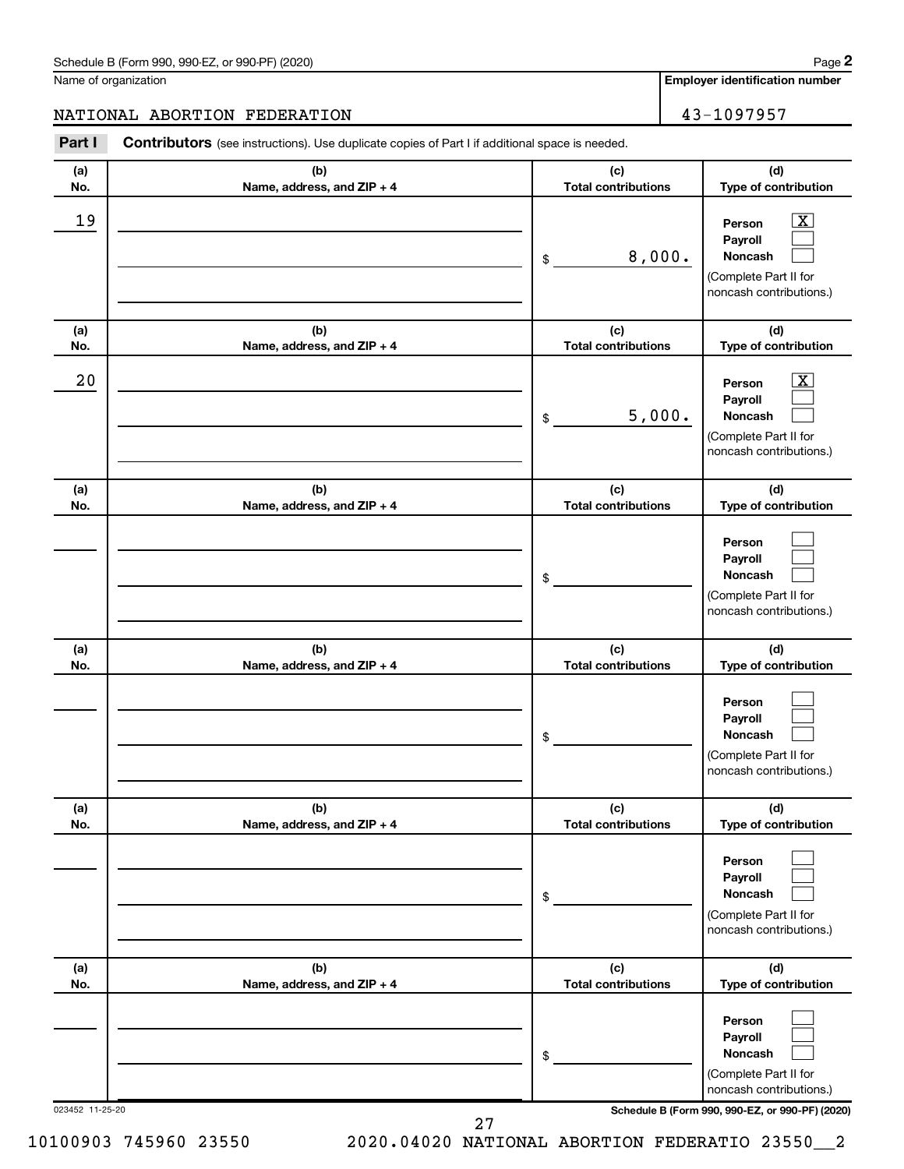Name of organization

**Employer identification number**

## NATIONAL ABORTION FEDERATION 43-1097957

| (b)<br>Name, address, and ZIP + 4 | (c)<br><b>Total contributions</b> | (d)<br>Type of contribution                                                                              |
|-----------------------------------|-----------------------------------|----------------------------------------------------------------------------------------------------------|
|                                   | 8,000.<br>\$                      | $\boxed{\textbf{X}}$<br>Person<br>Payroll<br>Noncash<br>(Complete Part II for<br>noncash contributions.) |
| (b)<br>Name, address, and ZIP + 4 | (c)<br><b>Total contributions</b> | (d)<br>Type of contribution                                                                              |
|                                   | 5,000.<br>\$                      | $\boxed{\textbf{X}}$<br>Person<br>Payroll<br>Noncash<br>(Complete Part II for<br>noncash contributions.) |
| (b)<br>Name, address, and ZIP + 4 | (c)<br><b>Total contributions</b> | (d)<br>Type of contribution                                                                              |
|                                   | \$                                | Person<br>Payroll<br>Noncash<br>(Complete Part II for<br>noncash contributions.)                         |
| (b)<br>Name, address, and ZIP + 4 | (c)<br><b>Total contributions</b> | (d)<br>Type of contribution                                                                              |
|                                   | \$                                | Person<br>Payroll<br><b>Noncash</b><br>(Complete Part II for<br>noncash contributions.)                  |
| (b)<br>Name, address, and ZIP + 4 | (c)<br><b>Total contributions</b> | (d)<br>Type of contribution                                                                              |
|                                   | \$                                | Person<br>Payroll<br>Noncash<br>(Complete Part II for<br>noncash contributions.)                         |
| (b)<br>Name, address, and ZIP + 4 | (c)<br><b>Total contributions</b> | (d)<br>Type of contribution                                                                              |
|                                   | \$                                | Person<br>Payroll<br>Noncash<br>(Complete Part II for<br>noncash contributions.)                         |
|                                   |                                   | Contributors (see instructions). Use duplicate copies of Part I if additional space is needed.           |

10100903 745960 23550 2020.04020 NATIONAL ABORTION FEDERATIO 23550\_\_2

27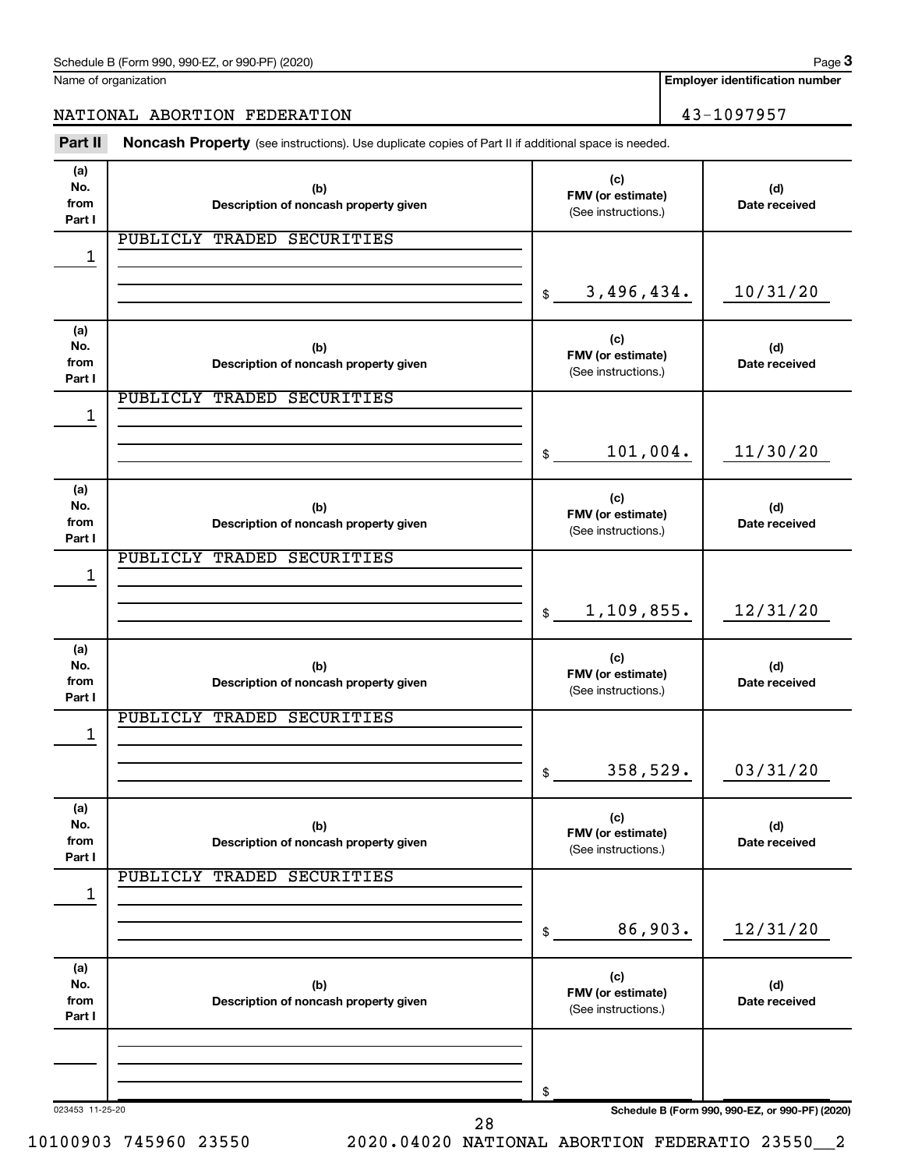| Schedule B (Form 990, 990-EZ, or 990-PF) (2020) | Page |
|-------------------------------------------------|------|
|-------------------------------------------------|------|

Name of organization

**Employer identification number**

NATIONAL ABORTION FEDERATION 43-1097957

Part II Noncash Property (see instructions). Use duplicate copies of Part II if additional space is needed.

| (a)<br>No.<br>from<br>Part I | (b)<br>Description of noncash property given | (c)<br>FMV (or estimate)<br>(See instructions.) | (d)<br>Date received                            |
|------------------------------|----------------------------------------------|-------------------------------------------------|-------------------------------------------------|
| 1                            | PUBLICLY<br>TRADED SECURITIES                |                                                 |                                                 |
|                              |                                              |                                                 |                                                 |
|                              |                                              | 3,496,434.<br>$\mathfrak{s}$                    | 10/31/20                                        |
| (a)<br>No.<br>from<br>Part I | (b)<br>Description of noncash property given | (c)<br>FMV (or estimate)<br>(See instructions.) | (d)<br>Date received                            |
| 1                            | PUBLICLY<br>TRADED SECURITIES                |                                                 |                                                 |
|                              |                                              |                                                 |                                                 |
|                              |                                              | 101,004.<br>$\mathfrak{S}$                      | 11/30/20                                        |
| (a)<br>No.<br>from<br>Part I | (b)<br>Description of noncash property given | (c)<br>FMV (or estimate)<br>(See instructions.) | (d)<br>Date received                            |
|                              | PUBLICLY<br>TRADED SECURITIES                |                                                 |                                                 |
| 1                            |                                              | 1,109,855.<br>$\mathsf{\$}$                     | 12/31/20                                        |
| (a)<br>No.<br>from<br>Part I | (b)<br>Description of noncash property given | (c)<br>FMV (or estimate)<br>(See instructions.) | (d)<br>Date received                            |
|                              | PUBLICLY<br>TRADED SECURITIES                |                                                 |                                                 |
| 1                            |                                              |                                                 |                                                 |
|                              |                                              |                                                 |                                                 |
|                              |                                              | 358,529.<br>$\mathfrak{S}$                      | 03/31/20                                        |
| (a)<br>No.<br>from<br>Part I | (b)<br>Description of noncash property given | (c)<br>FMV (or estimate)<br>(See instructions.) | (d)<br>Date received                            |
|                              | PUBLICLY<br>TRADED<br><b>SECURITIES</b>      |                                                 |                                                 |
| 1                            |                                              | 86,903.<br>\$                                   | 12/31/20                                        |
| (a)<br>No.<br>from<br>Part I | (b)<br>Description of noncash property given | (c)<br>FMV (or estimate)<br>(See instructions.) | (d)<br>Date received                            |
| 023453 11-25-20              | 28                                           | \$                                              | Schedule B (Form 990, 990-EZ, or 990-PF) (2020) |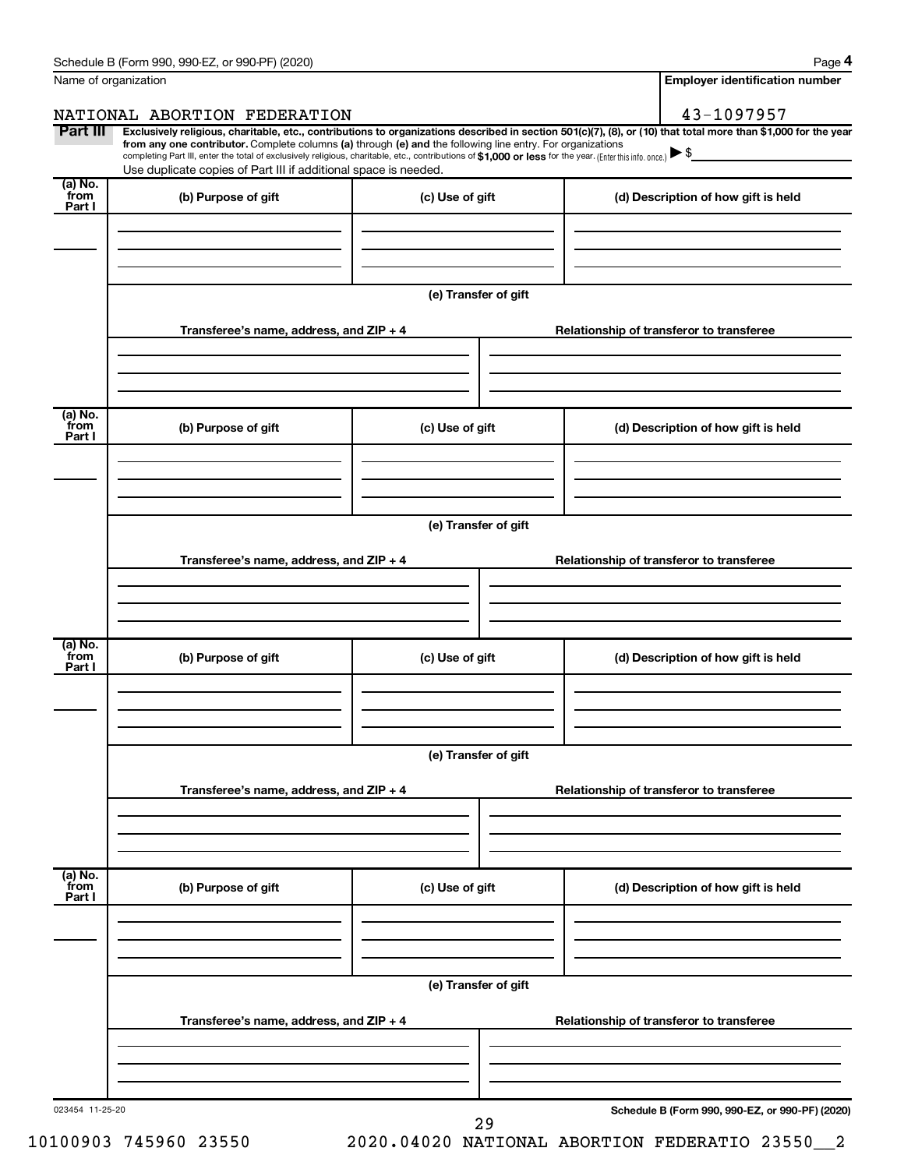| Name of organization      |                                                                                                                                                                                                                                                                                                                                               | <b>Employer identification number</b> |                                                                                                                                                                |  |  |
|---------------------------|-----------------------------------------------------------------------------------------------------------------------------------------------------------------------------------------------------------------------------------------------------------------------------------------------------------------------------------------------|---------------------------------------|----------------------------------------------------------------------------------------------------------------------------------------------------------------|--|--|
|                           | NATIONAL ABORTION FEDERATION                                                                                                                                                                                                                                                                                                                  |                                       | 43-1097957                                                                                                                                                     |  |  |
| Part III                  | from any one contributor. Complete columns (a) through (e) and the following line entry. For organizations<br>completing Part III, enter the total of exclusively religious, charitable, etc., contributions of \$1,000 or less for the year. (Enter this info. once.) \\$<br>Use duplicate copies of Part III if additional space is needed. |                                       | Exclusively religious, charitable, etc., contributions to organizations described in section 501(c)(7), (8), or (10) that total more than \$1,000 for the year |  |  |
| (a) No.<br>from<br>Part I | (b) Purpose of gift                                                                                                                                                                                                                                                                                                                           | (c) Use of gift                       | (d) Description of how gift is held                                                                                                                            |  |  |
|                           |                                                                                                                                                                                                                                                                                                                                               |                                       |                                                                                                                                                                |  |  |
|                           |                                                                                                                                                                                                                                                                                                                                               | (e) Transfer of gift                  |                                                                                                                                                                |  |  |
|                           | Transferee's name, address, and ZIP + 4                                                                                                                                                                                                                                                                                                       |                                       | Relationship of transferor to transferee                                                                                                                       |  |  |
|                           |                                                                                                                                                                                                                                                                                                                                               |                                       |                                                                                                                                                                |  |  |
| (a) No.<br>from<br>Part I | (b) Purpose of gift                                                                                                                                                                                                                                                                                                                           | (c) Use of gift                       | (d) Description of how gift is held                                                                                                                            |  |  |
|                           |                                                                                                                                                                                                                                                                                                                                               |                                       |                                                                                                                                                                |  |  |
|                           |                                                                                                                                                                                                                                                                                                                                               | (e) Transfer of gift                  |                                                                                                                                                                |  |  |
|                           | Transferee's name, address, and ZIP + 4                                                                                                                                                                                                                                                                                                       |                                       | Relationship of transferor to transferee                                                                                                                       |  |  |
|                           |                                                                                                                                                                                                                                                                                                                                               |                                       |                                                                                                                                                                |  |  |
| (a) No.<br>from<br>Part I | (b) Purpose of gift                                                                                                                                                                                                                                                                                                                           | (c) Use of gift                       | (d) Description of how gift is held                                                                                                                            |  |  |
|                           |                                                                                                                                                                                                                                                                                                                                               |                                       |                                                                                                                                                                |  |  |
|                           | (e) Transfer of gift                                                                                                                                                                                                                                                                                                                          |                                       |                                                                                                                                                                |  |  |
|                           | Transferee's name, address, and ZIP + 4                                                                                                                                                                                                                                                                                                       |                                       | Relationship of transferor to transferee                                                                                                                       |  |  |
|                           |                                                                                                                                                                                                                                                                                                                                               |                                       |                                                                                                                                                                |  |  |
| (a) No.<br>from<br>Part I | (b) Purpose of gift                                                                                                                                                                                                                                                                                                                           | (c) Use of gift                       | (d) Description of how gift is held                                                                                                                            |  |  |
|                           |                                                                                                                                                                                                                                                                                                                                               |                                       |                                                                                                                                                                |  |  |
|                           | (e) Transfer of gift                                                                                                                                                                                                                                                                                                                          |                                       |                                                                                                                                                                |  |  |
|                           | Transferee's name, address, and ZIP + 4                                                                                                                                                                                                                                                                                                       |                                       | Relationship of transferor to transferee                                                                                                                       |  |  |
|                           |                                                                                                                                                                                                                                                                                                                                               |                                       |                                                                                                                                                                |  |  |
| 023454 11-25-20           |                                                                                                                                                                                                                                                                                                                                               | 29                                    | Schedule B (Form 990, 990-EZ, or 990-PF) (2020)                                                                                                                |  |  |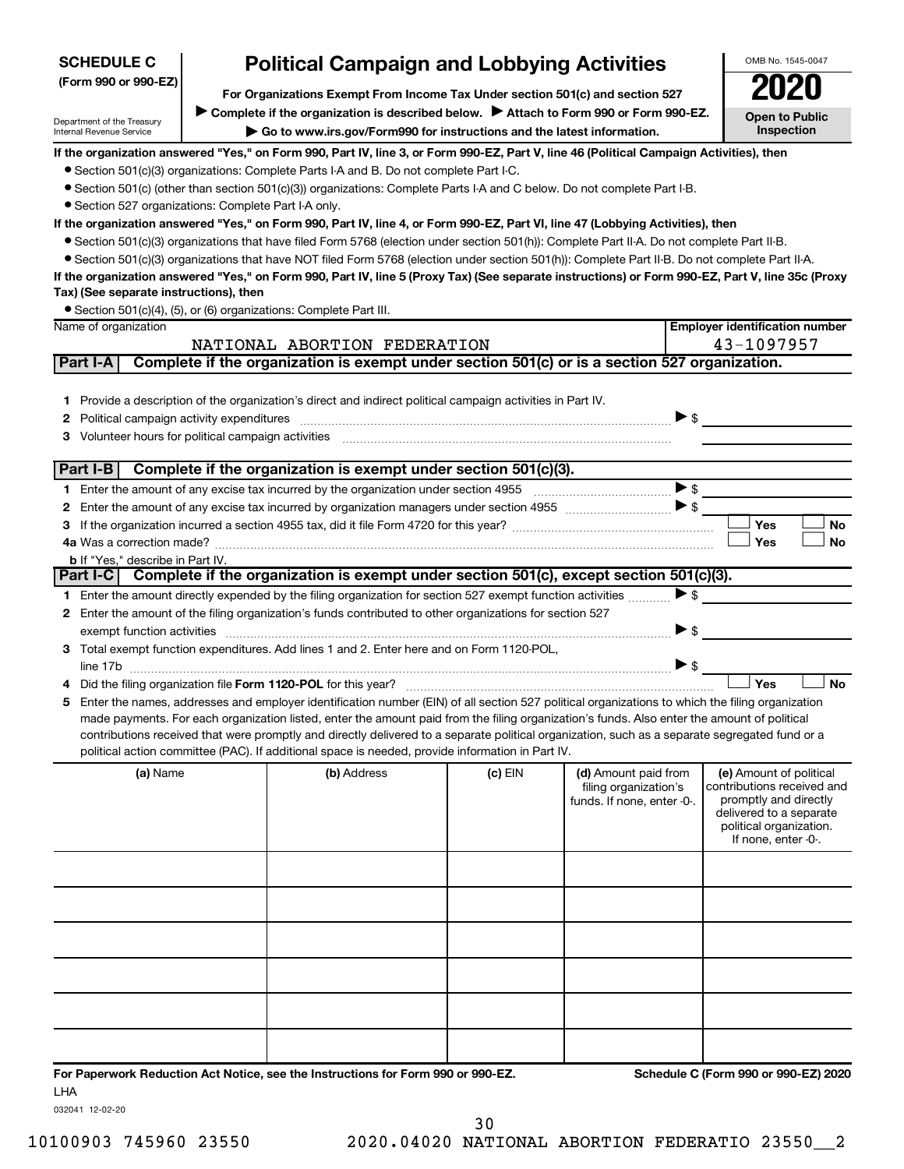| <b>SCHEDULE C</b>                                      | <b>Political Campaign and Lobbying Activities</b>                                                                                                                                                                                                                                             |         |                            |                          | OMB No. 1545-0047                                  |
|--------------------------------------------------------|-----------------------------------------------------------------------------------------------------------------------------------------------------------------------------------------------------------------------------------------------------------------------------------------------|---------|----------------------------|--------------------------|----------------------------------------------------|
| (Form 990 or 990-EZ)                                   | For Organizations Exempt From Income Tax Under section 501(c) and section 527                                                                                                                                                                                                                 |         |                            |                          |                                                    |
|                                                        | Complete if the organization is described below. Attach to Form 990 or Form 990-EZ.                                                                                                                                                                                                           |         |                            |                          |                                                    |
| Department of the Treasury<br>Internal Revenue Service | Go to www.irs.gov/Form990 for instructions and the latest information.                                                                                                                                                                                                                        |         |                            |                          | <b>Open to Public</b><br>Inspection                |
|                                                        | If the organization answered "Yes," on Form 990, Part IV, line 3, or Form 990-EZ, Part V, line 46 (Political Campaign Activities), then                                                                                                                                                       |         |                            |                          |                                                    |
|                                                        | • Section 501(c)(3) organizations: Complete Parts I-A and B. Do not complete Part I-C.                                                                                                                                                                                                        |         |                            |                          |                                                    |
|                                                        | • Section 501(c) (other than section 501(c)(3)) organizations: Complete Parts I-A and C below. Do not complete Part I-B.                                                                                                                                                                      |         |                            |                          |                                                    |
| • Section 527 organizations: Complete Part I-A only.   |                                                                                                                                                                                                                                                                                               |         |                            |                          |                                                    |
|                                                        | If the organization answered "Yes," on Form 990, Part IV, line 4, or Form 990-EZ, Part VI, line 47 (Lobbying Activities), then                                                                                                                                                                |         |                            |                          |                                                    |
|                                                        | • Section 501(c)(3) organizations that have filed Form 5768 (election under section 501(h)): Complete Part II-A. Do not complete Part II-B.                                                                                                                                                   |         |                            |                          |                                                    |
|                                                        | • Section 501(c)(3) organizations that have NOT filed Form 5768 (election under section 501(h)): Complete Part II-B. Do not complete Part II-A.                                                                                                                                               |         |                            |                          |                                                    |
|                                                        | If the organization answered "Yes," on Form 990, Part IV, line 5 (Proxy Tax) (See separate instructions) or Form 990-EZ, Part V, line 35c (Proxy                                                                                                                                              |         |                            |                          |                                                    |
| Tax) (See separate instructions), then                 |                                                                                                                                                                                                                                                                                               |         |                            |                          |                                                    |
| Name of organization                                   | • Section 501(c)(4), (5), or (6) organizations: Complete Part III.                                                                                                                                                                                                                            |         |                            |                          | <b>Employer identification number</b>              |
|                                                        | NATIONAL ABORTION FEDERATION                                                                                                                                                                                                                                                                  |         |                            |                          | 43-1097957                                         |
| Part I-A                                               | Complete if the organization is exempt under section 501(c) or is a section 527 organization.                                                                                                                                                                                                 |         |                            |                          |                                                    |
|                                                        |                                                                                                                                                                                                                                                                                               |         |                            |                          |                                                    |
| 1.                                                     | Provide a description of the organization's direct and indirect political campaign activities in Part IV.                                                                                                                                                                                     |         |                            |                          |                                                    |
|                                                        |                                                                                                                                                                                                                                                                                               |         |                            | $\triangleright$ \$      |                                                    |
| З                                                      | Volunteer hours for political campaign activities [11] matter content to the content of the content of the content of the content of the content of the content of the content of the content of the content of the content of                                                                |         |                            |                          |                                                    |
|                                                        |                                                                                                                                                                                                                                                                                               |         |                            |                          |                                                    |
| Part I-B                                               | Complete if the organization is exempt under section 501(c)(3).                                                                                                                                                                                                                               |         |                            |                          |                                                    |
| 1.                                                     |                                                                                                                                                                                                                                                                                               |         |                            | $\blacktriangleright$ \$ |                                                    |
|                                                        |                                                                                                                                                                                                                                                                                               |         |                            |                          |                                                    |
|                                                        |                                                                                                                                                                                                                                                                                               |         |                            |                          | Yes<br>No<br><b>Yes</b><br>No                      |
| <b>b</b> If "Yes," describe in Part IV.                |                                                                                                                                                                                                                                                                                               |         |                            |                          |                                                    |
| Part I-C                                               | Complete if the organization is exempt under section 501(c), except section 501(c)(3).                                                                                                                                                                                                        |         |                            |                          |                                                    |
|                                                        | 1 Enter the amount directly expended by the filing organization for section 527 exempt function activities                                                                                                                                                                                    |         |                            | $\blacktriangleright$ \$ |                                                    |
|                                                        | 2 Enter the amount of the filing organization's funds contributed to other organizations for section 527                                                                                                                                                                                      |         |                            |                          |                                                    |
| exempt function activities                             |                                                                                                                                                                                                                                                                                               |         |                            | $\blacktriangleright$ \$ |                                                    |
| 3                                                      | Total exempt function expenditures. Add lines 1 and 2. Enter here and on Form 1120-POL,                                                                                                                                                                                                       |         |                            |                          |                                                    |
|                                                        |                                                                                                                                                                                                                                                                                               |         |                            | $\triangleright$ \$      |                                                    |
|                                                        |                                                                                                                                                                                                                                                                                               |         |                            |                          | Yes<br>No                                          |
|                                                        | Enter the names, addresses and employer identification number (EIN) of all section 527 political organizations to which the filing organization                                                                                                                                               |         |                            |                          |                                                    |
|                                                        | made payments. For each organization listed, enter the amount paid from the filing organization's funds. Also enter the amount of political<br>contributions received that were promptly and directly delivered to a separate political organization, such as a separate segregated fund or a |         |                            |                          |                                                    |
|                                                        | political action committee (PAC). If additional space is needed, provide information in Part IV.                                                                                                                                                                                              |         |                            |                          |                                                    |
| (a) Name                                               | (b) Address                                                                                                                                                                                                                                                                                   | (c) EIN | (d) Amount paid from       |                          | (e) Amount of political                            |
|                                                        |                                                                                                                                                                                                                                                                                               |         | filing organization's      |                          | contributions received and                         |
|                                                        |                                                                                                                                                                                                                                                                                               |         | funds. If none, enter -0-. |                          | promptly and directly                              |
|                                                        |                                                                                                                                                                                                                                                                                               |         |                            |                          | delivered to a separate<br>political organization. |
|                                                        |                                                                                                                                                                                                                                                                                               |         |                            |                          | If none, enter -0-.                                |
|                                                        |                                                                                                                                                                                                                                                                                               |         |                            |                          |                                                    |
|                                                        |                                                                                                                                                                                                                                                                                               |         |                            |                          |                                                    |
|                                                        |                                                                                                                                                                                                                                                                                               |         |                            |                          |                                                    |
|                                                        |                                                                                                                                                                                                                                                                                               |         |                            |                          |                                                    |
|                                                        |                                                                                                                                                                                                                                                                                               |         |                            |                          |                                                    |
|                                                        |                                                                                                                                                                                                                                                                                               |         |                            |                          |                                                    |
|                                                        |                                                                                                                                                                                                                                                                                               |         |                            |                          |                                                    |
|                                                        |                                                                                                                                                                                                                                                                                               |         |                            |                          |                                                    |
|                                                        |                                                                                                                                                                                                                                                                                               |         |                            |                          |                                                    |
|                                                        |                                                                                                                                                                                                                                                                                               |         |                            |                          |                                                    |
|                                                        |                                                                                                                                                                                                                                                                                               |         |                            |                          |                                                    |

## **For Paperwork Reduction Act Notice, see the Instructions for Form 990 or 990-EZ. Schedule C (Form 990 or 990-EZ) 2020** LHA

032041 12-02-20

## **Political Campaign and Lobbying Activities 2020**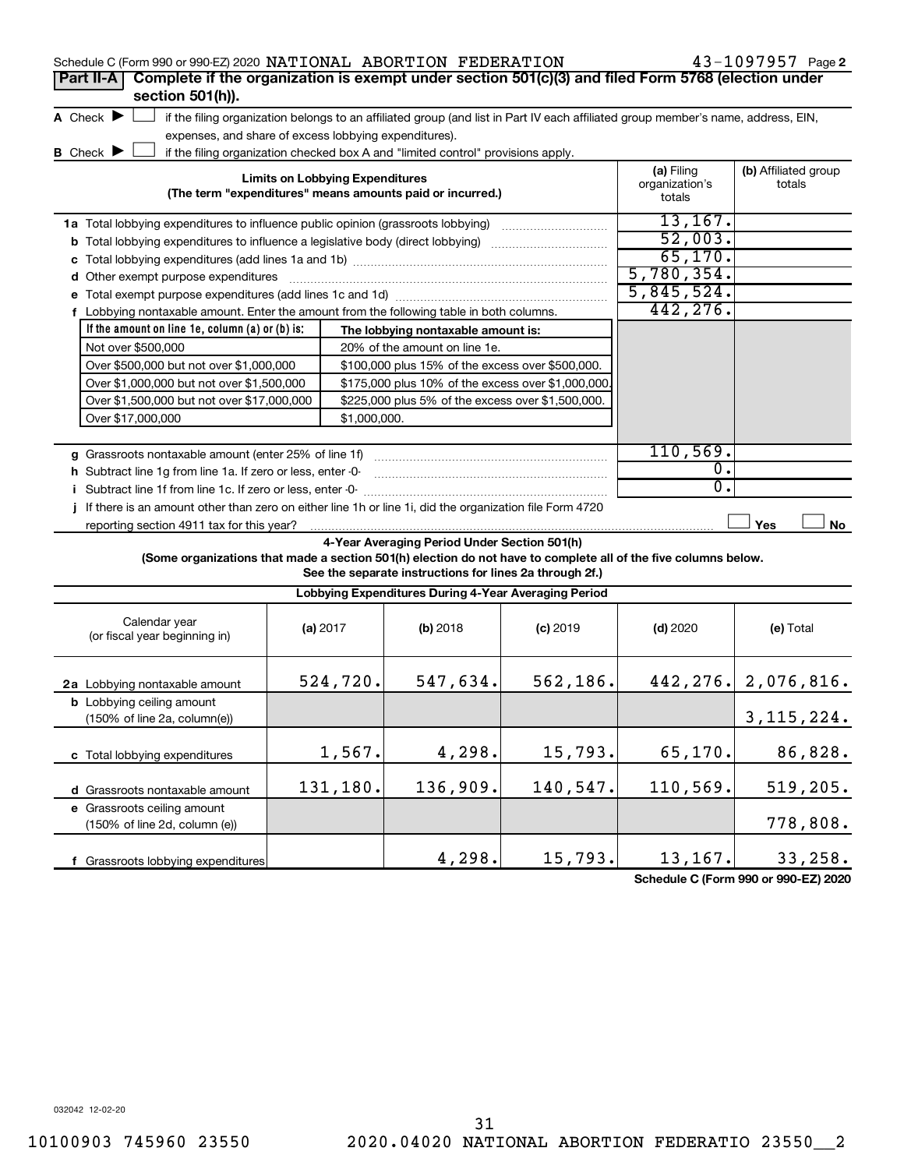| Schedule C (Form 990 or 990-EZ) 2020 NATIONAL ABORTION FEDERATION                                               |                                        |              |                                                                                  |                                                                                                                                   |                              | $43 - 1097957$ Page 2          |
|-----------------------------------------------------------------------------------------------------------------|----------------------------------------|--------------|----------------------------------------------------------------------------------|-----------------------------------------------------------------------------------------------------------------------------------|------------------------------|--------------------------------|
| Complete if the organization is exempt under section 501(c)(3) and filed Form 5768 (election under<br>Part II-A |                                        |              |                                                                                  |                                                                                                                                   |                              |                                |
| section 501(h)).                                                                                                |                                        |              |                                                                                  |                                                                                                                                   |                              |                                |
| A Check $\blacktriangleright$                                                                                   |                                        |              |                                                                                  | if the filing organization belongs to an affiliated group (and list in Part IV each affiliated group member's name, address, EIN, |                              |                                |
| expenses, and share of excess lobbying expenditures).                                                           |                                        |              |                                                                                  |                                                                                                                                   |                              |                                |
| <b>B</b> Check <b>D</b>                                                                                         |                                        |              | if the filing organization checked box A and "limited control" provisions apply. |                                                                                                                                   |                              |                                |
|                                                                                                                 | <b>Limits on Lobbying Expenditures</b> |              |                                                                                  |                                                                                                                                   | (a) Filing<br>organization's | (b) Affiliated group<br>totals |
|                                                                                                                 |                                        |              | (The term "expenditures" means amounts paid or incurred.)                        |                                                                                                                                   | totals                       |                                |
| 1a Total lobbying expenditures to influence public opinion (grassroots lobbying)                                |                                        |              |                                                                                  |                                                                                                                                   | 13, 167.                     |                                |
| <b>b</b> Total lobbying expenditures to influence a legislative body (direct lobbying) <i>manumumumum</i>       |                                        |              |                                                                                  |                                                                                                                                   | 52,003.                      |                                |
|                                                                                                                 |                                        |              |                                                                                  |                                                                                                                                   | 65,170.                      |                                |
| d Other exempt purpose expenditures                                                                             |                                        |              |                                                                                  |                                                                                                                                   | 5,780,354.                   |                                |
|                                                                                                                 |                                        |              |                                                                                  |                                                                                                                                   | 5,845,524.                   |                                |
| f Lobbying nontaxable amount. Enter the amount from the following table in both columns.                        |                                        |              |                                                                                  |                                                                                                                                   | 442,276.                     |                                |
| If the amount on line 1e, column (a) or (b) is:                                                                 |                                        |              | The lobbying nontaxable amount is:                                               |                                                                                                                                   |                              |                                |
| Not over \$500,000                                                                                              |                                        |              | 20% of the amount on line 1e.                                                    |                                                                                                                                   |                              |                                |
| Over \$500,000 but not over \$1,000,000                                                                         |                                        |              | \$100,000 plus 15% of the excess over \$500,000.                                 |                                                                                                                                   |                              |                                |
| Over \$1,000,000 but not over \$1,500,000                                                                       |                                        |              | \$175,000 plus 10% of the excess over \$1,000,000                                |                                                                                                                                   |                              |                                |
| Over \$1,500,000 but not over \$17,000,000                                                                      |                                        |              | \$225,000 plus 5% of the excess over \$1,500,000.                                |                                                                                                                                   |                              |                                |
| Over \$17,000,000                                                                                               |                                        | \$1,000,000. |                                                                                  |                                                                                                                                   |                              |                                |
|                                                                                                                 |                                        |              |                                                                                  |                                                                                                                                   |                              |                                |
|                                                                                                                 |                                        |              |                                                                                  |                                                                                                                                   | 110, 569.                    |                                |
| h Subtract line 1g from line 1a. If zero or less, enter -0-                                                     |                                        |              |                                                                                  |                                                                                                                                   | $\overline{0}$ .             |                                |
| i Subtract line 1f from line 1c. If zero or less, enter -0-                                                     |                                        |              |                                                                                  |                                                                                                                                   | $\overline{0}$ .             |                                |
| If there is an amount other than zero on either line 1h or line 1i, did the organization file Form 4720         |                                        |              |                                                                                  |                                                                                                                                   |                              |                                |
|                                                                                                                 |                                        |              |                                                                                  |                                                                                                                                   |                              | Yes<br>No                      |
|                                                                                                                 |                                        |              | 4-Year Averaging Period Under Section 501(h)                                     |                                                                                                                                   |                              |                                |
| (Some organizations that made a section 501(h) election do not have to complete all of the five columns below.  |                                        |              |                                                                                  |                                                                                                                                   |                              |                                |
|                                                                                                                 |                                        |              | See the separate instructions for lines 2a through 2f.)                          |                                                                                                                                   |                              |                                |
|                                                                                                                 |                                        |              | Lobbying Expenditures During 4-Year Averaging Period                             |                                                                                                                                   |                              |                                |
| Calendar year                                                                                                   | (a) 2017                               |              | (b) 2018                                                                         | $(c)$ 2019                                                                                                                        | $(d)$ 2020                   | (e) Total                      |
| (or fiscal year beginning in)                                                                                   |                                        |              |                                                                                  |                                                                                                                                   |                              |                                |
|                                                                                                                 |                                        |              |                                                                                  |                                                                                                                                   |                              |                                |
| 2a Lobbying nontaxable amount                                                                                   |                                        | 524,720.     | 547,634.                                                                         | 562, 186.                                                                                                                         |                              | 442, 276. 2, 076, 816.         |
| <b>b</b> Lobbying ceiling amount                                                                                |                                        |              |                                                                                  |                                                                                                                                   |                              |                                |
| (150% of line 2a, column(e))                                                                                    |                                        |              |                                                                                  |                                                                                                                                   |                              | 3, 115, 224.                   |
|                                                                                                                 |                                        |              |                                                                                  |                                                                                                                                   |                              |                                |
| c Total lobbying expenditures                                                                                   |                                        | 1,567.       | 4,298.                                                                           | 15,793.                                                                                                                           | 65,170.                      | 86,828.                        |
|                                                                                                                 |                                        |              |                                                                                  |                                                                                                                                   |                              |                                |
| d Grassroots nontaxable amount                                                                                  |                                        | 131,180.     | 136,909.                                                                         | 140,547.                                                                                                                          | 110,569.                     | 519,205.                       |
| e Grassroots ceiling amount                                                                                     |                                        |              |                                                                                  |                                                                                                                                   |                              |                                |
| (150% of line 2d, column (e))                                                                                   |                                        |              |                                                                                  |                                                                                                                                   |                              | 778,808.                       |
|                                                                                                                 |                                        |              |                                                                                  |                                                                                                                                   |                              |                                |
| f Grassroots lobbying expenditures                                                                              |                                        |              | 4,298.                                                                           | 15,793.                                                                                                                           | 13,167.                      | 33,258.                        |

**Schedule C (Form 990 or 990-EZ) 2020**

032042 12-02-20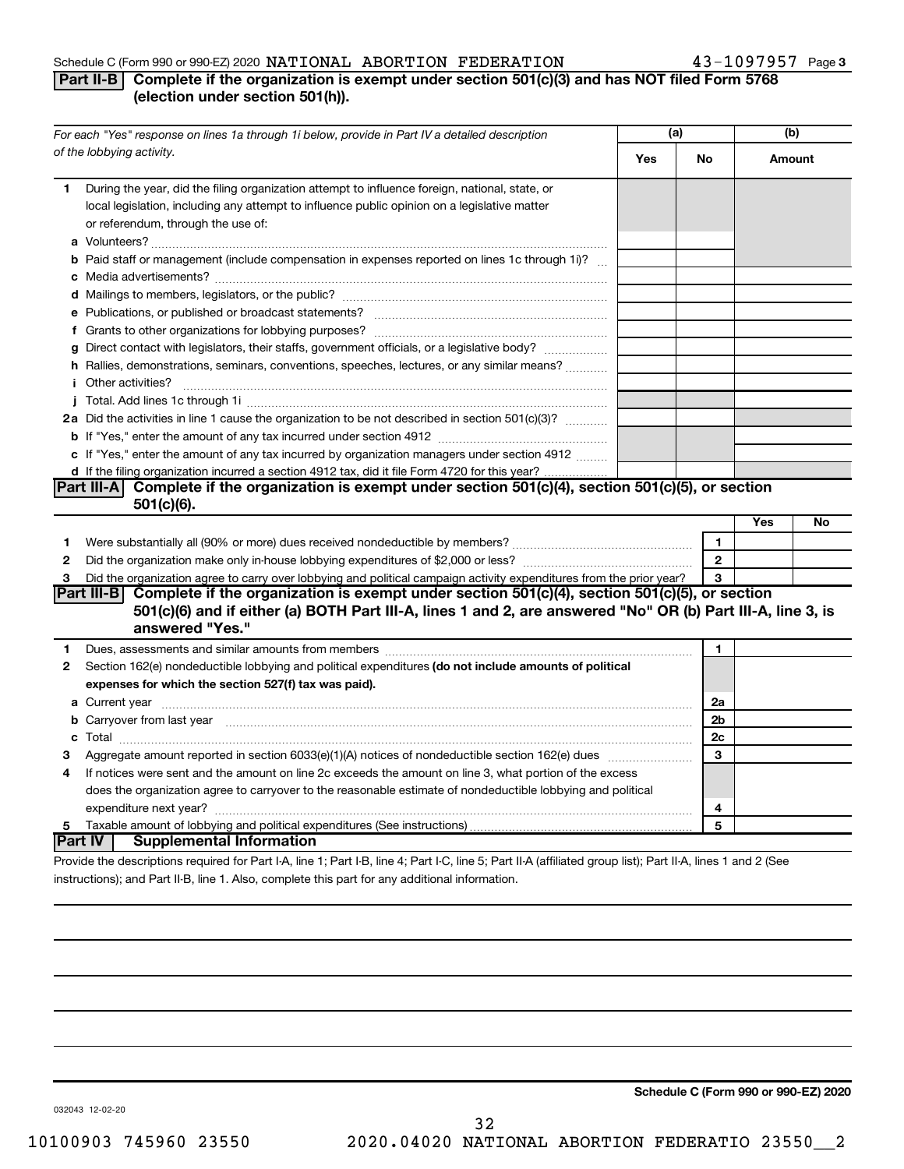## Schedule C (Form 990 or 990-EZ) 2020  $\texttt{NATIONAL}$  ABORTION FEDERATION  $43-1097957$  Page

## 43-1097957 Page 3

## **Part II-B Complete if the organization is exempt under section 501(c)(3) and has NOT filed Form 5768 (election under section 501(h)).**

| For each "Yes" response on lines 1a through 1i below, provide in Part IV a detailed description                                                                                                                                           | (a) |                   |     | (b)    |
|-------------------------------------------------------------------------------------------------------------------------------------------------------------------------------------------------------------------------------------------|-----|-------------------|-----|--------|
| of the lobbying activity.                                                                                                                                                                                                                 | Yes | No                |     | Amount |
| During the year, did the filing organization attempt to influence foreign, national, state, or<br>1<br>local legislation, including any attempt to influence public opinion on a legislative matter<br>or referendum, through the use of: |     |                   |     |        |
| <b>b</b> Paid staff or management (include compensation in expenses reported on lines 1c through 1i)?                                                                                                                                     |     |                   |     |        |
|                                                                                                                                                                                                                                           |     |                   |     |        |
|                                                                                                                                                                                                                                           |     |                   |     |        |
| g Direct contact with legislators, their staffs, government officials, or a legislative body?                                                                                                                                             |     |                   |     |        |
| h Rallies, demonstrations, seminars, conventions, speeches, lectures, or any similar means?                                                                                                                                               |     |                   |     |        |
| <i>i</i> Other activities?                                                                                                                                                                                                                |     |                   |     |        |
|                                                                                                                                                                                                                                           |     |                   |     |        |
| 2a Did the activities in line 1 cause the organization to be not described in section 501(c)(3)?                                                                                                                                          |     |                   |     |        |
|                                                                                                                                                                                                                                           |     |                   |     |        |
| c If "Yes," enter the amount of any tax incurred by organization managers under section 4912                                                                                                                                              |     |                   |     |        |
| d If the filing organization incurred a section 4912 tax, did it file Form 4720 for this year?                                                                                                                                            |     |                   |     |        |
| Part III-A Complete if the organization is exempt under section $501(c)(4)$ , section $501(c)(5)$ , or section                                                                                                                            |     |                   |     |        |
| $501(c)(6)$ .                                                                                                                                                                                                                             |     |                   |     |        |
|                                                                                                                                                                                                                                           |     |                   | Yes | No     |
| 1                                                                                                                                                                                                                                         |     | $\mathbf{1}$      |     |        |
| $\mathbf{2}$                                                                                                                                                                                                                              |     | $\mathbf{2}$<br>3 |     |        |
| Did the organization agree to carry over lobbying and political campaign activity expenditures from the prior year?<br>3<br>Part III-B Complete if the organization is exempt under section 501(c)(4), section 501(c)(5), or section      |     |                   |     |        |
| 501(c)(6) and if either (a) BOTH Part III-A, lines 1 and 2, are answered "No" OR (b) Part III-A, line 3, is                                                                                                                               |     |                   |     |        |
| answered "Yes."                                                                                                                                                                                                                           |     |                   |     |        |
| Dues, assessments and similar amounts from members [111] Dues, assessments and similar members [11] Dues, assessments and similar amounts from members [11] Dues, assessments and similar amounts are members and similar and<br>1.       |     | 1                 |     |        |
| Section 162(e) nondeductible lobbying and political expenditures (do not include amounts of political<br>$\mathbf{2}$                                                                                                                     |     |                   |     |        |
| expenses for which the section 527(f) tax was paid).                                                                                                                                                                                      |     |                   |     |        |
|                                                                                                                                                                                                                                           |     | 2a                |     |        |
| b Carryover from last year manufactured and continuum contract to contact the contract of the contract of the contract of the contract of the contract of the contract of the contract of the contract of the contract of the             |     | 2 <sub>b</sub>    |     |        |
|                                                                                                                                                                                                                                           |     | 2c                |     |        |
| 3                                                                                                                                                                                                                                         |     | 3                 |     |        |
| If notices were sent and the amount on line 2c exceeds the amount on line 3, what portion of the excess<br>4                                                                                                                              |     |                   |     |        |
| does the organization agree to carryover to the reasonable estimate of nondeductible lobbying and political                                                                                                                               |     |                   |     |        |
|                                                                                                                                                                                                                                           |     | 4<br>5            |     |        |
| 5<br> Part IV  <br><b>Supplemental Information</b>                                                                                                                                                                                        |     |                   |     |        |
| Provide the descriptions required for Part I-A, line 1; Part I-B, line 4; Part I-C, line 5; Part II-A (affiliated group list); Part II-A, lines 1 and 2 (See                                                                              |     |                   |     |        |

instructions); and Part II-B, line 1. Also, complete this part for any additional information.

**Schedule C (Form 990 or 990-EZ) 2020**

032043 12-02-20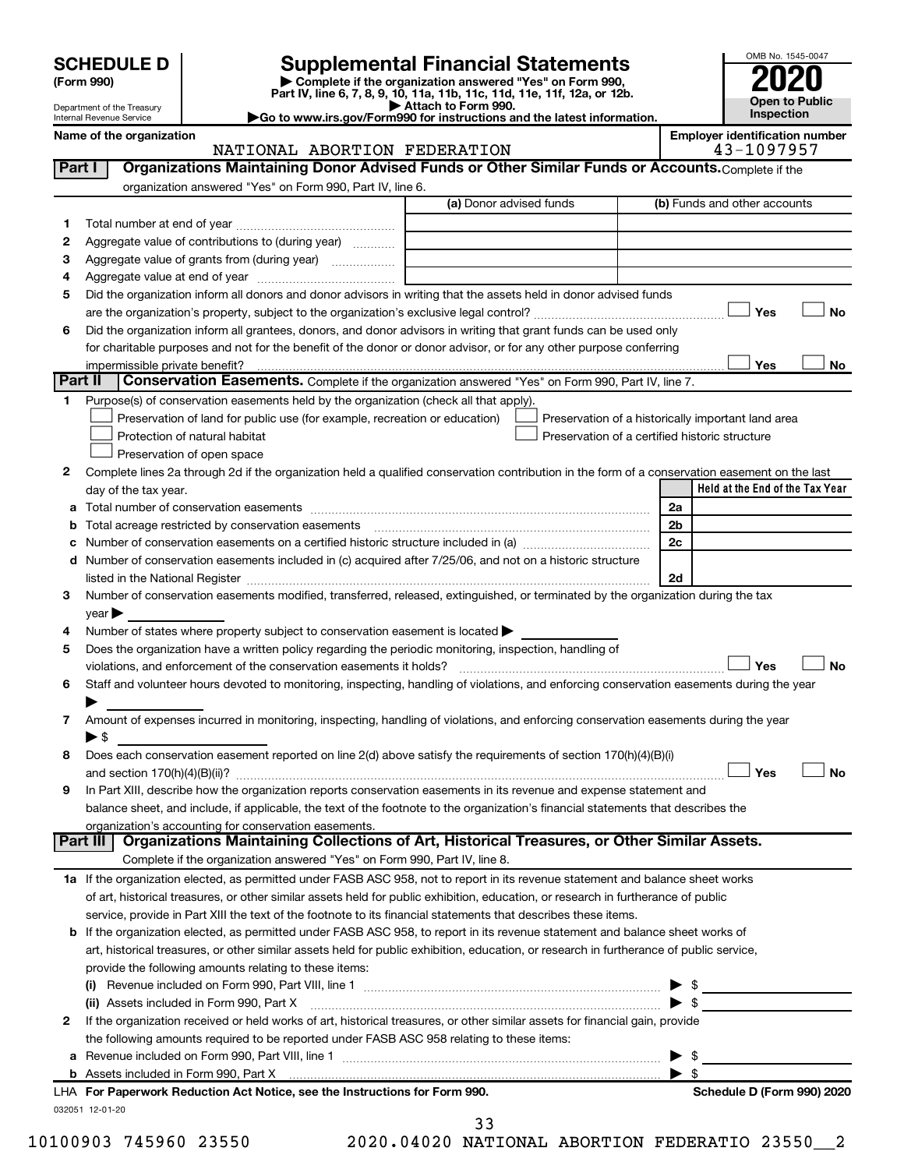| <b>SCHEDULE D</b> |  |  |
|-------------------|--|--|
|-------------------|--|--|

# **SCHEDULE D Supplemental Financial Statements**<br> **Form 990 2020**<br> **Part IV** line 6.7.8.9.10, 11a, 11b, 11d, 11d, 11d, 11d, 11d, 12a, 0r, 12b

**(Form 990) | Complete if the organization answered "Yes" on Form 990, Part IV, line 6, 7, 8, 9, 10, 11a, 11b, 11c, 11d, 11e, 11f, 12a, or 12b.**

**| Attach to Form 990. |Go to www.irs.gov/Form990 for instructions and the latest information.**



Department of the Treasury Internal Revenue Service

### Name of the organization<br>**NATIONAL ABORTION FEDERATION EXAMICAL ABORTION** NATIONAL ABORTION FEDERATION

|              |                                                                                                                                                |                         |                                                |                         | Organizations Maintaining Donor Advised Funds or Other Similar Funds or Accounts. Complete if the |           |
|--------------|------------------------------------------------------------------------------------------------------------------------------------------------|-------------------------|------------------------------------------------|-------------------------|---------------------------------------------------------------------------------------------------|-----------|
|              | organization answered "Yes" on Form 990, Part IV, line 6.                                                                                      | (a) Donor advised funds |                                                |                         | (b) Funds and other accounts                                                                      |           |
|              |                                                                                                                                                |                         |                                                |                         |                                                                                                   |           |
| 1            |                                                                                                                                                |                         |                                                |                         |                                                                                                   |           |
| $\mathbf{2}$ | Aggregate value of contributions to (during year)                                                                                              |                         |                                                |                         |                                                                                                   |           |
| З            | Aggregate value of grants from (during year)                                                                                                   |                         |                                                |                         |                                                                                                   |           |
| 4            | Did the organization inform all donors and donor advisors in writing that the assets held in donor advised funds                               |                         |                                                |                         |                                                                                                   |           |
| 5            |                                                                                                                                                |                         |                                                |                         | Yes                                                                                               | No        |
| 6            | Did the organization inform all grantees, donors, and donor advisors in writing that grant funds can be used only                              |                         |                                                |                         |                                                                                                   |           |
|              | for charitable purposes and not for the benefit of the donor or donor advisor, or for any other purpose conferring                             |                         |                                                |                         |                                                                                                   |           |
|              | impermissible private benefit?                                                                                                                 |                         |                                                |                         | Yes                                                                                               | No        |
|              | Part II<br><b>Conservation Easements.</b> Complete if the organization answered "Yes" on Form 990, Part IV, line 7.                            |                         |                                                |                         |                                                                                                   |           |
| $\mathbf 1$  | Purpose(s) of conservation easements held by the organization (check all that apply).                                                          |                         |                                                |                         |                                                                                                   |           |
|              | Preservation of land for public use (for example, recreation or education)                                                                     |                         |                                                |                         | Preservation of a historically important land area                                                |           |
|              | Protection of natural habitat                                                                                                                  |                         | Preservation of a certified historic structure |                         |                                                                                                   |           |
|              | Preservation of open space                                                                                                                     |                         |                                                |                         |                                                                                                   |           |
| 2            | Complete lines 2a through 2d if the organization held a qualified conservation contribution in the form of a conservation easement on the last |                         |                                                |                         |                                                                                                   |           |
|              | day of the tax year.                                                                                                                           |                         |                                                |                         | Held at the End of the Tax Year                                                                   |           |
|              |                                                                                                                                                |                         |                                                | 2a                      |                                                                                                   |           |
|              | Total acreage restricted by conservation easements                                                                                             |                         |                                                | 2 <sub>b</sub>          |                                                                                                   |           |
| с            | Number of conservation easements on a certified historic structure included in (a) manufacture included in (a)                                 |                         |                                                | 2c                      |                                                                                                   |           |
|              | d Number of conservation easements included in (c) acquired after 7/25/06, and not on a historic structure                                     |                         |                                                |                         |                                                                                                   |           |
|              | listed in the National Register [11, 120] March 1997 (120) And The National Property of The National Register                                  |                         |                                                | 2d                      |                                                                                                   |           |
| 3            | Number of conservation easements modified, transferred, released, extinguished, or terminated by the organization during the tax               |                         |                                                |                         |                                                                                                   |           |
|              | $year \blacktriangleright$                                                                                                                     |                         |                                                |                         |                                                                                                   |           |
| 4            | Number of states where property subject to conservation easement is located >                                                                  |                         |                                                |                         |                                                                                                   |           |
| 5            | Does the organization have a written policy regarding the periodic monitoring, inspection, handling of                                         |                         |                                                |                         |                                                                                                   |           |
|              |                                                                                                                                                |                         |                                                |                         | Yes                                                                                               | <b>No</b> |
| 6            | Staff and volunteer hours devoted to monitoring, inspecting, handling of violations, and enforcing conservation easements during the year      |                         |                                                |                         |                                                                                                   |           |
|              |                                                                                                                                                |                         |                                                |                         |                                                                                                   |           |
| 7            | Amount of expenses incurred in monitoring, inspecting, handling of violations, and enforcing conservation easements during the year            |                         |                                                |                         |                                                                                                   |           |
|              |                                                                                                                                                |                         |                                                |                         |                                                                                                   |           |
|              | ▶ \$                                                                                                                                           |                         |                                                |                         |                                                                                                   |           |
| 8            | Does each conservation easement reported on line 2(d) above satisfy the requirements of section 170(h)(4)(B)(i)                                |                         |                                                |                         |                                                                                                   |           |
|              |                                                                                                                                                |                         |                                                |                         | Yes                                                                                               |           |
| 9            | In Part XIII, describe how the organization reports conservation easements in its revenue and expense statement and                            |                         |                                                |                         |                                                                                                   |           |
|              | balance sheet, and include, if applicable, the text of the footnote to the organization's financial statements that describes the              |                         |                                                |                         |                                                                                                   |           |
|              | organization's accounting for conservation easements.                                                                                          |                         |                                                |                         |                                                                                                   |           |
|              | Organizations Maintaining Collections of Art, Historical Treasures, or Other Similar Assets.<br>Part III                                       |                         |                                                |                         |                                                                                                   |           |
|              | Complete if the organization answered "Yes" on Form 990, Part IV, line 8.                                                                      |                         |                                                |                         |                                                                                                   |           |
|              | 1a If the organization elected, as permitted under FASB ASC 958, not to report in its revenue statement and balance sheet works                |                         |                                                |                         |                                                                                                   |           |
|              | of art, historical treasures, or other similar assets held for public exhibition, education, or research in furtherance of public              |                         |                                                |                         |                                                                                                   |           |
|              | service, provide in Part XIII the text of the footnote to its financial statements that describes these items.                                 |                         |                                                |                         |                                                                                                   |           |
|              | b If the organization elected, as permitted under FASB ASC 958, to report in its revenue statement and balance sheet works of                  |                         |                                                |                         |                                                                                                   |           |
|              | art, historical treasures, or other similar assets held for public exhibition, education, or research in furtherance of public service,        |                         |                                                |                         |                                                                                                   |           |
|              | provide the following amounts relating to these items:                                                                                         |                         |                                                |                         |                                                                                                   |           |
|              |                                                                                                                                                |                         |                                                |                         |                                                                                                   |           |
|              |                                                                                                                                                |                         |                                                |                         |                                                                                                   |           |
| 2            | If the organization received or held works of art, historical treasures, or other similar assets for financial gain, provide                   |                         |                                                |                         |                                                                                                   |           |
|              | the following amounts required to be reported under FASB ASC 958 relating to these items:                                                      |                         |                                                |                         |                                                                                                   |           |
|              |                                                                                                                                                |                         |                                                |                         |                                                                                                   |           |
|              | LHA For Paperwork Reduction Act Notice, see the Instructions for Form 990.                                                                     |                         |                                                | $\blacktriangleright$ s | Schedule D (Form 990) 2020                                                                        | <b>No</b> |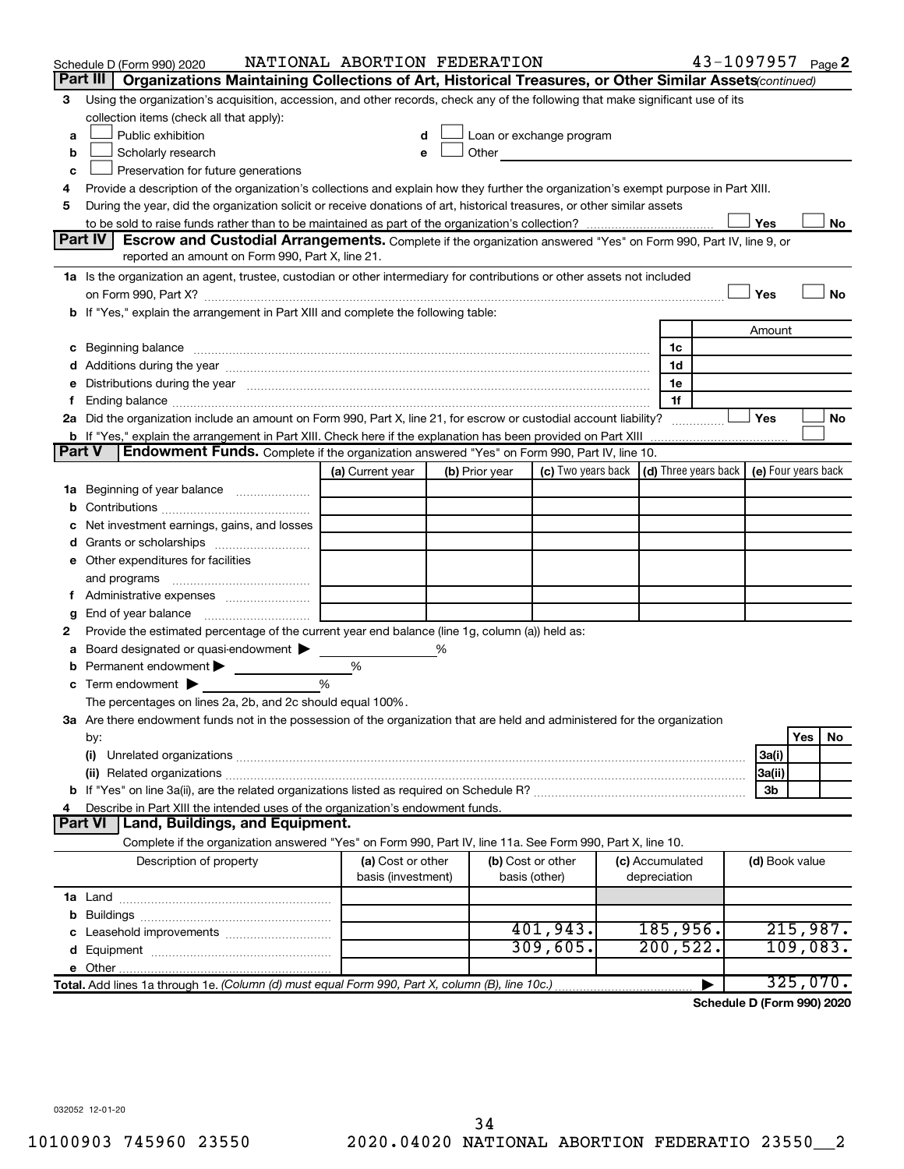|               | Schedule D (Form 990) 2020                                                                                                           | NATIONAL ABORTION FEDERATION            |   |                |                                                                                                                                                                                                                                |                                 | 43-1097957 Page 2 |                |          |    |
|---------------|--------------------------------------------------------------------------------------------------------------------------------------|-----------------------------------------|---|----------------|--------------------------------------------------------------------------------------------------------------------------------------------------------------------------------------------------------------------------------|---------------------------------|-------------------|----------------|----------|----|
|               | Part III<br>Organizations Maintaining Collections of Art, Historical Treasures, or Other Similar Assets(continued)                   |                                         |   |                |                                                                                                                                                                                                                                |                                 |                   |                |          |    |
| 3             | Using the organization's acquisition, accession, and other records, check any of the following that make significant use of its      |                                         |   |                |                                                                                                                                                                                                                                |                                 |                   |                |          |    |
|               | collection items (check all that apply):                                                                                             |                                         |   |                |                                                                                                                                                                                                                                |                                 |                   |                |          |    |
| a             | Public exhibition                                                                                                                    | d                                       |   |                | Loan or exchange program                                                                                                                                                                                                       |                                 |                   |                |          |    |
| b             | Scholarly research                                                                                                                   |                                         |   |                | Other the contract of the contract of the contract of the contract of the contract of the contract of the contract of the contract of the contract of the contract of the contract of the contract of the contract of the cont |                                 |                   |                |          |    |
| с             | Preservation for future generations                                                                                                  |                                         |   |                |                                                                                                                                                                                                                                |                                 |                   |                |          |    |
| 4             | Provide a description of the organization's collections and explain how they further the organization's exempt purpose in Part XIII. |                                         |   |                |                                                                                                                                                                                                                                |                                 |                   |                |          |    |
| 5             | During the year, did the organization solicit or receive donations of art, historical treasures, or other similar assets             |                                         |   |                |                                                                                                                                                                                                                                |                                 |                   | Yes            |          |    |
|               | Part IV I<br><b>Escrow and Custodial Arrangements.</b> Complete if the organization answered "Yes" on Form 990, Part IV, line 9, or  |                                         |   |                |                                                                                                                                                                                                                                |                                 |                   |                |          | No |
|               | reported an amount on Form 990, Part X, line 21.                                                                                     |                                         |   |                |                                                                                                                                                                                                                                |                                 |                   |                |          |    |
|               | 1a Is the organization an agent, trustee, custodian or other intermediary for contributions or other assets not included             |                                         |   |                |                                                                                                                                                                                                                                |                                 |                   |                |          |    |
|               | on Form 990, Part X? [11] matter contracts and contracts and contracts are contracted as a form 990, Part X?                         |                                         |   |                |                                                                                                                                                                                                                                |                                 |                   | Yes            |          | No |
|               | b If "Yes," explain the arrangement in Part XIII and complete the following table:                                                   |                                         |   |                |                                                                                                                                                                                                                                |                                 |                   |                |          |    |
|               |                                                                                                                                      |                                         |   |                |                                                                                                                                                                                                                                |                                 |                   | Amount         |          |    |
|               |                                                                                                                                      |                                         |   |                |                                                                                                                                                                                                                                | 1c                              |                   |                |          |    |
|               |                                                                                                                                      |                                         |   |                |                                                                                                                                                                                                                                | 1d                              |                   |                |          |    |
|               | e Distributions during the year manufactured and an intervention of the control of the control of the state of                       |                                         |   |                |                                                                                                                                                                                                                                | 1e                              |                   |                |          |    |
|               |                                                                                                                                      |                                         |   |                |                                                                                                                                                                                                                                | 1f                              |                   |                |          |    |
|               | 2a Did the organization include an amount on Form 990, Part X, line 21, for escrow or custodial account liability?                   |                                         |   |                |                                                                                                                                                                                                                                |                                 |                   | Yes            |          | No |
|               | b If "Yes," explain the arrangement in Part XIII. Check here if the explanation has been provided on Part XIII                       |                                         |   |                |                                                                                                                                                                                                                                |                                 |                   |                |          |    |
| <b>Part V</b> | Endowment Funds. Complete if the organization answered "Yes" on Form 990, Part IV, line 10.                                          |                                         |   |                |                                                                                                                                                                                                                                |                                 |                   |                |          |    |
|               |                                                                                                                                      | (a) Current year                        |   | (b) Prior year | (c) Two years back $\vert$ (d) Three years back $\vert$ (e) Four years back                                                                                                                                                    |                                 |                   |                |          |    |
|               | 1a Beginning of year balance                                                                                                         |                                         |   |                |                                                                                                                                                                                                                                |                                 |                   |                |          |    |
| b             |                                                                                                                                      |                                         |   |                |                                                                                                                                                                                                                                |                                 |                   |                |          |    |
| с             | Net investment earnings, gains, and losses                                                                                           |                                         |   |                |                                                                                                                                                                                                                                |                                 |                   |                |          |    |
|               |                                                                                                                                      |                                         |   |                |                                                                                                                                                                                                                                |                                 |                   |                |          |    |
|               | e Other expenditures for facilities                                                                                                  |                                         |   |                |                                                                                                                                                                                                                                |                                 |                   |                |          |    |
|               | and programs                                                                                                                         |                                         |   |                |                                                                                                                                                                                                                                |                                 |                   |                |          |    |
|               |                                                                                                                                      |                                         |   |                |                                                                                                                                                                                                                                |                                 |                   |                |          |    |
| g             |                                                                                                                                      |                                         |   |                |                                                                                                                                                                                                                                |                                 |                   |                |          |    |
| 2             | Provide the estimated percentage of the current year end balance (line 1g, column (a)) held as:                                      |                                         |   |                |                                                                                                                                                                                                                                |                                 |                   |                |          |    |
| а             | Board designated or quasi-endowment                                                                                                  |                                         | % |                |                                                                                                                                                                                                                                |                                 |                   |                |          |    |
| b             | Permanent endowment                                                                                                                  | %<br>$\frac{0}{0}$                      |   |                |                                                                                                                                                                                                                                |                                 |                   |                |          |    |
|               | <b>c</b> Term endowment $\blacktriangleright$<br>The percentages on lines 2a, 2b, and 2c should equal 100%.                          |                                         |   |                |                                                                                                                                                                                                                                |                                 |                   |                |          |    |
|               | 3a Are there endowment funds not in the possession of the organization that are held and administered for the organization           |                                         |   |                |                                                                                                                                                                                                                                |                                 |                   |                |          |    |
|               | by:                                                                                                                                  |                                         |   |                |                                                                                                                                                                                                                                |                                 |                   |                | Yes      | No |
|               | (i)                                                                                                                                  |                                         |   |                |                                                                                                                                                                                                                                |                                 |                   | 3a(i)          |          |    |
|               |                                                                                                                                      |                                         |   |                |                                                                                                                                                                                                                                |                                 |                   | 3a(ii)         |          |    |
|               |                                                                                                                                      |                                         |   |                |                                                                                                                                                                                                                                |                                 |                   | 3b             |          |    |
| 4             | Describe in Part XIII the intended uses of the organization's endowment funds.                                                       |                                         |   |                |                                                                                                                                                                                                                                |                                 |                   |                |          |    |
|               | <b>Land, Buildings, and Equipment.</b><br><b>Part VI</b>                                                                             |                                         |   |                |                                                                                                                                                                                                                                |                                 |                   |                |          |    |
|               | Complete if the organization answered "Yes" on Form 990, Part IV, line 11a. See Form 990, Part X, line 10.                           |                                         |   |                |                                                                                                                                                                                                                                |                                 |                   |                |          |    |
|               | Description of property                                                                                                              | (a) Cost or other<br>basis (investment) |   |                | (b) Cost or other<br>basis (other)                                                                                                                                                                                             | (c) Accumulated<br>depreciation |                   | (d) Book value |          |    |
|               |                                                                                                                                      |                                         |   |                |                                                                                                                                                                                                                                |                                 |                   |                |          |    |
| b             |                                                                                                                                      |                                         |   |                |                                                                                                                                                                                                                                |                                 |                   |                |          |    |
|               |                                                                                                                                      |                                         |   |                | 401,943.                                                                                                                                                                                                                       | 185,956.                        |                   |                | 215,987. |    |
|               |                                                                                                                                      |                                         |   |                | 309,605.                                                                                                                                                                                                                       | 200,522.                        |                   |                | 109,083. |    |
|               |                                                                                                                                      |                                         |   |                |                                                                                                                                                                                                                                |                                 |                   |                |          |    |
|               | Total. Add lines 1a through 1e. (Column (d) must equal Form 990, Part X, column (B), line 10c.)                                      |                                         |   |                |                                                                                                                                                                                                                                |                                 |                   |                | 325,070. |    |

**Schedule D (Form 990) 2020**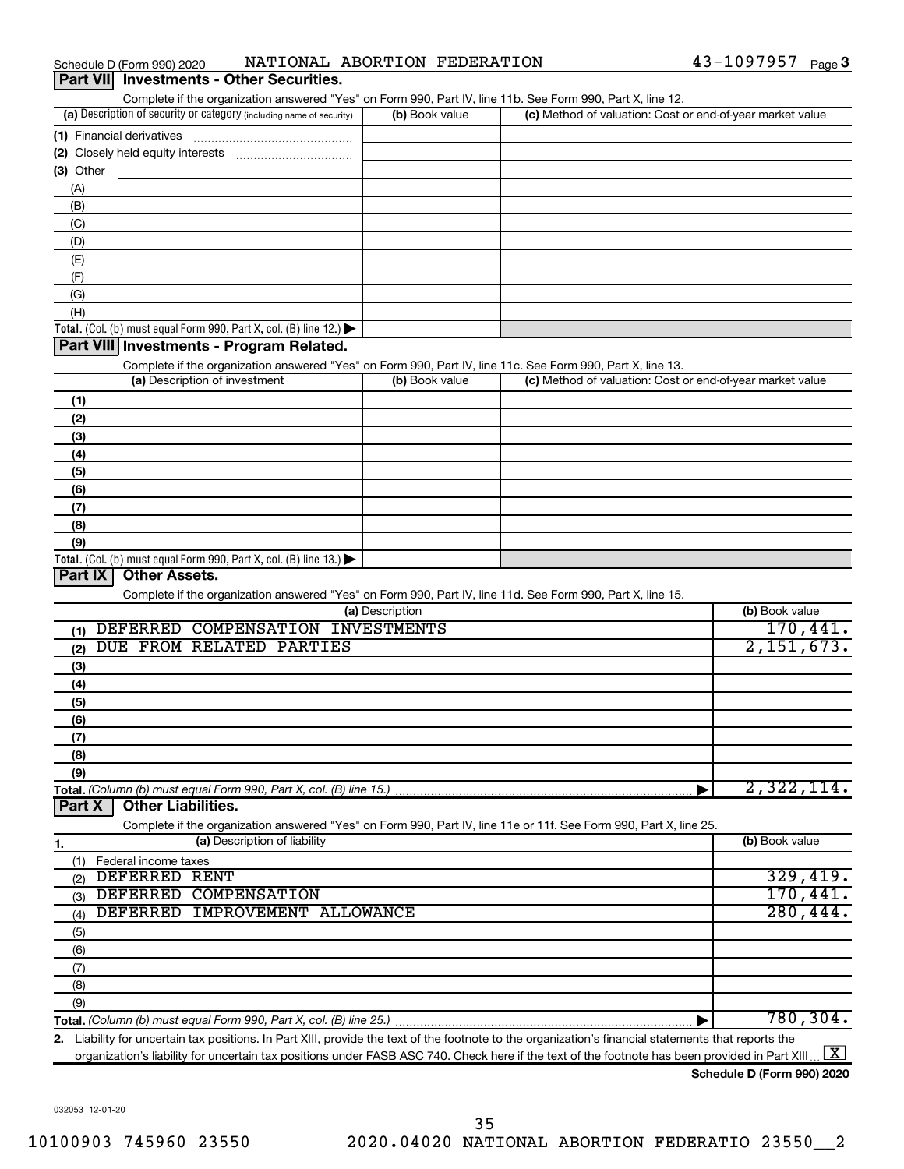| Schedule D (Form 990) 2020 |  |  | NATIONAL ABORTION FEDERATION | 43-1097957<br>Page $\mathbf 3$ |
|----------------------------|--|--|------------------------------|--------------------------------|
|----------------------------|--|--|------------------------------|--------------------------------|

| Complete if the organization answered "Yes" on Form 990, Part IV, line 11b. See Form 990, Part X, line 12.<br>(a) Description of security or category (including name of security)<br>(c) Method of valuation: Cost or end-of-year market value<br>(b) Book value<br>$(3)$ Other<br>(A)<br>(B)<br>(C)<br>(D)<br>(E)<br>(F)<br>(G)<br>(H)<br><b>Total.</b> (Col. (b) must equal Form 990, Part X, col. (B) line 12.) $\blacktriangleright$<br>Part VIII Investments - Program Related.<br>Complete if the organization answered "Yes" on Form 990, Part IV, line 11c. See Form 990, Part X, line 13.<br>(a) Description of investment<br>(c) Method of valuation: Cost or end-of-year market value<br>(b) Book value<br>(1)<br>(2)<br>(3)<br>(4)<br>(5)<br>(6)<br>(7)<br>(8)<br>(9)<br><b>Total.</b> (Col. (b) must equal Form 990, Part X, col. (B) line 13.)<br>Part IX<br><b>Other Assets.</b><br>Complete if the organization answered "Yes" on Form 990, Part IV, line 11d. See Form 990, Part X, line 15.<br>(b) Book value<br>(a) Description<br>170,441.<br>DEFERRED COMPENSATION INVESTMENTS<br>(1)<br>2,151,673.<br>DUE FROM RELATED PARTIES<br>(2)<br>(3)<br>(4)<br>(5)<br>(6)<br>(7)<br>(8)<br>(9)<br>2,322,114.<br>Total. (Column (b) must equal Form 990, Part X, col. (B) line 15.)<br><b>Other Liabilities.</b><br>Part X<br>Complete if the organization answered "Yes" on Form 990, Part IV, line 11e or 11f. See Form 990, Part X, line 25.<br>(a) Description of liability<br>(b) Book value<br>1.<br>(1) Federal income taxes<br>329,419.<br>DEFERRED RENT<br>(2)<br>170,441.<br>DEFERRED COMPENSATION<br>(3)<br>280, 444.<br>DEFERRED IMPROVEMENT ALLOWANCE<br>(4)<br>(5)<br>(6) | Part VII Investments - Other Securities. |  |  |
|-------------------------------------------------------------------------------------------------------------------------------------------------------------------------------------------------------------------------------------------------------------------------------------------------------------------------------------------------------------------------------------------------------------------------------------------------------------------------------------------------------------------------------------------------------------------------------------------------------------------------------------------------------------------------------------------------------------------------------------------------------------------------------------------------------------------------------------------------------------------------------------------------------------------------------------------------------------------------------------------------------------------------------------------------------------------------------------------------------------------------------------------------------------------------------------------------------------------------------------------------------------------------------------------------------------------------------------------------------------------------------------------------------------------------------------------------------------------------------------------------------------------------------------------------------------------------------------------------------------------------------------------------------------------------------------------------------|------------------------------------------|--|--|
|                                                                                                                                                                                                                                                                                                                                                                                                                                                                                                                                                                                                                                                                                                                                                                                                                                                                                                                                                                                                                                                                                                                                                                                                                                                                                                                                                                                                                                                                                                                                                                                                                                                                                                       |                                          |  |  |
|                                                                                                                                                                                                                                                                                                                                                                                                                                                                                                                                                                                                                                                                                                                                                                                                                                                                                                                                                                                                                                                                                                                                                                                                                                                                                                                                                                                                                                                                                                                                                                                                                                                                                                       |                                          |  |  |
|                                                                                                                                                                                                                                                                                                                                                                                                                                                                                                                                                                                                                                                                                                                                                                                                                                                                                                                                                                                                                                                                                                                                                                                                                                                                                                                                                                                                                                                                                                                                                                                                                                                                                                       |                                          |  |  |
|                                                                                                                                                                                                                                                                                                                                                                                                                                                                                                                                                                                                                                                                                                                                                                                                                                                                                                                                                                                                                                                                                                                                                                                                                                                                                                                                                                                                                                                                                                                                                                                                                                                                                                       |                                          |  |  |
|                                                                                                                                                                                                                                                                                                                                                                                                                                                                                                                                                                                                                                                                                                                                                                                                                                                                                                                                                                                                                                                                                                                                                                                                                                                                                                                                                                                                                                                                                                                                                                                                                                                                                                       |                                          |  |  |
|                                                                                                                                                                                                                                                                                                                                                                                                                                                                                                                                                                                                                                                                                                                                                                                                                                                                                                                                                                                                                                                                                                                                                                                                                                                                                                                                                                                                                                                                                                                                                                                                                                                                                                       |                                          |  |  |
|                                                                                                                                                                                                                                                                                                                                                                                                                                                                                                                                                                                                                                                                                                                                                                                                                                                                                                                                                                                                                                                                                                                                                                                                                                                                                                                                                                                                                                                                                                                                                                                                                                                                                                       |                                          |  |  |
|                                                                                                                                                                                                                                                                                                                                                                                                                                                                                                                                                                                                                                                                                                                                                                                                                                                                                                                                                                                                                                                                                                                                                                                                                                                                                                                                                                                                                                                                                                                                                                                                                                                                                                       |                                          |  |  |
|                                                                                                                                                                                                                                                                                                                                                                                                                                                                                                                                                                                                                                                                                                                                                                                                                                                                                                                                                                                                                                                                                                                                                                                                                                                                                                                                                                                                                                                                                                                                                                                                                                                                                                       |                                          |  |  |
|                                                                                                                                                                                                                                                                                                                                                                                                                                                                                                                                                                                                                                                                                                                                                                                                                                                                                                                                                                                                                                                                                                                                                                                                                                                                                                                                                                                                                                                                                                                                                                                                                                                                                                       |                                          |  |  |
|                                                                                                                                                                                                                                                                                                                                                                                                                                                                                                                                                                                                                                                                                                                                                                                                                                                                                                                                                                                                                                                                                                                                                                                                                                                                                                                                                                                                                                                                                                                                                                                                                                                                                                       |                                          |  |  |
|                                                                                                                                                                                                                                                                                                                                                                                                                                                                                                                                                                                                                                                                                                                                                                                                                                                                                                                                                                                                                                                                                                                                                                                                                                                                                                                                                                                                                                                                                                                                                                                                                                                                                                       |                                          |  |  |
|                                                                                                                                                                                                                                                                                                                                                                                                                                                                                                                                                                                                                                                                                                                                                                                                                                                                                                                                                                                                                                                                                                                                                                                                                                                                                                                                                                                                                                                                                                                                                                                                                                                                                                       |                                          |  |  |
|                                                                                                                                                                                                                                                                                                                                                                                                                                                                                                                                                                                                                                                                                                                                                                                                                                                                                                                                                                                                                                                                                                                                                                                                                                                                                                                                                                                                                                                                                                                                                                                                                                                                                                       |                                          |  |  |
|                                                                                                                                                                                                                                                                                                                                                                                                                                                                                                                                                                                                                                                                                                                                                                                                                                                                                                                                                                                                                                                                                                                                                                                                                                                                                                                                                                                                                                                                                                                                                                                                                                                                                                       |                                          |  |  |
|                                                                                                                                                                                                                                                                                                                                                                                                                                                                                                                                                                                                                                                                                                                                                                                                                                                                                                                                                                                                                                                                                                                                                                                                                                                                                                                                                                                                                                                                                                                                                                                                                                                                                                       |                                          |  |  |
|                                                                                                                                                                                                                                                                                                                                                                                                                                                                                                                                                                                                                                                                                                                                                                                                                                                                                                                                                                                                                                                                                                                                                                                                                                                                                                                                                                                                                                                                                                                                                                                                                                                                                                       |                                          |  |  |
|                                                                                                                                                                                                                                                                                                                                                                                                                                                                                                                                                                                                                                                                                                                                                                                                                                                                                                                                                                                                                                                                                                                                                                                                                                                                                                                                                                                                                                                                                                                                                                                                                                                                                                       |                                          |  |  |
|                                                                                                                                                                                                                                                                                                                                                                                                                                                                                                                                                                                                                                                                                                                                                                                                                                                                                                                                                                                                                                                                                                                                                                                                                                                                                                                                                                                                                                                                                                                                                                                                                                                                                                       |                                          |  |  |
|                                                                                                                                                                                                                                                                                                                                                                                                                                                                                                                                                                                                                                                                                                                                                                                                                                                                                                                                                                                                                                                                                                                                                                                                                                                                                                                                                                                                                                                                                                                                                                                                                                                                                                       |                                          |  |  |
|                                                                                                                                                                                                                                                                                                                                                                                                                                                                                                                                                                                                                                                                                                                                                                                                                                                                                                                                                                                                                                                                                                                                                                                                                                                                                                                                                                                                                                                                                                                                                                                                                                                                                                       |                                          |  |  |
|                                                                                                                                                                                                                                                                                                                                                                                                                                                                                                                                                                                                                                                                                                                                                                                                                                                                                                                                                                                                                                                                                                                                                                                                                                                                                                                                                                                                                                                                                                                                                                                                                                                                                                       |                                          |  |  |
|                                                                                                                                                                                                                                                                                                                                                                                                                                                                                                                                                                                                                                                                                                                                                                                                                                                                                                                                                                                                                                                                                                                                                                                                                                                                                                                                                                                                                                                                                                                                                                                                                                                                                                       |                                          |  |  |
|                                                                                                                                                                                                                                                                                                                                                                                                                                                                                                                                                                                                                                                                                                                                                                                                                                                                                                                                                                                                                                                                                                                                                                                                                                                                                                                                                                                                                                                                                                                                                                                                                                                                                                       |                                          |  |  |
|                                                                                                                                                                                                                                                                                                                                                                                                                                                                                                                                                                                                                                                                                                                                                                                                                                                                                                                                                                                                                                                                                                                                                                                                                                                                                                                                                                                                                                                                                                                                                                                                                                                                                                       |                                          |  |  |
|                                                                                                                                                                                                                                                                                                                                                                                                                                                                                                                                                                                                                                                                                                                                                                                                                                                                                                                                                                                                                                                                                                                                                                                                                                                                                                                                                                                                                                                                                                                                                                                                                                                                                                       |                                          |  |  |
|                                                                                                                                                                                                                                                                                                                                                                                                                                                                                                                                                                                                                                                                                                                                                                                                                                                                                                                                                                                                                                                                                                                                                                                                                                                                                                                                                                                                                                                                                                                                                                                                                                                                                                       |                                          |  |  |
|                                                                                                                                                                                                                                                                                                                                                                                                                                                                                                                                                                                                                                                                                                                                                                                                                                                                                                                                                                                                                                                                                                                                                                                                                                                                                                                                                                                                                                                                                                                                                                                                                                                                                                       |                                          |  |  |
|                                                                                                                                                                                                                                                                                                                                                                                                                                                                                                                                                                                                                                                                                                                                                                                                                                                                                                                                                                                                                                                                                                                                                                                                                                                                                                                                                                                                                                                                                                                                                                                                                                                                                                       |                                          |  |  |
|                                                                                                                                                                                                                                                                                                                                                                                                                                                                                                                                                                                                                                                                                                                                                                                                                                                                                                                                                                                                                                                                                                                                                                                                                                                                                                                                                                                                                                                                                                                                                                                                                                                                                                       |                                          |  |  |
|                                                                                                                                                                                                                                                                                                                                                                                                                                                                                                                                                                                                                                                                                                                                                                                                                                                                                                                                                                                                                                                                                                                                                                                                                                                                                                                                                                                                                                                                                                                                                                                                                                                                                                       |                                          |  |  |
|                                                                                                                                                                                                                                                                                                                                                                                                                                                                                                                                                                                                                                                                                                                                                                                                                                                                                                                                                                                                                                                                                                                                                                                                                                                                                                                                                                                                                                                                                                                                                                                                                                                                                                       |                                          |  |  |
|                                                                                                                                                                                                                                                                                                                                                                                                                                                                                                                                                                                                                                                                                                                                                                                                                                                                                                                                                                                                                                                                                                                                                                                                                                                                                                                                                                                                                                                                                                                                                                                                                                                                                                       |                                          |  |  |
|                                                                                                                                                                                                                                                                                                                                                                                                                                                                                                                                                                                                                                                                                                                                                                                                                                                                                                                                                                                                                                                                                                                                                                                                                                                                                                                                                                                                                                                                                                                                                                                                                                                                                                       |                                          |  |  |
|                                                                                                                                                                                                                                                                                                                                                                                                                                                                                                                                                                                                                                                                                                                                                                                                                                                                                                                                                                                                                                                                                                                                                                                                                                                                                                                                                                                                                                                                                                                                                                                                                                                                                                       |                                          |  |  |
|                                                                                                                                                                                                                                                                                                                                                                                                                                                                                                                                                                                                                                                                                                                                                                                                                                                                                                                                                                                                                                                                                                                                                                                                                                                                                                                                                                                                                                                                                                                                                                                                                                                                                                       |                                          |  |  |
|                                                                                                                                                                                                                                                                                                                                                                                                                                                                                                                                                                                                                                                                                                                                                                                                                                                                                                                                                                                                                                                                                                                                                                                                                                                                                                                                                                                                                                                                                                                                                                                                                                                                                                       |                                          |  |  |
|                                                                                                                                                                                                                                                                                                                                                                                                                                                                                                                                                                                                                                                                                                                                                                                                                                                                                                                                                                                                                                                                                                                                                                                                                                                                                                                                                                                                                                                                                                                                                                                                                                                                                                       |                                          |  |  |
|                                                                                                                                                                                                                                                                                                                                                                                                                                                                                                                                                                                                                                                                                                                                                                                                                                                                                                                                                                                                                                                                                                                                                                                                                                                                                                                                                                                                                                                                                                                                                                                                                                                                                                       |                                          |  |  |
|                                                                                                                                                                                                                                                                                                                                                                                                                                                                                                                                                                                                                                                                                                                                                                                                                                                                                                                                                                                                                                                                                                                                                                                                                                                                                                                                                                                                                                                                                                                                                                                                                                                                                                       |                                          |  |  |
|                                                                                                                                                                                                                                                                                                                                                                                                                                                                                                                                                                                                                                                                                                                                                                                                                                                                                                                                                                                                                                                                                                                                                                                                                                                                                                                                                                                                                                                                                                                                                                                                                                                                                                       |                                          |  |  |
|                                                                                                                                                                                                                                                                                                                                                                                                                                                                                                                                                                                                                                                                                                                                                                                                                                                                                                                                                                                                                                                                                                                                                                                                                                                                                                                                                                                                                                                                                                                                                                                                                                                                                                       |                                          |  |  |
|                                                                                                                                                                                                                                                                                                                                                                                                                                                                                                                                                                                                                                                                                                                                                                                                                                                                                                                                                                                                                                                                                                                                                                                                                                                                                                                                                                                                                                                                                                                                                                                                                                                                                                       |                                          |  |  |
|                                                                                                                                                                                                                                                                                                                                                                                                                                                                                                                                                                                                                                                                                                                                                                                                                                                                                                                                                                                                                                                                                                                                                                                                                                                                                                                                                                                                                                                                                                                                                                                                                                                                                                       |                                          |  |  |
|                                                                                                                                                                                                                                                                                                                                                                                                                                                                                                                                                                                                                                                                                                                                                                                                                                                                                                                                                                                                                                                                                                                                                                                                                                                                                                                                                                                                                                                                                                                                                                                                                                                                                                       |                                          |  |  |
|                                                                                                                                                                                                                                                                                                                                                                                                                                                                                                                                                                                                                                                                                                                                                                                                                                                                                                                                                                                                                                                                                                                                                                                                                                                                                                                                                                                                                                                                                                                                                                                                                                                                                                       |                                          |  |  |
|                                                                                                                                                                                                                                                                                                                                                                                                                                                                                                                                                                                                                                                                                                                                                                                                                                                                                                                                                                                                                                                                                                                                                                                                                                                                                                                                                                                                                                                                                                                                                                                                                                                                                                       |                                          |  |  |
|                                                                                                                                                                                                                                                                                                                                                                                                                                                                                                                                                                                                                                                                                                                                                                                                                                                                                                                                                                                                                                                                                                                                                                                                                                                                                                                                                                                                                                                                                                                                                                                                                                                                                                       |                                          |  |  |
|                                                                                                                                                                                                                                                                                                                                                                                                                                                                                                                                                                                                                                                                                                                                                                                                                                                                                                                                                                                                                                                                                                                                                                                                                                                                                                                                                                                                                                                                                                                                                                                                                                                                                                       |                                          |  |  |
|                                                                                                                                                                                                                                                                                                                                                                                                                                                                                                                                                                                                                                                                                                                                                                                                                                                                                                                                                                                                                                                                                                                                                                                                                                                                                                                                                                                                                                                                                                                                                                                                                                                                                                       | (7)                                      |  |  |

**Total.**  *(Column (b) must equal Form 990, Part X, col. (B) line 25.)* (9) | 780,304.

**2.** Liability for uncertain tax positions. In Part XIII, provide the text of the footnote to the organization's financial statements that reports the organization's liability for uncertain tax positions under FASB ASC 740. Check here if the text of the footnote has been provided in Part XIII ...  $\fbox{\bf X}$ 

**Schedule D (Form 990) 2020**

032053 12-01-20

(8)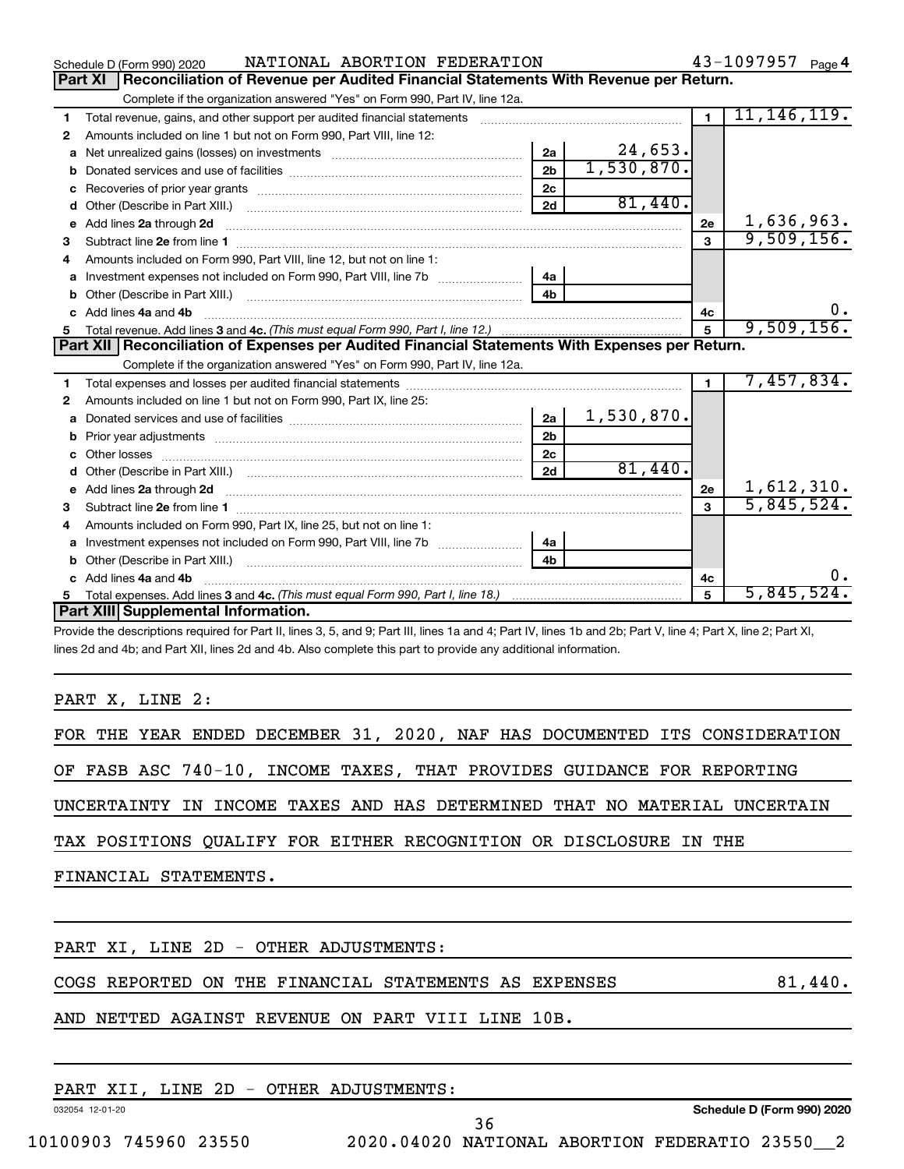|   | NATIONAL ABORTION FEDERATION<br>Schedule D (Form 990) 2020                                                                                                                                                                               |                |            |                | $43 - 1097957$ Page 4 |
|---|------------------------------------------------------------------------------------------------------------------------------------------------------------------------------------------------------------------------------------------|----------------|------------|----------------|-----------------------|
|   | Reconciliation of Revenue per Audited Financial Statements With Revenue per Return.<br>Part XI                                                                                                                                           |                |            |                |                       |
|   | Complete if the organization answered "Yes" on Form 990, Part IV, line 12a.                                                                                                                                                              |                |            |                |                       |
| 1 | Total revenue, gains, and other support per audited financial statements                                                                                                                                                                 |                |            | $\blacksquare$ | 11, 146, 119.         |
| 2 | Amounts included on line 1 but not on Form 990, Part VIII, line 12:                                                                                                                                                                      |                |            |                |                       |
| a |                                                                                                                                                                                                                                          | 2a             | 24,653.    |                |                       |
| b |                                                                                                                                                                                                                                          | 2 <sub>b</sub> | 1,530,870. |                |                       |
|   |                                                                                                                                                                                                                                          | 2c             |            |                |                       |
| d | Other (Describe in Part XIII.) <b>Construction (Construction Construction</b> of Chern Construction Construction Const                                                                                                                   | 2d             | 81,440.    |                |                       |
|   | e Add lines 2a through 2d                                                                                                                                                                                                                |                |            | 2e             | 1,636,963.            |
| 3 |                                                                                                                                                                                                                                          |                |            |                | 9,509,156.            |
| 4 | Amounts included on Form 990, Part VIII, line 12, but not on line 1:                                                                                                                                                                     |                |            |                |                       |
| a | Investment expenses not included on Form 990, Part VIII, line 7b [100] [100] [100] [100] [100] [100] [100] [10                                                                                                                           | 4a             |            |                |                       |
| b |                                                                                                                                                                                                                                          |                |            |                |                       |
|   | c Add lines 4a and 4b                                                                                                                                                                                                                    |                |            | 4c             | 0.                    |
| 5 |                                                                                                                                                                                                                                          |                |            |                | 9,509,156.            |
|   | Part XII   Reconciliation of Expenses per Audited Financial Statements With Expenses per Return.                                                                                                                                         |                |            |                |                       |
|   | Complete if the organization answered "Yes" on Form 990, Part IV, line 12a.                                                                                                                                                              |                |            |                |                       |
| 1 |                                                                                                                                                                                                                                          |                |            |                | 7,457,834.            |
| 2 | Amounts included on line 1 but not on Form 990, Part IX, line 25:                                                                                                                                                                        |                |            |                |                       |
| a |                                                                                                                                                                                                                                          | 2a             | 1,530,870. |                |                       |
| b |                                                                                                                                                                                                                                          | 2 <sub>b</sub> |            |                |                       |
| c |                                                                                                                                                                                                                                          | 2 <sub>c</sub> |            |                |                       |
| d |                                                                                                                                                                                                                                          | 2d             | 81,440.    |                |                       |
|   | e Add lines 2a through 2d <b>[10]</b> [10] <b>All and Property Contract 20 and 20</b> and 20 and 20 and 20 and 20 and 20 and 20 and 20 and 20 and 20 and 20 and 20 and 20 and 20 and 20 and 20 and 20 and 20 and 20 and 20 and 20 and 20 |                |            | 2e             | 1,612,310.            |
| 3 |                                                                                                                                                                                                                                          |                |            |                | 5,845,524.            |
| 4 | Amounts included on Form 990, Part IX, line 25, but not on line 1:                                                                                                                                                                       |                |            |                |                       |
|   |                                                                                                                                                                                                                                          | 4a             |            |                |                       |
|   |                                                                                                                                                                                                                                          | 4 <sub>h</sub> |            |                |                       |
|   | c Add lines 4a and 4b                                                                                                                                                                                                                    |                |            | 4с             | 0.                    |
|   |                                                                                                                                                                                                                                          |                |            | 5              | 5,845,524.            |
|   | Part XIII Supplemental Information.                                                                                                                                                                                                      |                |            |                |                       |
|   | Drovide the descriptions required for Dart II, lines 3, 5, and Q: Dart III, lines 1a and A: Dart IV, lines 1b and 2b: Dart V, line A: Dart Y, line 2: Dart Y, line                                                                       |                |            |                |                       |

e the descriptions required for Part II, lines 3, 5, and 9; Part III, lines 1a and 4; Part IV, lines 1b and 2b; Part V, line 4; Part . lines 2d and 4b; and Part XII, lines 2d and 4b. Also complete this part to provide any additional information.

PART X, LINE 2:

|  |  |  |  |  |  |  |  |  |  |  | FOR THE YEAR ENDED DECEMBER 31, 2020, NAF HAS DOCUMENTED ITS CONSIDERATION |
|--|--|--|--|--|--|--|--|--|--|--|----------------------------------------------------------------------------|
|--|--|--|--|--|--|--|--|--|--|--|----------------------------------------------------------------------------|

OF FASB ASC 740-10, INCOME TAXES, THAT PROVIDES GUIDANCE FOR REPORTING

UNCERTAINTY IN INCOME TAXES AND HAS DETERMINED THAT NO MATERIAL UNCERTAIN

TAX POSITIONS QUALIFY FOR EITHER RECOGNITION OR DISCLOSURE IN THE

FINANCIAL STATEMENTS.

PART XI, LINE 2D - OTHER ADJUSTMENTS:

COGS REPORTED ON THE FINANCIAL STATEMENTS AS EXPENSES  $81,440$ .

AND NETTED AGAINST REVENUE ON PART VIII LINE 10B.

| <b>JUSTMENTS.</b><br>" INE<br>2D<br>ADJ<br>-<br>FAK 1<br>.ner |
|---------------------------------------------------------------|
|                                                               |

032054 12-01-20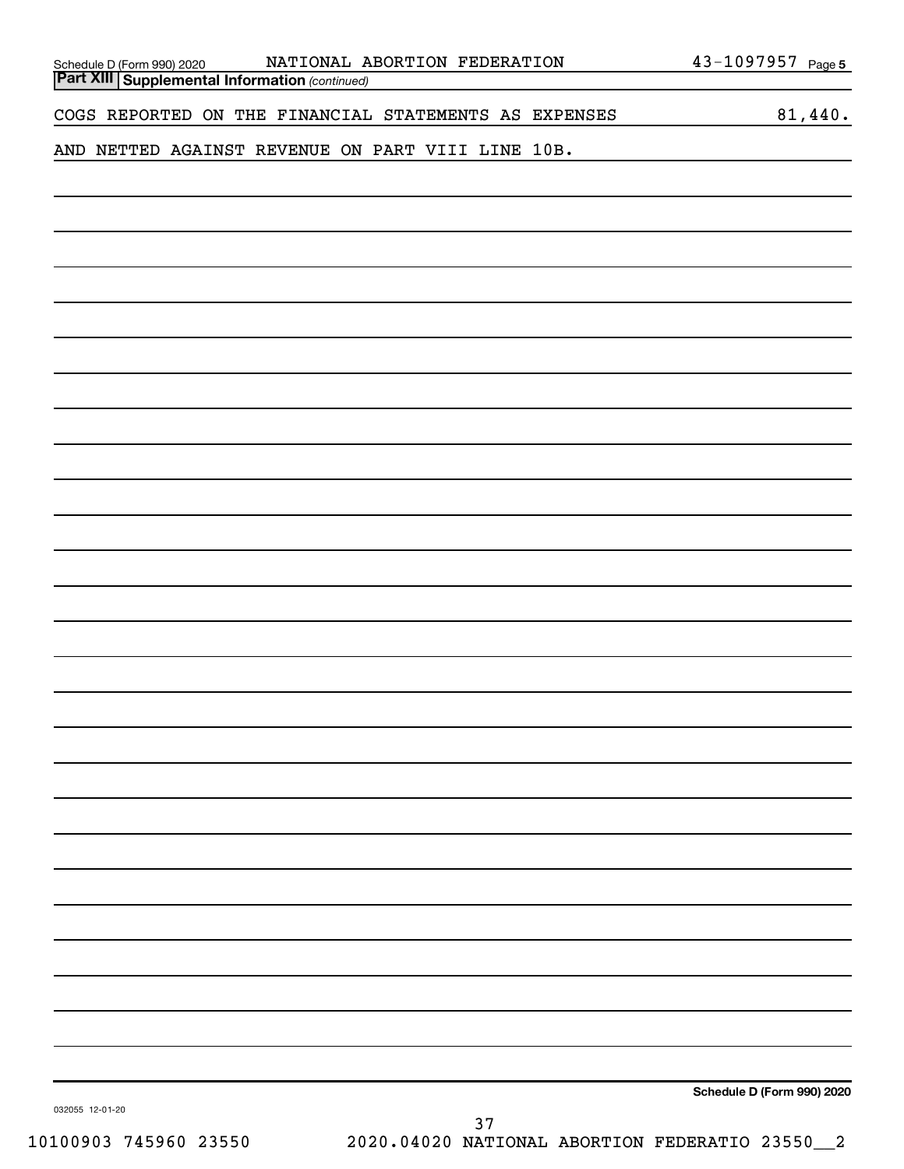|  |  |                                                   |  |  | COGS REPORTED ON THE FINANCIAL STATEMENTS AS EXPENSES                                                                 |                                                   | 81,440. |
|--|--|---------------------------------------------------|--|--|-----------------------------------------------------------------------------------------------------------------------|---------------------------------------------------|---------|
|  |  | AND NETTED AGAINST REVENUE ON PART VIII LINE 10B. |  |  |                                                                                                                       | <u> 1989 - Johann Barbara, martxa alemaniar a</u> |         |
|  |  |                                                   |  |  | <u> 1989 - John Harry Harry Harry Harry Harry Harry Harry Harry Harry Harry Harry Harry Harry Harry Harry Harry H</u> |                                                   |         |
|  |  |                                                   |  |  |                                                                                                                       |                                                   |         |
|  |  |                                                   |  |  |                                                                                                                       |                                                   |         |
|  |  |                                                   |  |  |                                                                                                                       |                                                   |         |
|  |  |                                                   |  |  |                                                                                                                       |                                                   |         |
|  |  |                                                   |  |  |                                                                                                                       |                                                   |         |
|  |  |                                                   |  |  |                                                                                                                       |                                                   |         |
|  |  |                                                   |  |  |                                                                                                                       |                                                   |         |
|  |  |                                                   |  |  |                                                                                                                       |                                                   |         |
|  |  |                                                   |  |  |                                                                                                                       |                                                   |         |
|  |  |                                                   |  |  |                                                                                                                       |                                                   |         |
|  |  |                                                   |  |  |                                                                                                                       |                                                   |         |
|  |  |                                                   |  |  |                                                                                                                       |                                                   |         |
|  |  |                                                   |  |  |                                                                                                                       |                                                   |         |
|  |  |                                                   |  |  |                                                                                                                       |                                                   |         |
|  |  |                                                   |  |  |                                                                                                                       |                                                   |         |
|  |  |                                                   |  |  |                                                                                                                       |                                                   |         |
|  |  |                                                   |  |  |                                                                                                                       |                                                   |         |
|  |  |                                                   |  |  |                                                                                                                       |                                                   |         |
|  |  |                                                   |  |  |                                                                                                                       |                                                   |         |
|  |  |                                                   |  |  |                                                                                                                       |                                                   |         |
|  |  |                                                   |  |  |                                                                                                                       |                                                   |         |
|  |  |                                                   |  |  |                                                                                                                       |                                                   |         |
|  |  |                                                   |  |  |                                                                                                                       |                                                   |         |
|  |  |                                                   |  |  |                                                                                                                       |                                                   |         |
|  |  |                                                   |  |  |                                                                                                                       |                                                   |         |
|  |  |                                                   |  |  |                                                                                                                       | Schedule D (Form 990) 2020                        |         |
|  |  |                                                   |  |  |                                                                                                                       |                                                   |         |

032055 12-01-20

 $\overline{\phantom{a}}$ 

*(continued)* **Part XIII Supplemental Information**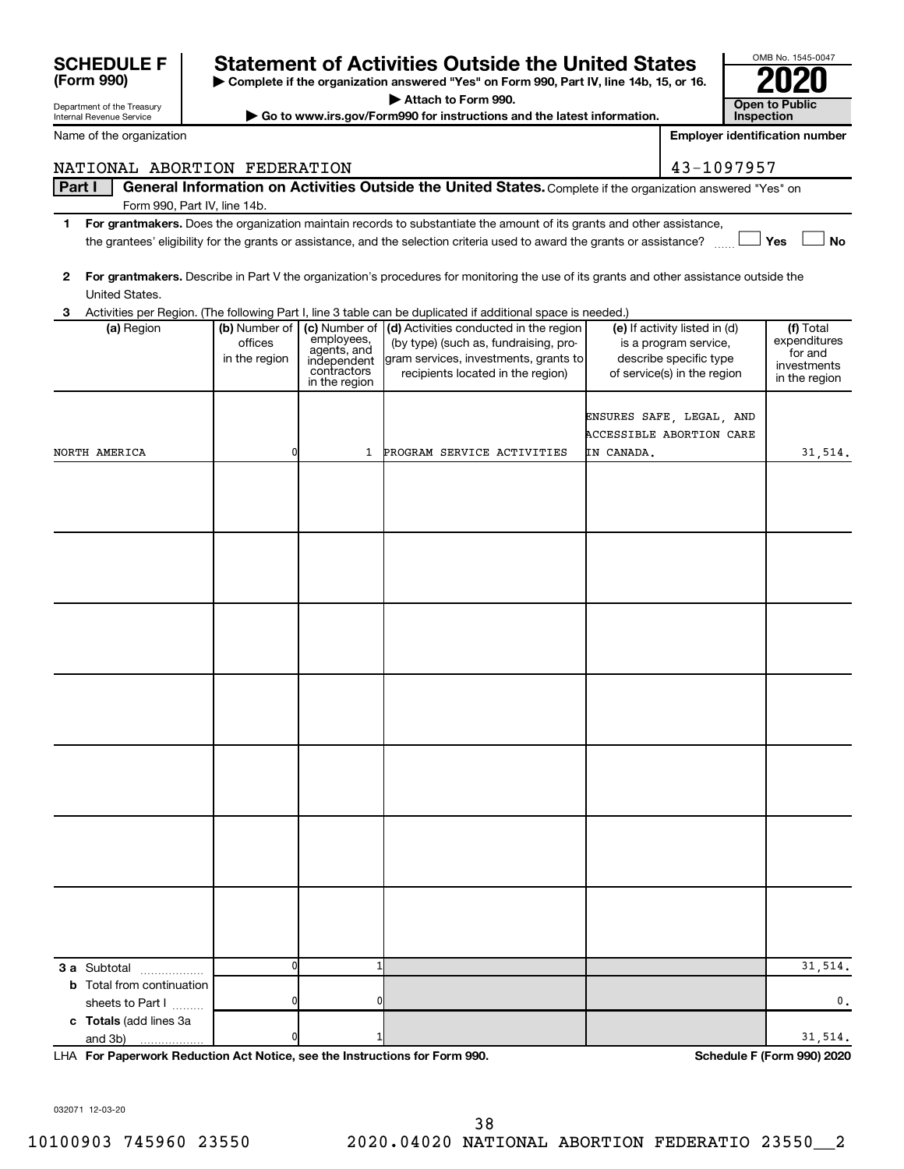|              | Part I                                                                                    |                                           |                                                                                           | General Information on Activities Outside the United States. Complete if the organization answered "Yes" on                                                   |                                                                                                                 |                                                                      |
|--------------|-------------------------------------------------------------------------------------------|-------------------------------------------|-------------------------------------------------------------------------------------------|---------------------------------------------------------------------------------------------------------------------------------------------------------------|-----------------------------------------------------------------------------------------------------------------|----------------------------------------------------------------------|
|              | Form 990, Part IV, line 14b.                                                              |                                           |                                                                                           |                                                                                                                                                               |                                                                                                                 |                                                                      |
| 1.           |                                                                                           |                                           |                                                                                           | For grantmakers. Does the organization maintain records to substantiate the amount of its grants and other assistance,                                        |                                                                                                                 |                                                                      |
|              |                                                                                           |                                           |                                                                                           | the grantees' eligibility for the grants or assistance, and the selection criteria used to award the grants or assistance?                                    |                                                                                                                 | Yes<br><b>No</b>                                                     |
| $\mathbf{2}$ | United States.                                                                            |                                           |                                                                                           | For grantmakers. Describe in Part V the organization's procedures for monitoring the use of its grants and other assistance outside the                       |                                                                                                                 |                                                                      |
| 3            |                                                                                           |                                           |                                                                                           | Activities per Region. (The following Part I, line 3 table can be duplicated if additional space is needed.)                                                  |                                                                                                                 |                                                                      |
|              | (a) Region                                                                                | (b) Number of<br>offices<br>in the region | (c) Number of<br>employees,<br>agents, and<br>independent<br>contractors<br>in the region | (d) Activities conducted in the region<br>(by type) (such as, fundraising, pro-<br>gram services, investments, grants to<br>recipients located in the region) | (e) If activity listed in (d)<br>is a program service,<br>describe specific type<br>of service(s) in the region | (f) Total<br>expenditures<br>for and<br>investments<br>in the region |
|              | NORTH AMERICA                                                                             | 0                                         | $\mathbf{1}$                                                                              | PROGRAM SERVICE ACTIVITIES                                                                                                                                    | ENSURES SAFE, LEGAL, AND<br><b>ACCESSIBLE ABORTION CARE</b><br>IN CANADA.                                       | 31,514.                                                              |
|              |                                                                                           |                                           |                                                                                           |                                                                                                                                                               |                                                                                                                 |                                                                      |
|              |                                                                                           |                                           |                                                                                           |                                                                                                                                                               |                                                                                                                 |                                                                      |
|              |                                                                                           |                                           |                                                                                           |                                                                                                                                                               |                                                                                                                 |                                                                      |
|              |                                                                                           |                                           |                                                                                           |                                                                                                                                                               |                                                                                                                 |                                                                      |
|              |                                                                                           |                                           |                                                                                           |                                                                                                                                                               |                                                                                                                 |                                                                      |
|              |                                                                                           |                                           |                                                                                           |                                                                                                                                                               |                                                                                                                 |                                                                      |
|              |                                                                                           |                                           |                                                                                           |                                                                                                                                                               |                                                                                                                 |                                                                      |
|              |                                                                                           |                                           |                                                                                           |                                                                                                                                                               |                                                                                                                 |                                                                      |
|              |                                                                                           |                                           |                                                                                           |                                                                                                                                                               |                                                                                                                 |                                                                      |
|              |                                                                                           |                                           |                                                                                           |                                                                                                                                                               |                                                                                                                 |                                                                      |
|              | 3 a Subtotal<br>.<br><b>b</b> Total from continuation                                     | O                                         |                                                                                           |                                                                                                                                                               |                                                                                                                 | 31,514.                                                              |
|              | sheets to Part I<br>c Totals (add lines 3a                                                | ŋ                                         |                                                                                           |                                                                                                                                                               |                                                                                                                 | 0.                                                                   |
|              | and 3b)<br>.<br>LHA For Panerwork Poduction Act Notice, see the Instructions for Form 000 |                                           |                                                                                           |                                                                                                                                                               |                                                                                                                 | 31,514.<br>Schodule E (Form 000) 2020                                |

**For Paperwork Reduction Act Notice, see the Instructions for Form 990. Schedule F (Form 990) 2020** LHA

032071 12-03-20

Department of the Treasury Internal Revenue Service

**(Form 990)**

Name of the organization

## **| Complete if the organization answered "Yes" on Form 990, Part IV, line 14b, 15, or 16. SCHEDULE F Statement of Activities Outside the United States 2020**

**| Attach to Form 990.**

▶ Go to www.irs.gov/Form990 for instructions and the latest information.

NATIONAL ABORTION FEDERATION 43-1097957

| OMB No. 1545-0047     |
|-----------------------|
| 02                    |
|                       |
| <b>Open to Public</b> |
| Inspection            |

**Employer identification number**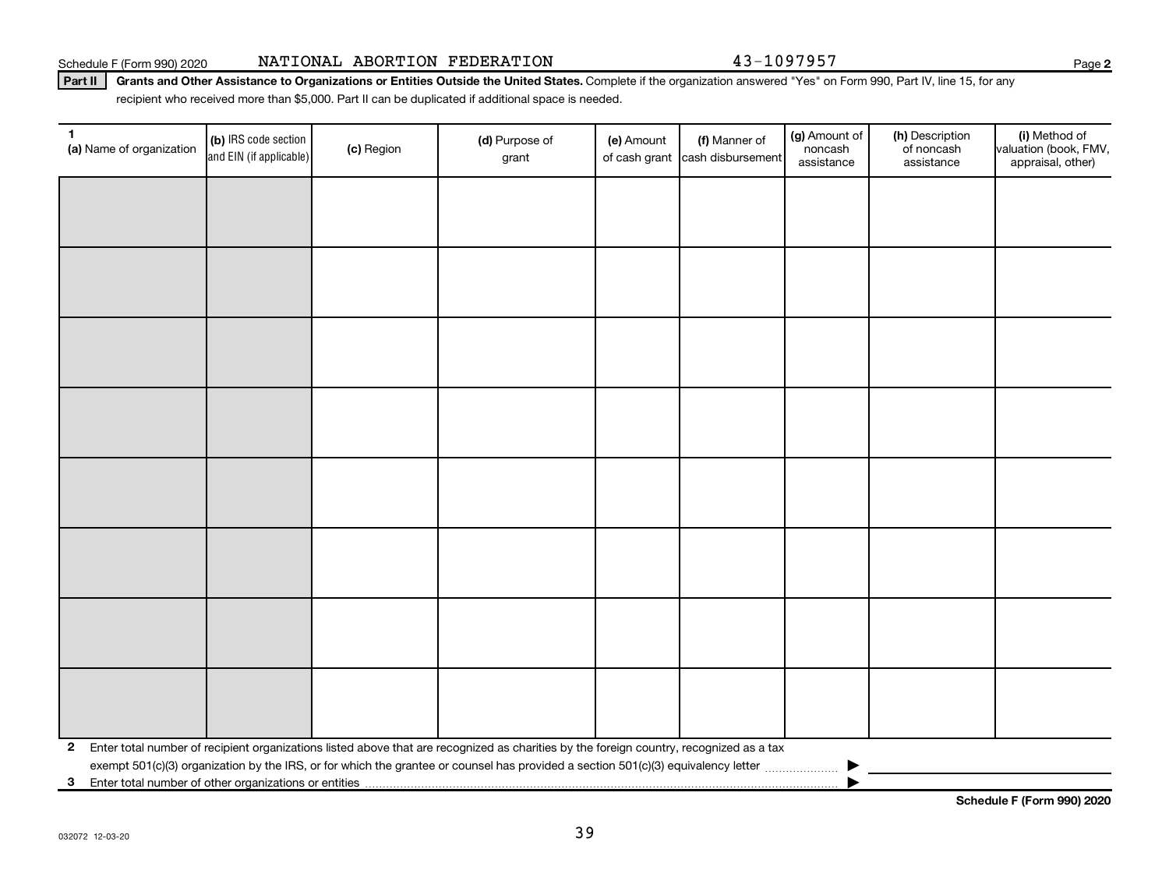Schedule F (Form 990) 2020 NATIONAL ABORTION FEDERATION 43-1097957

Part II | Grants and Other Assistance to Organizations or Entities Outside the United States. Complete if the organization answered "Yes" on Form 990, Part IV, line 15, for any recipient who received more than \$5,000. Part II can be duplicated if additional space is needed.

| $\mathbf{1}$<br>(a) Name of organization                   | (b) IRS code section<br>and EIN (if applicable) | (c) Region | (d) Purpose of<br>grant                                                                                                                 | (e) Amount | (f) Manner of<br>of cash grant cash disbursement | (g) Amount of<br>noncash<br>assistance | (h) Description<br>of noncash<br>assistance | (i) Method of<br>valuation (book, FMV,<br>appraisal, other) |
|------------------------------------------------------------|-------------------------------------------------|------------|-----------------------------------------------------------------------------------------------------------------------------------------|------------|--------------------------------------------------|----------------------------------------|---------------------------------------------|-------------------------------------------------------------|
|                                                            |                                                 |            |                                                                                                                                         |            |                                                  |                                        |                                             |                                                             |
|                                                            |                                                 |            |                                                                                                                                         |            |                                                  |                                        |                                             |                                                             |
|                                                            |                                                 |            |                                                                                                                                         |            |                                                  |                                        |                                             |                                                             |
|                                                            |                                                 |            |                                                                                                                                         |            |                                                  |                                        |                                             |                                                             |
|                                                            |                                                 |            |                                                                                                                                         |            |                                                  |                                        |                                             |                                                             |
|                                                            |                                                 |            |                                                                                                                                         |            |                                                  |                                        |                                             |                                                             |
|                                                            |                                                 |            |                                                                                                                                         |            |                                                  |                                        |                                             |                                                             |
|                                                            |                                                 |            |                                                                                                                                         |            |                                                  |                                        |                                             |                                                             |
|                                                            |                                                 |            |                                                                                                                                         |            |                                                  |                                        |                                             |                                                             |
|                                                            |                                                 |            |                                                                                                                                         |            |                                                  |                                        |                                             |                                                             |
|                                                            |                                                 |            |                                                                                                                                         |            |                                                  |                                        |                                             |                                                             |
|                                                            |                                                 |            |                                                                                                                                         |            |                                                  |                                        |                                             |                                                             |
|                                                            |                                                 |            |                                                                                                                                         |            |                                                  |                                        |                                             |                                                             |
|                                                            |                                                 |            |                                                                                                                                         |            |                                                  |                                        |                                             |                                                             |
|                                                            |                                                 |            |                                                                                                                                         |            |                                                  |                                        |                                             |                                                             |
|                                                            |                                                 |            |                                                                                                                                         |            |                                                  |                                        |                                             |                                                             |
| $\mathbf{2}$                                               |                                                 |            | Enter total number of recipient organizations listed above that are recognized as charities by the foreign country, recognized as a tax |            |                                                  |                                        |                                             |                                                             |
| Enter total number of other organizations or entities<br>3 |                                                 |            |                                                                                                                                         |            |                                                  |                                        |                                             |                                                             |

**Schedule F (Form 990) 2020**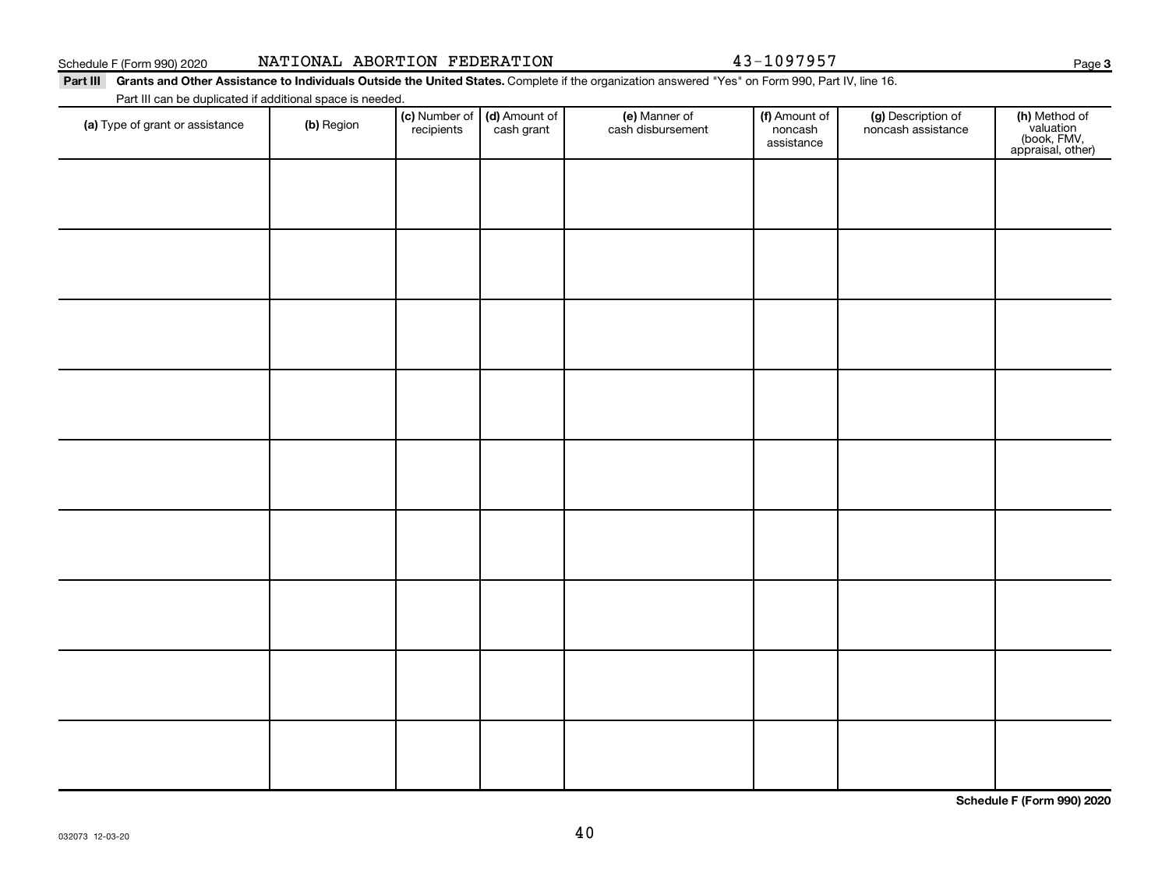## Schedule F (Form 990) 2020 NATIONAL ABORTION FEDERATION 43-1097957

**3**

Part III Grants and Other Assistance to Individuals Outside the United States. Complete if the organization answered "Yes" on Form 990, Part IV, line 16. Part III can be duplicated if additional space is needed.

| (a) Type of grant or assistance | (b) Region | (c) Number of<br>recipients | (d) Amount of<br>cash grant | (e) Manner of<br>cash disbursement | (f) Amount of<br>noncash<br>assistance | (g) Description of<br>noncash assistance | (h) Method of<br>valuation<br>(book, FMV,<br>appraisal, other) |
|---------------------------------|------------|-----------------------------|-----------------------------|------------------------------------|----------------------------------------|------------------------------------------|----------------------------------------------------------------|
|                                 |            |                             |                             |                                    |                                        |                                          |                                                                |
|                                 |            |                             |                             |                                    |                                        |                                          |                                                                |
|                                 |            |                             |                             |                                    |                                        |                                          |                                                                |
|                                 |            |                             |                             |                                    |                                        |                                          |                                                                |
|                                 |            |                             |                             |                                    |                                        |                                          |                                                                |
|                                 |            |                             |                             |                                    |                                        |                                          |                                                                |
|                                 |            |                             |                             |                                    |                                        |                                          |                                                                |
|                                 |            |                             |                             |                                    |                                        |                                          |                                                                |
|                                 |            |                             |                             |                                    |                                        |                                          |                                                                |
|                                 |            |                             |                             |                                    |                                        |                                          |                                                                |

**Schedule F (Form 990) 2020**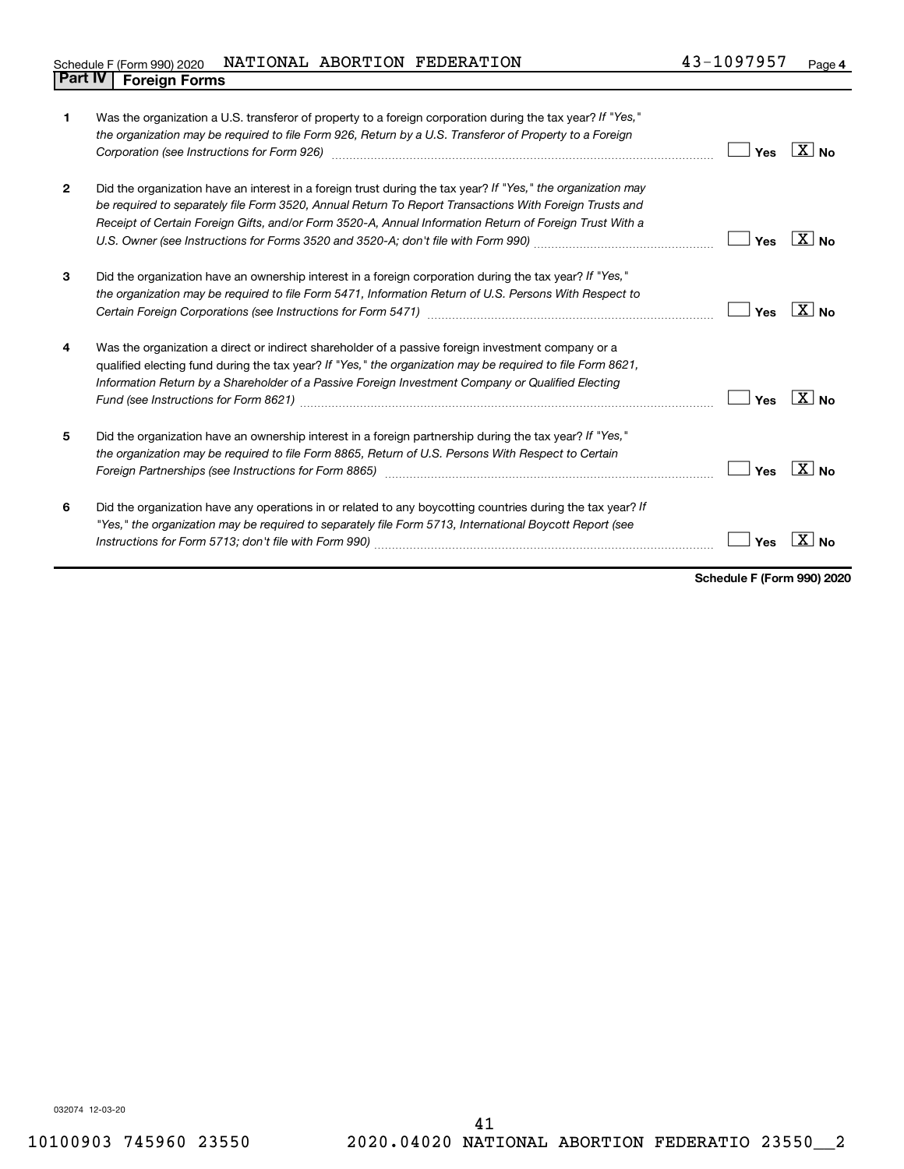## Schedule F (Form 990) 2020 Page NATIONAL ABORTION FEDERATION 43-1097957 **Part IV F** (Form 990) 2020 1

| $\mathbf{1}$   | Was the organization a U.S. transferor of property to a foreign corporation during the tax year? If "Yes,"<br>the organization may be required to file Form 926, Return by a U.S. Transferor of Property to a Foreign<br>Corporation (see Instructions for Form 926) manufactured controller controller to the control of the control of | Yes | ΧI<br><b>No</b>      |
|----------------|------------------------------------------------------------------------------------------------------------------------------------------------------------------------------------------------------------------------------------------------------------------------------------------------------------------------------------------|-----|----------------------|
| $\overline{2}$ | Did the organization have an interest in a foreign trust during the tax year? If "Yes," the organization may<br>be required to separately file Form 3520, Annual Return To Report Transactions With Foreign Trusts and<br>Receipt of Certain Foreign Gifts, and/or Form 3520-A, Annual Information Return of Foreign Trust With a        | Yes | $X _{\text{No}}$     |
| 3              | Did the organization have an ownership interest in a foreign corporation during the tax year? If "Yes,"<br>the organization may be required to file Form 5471, Information Return of U.S. Persons With Respect to                                                                                                                        | Yes | ΧI<br>N <sub>0</sub> |
| 4              | Was the organization a direct or indirect shareholder of a passive foreign investment company or a<br>qualified electing fund during the tax year? If "Yes," the organization may be required to file Form 8621,<br>Information Return by a Shareholder of a Passive Foreign Investment Company or Qualified Electing                    | Yes |                      |
| 5              | Did the organization have an ownership interest in a foreign partnership during the tax year? If "Yes,"<br>the organization may be required to file Form 8865, Return of U.S. Persons With Respect to Certain                                                                                                                            | Yes | χI                   |
| 6              | Did the organization have any operations in or related to any boycotting countries during the tax year? If<br>"Yes," the organization may be required to separately file Form 5713, International Boycott Report (see                                                                                                                    | Yes |                      |

**Schedule F (Form 990) 2020**

032074 12-03-20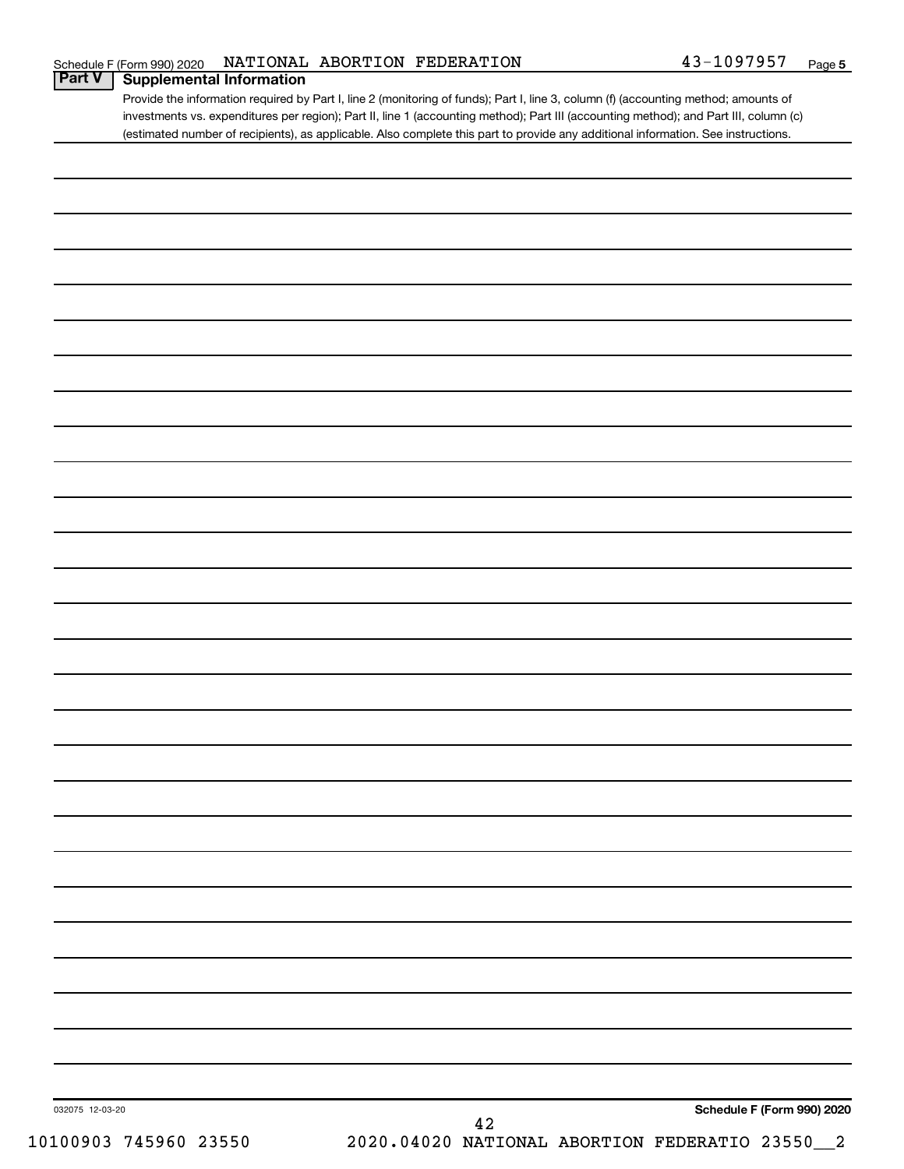Provide the information required by Part I, line 2 (monitoring of funds); Part I, line 3, column (f) (accounting method; amounts of investments vs. expenditures per region); Part II, line 1 (accounting method); Part III (accounting method); and Part III, column (c) (estimated number of recipients), as applicable. Also complete this part to provide any additional information. See instructions.

| 032075 12-03-20<br>10100903 745960 23550 | Schedule F (Form 990) 2020<br>42<br>2020.04020 NATIONAL ABORTION FEDERATIO 23550_2 |
|------------------------------------------|------------------------------------------------------------------------------------|
|                                          |                                                                                    |
|                                          |                                                                                    |
|                                          |                                                                                    |
|                                          |                                                                                    |
|                                          |                                                                                    |
|                                          |                                                                                    |
|                                          |                                                                                    |
|                                          |                                                                                    |
|                                          |                                                                                    |
|                                          |                                                                                    |
|                                          |                                                                                    |
|                                          |                                                                                    |
|                                          |                                                                                    |
|                                          |                                                                                    |
|                                          |                                                                                    |
|                                          |                                                                                    |
|                                          |                                                                                    |
|                                          |                                                                                    |
|                                          |                                                                                    |
|                                          |                                                                                    |
|                                          |                                                                                    |
|                                          |                                                                                    |
|                                          |                                                                                    |
|                                          |                                                                                    |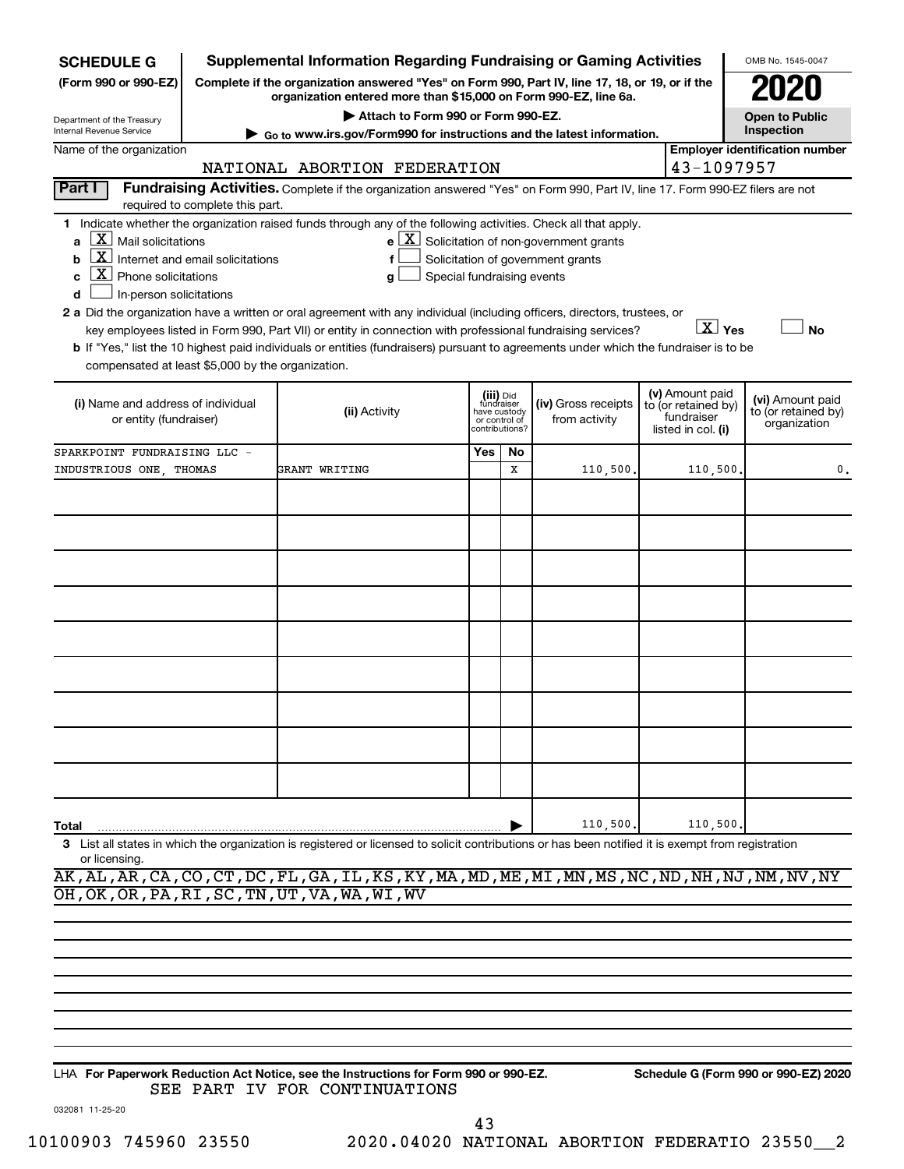| <b>SCHEDULE G</b>                                                                                                                                                                                                                                                                                                                                                                                         | <b>Supplemental Information Regarding Fundraising or Gaming Activities</b>                                                                                          |     |                                                                            |                                      |                                                                            | OMB No. 1545-0047                                       |  |  |  |  |
|-----------------------------------------------------------------------------------------------------------------------------------------------------------------------------------------------------------------------------------------------------------------------------------------------------------------------------------------------------------------------------------------------------------|---------------------------------------------------------------------------------------------------------------------------------------------------------------------|-----|----------------------------------------------------------------------------|--------------------------------------|----------------------------------------------------------------------------|---------------------------------------------------------|--|--|--|--|
| (Form 990 or 990-EZ)                                                                                                                                                                                                                                                                                                                                                                                      | Complete if the organization answered "Yes" on Form 990, Part IV, line 17, 18, or 19, or if the<br>organization entered more than \$15,000 on Form 990-EZ, line 6a. |     |                                                                            |                                      |                                                                            |                                                         |  |  |  |  |
| Department of the Treasury                                                                                                                                                                                                                                                                                                                                                                                | Attach to Form 990 or Form 990-EZ.<br>► Go to www.irs.gov/Form990 for instructions and the latest information.                                                      |     |                                                                            |                                      |                                                                            | <b>Open to Public</b><br><b>Inspection</b>              |  |  |  |  |
| Internal Revenue Service<br>Name of the organization                                                                                                                                                                                                                                                                                                                                                      | <b>Employer identification number</b>                                                                                                                               |     |                                                                            |                                      |                                                                            |                                                         |  |  |  |  |
| 43-1097957<br>NATIONAL ABORTION FEDERATION                                                                                                                                                                                                                                                                                                                                                                |                                                                                                                                                                     |     |                                                                            |                                      |                                                                            |                                                         |  |  |  |  |
| Part I<br>Fundraising Activities. Complete if the organization answered "Yes" on Form 990, Part IV, line 17. Form 990-EZ filers are not                                                                                                                                                                                                                                                                   |                                                                                                                                                                     |     |                                                                            |                                      |                                                                            |                                                         |  |  |  |  |
| required to complete this part.                                                                                                                                                                                                                                                                                                                                                                           |                                                                                                                                                                     |     |                                                                            |                                      |                                                                            |                                                         |  |  |  |  |
| 1 Indicate whether the organization raised funds through any of the following activities. Check all that apply.<br>$X$ Mail solicitations<br>$e$ $\boxed{X}$ Solicitation of non-government grants<br>a<br>$\overline{\mathbf{X}}$ Internet and email solicitations<br>Solicitation of government grants<br>b<br>f<br>$\overline{\textbf{X}}$ Phone solicitations<br>Special fundraising events<br>c<br>g |                                                                                                                                                                     |     |                                                                            |                                      |                                                                            |                                                         |  |  |  |  |
| In-person solicitations<br>d                                                                                                                                                                                                                                                                                                                                                                              |                                                                                                                                                                     |     |                                                                            |                                      |                                                                            |                                                         |  |  |  |  |
| 2 a Did the organization have a written or oral agreement with any individual (including officers, directors, trustees, or                                                                                                                                                                                                                                                                                |                                                                                                                                                                     |     |                                                                            |                                      |                                                                            |                                                         |  |  |  |  |
|                                                                                                                                                                                                                                                                                                                                                                                                           | key employees listed in Form 990, Part VII) or entity in connection with professional fundraising services?                                                         |     |                                                                            |                                      | $\boxed{\text{X}}$ Yes                                                     | <b>No</b>                                               |  |  |  |  |
| b If "Yes," list the 10 highest paid individuals or entities (fundraisers) pursuant to agreements under which the fundraiser is to be<br>compensated at least \$5,000 by the organization.                                                                                                                                                                                                                |                                                                                                                                                                     |     |                                                                            |                                      |                                                                            |                                                         |  |  |  |  |
| (i) Name and address of individual<br>or entity (fundraiser)                                                                                                                                                                                                                                                                                                                                              | (ii) Activity                                                                                                                                                       |     | (iii) Did<br>fundraiser<br>have custody<br>or control of<br>contributions? | (iv) Gross receipts<br>from activity | (v) Amount paid<br>to (or retained by)<br>fundraiser<br>listed in col. (i) | (vi) Amount paid<br>to (or retained by)<br>organization |  |  |  |  |
| SPARKPOINT FUNDRAISING LLC -                                                                                                                                                                                                                                                                                                                                                                              |                                                                                                                                                                     | Yes | No                                                                         |                                      |                                                                            |                                                         |  |  |  |  |
| INDUSTRIOUS ONE THOMAS                                                                                                                                                                                                                                                                                                                                                                                    | GRANT WRITING                                                                                                                                                       |     | X                                                                          | 110,500                              | 110,500                                                                    | 0.                                                      |  |  |  |  |
|                                                                                                                                                                                                                                                                                                                                                                                                           |                                                                                                                                                                     |     |                                                                            |                                      |                                                                            |                                                         |  |  |  |  |
|                                                                                                                                                                                                                                                                                                                                                                                                           |                                                                                                                                                                     |     |                                                                            |                                      |                                                                            |                                                         |  |  |  |  |
|                                                                                                                                                                                                                                                                                                                                                                                                           |                                                                                                                                                                     |     |                                                                            |                                      |                                                                            |                                                         |  |  |  |  |
|                                                                                                                                                                                                                                                                                                                                                                                                           |                                                                                                                                                                     |     |                                                                            |                                      |                                                                            |                                                         |  |  |  |  |
|                                                                                                                                                                                                                                                                                                                                                                                                           |                                                                                                                                                                     |     |                                                                            |                                      |                                                                            |                                                         |  |  |  |  |
|                                                                                                                                                                                                                                                                                                                                                                                                           |                                                                                                                                                                     |     |                                                                            |                                      |                                                                            |                                                         |  |  |  |  |
|                                                                                                                                                                                                                                                                                                                                                                                                           |                                                                                                                                                                     |     |                                                                            |                                      |                                                                            |                                                         |  |  |  |  |
|                                                                                                                                                                                                                                                                                                                                                                                                           |                                                                                                                                                                     |     |                                                                            |                                      |                                                                            |                                                         |  |  |  |  |
|                                                                                                                                                                                                                                                                                                                                                                                                           |                                                                                                                                                                     |     |                                                                            |                                      |                                                                            |                                                         |  |  |  |  |
|                                                                                                                                                                                                                                                                                                                                                                                                           |                                                                                                                                                                     |     |                                                                            |                                      |                                                                            |                                                         |  |  |  |  |
|                                                                                                                                                                                                                                                                                                                                                                                                           |                                                                                                                                                                     |     |                                                                            |                                      |                                                                            |                                                         |  |  |  |  |
|                                                                                                                                                                                                                                                                                                                                                                                                           |                                                                                                                                                                     |     |                                                                            |                                      |                                                                            |                                                         |  |  |  |  |
|                                                                                                                                                                                                                                                                                                                                                                                                           |                                                                                                                                                                     |     |                                                                            |                                      |                                                                            |                                                         |  |  |  |  |
|                                                                                                                                                                                                                                                                                                                                                                                                           |                                                                                                                                                                     |     |                                                                            |                                      |                                                                            |                                                         |  |  |  |  |
|                                                                                                                                                                                                                                                                                                                                                                                                           |                                                                                                                                                                     |     |                                                                            |                                      |                                                                            |                                                         |  |  |  |  |
| Total                                                                                                                                                                                                                                                                                                                                                                                                     |                                                                                                                                                                     |     |                                                                            | 110,500                              | 110,500                                                                    |                                                         |  |  |  |  |
| 3 List all states in which the organization is registered or licensed to solicit contributions or has been notified it is exempt from registration                                                                                                                                                                                                                                                        |                                                                                                                                                                     |     |                                                                            |                                      |                                                                            |                                                         |  |  |  |  |
| or licensing<br>AK, AL, AR, CA, CO, CT, DC, FL, GA, IL, KS, KY, MA, MD, ME, MI, MN, MS, NC, ND, NH, NJ, NM, NV, NY                                                                                                                                                                                                                                                                                        |                                                                                                                                                                     |     |                                                                            |                                      |                                                                            |                                                         |  |  |  |  |
| OH, OK, OR, PA, RI, SC, TN, UT, VA, WA, WI, WV                                                                                                                                                                                                                                                                                                                                                            |                                                                                                                                                                     |     |                                                                            |                                      |                                                                            |                                                         |  |  |  |  |

**For Paperwork Reduction Act Notice, see the Instructions for Form 990 or 990-EZ. Schedule G (Form 990 or 990-EZ) 2020** LHA SEE PART IV FOR CONTINUATIONS

032081 11-25-20

43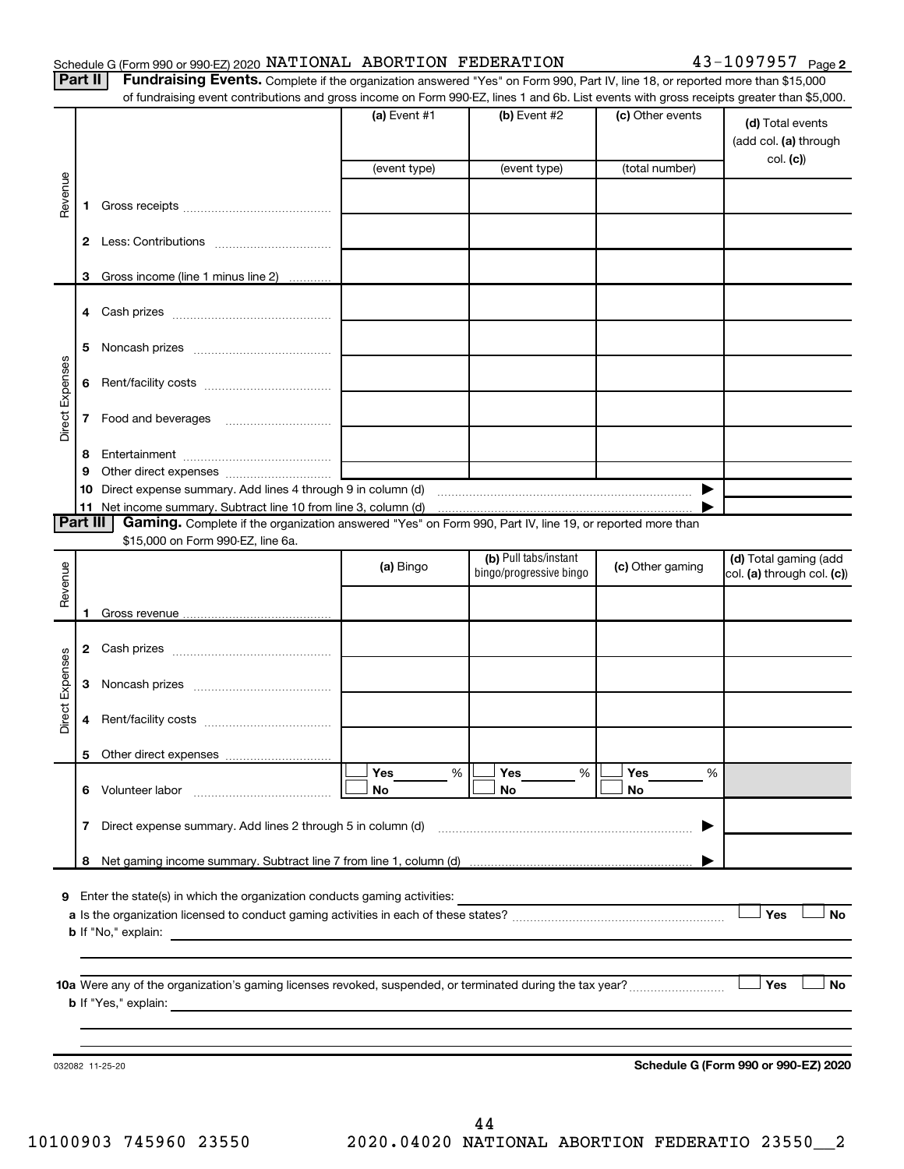|  |  | Schedule G (Form 990 or 990-EZ) 2020 NATIONAL ABORTION FEDERATION |  |  | $43 - 1097957$ Page 2 |
|--|--|-------------------------------------------------------------------|--|--|-----------------------|
|--|--|-------------------------------------------------------------------|--|--|-----------------------|

Part II | Fundraising Events. Complete if the organization answered "Yes" on Form 990, Part IV, line 18, or reported more than \$15,000 of fundraising event contributions and gross income on Form 990-EZ, lines 1 and 6b. List events with gross receipts greater than \$5,000.

|                        |    | ul lufturaising event continuutions and gross income on Form sso-EZ, imes T and OD. Elst events with gross receipts greater than \$0,000.     |                |                                                  |                       |                                                       |
|------------------------|----|-----------------------------------------------------------------------------------------------------------------------------------------------|----------------|--------------------------------------------------|-----------------------|-------------------------------------------------------|
|                        |    |                                                                                                                                               | (a) Event $#1$ | (b) Event $#2$                                   | (c) Other events      | (d) Total events<br>(add col. (a) through<br>col. (c) |
|                        |    |                                                                                                                                               | (event type)   | (event type)                                     | (total number)        |                                                       |
| Revenue                | 1. |                                                                                                                                               |                |                                                  |                       |                                                       |
|                        |    |                                                                                                                                               |                |                                                  |                       |                                                       |
|                        |    | 3 Gross income (line 1 minus line 2)                                                                                                          |                |                                                  |                       |                                                       |
|                        |    |                                                                                                                                               |                |                                                  |                       |                                                       |
|                        | 5  |                                                                                                                                               |                |                                                  |                       |                                                       |
|                        | 6  |                                                                                                                                               |                |                                                  |                       |                                                       |
| Direct Expenses        | 7  |                                                                                                                                               |                |                                                  |                       |                                                       |
|                        | 8  |                                                                                                                                               |                |                                                  |                       |                                                       |
|                        | 9  |                                                                                                                                               |                |                                                  |                       |                                                       |
|                        |    |                                                                                                                                               |                |                                                  | $\blacktriangleright$ |                                                       |
|                        |    |                                                                                                                                               |                |                                                  |                       |                                                       |
| Part III               |    | Gaming. Complete if the organization answered "Yes" on Form 990, Part IV, line 19, or reported more than<br>\$15,000 on Form 990-EZ, line 6a. |                |                                                  |                       |                                                       |
| Revenue                |    |                                                                                                                                               | (a) Bingo      | (b) Pull tabs/instant<br>bingo/progressive bingo | (c) Other gaming      | (d) Total gaming (add<br>col. (a) through col. (c))   |
|                        | 1. |                                                                                                                                               |                |                                                  |                       |                                                       |
|                        |    |                                                                                                                                               |                |                                                  |                       |                                                       |
|                        |    |                                                                                                                                               |                |                                                  |                       |                                                       |
| <b>Direct Expenses</b> | 3  |                                                                                                                                               |                |                                                  |                       |                                                       |
|                        | 4  |                                                                                                                                               |                |                                                  |                       |                                                       |
|                        |    |                                                                                                                                               |                |                                                  |                       |                                                       |
|                        | 6  | Volunteer labor                                                                                                                               | Yes<br>%<br>No | Yes<br>%<br>No                                   | Yes<br>%<br>No        |                                                       |
|                        | 7  | Direct expense summary. Add lines 2 through 5 in column (d)                                                                                   |                |                                                  |                       |                                                       |
|                        | 8  |                                                                                                                                               |                |                                                  |                       |                                                       |
|                        |    |                                                                                                                                               |                |                                                  |                       |                                                       |
| 9                      |    | Enter the state(s) in which the organization conducts gaming activities:                                                                      |                |                                                  |                       |                                                       |
|                        |    |                                                                                                                                               |                |                                                  |                       | Yes<br>No                                             |
|                        |    | <b>b</b> If "No," explain:                                                                                                                    |                |                                                  |                       |                                                       |
|                        |    |                                                                                                                                               |                |                                                  |                       |                                                       |
|                        |    |                                                                                                                                               |                |                                                  |                       | Yes<br>No                                             |
|                        |    | <b>b</b> If "Yes," explain:                                                                                                                   |                |                                                  |                       |                                                       |
|                        |    |                                                                                                                                               |                |                                                  |                       |                                                       |
|                        |    |                                                                                                                                               |                |                                                  |                       |                                                       |
|                        |    | 032082 11-25-20                                                                                                                               |                |                                                  |                       | Schedule G (Form 990 or 990-EZ) 2020                  |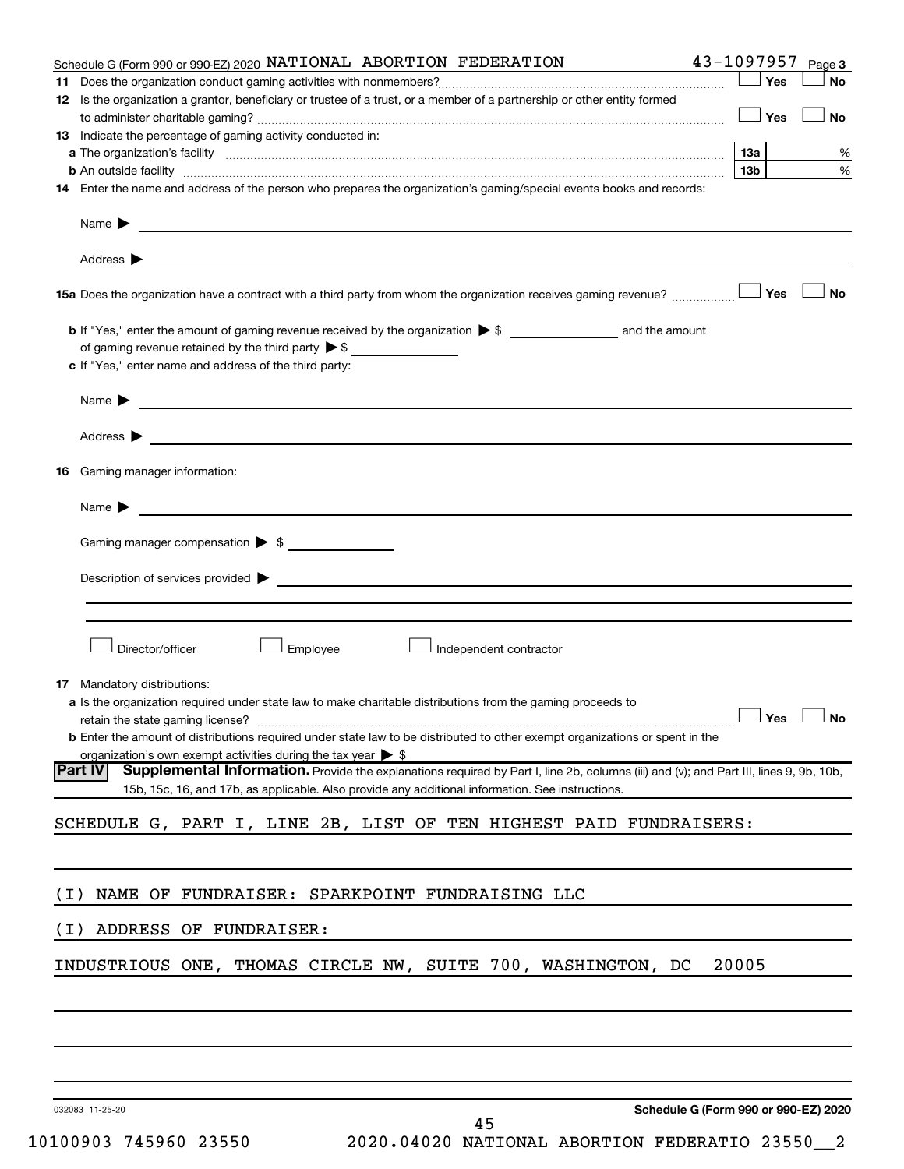| Schedule G (Form 990 or 990-EZ) 2020 NATIONAL ABORTION FEDERATION                                                                                                                                                                  | 43-1097957      | Page 3    |
|------------------------------------------------------------------------------------------------------------------------------------------------------------------------------------------------------------------------------------|-----------------|-----------|
| 11.                                                                                                                                                                                                                                | Yes             | <b>No</b> |
| 12 Is the organization a grantor, beneficiary or trustee of a trust, or a member of a partnership or other entity formed                                                                                                           | Yes             | <b>No</b> |
| <b>13</b> Indicate the percentage of gaming activity conducted in:                                                                                                                                                                 |                 |           |
|                                                                                                                                                                                                                                    | <b>13a</b>      | ℅         |
| <b>b</b> An outside facility <i>www.communicality.communicality.communicality www.communicality.communicality.communicality</i>                                                                                                    | 13 <sub>b</sub> | %         |
| 14 Enter the name and address of the person who prepares the organization's gaming/special events books and records:                                                                                                               |                 |           |
|                                                                                                                                                                                                                                    |                 |           |
|                                                                                                                                                                                                                                    |                 |           |
|                                                                                                                                                                                                                                    | Yes             | <b>No</b> |
|                                                                                                                                                                                                                                    |                 |           |
| of gaming revenue retained by the third party $\triangleright$ \$                                                                                                                                                                  |                 |           |
| c If "Yes," enter name and address of the third party:                                                                                                                                                                             |                 |           |
|                                                                                                                                                                                                                                    |                 |           |
|                                                                                                                                                                                                                                    |                 |           |
| 16 Gaming manager information:                                                                                                                                                                                                     |                 |           |
| Name $\blacktriangleright$<br><u> 1989 - Johann Barbara, martin amerikan basal da</u>                                                                                                                                              |                 |           |
| Gaming manager compensation > \$                                                                                                                                                                                                   |                 |           |
| Description of services provided states and the contract of the contract of the contract of the contract of the contract of the contract of the contract of the contract of the contract of the contract of the contract of th     |                 |           |
|                                                                                                                                                                                                                                    |                 |           |
|                                                                                                                                                                                                                                    |                 |           |
| Director/officer<br>Employee<br>Independent contractor                                                                                                                                                                             |                 |           |
| <b>17</b> Mandatory distributions:                                                                                                                                                                                                 |                 |           |
| a Is the organization required under state law to make charitable distributions from the gaming proceeds to                                                                                                                        |                 |           |
| retain the state gaming license? $\ldots$ No                                                                                                                                                                                       |                 |           |
| <b>b</b> Enter the amount of distributions required under state law to be distributed to other exempt organizations or spent in the                                                                                                |                 |           |
| organization's own exempt activities during the tax year $\triangleright$ \$<br>Supplemental Information. Provide the explanations required by Part I, line 2b, columns (iii) and (v); and Part III, lines 9, 9b, 10b,<br> Part IV |                 |           |
| 15b, 15c, 16, and 17b, as applicable. Also provide any additional information. See instructions.                                                                                                                                   |                 |           |
| SCHEDULE G, PART I, LINE 2B, LIST OF TEN HIGHEST PAID FUNDRAISERS:                                                                                                                                                                 |                 |           |
|                                                                                                                                                                                                                                    |                 |           |
| NAME OF FUNDRAISER: SPARKPOINT FUNDRAISING LLC<br>( I )                                                                                                                                                                            |                 |           |
| ADDRESS OF FUNDRAISER:<br>( I )                                                                                                                                                                                                    |                 |           |
|                                                                                                                                                                                                                                    |                 |           |
| INDUSTRIOUS ONE, THOMAS CIRCLE NW, SUITE 700, WASHINGTON, DC                                                                                                                                                                       | 20005           |           |
|                                                                                                                                                                                                                                    |                 |           |
|                                                                                                                                                                                                                                    |                 |           |
|                                                                                                                                                                                                                                    |                 |           |
| Schedule G (Form 990 or 990-EZ) 2020<br>032083 11-25-20                                                                                                                                                                            |                 |           |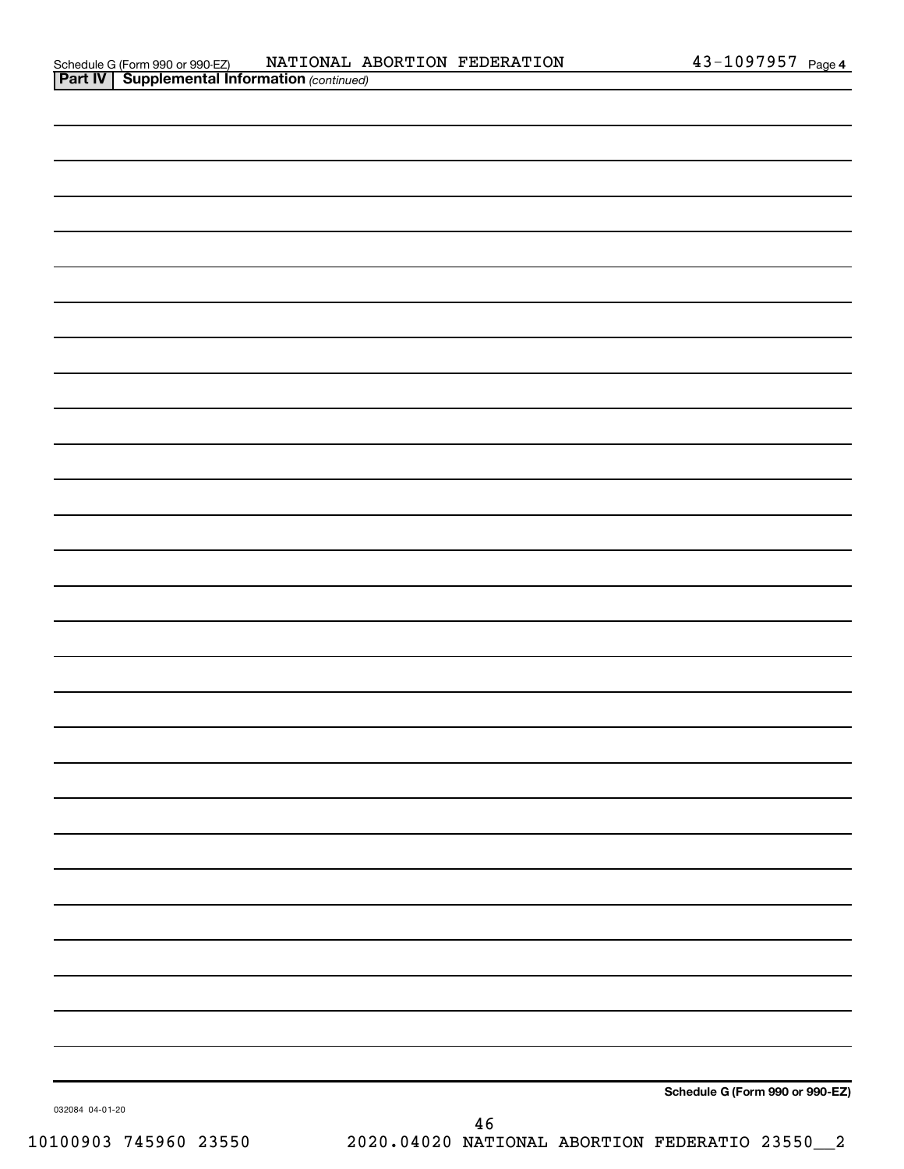| Schedule G (Form 990 or 990-EZ)                       |  | NATIONAL ABORTION FEDERATION | 43-1097957 | Page 4 |
|-------------------------------------------------------|--|------------------------------|------------|--------|
| <b>Part IV   Supplemental Information (continued)</b> |  |                              |            |        |

| 032084 04-01-20 | Schedule G (Form 990 or 990-EZ) |
|-----------------|---------------------------------|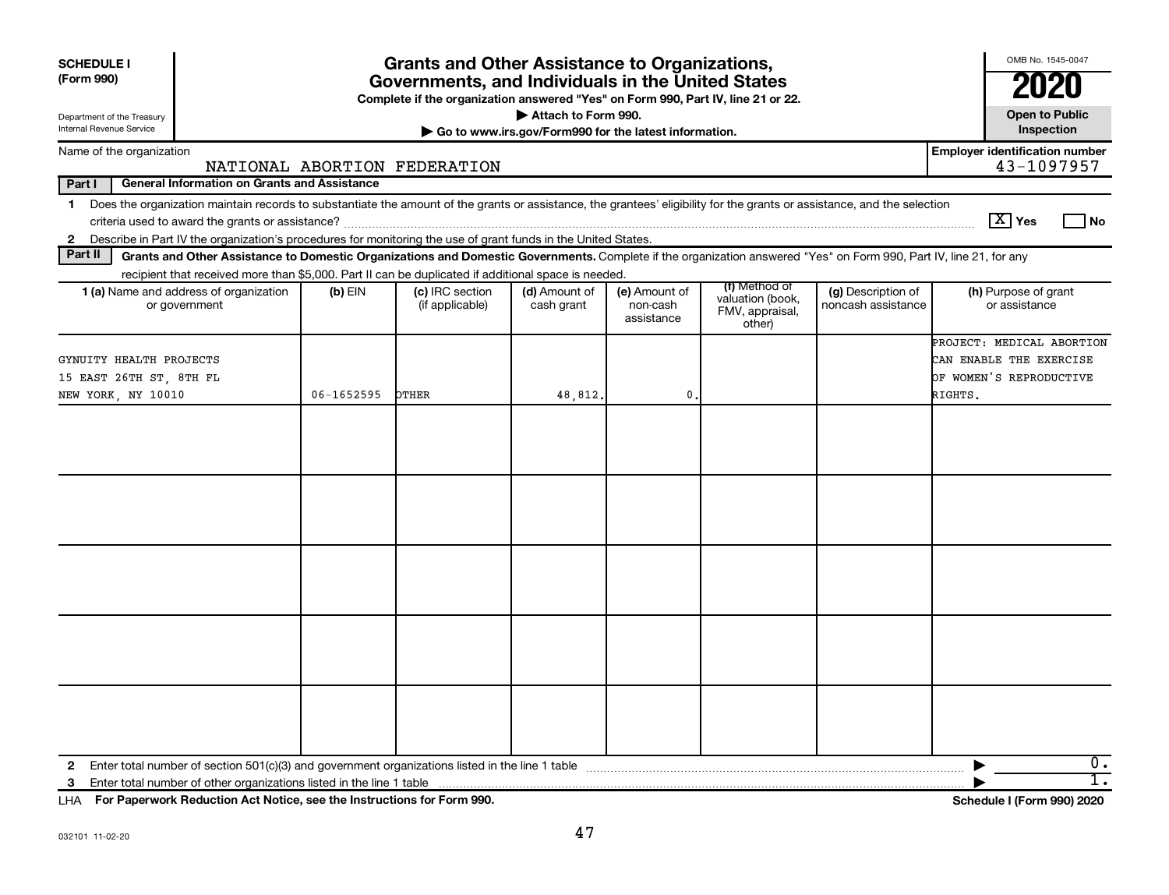| <b>SCHEDULE I</b><br>(Form 990)                                                                                                                                                                                                                                                                            | <b>Grants and Other Assistance to Organizations,</b><br>Governments, and Individuals in the United States<br>Complete if the organization answered "Yes" on Form 990, Part IV, line 21 or 22. |                                    |                                                       |                                         |                                                                |                                          |                                                                                            |  |  |  |
|------------------------------------------------------------------------------------------------------------------------------------------------------------------------------------------------------------------------------------------------------------------------------------------------------------|-----------------------------------------------------------------------------------------------------------------------------------------------------------------------------------------------|------------------------------------|-------------------------------------------------------|-----------------------------------------|----------------------------------------------------------------|------------------------------------------|--------------------------------------------------------------------------------------------|--|--|--|
| Department of the Treasury                                                                                                                                                                                                                                                                                 |                                                                                                                                                                                               |                                    | Attach to Form 990.                                   |                                         |                                                                |                                          | <b>Open to Public</b>                                                                      |  |  |  |
| Internal Revenue Service                                                                                                                                                                                                                                                                                   |                                                                                                                                                                                               |                                    | Go to www.irs.gov/Form990 for the latest information. |                                         |                                                                |                                          | Inspection                                                                                 |  |  |  |
| Name of the organization                                                                                                                                                                                                                                                                                   |                                                                                                                                                                                               | NATIONAL ABORTION FEDERATION       |                                                       |                                         |                                                                |                                          | <b>Employer identification number</b><br>43-1097957                                        |  |  |  |
| Part I<br><b>General Information on Grants and Assistance</b>                                                                                                                                                                                                                                              |                                                                                                                                                                                               |                                    |                                                       |                                         |                                                                |                                          |                                                                                            |  |  |  |
| Does the organization maintain records to substantiate the amount of the grants or assistance, the grantees' eligibility for the grants or assistance, and the selection<br>$\mathbf 1$<br>2 Describe in Part IV the organization's procedures for monitoring the use of grant funds in the United States. |                                                                                                                                                                                               |                                    |                                                       |                                         |                                                                |                                          | $ \mathbf{X} $ Yes<br>l No                                                                 |  |  |  |
| Part II<br>Grants and Other Assistance to Domestic Organizations and Domestic Governments. Complete if the organization answered "Yes" on Form 990, Part IV, line 21, for any                                                                                                                              |                                                                                                                                                                                               |                                    |                                                       |                                         |                                                                |                                          |                                                                                            |  |  |  |
| recipient that received more than \$5,000. Part II can be duplicated if additional space is needed.                                                                                                                                                                                                        |                                                                                                                                                                                               |                                    |                                                       |                                         |                                                                |                                          |                                                                                            |  |  |  |
| 1 (a) Name and address of organization<br>or government                                                                                                                                                                                                                                                    | $(b)$ EIN                                                                                                                                                                                     | (c) IRC section<br>(if applicable) | (d) Amount of<br>cash grant                           | (e) Amount of<br>non-cash<br>assistance | (f) Method of<br>valuation (book,<br>FMV, appraisal,<br>other) | (g) Description of<br>noncash assistance | (h) Purpose of grant<br>or assistance                                                      |  |  |  |
| GYNUITY HEALTH PROJECTS<br>15 EAST 26TH ST, 8TH FL<br>NEW YORK, NY 10010                                                                                                                                                                                                                                   | 06-1652595                                                                                                                                                                                    | <b>OTHER</b>                       | 48,812.                                               | 0                                       |                                                                |                                          | PROJECT: MEDICAL ABORTION<br>CAN ENABLE THE EXERCISE<br>OF WOMEN'S REPRODUCTIVE<br>RIGHTS. |  |  |  |
|                                                                                                                                                                                                                                                                                                            |                                                                                                                                                                                               |                                    |                                                       |                                         |                                                                |                                          |                                                                                            |  |  |  |
| $\mathbf{2}$<br>3                                                                                                                                                                                                                                                                                          |                                                                                                                                                                                               |                                    |                                                       |                                         |                                                                |                                          | 0.<br>1.                                                                                   |  |  |  |

**For Paperwork Reduction Act Notice, see the Instructions for Form 990. Schedule I (Form 990) 2020** LHA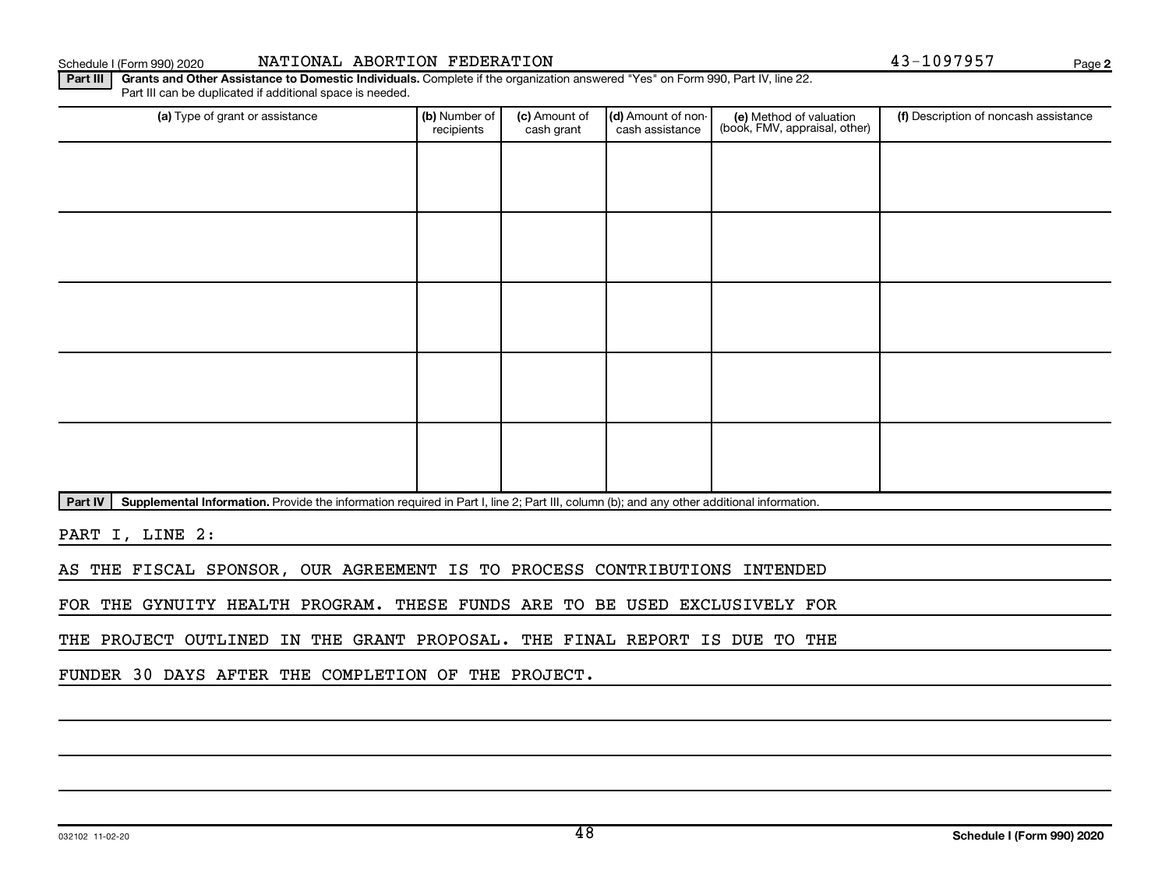### THE PROJECT OUTLINED IN THE GRANT PROPOSAL. THE FINAL REPORT IS DUE TO THE

PART I, LINE 2:

FUNDER 30 DAYS AFTER THE COMPLETION OF THE PROJECT.

| Part III | Grants and Other Assistance to Domestic Individuals. Complete if the organization answered "Yes" on Form 990, Part IV, line 22. |
|----------|---------------------------------------------------------------------------------------------------------------------------------|
|          | Part III can be duplicated if additional space is needed.                                                                       |

Part IV | Supplemental Information. Provide the information required in Part I, line 2; Part III, column (b); and any other additional information.

AS THE FISCAL SPONSOR, OUR AGREEMENT IS TO PROCESS CONTRIBUTIONS INTENDED

FOR THE GYNUITY HEALTH PROGRAM. THESE FUNDS ARE TO BE USED EXCLUSIVELY FOR

| (a) Type of grant or assistance | (b) Number of<br>recipients | (c) Amount of<br>cash grant | (d) Amount of non-<br>cash assistance | (e) Method of valuation<br>(book, FMV, appraisal, other) | (f) Description of noncash assistance |
|---------------------------------|-----------------------------|-----------------------------|---------------------------------------|----------------------------------------------------------|---------------------------------------|
|                                 |                             |                             |                                       |                                                          |                                       |
|                                 |                             |                             |                                       |                                                          |                                       |
|                                 |                             |                             |                                       |                                                          |                                       |
|                                 |                             |                             |                                       |                                                          |                                       |
|                                 |                             |                             |                                       |                                                          |                                       |
|                                 |                             |                             |                                       |                                                          |                                       |
|                                 |                             |                             |                                       |                                                          |                                       |
|                                 |                             |                             |                                       |                                                          |                                       |
|                                 |                             |                             |                                       |                                                          |                                       |
|                                 |                             |                             |                                       |                                                          |                                       |

Schedule I (Form 990) 2020 Page NATIONAL ABORTION FEDERATION 43-1097957

**2**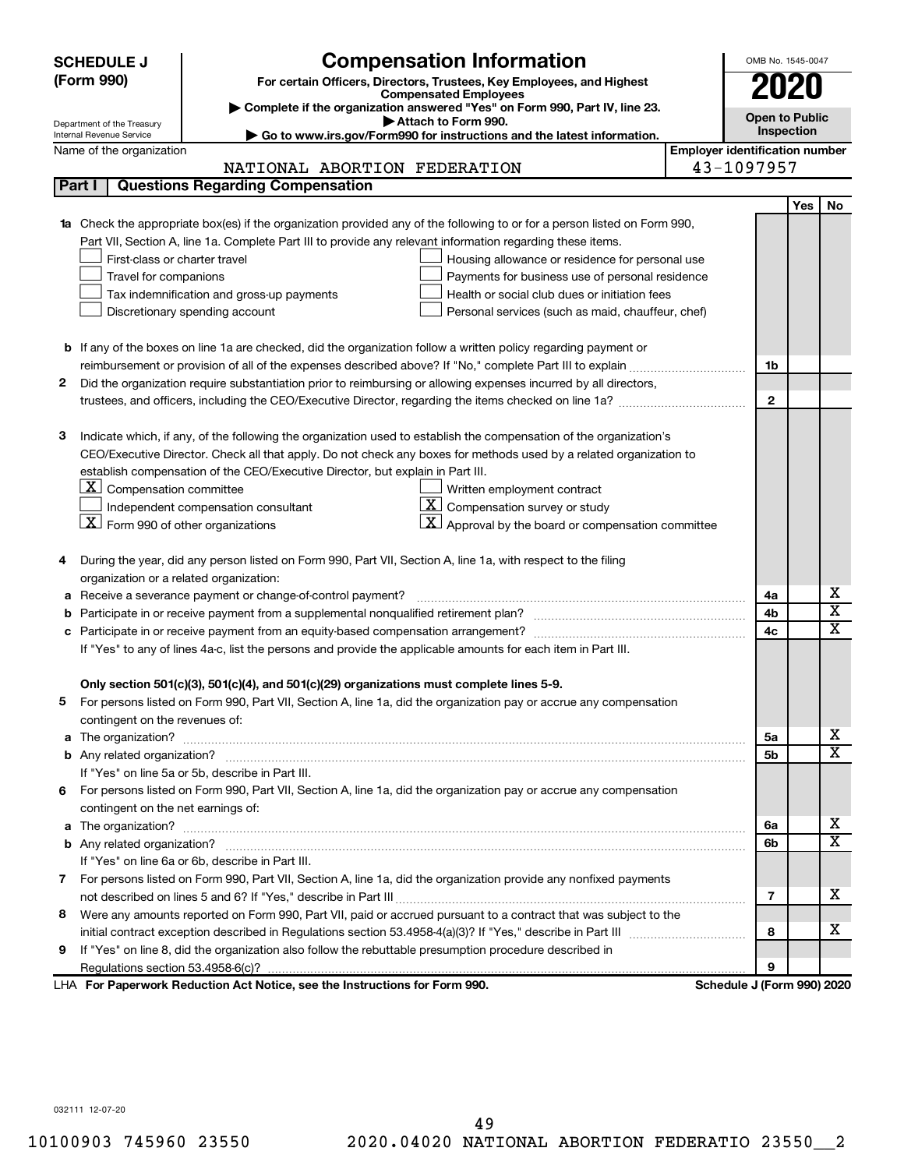| <b>Compensation Information</b><br><b>SCHEDULE J</b>                                                                             | OMB No. 1545-0047                     |  |
|----------------------------------------------------------------------------------------------------------------------------------|---------------------------------------|--|
| (Form 990)<br>For certain Officers, Directors, Trustees, Key Employees, and Highest                                              |                                       |  |
| <b>Compensated Employees</b>                                                                                                     |                                       |  |
| Complete if the organization answered "Yes" on Form 990, Part IV, line 23.<br>Attach to Form 990.                                | <b>Open to Public</b>                 |  |
| Department of the Treasury<br>Go to www.irs.gov/Form990 for instructions and the latest information.<br>Internal Revenue Service | Inspection                            |  |
| Name of the organization                                                                                                         | <b>Employer identification number</b> |  |
| NATIONAL ABORTION FEDERATION                                                                                                     | 43-1097957                            |  |
| <b>Questions Regarding Compensation</b><br>Part I                                                                                |                                       |  |
|                                                                                                                                  | <b>Yes</b><br>No                      |  |
| Check the appropriate box(es) if the organization provided any of the following to or for a person listed on Form 990,           |                                       |  |
| Part VII, Section A, line 1a. Complete Part III to provide any relevant information regarding these items.                       |                                       |  |
| First-class or charter travel<br>Housing allowance or residence for personal use                                                 |                                       |  |
| Travel for companions<br>Payments for business use of personal residence                                                         |                                       |  |
| Tax indemnification and gross-up payments<br>Health or social club dues or initiation fees                                       |                                       |  |
| Discretionary spending account<br>Personal services (such as maid, chauffeur, chef)                                              |                                       |  |
|                                                                                                                                  |                                       |  |
| <b>b</b> If any of the boxes on line 1a are checked, did the organization follow a written policy regarding payment or           |                                       |  |
| reimbursement or provision of all of the expenses described above? If "No," complete Part III to explain                         | 1b                                    |  |
| 2<br>Did the organization require substantiation prior to reimbursing or allowing expenses incurred by all directors,            | $\mathbf{2}$                          |  |
|                                                                                                                                  |                                       |  |
| Indicate which, if any, of the following the organization used to establish the compensation of the organization's<br>з          |                                       |  |
| CEO/Executive Director. Check all that apply. Do not check any boxes for methods used by a related organization to               |                                       |  |
| establish compensation of the CEO/Executive Director, but explain in Part III.                                                   |                                       |  |
| $\lfloor \underline{X} \rfloor$ Compensation committee<br>Written employment contract                                            |                                       |  |
| $\boxed{\textbf{X}}$ Compensation survey or study<br>Independent compensation consultant                                         |                                       |  |
| $\lfloor \underline{X} \rfloor$ Form 990 of other organizations<br>Approval by the board or compensation committee               |                                       |  |
|                                                                                                                                  |                                       |  |
| During the year, did any person listed on Form 990, Part VII, Section A, line 1a, with respect to the filing<br>4                |                                       |  |
| organization or a related organization:                                                                                          |                                       |  |
| Receive a severance payment or change-of-control payment?<br>а                                                                   | х<br>4a                               |  |
| b                                                                                                                                | $\overline{\textnormal{x}}$<br>4b     |  |
| с                                                                                                                                | $\overline{\textnormal{x}}$<br>4c     |  |
| If "Yes" to any of lines 4a-c, list the persons and provide the applicable amounts for each item in Part III.                    |                                       |  |
|                                                                                                                                  |                                       |  |
| Only section 501(c)(3), 501(c)(4), and 501(c)(29) organizations must complete lines 5-9.                                         |                                       |  |
| For persons listed on Form 990, Part VII, Section A, line 1a, did the organization pay or accrue any compensation                |                                       |  |
| contingent on the revenues of:                                                                                                   |                                       |  |
| a                                                                                                                                | х<br>5a                               |  |
|                                                                                                                                  | $\overline{\mathbf{X}}$<br>5b         |  |
| If "Yes" on line 5a or 5b, describe in Part III.                                                                                 |                                       |  |
| For persons listed on Form 990, Part VII, Section A, line 1a, did the organization pay or accrue any compensation<br>6.          |                                       |  |
| contingent on the net earnings of:                                                                                               | х                                     |  |
| a                                                                                                                                | 6а<br>$\overline{\mathbf{X}}$         |  |
|                                                                                                                                  | 6b                                    |  |
| If "Yes" on line 6a or 6b, describe in Part III.                                                                                 |                                       |  |
| 7 For persons listed on Form 990, Part VII, Section A, line 1a, did the organization provide any nonfixed payments               | x                                     |  |
| Were any amounts reported on Form 990, Part VII, paid or accrued pursuant to a contract that was subject to the                  | 7                                     |  |
| 8                                                                                                                                | х<br>8                                |  |
| If "Yes" on line 8, did the organization also follow the rebuttable presumption procedure described in                           |                                       |  |
| 9                                                                                                                                | 9                                     |  |
| LHA For Paperwork Reduction Act Notice, see the Instructions for Form 990.                                                       | Schedule J (Form 990) 2020            |  |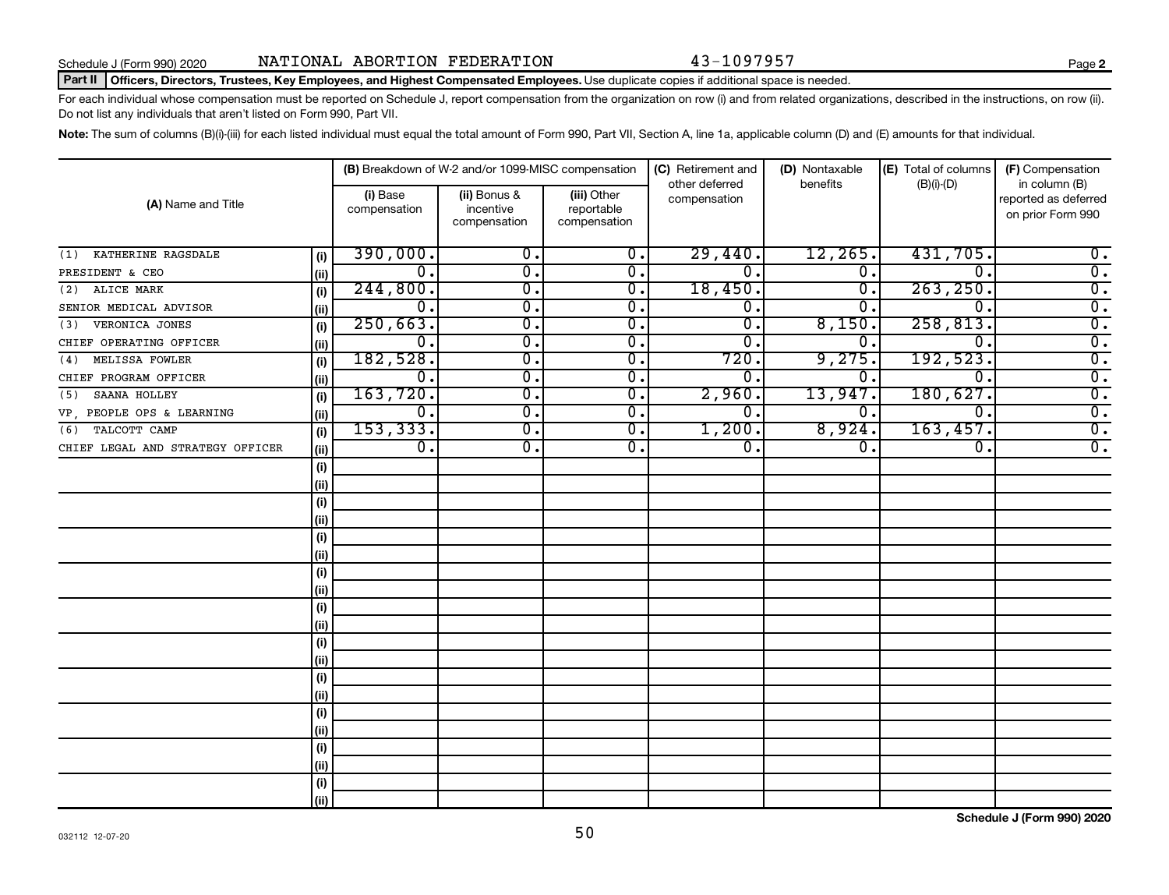#### Part II | Officers, Directors, Trustees, Key Employees, and Highest Compensated Employees. Use duplicate copies if additional space is needed.

For each individual whose compensation must be reported on Schedule J, report compensation from the organization on row (i) and from related organizations, described in the instructions, on row (ii). Do not list any individuals that aren't listed on Form 990, Part VII.

Note: The sum of columns (B)(i)-(iii) for each listed individual must equal the total amount of Form 990, Part VII, Section A, line 1a, applicable column (D) and (E) amounts for that individual.

|                                  |       |                          | (B) Breakdown of W-2 and/or 1099-MISC compensation |                                           | (C) Retirement and             | (D) Nontaxable   | (E) Total of columns        | (F) Compensation                                           |
|----------------------------------|-------|--------------------------|----------------------------------------------------|-------------------------------------------|--------------------------------|------------------|-----------------------------|------------------------------------------------------------|
| (A) Name and Title               |       | (i) Base<br>compensation | (ii) Bonus &<br>incentive<br>compensation          | (iii) Other<br>reportable<br>compensation | other deferred<br>compensation | benefits         | $(B)(i)$ - $(D)$            | in column (B)<br>reported as deferred<br>on prior Form 990 |
| KATHERINE RAGSDALE<br>(1)        | (i)   | 390,000.                 | 0.                                                 | $\overline{0}$ .                          | 29,440.                        | 12, 265.         | 431,705.                    | $0$ .                                                      |
| PRESIDENT & CEO                  | (ii)  | $\overline{0}$ .         | $\overline{0}$ .                                   | $\overline{0}$ .                          | 0.                             | $\overline{0}$ . | $\Omega$ .                  | $\overline{0}$ .                                           |
| ALICE MARK<br>(2)                | (i)   | 244,800.                 | 0.                                                 | 0.                                        | 18,450                         | 0.               | 263, 250.                   | $\overline{0}$ .                                           |
| SENIOR MEDICAL ADVISOR           | (ii)  | $\overline{0}$ .         | $\overline{0}$ .                                   | 0.                                        | $\overline{0}$ .               | 0                | $\overline{0}$              | $\overline{0}$ .                                           |
| VERONICA JONES<br>(3)            | (i)   | 250,663.                 | $\overline{0}$ .                                   | σ.                                        | $\overline{0}$ .               | 8,150            | 258, 813.                   | $\overline{0}$ .                                           |
| CHIEF OPERATING OFFICER          | (ii)  | $\overline{0}$ .         | $\overline{0}$ .                                   | $\overline{0}$ .                          | 0.                             | 0.               | $\overline{0}$              | $\overline{0}$ .                                           |
| MELISSA FOWLER<br>(4)            | (i)   | 182,528.                 | $\overline{\mathfrak{o}}$ .                        | $\overline{0}$ .                          | 720.                           | 9,275.           | 192,523.                    | $\overline{0}$ .                                           |
| CHIEF PROGRAM OFFICER            | (ii)  | $\overline{0}$ .         | $\overline{\mathfrak{o}}$ .                        | $\overline{0}$ .                          | $\overline{0}$ .               | О.               | 0.                          | $\overline{0}$ .                                           |
| SAANA HOLLEY<br>(5)              | (i)   | 163,720.                 | $\overline{\mathfrak{o}}$ .                        | $\overline{0}$ .                          | 2,960.                         | 13,947.          | 180,627.                    | $\overline{0}$ .                                           |
| VP PEOPLE OPS & LEARNING         | (ii)  | $\overline{0}$ .         | $\overline{0}$ .                                   | $\overline{0}$ .                          | 0.                             | О.               | $\overline{0}$ .            | $\overline{0}$ .                                           |
| TALCOTT CAMP<br>(6)              | (i)   | 153, 333.                | $\overline{\mathfrak{o}}$ .                        | $\overline{0}$ .                          | 1,200.                         | 8,924.           | 163,457.                    | $\overline{0}$ .                                           |
| CHIEF LEGAL AND STRATEGY OFFICER | (ii)  | $\overline{0}$ .         | $\overline{\mathfrak{o}}$ .                        | $\overline{0}$ .                          | σ.                             | σ.               | $\overline{\mathfrak{o}}$ . | $\overline{0}$ .                                           |
|                                  | (i)   |                          |                                                    |                                           |                                |                  |                             |                                                            |
|                                  | (ii)  |                          |                                                    |                                           |                                |                  |                             |                                                            |
|                                  | (i)   |                          |                                                    |                                           |                                |                  |                             |                                                            |
|                                  | (ii)  |                          |                                                    |                                           |                                |                  |                             |                                                            |
|                                  | (i)   |                          |                                                    |                                           |                                |                  |                             |                                                            |
|                                  | (ii)  |                          |                                                    |                                           |                                |                  |                             |                                                            |
|                                  | (i)   |                          |                                                    |                                           |                                |                  |                             |                                                            |
|                                  | (ii)  |                          |                                                    |                                           |                                |                  |                             |                                                            |
|                                  | (i)   |                          |                                                    |                                           |                                |                  |                             |                                                            |
|                                  | (ii)  |                          |                                                    |                                           |                                |                  |                             |                                                            |
|                                  | (i)   |                          |                                                    |                                           |                                |                  |                             |                                                            |
|                                  | (ii)  |                          |                                                    |                                           |                                |                  |                             |                                                            |
|                                  | (i)   |                          |                                                    |                                           |                                |                  |                             |                                                            |
|                                  | (ii)  |                          |                                                    |                                           |                                |                  |                             |                                                            |
|                                  | (i)   |                          |                                                    |                                           |                                |                  |                             |                                                            |
|                                  | (ii)  |                          |                                                    |                                           |                                |                  |                             |                                                            |
|                                  | (i)   |                          |                                                    |                                           |                                |                  |                             |                                                            |
|                                  | (ii)  |                          |                                                    |                                           |                                |                  |                             |                                                            |
|                                  | (i)   |                          |                                                    |                                           |                                |                  |                             |                                                            |
|                                  | (iii) |                          |                                                    |                                           |                                |                  |                             |                                                            |

**Schedule J (Form 990) 2020**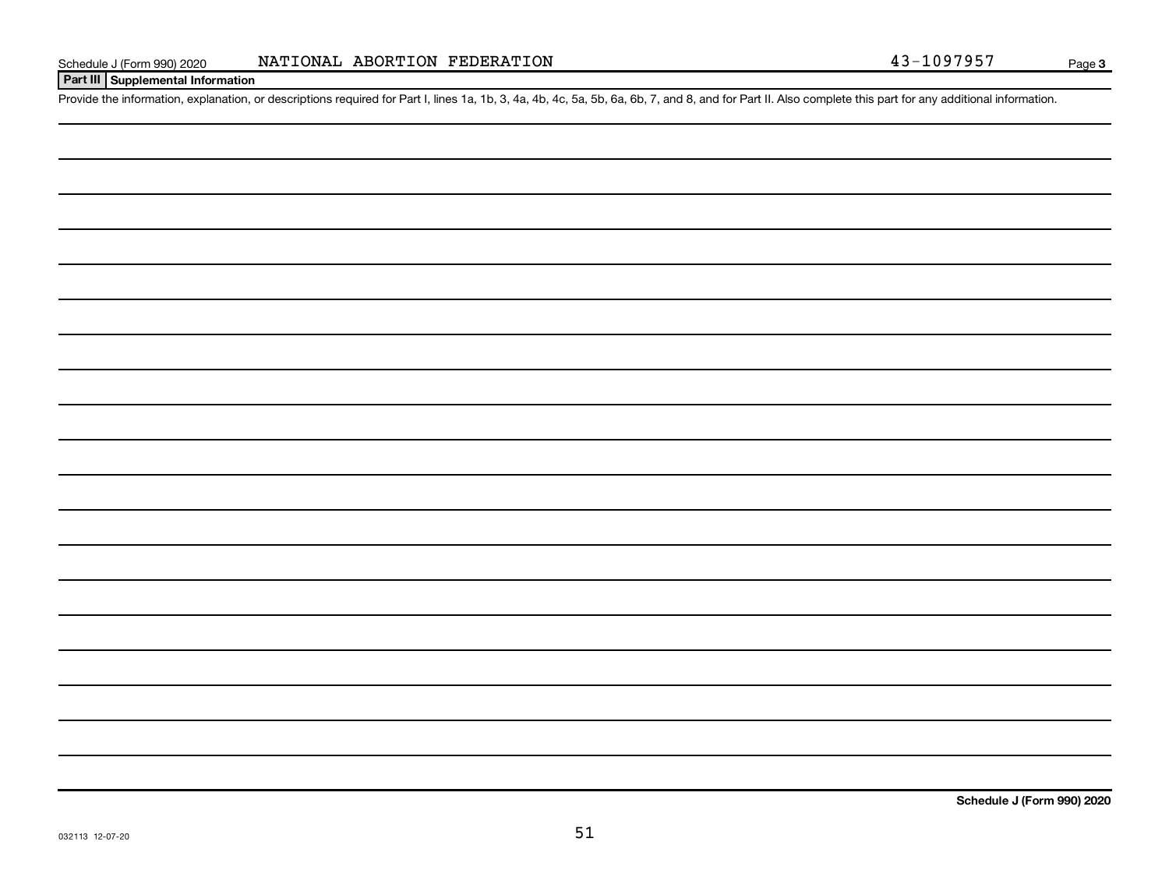Provide the information, explanation, or descriptions required for Part I, lines 1a, 1b, 3, 4a, 4b, 4c, 5a, 5b, 6a, 6b, 7, and 8, and for Part II. Also complete this part for any additional information.

**Schedule J (Form 990) 2020**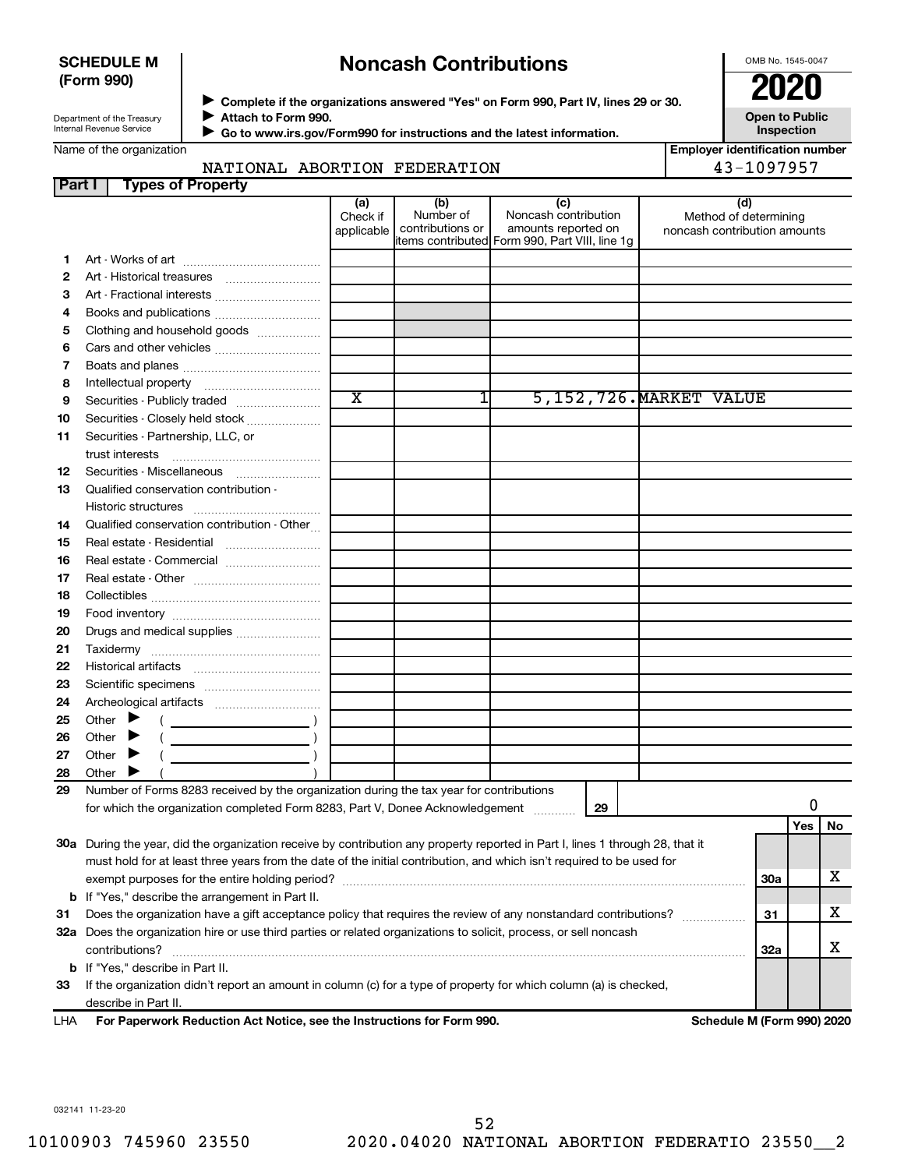## **SCHEDULE M (Form 990)**

## **Noncash Contributions**

OMB No. 1545-0047

**Employer identification number**

**Open to Public Inspection**

Department of the Treasury Internal Revenue Service

◆ Complete if the organizations answered "Yes" on Form 990, Part IV, lines 29 or 30.<br>● Complete if the organizations answered "Yes" on Form 990, Part IV, lines 29 or 30. **Attach to Form 990.** J

 **Go to www.irs.gov/Form990 for instructions and the latest information.** J

Name of the organization

## NATIONAL ABORTION FEDERATION  $\vert$  43-1097957

| Part I | <b>Types of Property</b>                                                                                                       |                               |                                      |                                                                                                      |                                                              |            |     |    |
|--------|--------------------------------------------------------------------------------------------------------------------------------|-------------------------------|--------------------------------------|------------------------------------------------------------------------------------------------------|--------------------------------------------------------------|------------|-----|----|
|        |                                                                                                                                | (a)<br>Check if<br>applicable | (b)<br>Number of<br>contributions or | (c)<br>Noncash contribution<br>amounts reported on<br>items contributed Form 990, Part VIII, line 1g | (d)<br>Method of determining<br>noncash contribution amounts |            |     |    |
| 1      |                                                                                                                                |                               |                                      |                                                                                                      |                                                              |            |     |    |
| 2      |                                                                                                                                |                               |                                      |                                                                                                      |                                                              |            |     |    |
| 3      |                                                                                                                                |                               |                                      |                                                                                                      |                                                              |            |     |    |
| 4      |                                                                                                                                |                               |                                      |                                                                                                      |                                                              |            |     |    |
| 5      | Clothing and household goods                                                                                                   |                               |                                      |                                                                                                      |                                                              |            |     |    |
| 6      |                                                                                                                                |                               |                                      |                                                                                                      |                                                              |            |     |    |
| 7      |                                                                                                                                |                               |                                      |                                                                                                      |                                                              |            |     |    |
| 8      |                                                                                                                                |                               |                                      |                                                                                                      |                                                              |            |     |    |
| 9      | Securities - Publicly traded                                                                                                   | $\overline{\textnormal{x}}$   | 1                                    |                                                                                                      | 5, 152, 726. MARKET VALUE                                    |            |     |    |
| 10     | Securities - Closely held stock                                                                                                |                               |                                      |                                                                                                      |                                                              |            |     |    |
| 11     | Securities - Partnership, LLC, or                                                                                              |                               |                                      |                                                                                                      |                                                              |            |     |    |
|        |                                                                                                                                |                               |                                      |                                                                                                      |                                                              |            |     |    |
| 12     | Securities - Miscellaneous                                                                                                     |                               |                                      |                                                                                                      |                                                              |            |     |    |
| 13     | Qualified conservation contribution -                                                                                          |                               |                                      |                                                                                                      |                                                              |            |     |    |
|        |                                                                                                                                |                               |                                      |                                                                                                      |                                                              |            |     |    |
| 14     | Qualified conservation contribution - Other                                                                                    |                               |                                      |                                                                                                      |                                                              |            |     |    |
| 15     | Real estate - Residential                                                                                                      |                               |                                      |                                                                                                      |                                                              |            |     |    |
| 16     | Real estate - Commercial                                                                                                       |                               |                                      |                                                                                                      |                                                              |            |     |    |
| 17     |                                                                                                                                |                               |                                      |                                                                                                      |                                                              |            |     |    |
| 18     |                                                                                                                                |                               |                                      |                                                                                                      |                                                              |            |     |    |
| 19     |                                                                                                                                |                               |                                      |                                                                                                      |                                                              |            |     |    |
| 20     | Drugs and medical supplies                                                                                                     |                               |                                      |                                                                                                      |                                                              |            |     |    |
| 21     |                                                                                                                                |                               |                                      |                                                                                                      |                                                              |            |     |    |
| 22     |                                                                                                                                |                               |                                      |                                                                                                      |                                                              |            |     |    |
| 23     |                                                                                                                                |                               |                                      |                                                                                                      |                                                              |            |     |    |
| 24     |                                                                                                                                |                               |                                      |                                                                                                      |                                                              |            |     |    |
| 25     | Other $\blacktriangleright$                                                                                                    |                               |                                      |                                                                                                      |                                                              |            |     |    |
| 26     | Other                                                                                                                          |                               |                                      |                                                                                                      |                                                              |            |     |    |
| 27     | Other $\blacktriangleright$                                                                                                    |                               |                                      |                                                                                                      |                                                              |            |     |    |
| 28     | Other $\blacktriangleright$                                                                                                    |                               |                                      |                                                                                                      |                                                              |            |     |    |
| 29     | Number of Forms 8283 received by the organization during the tax year for contributions                                        |                               |                                      |                                                                                                      |                                                              |            |     |    |
|        | for which the organization completed Form 8283, Part V, Donee Acknowledgement                                                  |                               |                                      | 29                                                                                                   |                                                              |            | 0   |    |
|        |                                                                                                                                |                               |                                      |                                                                                                      |                                                              |            | Yes | No |
|        | 30a During the year, did the organization receive by contribution any property reported in Part I, lines 1 through 28, that it |                               |                                      |                                                                                                      |                                                              |            |     |    |
|        | must hold for at least three years from the date of the initial contribution, and which isn't required to be used for          |                               |                                      |                                                                                                      |                                                              |            |     |    |
|        |                                                                                                                                |                               |                                      |                                                                                                      |                                                              | <b>30a</b> |     | х  |
|        | <b>b</b> If "Yes," describe the arrangement in Part II.                                                                        |                               |                                      |                                                                                                      |                                                              |            |     |    |
| 31     | Does the organization have a gift acceptance policy that requires the review of any nonstandard contributions?                 |                               |                                      |                                                                                                      |                                                              | 31         |     | х  |
|        | 32a Does the organization hire or use third parties or related organizations to solicit, process, or sell noncash              |                               |                                      |                                                                                                      |                                                              |            |     |    |
|        | contributions?                                                                                                                 |                               |                                      |                                                                                                      |                                                              | <b>32a</b> |     | х  |
|        | <b>b</b> If "Yes," describe in Part II.                                                                                        |                               |                                      |                                                                                                      |                                                              |            |     |    |
| 33     | If the organization didn't report an amount in column (c) for a type of property for which column (a) is checked,              |                               |                                      |                                                                                                      |                                                              |            |     |    |
|        | describe in Part II.                                                                                                           |                               |                                      |                                                                                                      |                                                              |            |     |    |

**For Paperwork Reduction Act Notice, see the Instructions for Form 990. Schedule M (Form 990) 2020** LHA

032141 11-23-20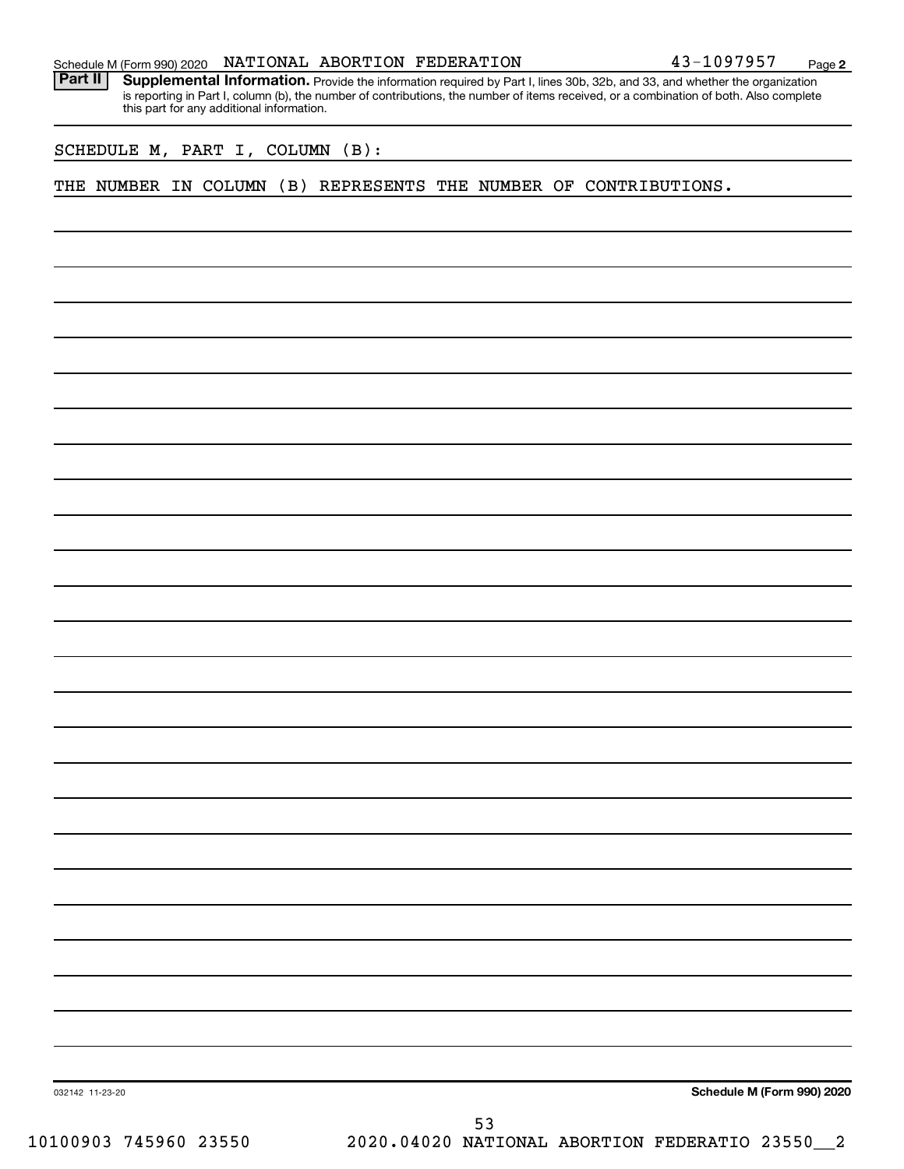|  |  |  |  |  |  | 43-1097957 | Page |  |
|--|--|--|--|--|--|------------|------|--|
|--|--|--|--|--|--|------------|------|--|

Part II | Supplemental Information. Provide the information required by Part I, lines 30b, 32b, and 33, and whether the organization is reporting in Part I, column (b), the number of contributions, the number of items received, or a combination of both. Also complete this part for any additional information.

SCHEDULE M, PART I, COLUMN (B):

THE NUMBER IN COLUMN (B) REPRESENTS THE NUMBER OF CONTRIBUTIONS.

**Schedule M (Form 990) 2020**

032142 11-23-20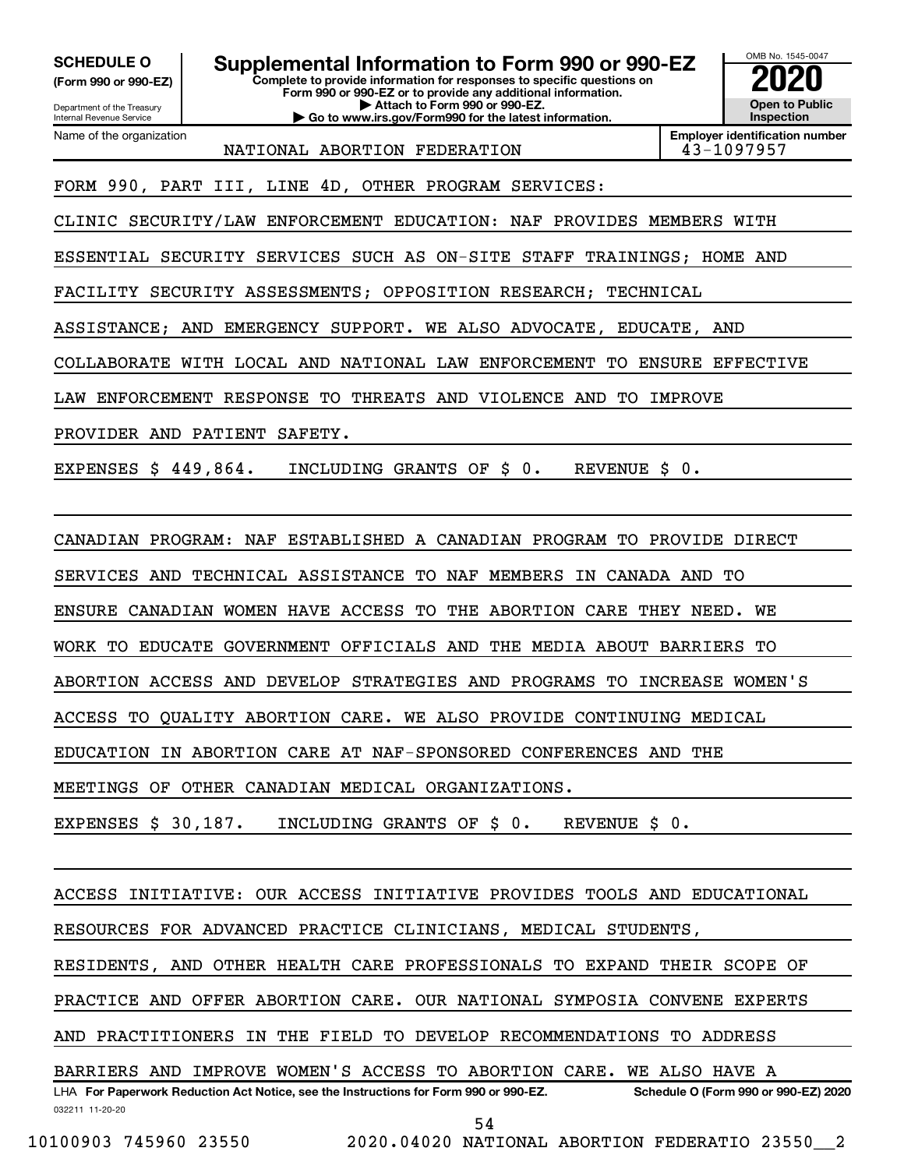Department of the Treasury **(Form 990 or 990-EZ)**

Name of the organization

Internal Revenue Service

**SCHEDULE O Supplemental Information to Form 990 or 990-EZ 2020**<br>(Form 990 or 990-EZ) Complete to provide information for responses to specific questions on

**Complete to provide information for responses to specific questions on Form 990 or 990-EZ or to provide any additional information. | Attach to Form 990 or 990-EZ. | Go to www.irs.gov/Form990 for the latest information.**



**Employer identification number**

NATIONAL ABORTION FEDERATION 13-1097957

FORM 990, PART III, LINE 4D, OTHER PROGRAM SERVICES:

CLINIC SECURITY/LAW ENFORCEMENT EDUCATION: NAF PROVIDES MEMBERS WITH

ESSENTIAL SECURITY SERVICES SUCH AS ON-SITE STAFF TRAININGS; HOME AND

FACILITY SECURITY ASSESSMENTS; OPPOSITION RESEARCH; TECHNICAL

ASSISTANCE; AND EMERGENCY SUPPORT. WE ALSO ADVOCATE, EDUCATE, AND

COLLABORATE WITH LOCAL AND NATIONAL LAW ENFORCEMENT TO ENSURE EFFECTIVE

LAW ENFORCEMENT RESPONSE TO THREATS AND VIOLENCE AND TO IMPROVE

PROVIDER AND PATIENT SAFETY.

EXPENSES \$ 449,864. INCLUDING GRANTS OF \$ 0. REVENUE \$ 0.

CANADIAN PROGRAM: NAF ESTABLISHED A CANADIAN PROGRAM TO PROVIDE DIRECT

SERVICES AND TECHNICAL ASSISTANCE TO NAF MEMBERS IN CANADA AND TO

ENSURE CANADIAN WOMEN HAVE ACCESS TO THE ABORTION CARE THEY NEED. WE

WORK TO EDUCATE GOVERNMENT OFFICIALS AND THE MEDIA ABOUT BARRIERS TO

ABORTION ACCESS AND DEVELOP STRATEGIES AND PROGRAMS TO INCREASE WOMEN'S

ACCESS TO QUALITY ABORTION CARE. WE ALSO PROVIDE CONTINUING MEDICAL

EDUCATION IN ABORTION CARE AT NAF-SPONSORED CONFERENCES AND THE

MEETINGS OF OTHER CANADIAN MEDICAL ORGANIZATIONS.

EXPENSES \$ 30,187. INCLUDING GRANTS OF \$ 0. REVENUE \$ 0.

ACCESS INITIATIVE: OUR ACCESS INITIATIVE PROVIDES TOOLS AND EDUCATIONAL

RESOURCES FOR ADVANCED PRACTICE CLINICIANS, MEDICAL STUDENTS,

RESIDENTS, AND OTHER HEALTH CARE PROFESSIONALS TO EXPAND THEIR SCOPE OF

PRACTICE AND OFFER ABORTION CARE. OUR NATIONAL SYMPOSIA CONVENE EXPERTS

AND PRACTITIONERS IN THE FIELD TO DEVELOP RECOMMENDATIONS TO ADDRESS

032211 11-20-20 **For Paperwork Reduction Act Notice, see the Instructions for Form 990 or 990-EZ. Schedule O (Form 990 or 990-EZ) 2020** LHA BARRIERS AND IMPROVE WOMEN'S ACCESS TO ABORTION CARE. WE ALSO HAVE A

54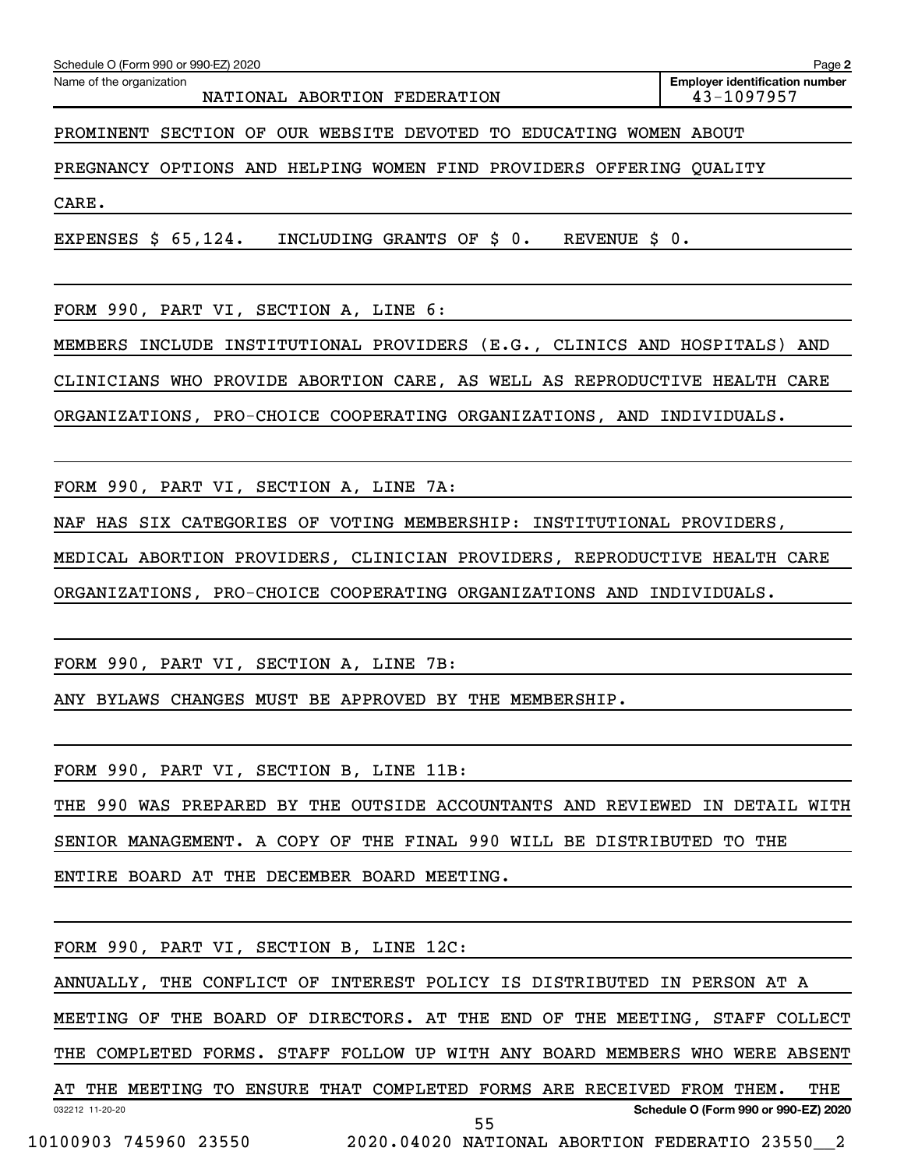Name of the organization

**Employer identification number**

PROMINENT SECTION OF OUR WEBSITE DEVOTED TO EDUCATING WOMEN ABOUT

PREGNANCY OPTIONS AND HELPING WOMEN FIND PROVIDERS OFFERING QUALITY

CARE.

EXPENSES \$ 65,124. INCLUDING GRANTS OF \$ 0. REVENUE \$ 0.

FORM 990, PART VI, SECTION A, LINE 6:

MEMBERS INCLUDE INSTITUTIONAL PROVIDERS (E.G., CLINICS AND HOSPITALS) AND

CLINICIANS WHO PROVIDE ABORTION CARE, AS WELL AS REPRODUCTIVE HEALTH CARE

ORGANIZATIONS, PRO-CHOICE COOPERATING ORGANIZATIONS, AND INDIVIDUALS.

FORM 990, PART VI, SECTION A, LINE 7A:

NAF HAS SIX CATEGORIES OF VOTING MEMBERSHIP: INSTITUTIONAL PROVIDERS,

MEDICAL ABORTION PROVIDERS, CLINICIAN PROVIDERS, REPRODUCTIVE HEALTH CARE

ORGANIZATIONS, PRO-CHOICE COOPERATING ORGANIZATIONS AND INDIVIDUALS.

FORM 990, PART VI, SECTION A, LINE 7B:

ANY BYLAWS CHANGES MUST BE APPROVED BY THE MEMBERSHIP.

FORM 990, PART VI, SECTION B, LINE 11B:

THE 990 WAS PREPARED BY THE OUTSIDE ACCOUNTANTS AND REVIEWED IN DETAIL WITH SENIOR MANAGEMENT. A COPY OF THE FINAL 990 WILL BE DISTRIBUTED TO THE

ENTIRE BOARD AT THE DECEMBER BOARD MEETING.

FORM 990, PART VI, SECTION B, LINE 12C:

ANNUALLY, THE CONFLICT OF INTEREST POLICY IS DISTRIBUTED IN PERSON AT A

MEETING OF THE BOARD OF DIRECTORS. AT THE END OF THE MEETING, STAFF COLLECT

THE COMPLETED FORMS. STAFF FOLLOW UP WITH ANY BOARD MEMBERS WHO WERE ABSENT

032212 11-20-20 **Schedule O (Form 990 or 990-EZ) 2020** AT THE MEETING TO ENSURE THAT COMPLETED FORMS ARE RECEIVED FROM THEM. THE 55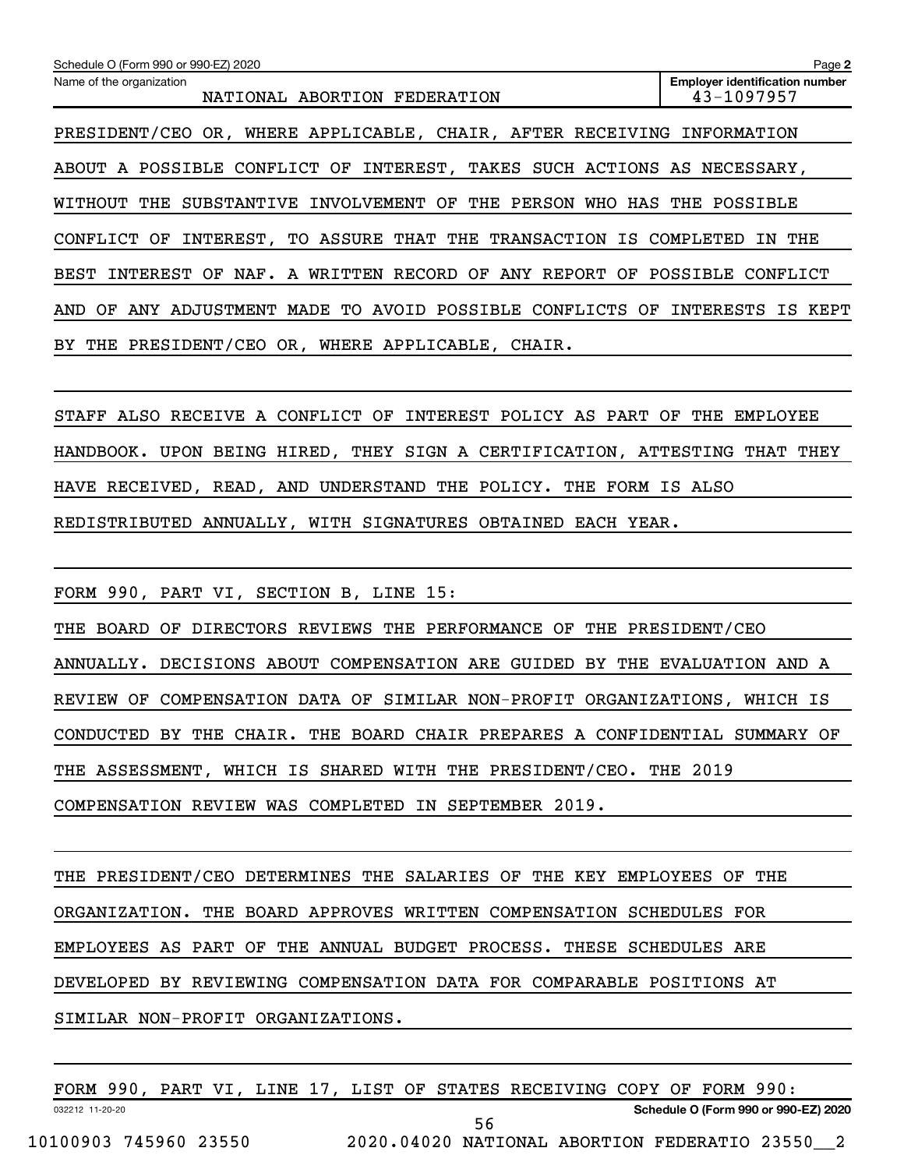**2 Employer identification number** Schedule O (Form 990 or 990-EZ) 2020 Name of the organization NATIONAL ABORTION FEDERATION 13-1097957 PRESIDENT/CEO OR, WHERE APPLICABLE, CHAIR, AFTER RECEIVING INFORMATION ABOUT A POSSIBLE CONFLICT OF INTEREST, TAKES SUCH ACTIONS AS NECESSARY, WITHOUT THE SUBSTANTIVE INVOLVEMENT OF THE PERSON WHO HAS THE POSSIBLE CONFLICT OF INTEREST, TO ASSURE THAT THE TRANSACTION IS COMPLETED IN THE BEST INTEREST OF NAF. A WRITTEN RECORD OF ANY REPORT OF POSSIBLE CONFLICT AND OF ANY ADJUSTMENT MADE TO AVOID POSSIBLE CONFLICTS OF INTERESTS IS KEPT BY THE PRESIDENT/CEO OR, WHERE APPLICABLE, CHAIR.

STAFF ALSO RECEIVE A CONFLICT OF INTEREST POLICY AS PART OF THE EMPLOYEE HANDBOOK. UPON BEING HIRED, THEY SIGN A CERTIFICATION, ATTESTING THAT THEY HAVE RECEIVED, READ, AND UNDERSTAND THE POLICY. THE FORM IS ALSO REDISTRIBUTED ANNUALLY, WITH SIGNATURES OBTAINED EACH YEAR.

FORM 990, PART VI, SECTION B, LINE 15:

THE BOARD OF DIRECTORS REVIEWS THE PERFORMANCE OF THE PRESIDENT/CEO ANNUALLY. DECISIONS ABOUT COMPENSATION ARE GUIDED BY THE EVALUATION AND A REVIEW OF COMPENSATION DATA OF SIMILAR NON-PROFIT ORGANIZATIONS, WHICH IS CONDUCTED BY THE CHAIR. THE BOARD CHAIR PREPARES A CONFIDENTIAL SUMMARY OF THE ASSESSMENT, WHICH IS SHARED WITH THE PRESIDENT/CEO. THE 2019 COMPENSATION REVIEW WAS COMPLETED IN SEPTEMBER 2019.

THE PRESIDENT/CEO DETERMINES THE SALARIES OF THE KEY EMPLOYEES OF THE ORGANIZATION. THE BOARD APPROVES WRITTEN COMPENSATION SCHEDULES FOR EMPLOYEES AS PART OF THE ANNUAL BUDGET PROCESS. THESE SCHEDULES ARE DEVELOPED BY REVIEWING COMPENSATION DATA FOR COMPARABLE POSITIONS AT SIMILAR NON-PROFIT ORGANIZATIONS.

032212 11-20-20 **Schedule O (Form 990 or 990-EZ) 2020** FORM 990, PART VI, LINE 17, LIST OF STATES RECEIVING COPY OF FORM 990: 10100903 745960 23550 2020.04020 NATIONAL ABORTION FEDERATIO 23550\_\_2 56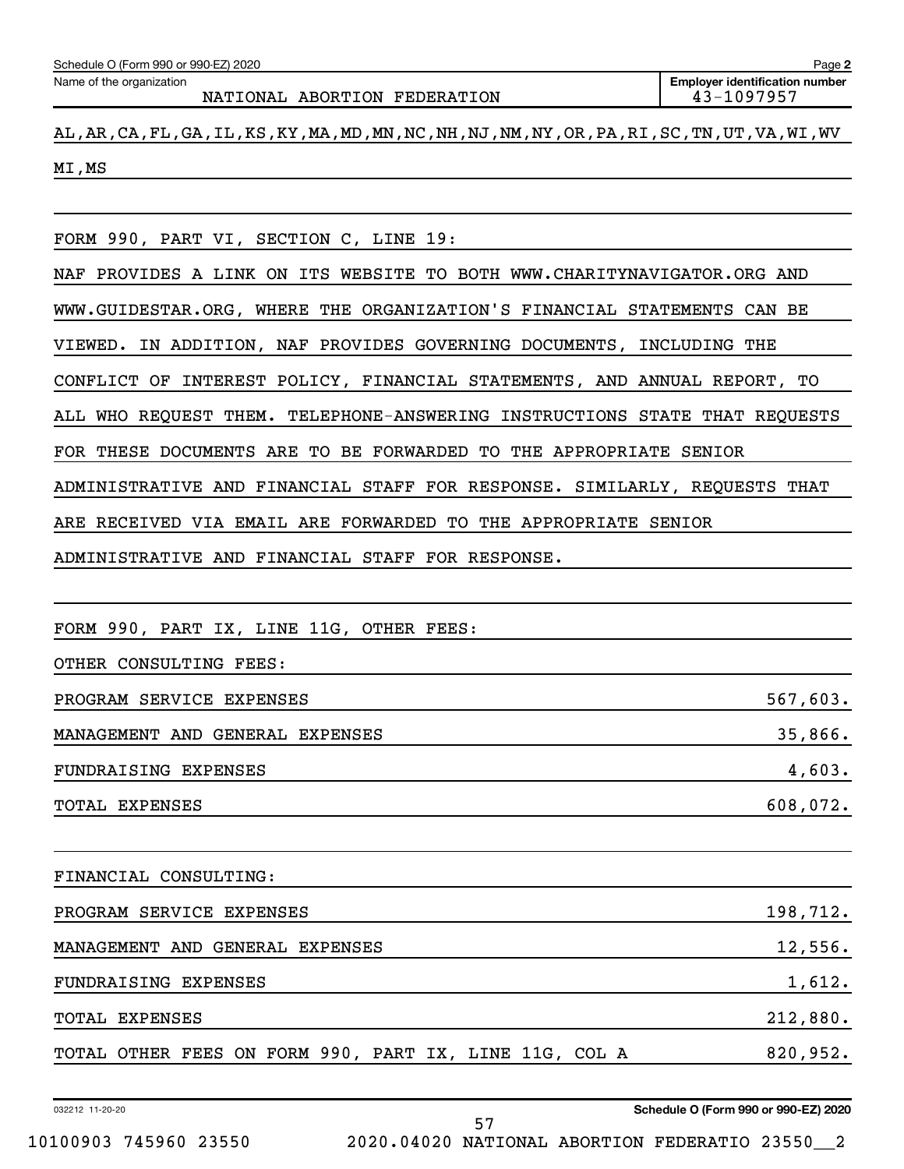Name of the organization

NATIONAL ABORTION FEDERATION 13-1097957

AL,AR,CA,FL,GA,IL,KS,KY,MA,MD,MN,NC,NH,NJ,NM,NY,OR,PA,RI,SC,TN,UT,VA,WI,WV MI,MS

FORM 990, PART VI, SECTION C, LINE 19:

NAF PROVIDES A LINK ON ITS WEBSITE TO BOTH WWW.CHARITYNAVIGATOR.ORG AND WWW.GUIDESTAR.ORG, WHERE THE ORGANIZATION'S FINANCIAL STATEMENTS CAN BE VIEWED. IN ADDITION, NAF PROVIDES GOVERNING DOCUMENTS, INCLUDING THE CONFLICT OF INTEREST POLICY, FINANCIAL STATEMENTS, AND ANNUAL REPORT, TO ALL WHO REQUEST THEM. TELEPHONE-ANSWERING INSTRUCTIONS STATE THAT REQUESTS FOR THESE DOCUMENTS ARE TO BE FORWARDED TO THE APPROPRIATE SENIOR ADMINISTRATIVE AND FINANCIAL STAFF FOR RESPONSE. SIMILARLY, REQUESTS THAT ARE RECEIVED VIA EMAIL ARE FORWARDED TO THE APPROPRIATE SENIOR ADMINISTRATIVE AND FINANCIAL STAFF FOR RESPONSE.

FORM 990, PART IX, LINE 11G, OTHER FEES:

OTHER CONSULTING FEES:

PROGRAM SERVICE EXPENSES 567,603. MANAGEMENT AND GENERAL EXPENSES 35,866. FUNDRAISING EXPENSES 4,603. TOTAL EXPENSES 608,072.

FINANCIAL CONSULTING: PROGRAM SERVICE EXPENSES 198,712. MANAGEMENT AND GENERAL EXPENSES 12,556. FUNDRAISING EXPENSES 1,612. TOTAL EXPENSES 212,880. TOTAL OTHER FEES ON FORM 990, PART IX, LINE 11G, COL A 820,952.

57

032212 11-20-20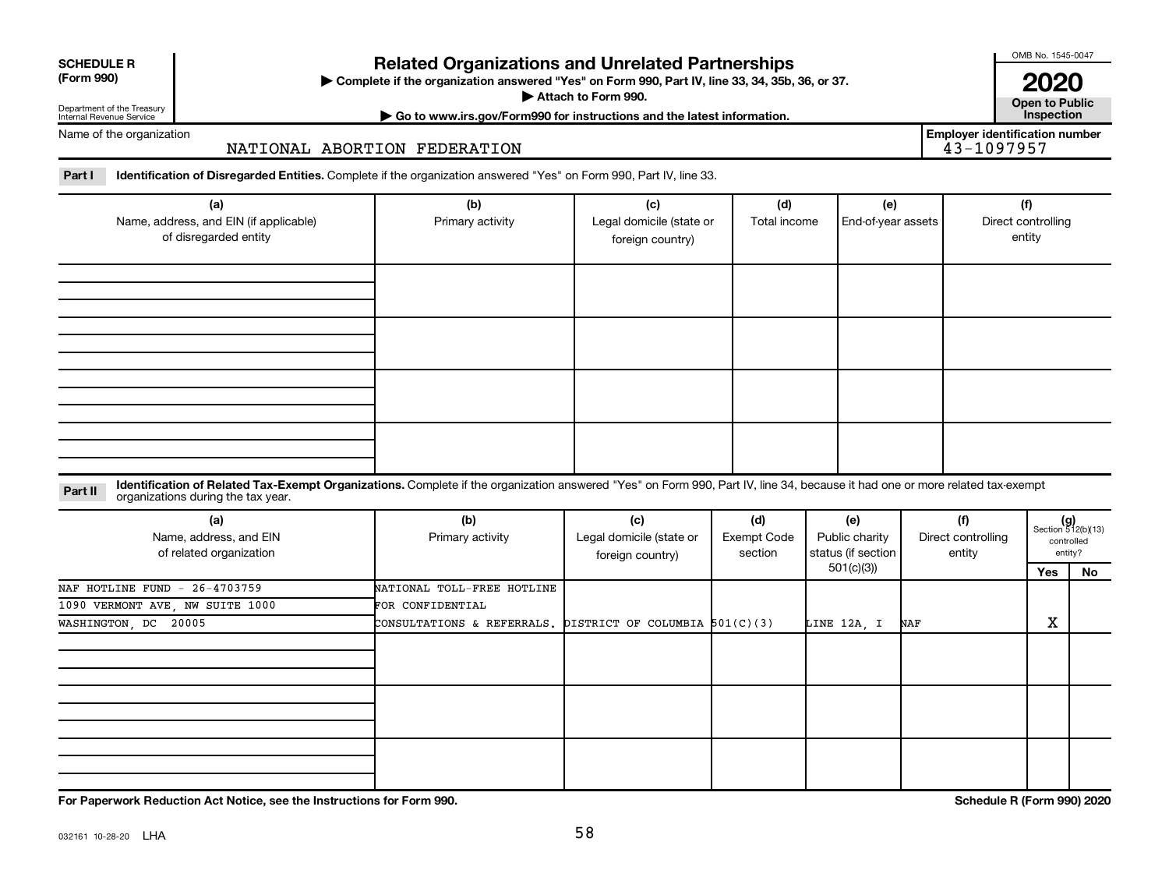| <b>SCHEDULE R</b> |
|-------------------|
|                   |

## **Related Organizations and Unrelated Partnerships**

**(Form 990) Complete if the organization answered "Yes" on Form 990, Part IV, line 33, 34, 35b, 36, or 37.** |

■ Attach to Form 990. **Dependent of Attach to Form 990.** Open to Public

OMB No. 1545-0047

**2020**<br>Open to Public

**Employer identification number**

Department of the Treasury Internal Revenue Service

**| Go to www.irs.gov/Form990 for instructions and the latest information. Inspection**

Name of the organization

## NATIONAL ABORTION FEDERATION

Part I ldentification of Disregarded Entities. Complete if the organization answered "Yes" on Form 990, Part IV, line 33.

| (a)<br>Name, address, and EIN (if applicable)<br>of disregarded entity | (b)<br>Primary activity | (c)<br>Legal domicile (state or<br>foreign country) | (d)<br>Total income | (e)<br>End-of-year assets | (f)<br>Direct controlling<br>entity |
|------------------------------------------------------------------------|-------------------------|-----------------------------------------------------|---------------------|---------------------------|-------------------------------------|
|                                                                        |                         |                                                     |                     |                           |                                     |
|                                                                        |                         |                                                     |                     |                           |                                     |
|                                                                        |                         |                                                     |                     |                           |                                     |
|                                                                        |                         |                                                     |                     |                           |                                     |
|                                                                        |                         |                                                     |                     |                           |                                     |

#### **Part II** Identification of Related Tax-Exempt Organizations. Complete if the organization answered "Yes" on Form 990, Part IV, line 34, because it had one or more related tax-exempt<br>Part II acconizations during the tax ye organizations during the tax year.

| (a)<br>Name, address, and EIN<br>of related organization | (b)<br>Primary activity                                     | (c)<br>Legal domicile (state or<br>foreign country) | (d)<br>Exempt Code<br>section | (e)<br>Public charity<br>status (if section | (f)<br>Direct controlling<br>entity |        | $(g)$<br>Section 512(b)(13)<br>controlled<br>entity? |
|----------------------------------------------------------|-------------------------------------------------------------|-----------------------------------------------------|-------------------------------|---------------------------------------------|-------------------------------------|--------|------------------------------------------------------|
|                                                          |                                                             |                                                     |                               | 501(c)(3))                                  |                                     | Yes    | No                                                   |
| NAF HOTLINE FUND - 26-4703759                            | NATIONAL TOLL-FREE HOTLINE                                  |                                                     |                               |                                             |                                     |        |                                                      |
| 1090 VERMONT AVE, NW SUITE 1000                          | FOR CONFIDENTIAL                                            |                                                     |                               |                                             |                                     |        |                                                      |
| WASHINGTON, DC 20005                                     | CONSULTATIONS & REFERRALS. DISTRICT OF COLUMBIA $501(C)(3)$ |                                                     |                               | LINE 12A, I                                 | NAF                                 | v<br>ᅀ |                                                      |
|                                                          |                                                             |                                                     |                               |                                             |                                     |        |                                                      |
|                                                          |                                                             |                                                     |                               |                                             |                                     |        |                                                      |
|                                                          |                                                             |                                                     |                               |                                             |                                     |        |                                                      |

**For Paperwork Reduction Act Notice, see the Instructions for Form 990. Schedule R (Form 990) 2020**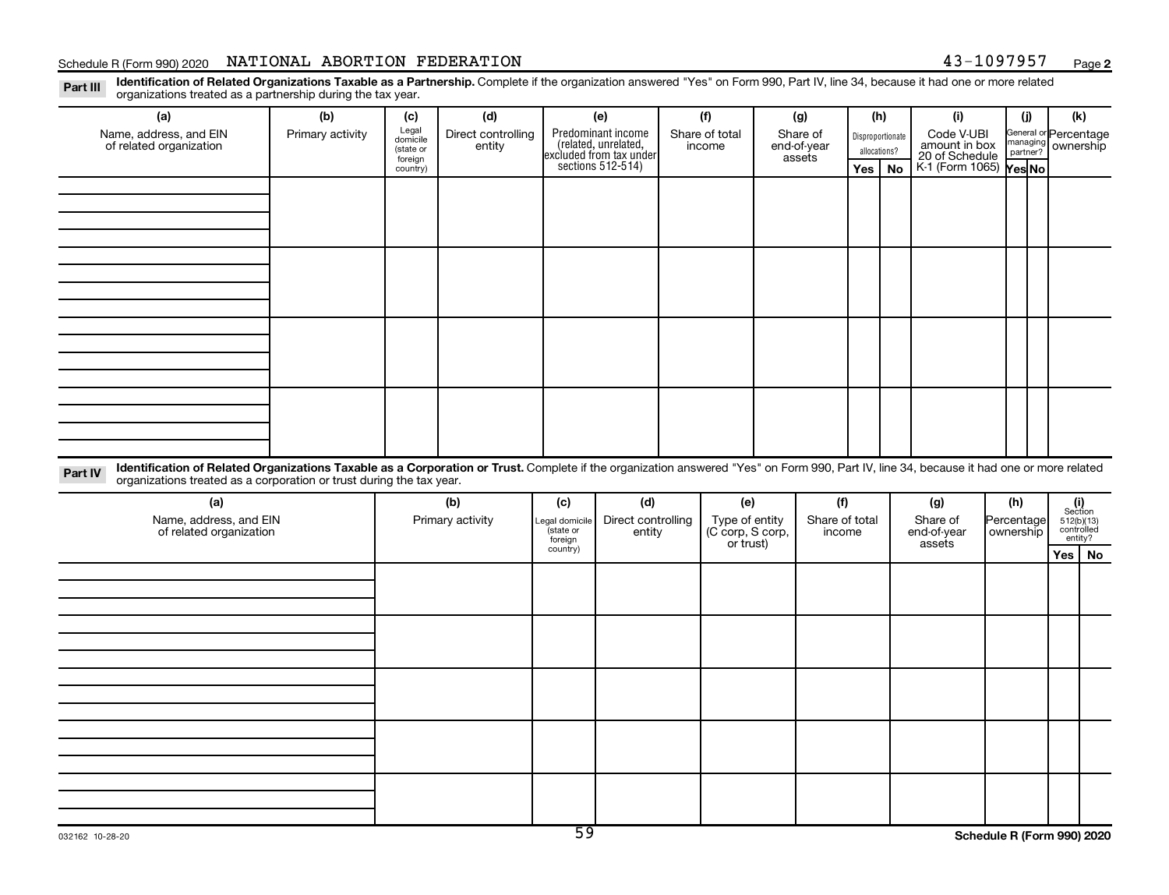## Schedule R (Form 990) 2020 Page NATIONAL ABORTION FEDERATION 43-1097957

**2**

Part III Identification of Related Organizations Taxable as a Partnership. Complete if the organization answered "Yes" on Form 990, Part IV, line 34, because it had one or more related<br>Read to the organizations tracted as organizations treated as a partnership during the tax year.

| organizations treated as a partnership during the tax year.                                                                                                                                                                                                                 |                  |                     |                    |                     |                                              |  |                            |                       |                |              |     |                                               |                  |     |                                       |  |                       |  |
|-----------------------------------------------------------------------------------------------------------------------------------------------------------------------------------------------------------------------------------------------------------------------------|------------------|---------------------|--------------------|---------------------|----------------------------------------------|--|----------------------------|-----------------------|----------------|--------------|-----|-----------------------------------------------|------------------|-----|---------------------------------------|--|-----------------------|--|
| (a)                                                                                                                                                                                                                                                                         | (b)              | (c)                 | (d)                |                     | (e)                                          |  | (f)                        |                       | (g)            |              | (h) | (i)                                           |                  | (i) | (k)                                   |  |                       |  |
| Name, address, and EIN                                                                                                                                                                                                                                                      | Primary activity | Legal<br>domicile   | Direct controlling |                     | Predominant income<br>(related, unrelated,   |  | Share of total<br>Share of |                       |                |              |     |                                               | Disproportionate |     |                                       |  | General or Percentage |  |
| of related organization                                                                                                                                                                                                                                                     |                  | (state or           | entity             |                     | income                                       |  |                            | end-of-year<br>assets |                | allocations? |     | Code V-UBI<br>amount in box<br>20 of Schedule |                  |     | managing ownership                    |  |                       |  |
|                                                                                                                                                                                                                                                                             |                  | foreign<br>country) |                    |                     | excluded from tax under<br>sections 512-514) |  |                            |                       |                | Yes          | No  | K-1 (Form 1065) Yes No                        |                  |     |                                       |  |                       |  |
|                                                                                                                                                                                                                                                                             |                  |                     |                    |                     |                                              |  |                            |                       |                |              |     |                                               |                  |     |                                       |  |                       |  |
|                                                                                                                                                                                                                                                                             |                  |                     |                    |                     |                                              |  |                            |                       |                |              |     |                                               |                  |     |                                       |  |                       |  |
|                                                                                                                                                                                                                                                                             |                  |                     |                    |                     |                                              |  |                            |                       |                |              |     |                                               |                  |     |                                       |  |                       |  |
|                                                                                                                                                                                                                                                                             |                  |                     |                    |                     |                                              |  |                            |                       |                |              |     |                                               |                  |     |                                       |  |                       |  |
|                                                                                                                                                                                                                                                                             |                  |                     |                    |                     |                                              |  |                            |                       |                |              |     |                                               |                  |     |                                       |  |                       |  |
|                                                                                                                                                                                                                                                                             |                  |                     |                    |                     |                                              |  |                            |                       |                |              |     |                                               |                  |     |                                       |  |                       |  |
|                                                                                                                                                                                                                                                                             |                  |                     |                    |                     |                                              |  |                            |                       |                |              |     |                                               |                  |     |                                       |  |                       |  |
|                                                                                                                                                                                                                                                                             |                  |                     |                    |                     |                                              |  |                            |                       |                |              |     |                                               |                  |     |                                       |  |                       |  |
|                                                                                                                                                                                                                                                                             |                  |                     |                    |                     |                                              |  |                            |                       |                |              |     |                                               |                  |     |                                       |  |                       |  |
|                                                                                                                                                                                                                                                                             |                  |                     |                    |                     |                                              |  |                            |                       |                |              |     |                                               |                  |     |                                       |  |                       |  |
|                                                                                                                                                                                                                                                                             |                  |                     |                    |                     |                                              |  |                            |                       |                |              |     |                                               |                  |     |                                       |  |                       |  |
|                                                                                                                                                                                                                                                                             |                  |                     |                    |                     |                                              |  |                            |                       |                |              |     |                                               |                  |     |                                       |  |                       |  |
|                                                                                                                                                                                                                                                                             |                  |                     |                    |                     |                                              |  |                            |                       |                |              |     |                                               |                  |     |                                       |  |                       |  |
|                                                                                                                                                                                                                                                                             |                  |                     |                    |                     |                                              |  |                            |                       |                |              |     |                                               |                  |     |                                       |  |                       |  |
|                                                                                                                                                                                                                                                                             |                  |                     |                    |                     |                                              |  |                            |                       |                |              |     |                                               |                  |     |                                       |  |                       |  |
|                                                                                                                                                                                                                                                                             |                  |                     |                    |                     |                                              |  |                            |                       |                |              |     |                                               |                  |     |                                       |  |                       |  |
|                                                                                                                                                                                                                                                                             |                  |                     |                    |                     |                                              |  |                            |                       |                |              |     |                                               |                  |     |                                       |  |                       |  |
| Identification of Related Organizations Taxable as a Corporation or Trust. Complete if the organization answered "Yes" on Form 990, Part IV, line 34, because it had one or more related<br>Part IV<br>organizations treated as a corporation or trust during the tax year. |                  |                     |                    |                     |                                              |  |                            |                       |                |              |     |                                               |                  |     |                                       |  |                       |  |
| (a)                                                                                                                                                                                                                                                                         |                  | (b)                 |                    | (c)                 | (d)                                          |  | (e)                        |                       | (f)            |              |     | (g)                                           | (h)              |     |                                       |  |                       |  |
| Name, address, and EIN                                                                                                                                                                                                                                                      |                  |                     | Primary activity   | Legal domicile      | Direct controlling                           |  | Type of entity             |                       | Share of total |              |     | Share of                                      | Percentage       |     | (i)<br>Section                        |  |                       |  |
| of related organization                                                                                                                                                                                                                                                     |                  |                     |                    | state or            | entity                                       |  | (C corp, S corp,           |                       | income         |              |     | end-of-year                                   | ownership        |     | $512(b)(13)$<br>controlled<br>entity? |  |                       |  |
|                                                                                                                                                                                                                                                                             |                  |                     |                    | foreign<br>country) |                                              |  | or trust)                  |                       |                |              |     | assets                                        |                  |     | Yes   No                              |  |                       |  |
|                                                                                                                                                                                                                                                                             |                  |                     |                    |                     |                                              |  |                            |                       |                |              |     |                                               |                  |     |                                       |  |                       |  |
|                                                                                                                                                                                                                                                                             |                  |                     |                    |                     |                                              |  |                            |                       |                |              |     |                                               |                  |     |                                       |  |                       |  |
|                                                                                                                                                                                                                                                                             |                  |                     |                    |                     |                                              |  |                            |                       |                |              |     |                                               |                  |     |                                       |  |                       |  |
|                                                                                                                                                                                                                                                                             |                  |                     |                    |                     |                                              |  |                            |                       |                |              |     |                                               |                  |     |                                       |  |                       |  |
|                                                                                                                                                                                                                                                                             |                  |                     |                    |                     |                                              |  |                            |                       |                |              |     |                                               |                  |     |                                       |  |                       |  |
|                                                                                                                                                                                                                                                                             |                  |                     |                    |                     |                                              |  |                            |                       |                |              |     |                                               |                  |     |                                       |  |                       |  |
|                                                                                                                                                                                                                                                                             |                  |                     |                    |                     |                                              |  |                            |                       |                |              |     |                                               |                  |     |                                       |  |                       |  |
|                                                                                                                                                                                                                                                                             |                  |                     |                    |                     |                                              |  |                            |                       |                |              |     |                                               |                  |     |                                       |  |                       |  |
|                                                                                                                                                                                                                                                                             |                  |                     |                    |                     |                                              |  |                            |                       |                |              |     |                                               |                  |     |                                       |  |                       |  |
|                                                                                                                                                                                                                                                                             |                  |                     |                    |                     |                                              |  |                            |                       |                |              |     |                                               |                  |     |                                       |  |                       |  |
|                                                                                                                                                                                                                                                                             |                  |                     |                    |                     |                                              |  |                            |                       |                |              |     |                                               |                  |     |                                       |  |                       |  |
|                                                                                                                                                                                                                                                                             |                  |                     |                    |                     |                                              |  |                            |                       |                |              |     |                                               |                  |     |                                       |  |                       |  |
|                                                                                                                                                                                                                                                                             |                  |                     |                    |                     |                                              |  |                            |                       |                |              |     |                                               |                  |     |                                       |  |                       |  |
|                                                                                                                                                                                                                                                                             |                  |                     |                    |                     |                                              |  |                            |                       |                |              |     |                                               |                  |     |                                       |  |                       |  |
|                                                                                                                                                                                                                                                                             |                  |                     |                    |                     |                                              |  |                            |                       |                |              |     |                                               |                  |     |                                       |  |                       |  |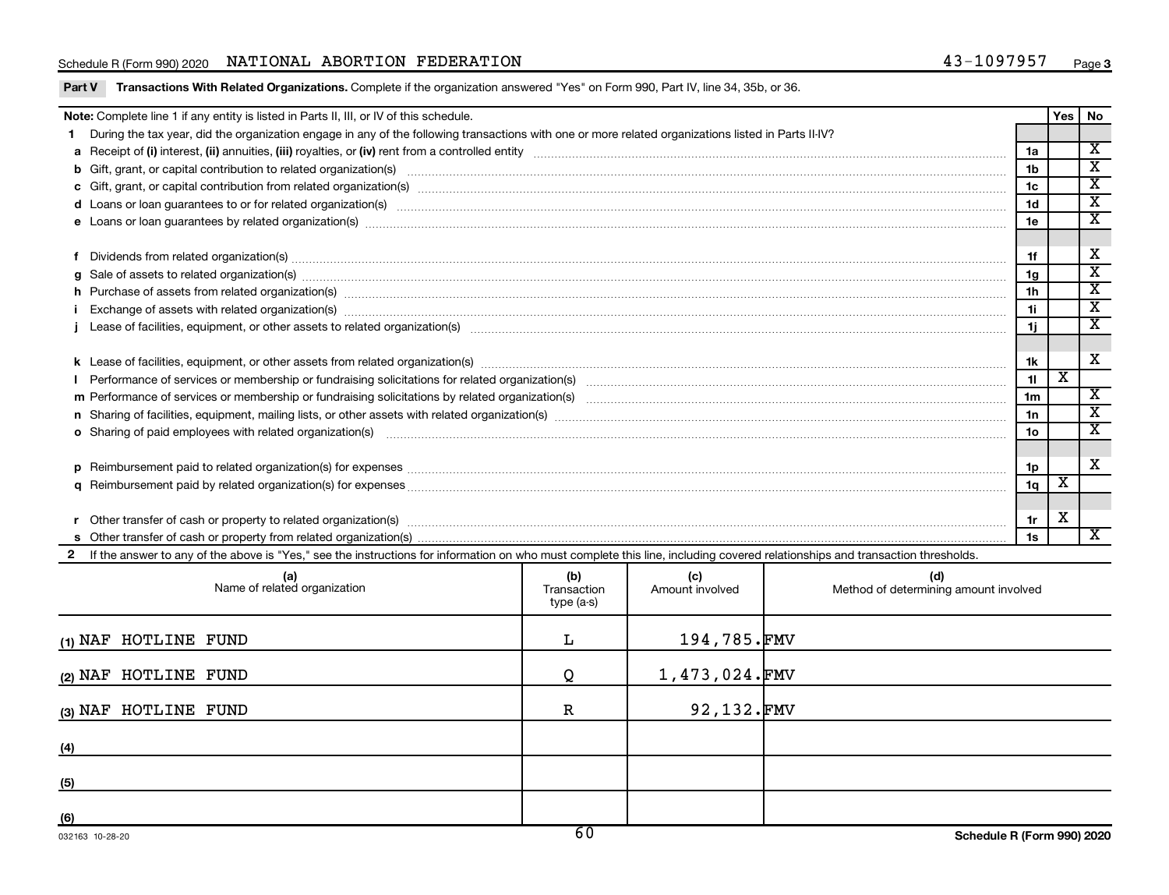## Schedule R (Form 990) 2020 Page NATIONAL ABORTION FEDERATION 43-1097957

|  | Part V Transactions With Related Organizations. Complete if the organization answered "Yes" on Form 990, Part IV, line 34, 35b, or 36. |
|--|----------------------------------------------------------------------------------------------------------------------------------------|
|  |                                                                                                                                        |

| <b>Note:</b> Complete line 1 if any entity is listed in Parts II, III, or IV of this schedule.                                                      |                                                                                                                                                                                                                                |                 |                         |                             |  |  |
|-----------------------------------------------------------------------------------------------------------------------------------------------------|--------------------------------------------------------------------------------------------------------------------------------------------------------------------------------------------------------------------------------|-----------------|-------------------------|-----------------------------|--|--|
| During the tax year, did the organization engage in any of the following transactions with one or more related organizations listed in Parts II-IV? |                                                                                                                                                                                                                                |                 |                         | Yes  <br><b>No</b>          |  |  |
|                                                                                                                                                     |                                                                                                                                                                                                                                | 1a              |                         | $\overline{\mathbf{x}}$     |  |  |
|                                                                                                                                                     | b Gift, grant, or capital contribution to related organization(s) manufactured content and content of the contribution to related organization(s) manufactured content and content of the content of the content of the conten | 1 <sub>b</sub>  |                         | $\mathbf x$                 |  |  |
|                                                                                                                                                     |                                                                                                                                                                                                                                | 1c              |                         | $\overline{\textnormal{x}}$ |  |  |
|                                                                                                                                                     |                                                                                                                                                                                                                                | 1 <sub>d</sub>  |                         | $\overline{\text{x}}$       |  |  |
|                                                                                                                                                     |                                                                                                                                                                                                                                | 1e              |                         | $\overline{\textbf{X}}$     |  |  |
|                                                                                                                                                     |                                                                                                                                                                                                                                |                 |                         |                             |  |  |
|                                                                                                                                                     | Dividends from related organization(s) manufacture contraction contract to contract and announced contract or contract or contract or contract or contract or contract or contract or contract or contract or contract or cont | 1f              |                         | X                           |  |  |
|                                                                                                                                                     | $g$ Sale of assets to related organization(s) with the contraction control of the contract of the control of the control of the control of the control of the control of the control of the control of the control of the con  | 1g              |                         | $\overline{\texttt{x}}$     |  |  |
|                                                                                                                                                     | h Purchase of assets from related organization(s) manufactured content to content the content of assets from related organization(s) manufactured content to content the content of the content of the content of the content  | 1 <sub>h</sub>  |                         | $\overline{\textbf{x}}$     |  |  |
|                                                                                                                                                     |                                                                                                                                                                                                                                | 1i.             |                         | X                           |  |  |
|                                                                                                                                                     |                                                                                                                                                                                                                                | 1j.             |                         | $\overline{\textbf{x}}$     |  |  |
|                                                                                                                                                     |                                                                                                                                                                                                                                |                 |                         |                             |  |  |
|                                                                                                                                                     |                                                                                                                                                                                                                                | 1k              |                         | X                           |  |  |
|                                                                                                                                                     |                                                                                                                                                                                                                                | 11              | $\overline{\mathtt{x}}$ |                             |  |  |
|                                                                                                                                                     |                                                                                                                                                                                                                                | 1 <sub>m</sub>  |                         | $\mathbf{x}$                |  |  |
|                                                                                                                                                     |                                                                                                                                                                                                                                | 1n              |                         | X                           |  |  |
|                                                                                                                                                     | o Sharing of paid employees with related organization(s) manufaction(s) and contain an example and contained and contained and contained and contained and contained and contained and contained and contained and contained a | 10 <sub>o</sub> |                         | X                           |  |  |
|                                                                                                                                                     |                                                                                                                                                                                                                                |                 |                         |                             |  |  |
|                                                                                                                                                     |                                                                                                                                                                                                                                | 1p              |                         | X                           |  |  |
|                                                                                                                                                     |                                                                                                                                                                                                                                | 1q              | $\overline{\textbf{x}}$ |                             |  |  |
|                                                                                                                                                     |                                                                                                                                                                                                                                |                 |                         |                             |  |  |
|                                                                                                                                                     |                                                                                                                                                                                                                                | 1r              | X                       |                             |  |  |
|                                                                                                                                                     |                                                                                                                                                                                                                                | 1s              |                         | X                           |  |  |
|                                                                                                                                                     | If the answer to any of the above is "Yes," see the instructions for information on who must complete this line, including covered relationships and transaction thresholds.                                                   |                 |                         |                             |  |  |

| (a)<br>Name of related organization | (b)<br>Transaction<br>type (a-s) | (c)<br>Amount involved | (d)<br>Method of determining amount involved |
|-------------------------------------|----------------------------------|------------------------|----------------------------------------------|
| (1) NAF HOTLINE FUND                | L                                | 194,785.FMV            |                                              |
| (2) NAF HOTLINE FUND                | Q                                | $1,473,024$ . FMV      |                                              |
| (3) NAF HOTLINE FUND                | $\mathbf R$                      | 92,132.FMV             |                                              |
| (4)                                 |                                  |                        |                                              |
| (5)                                 |                                  |                        |                                              |
| (6)                                 | $\overline{\phantom{a}}$         |                        |                                              |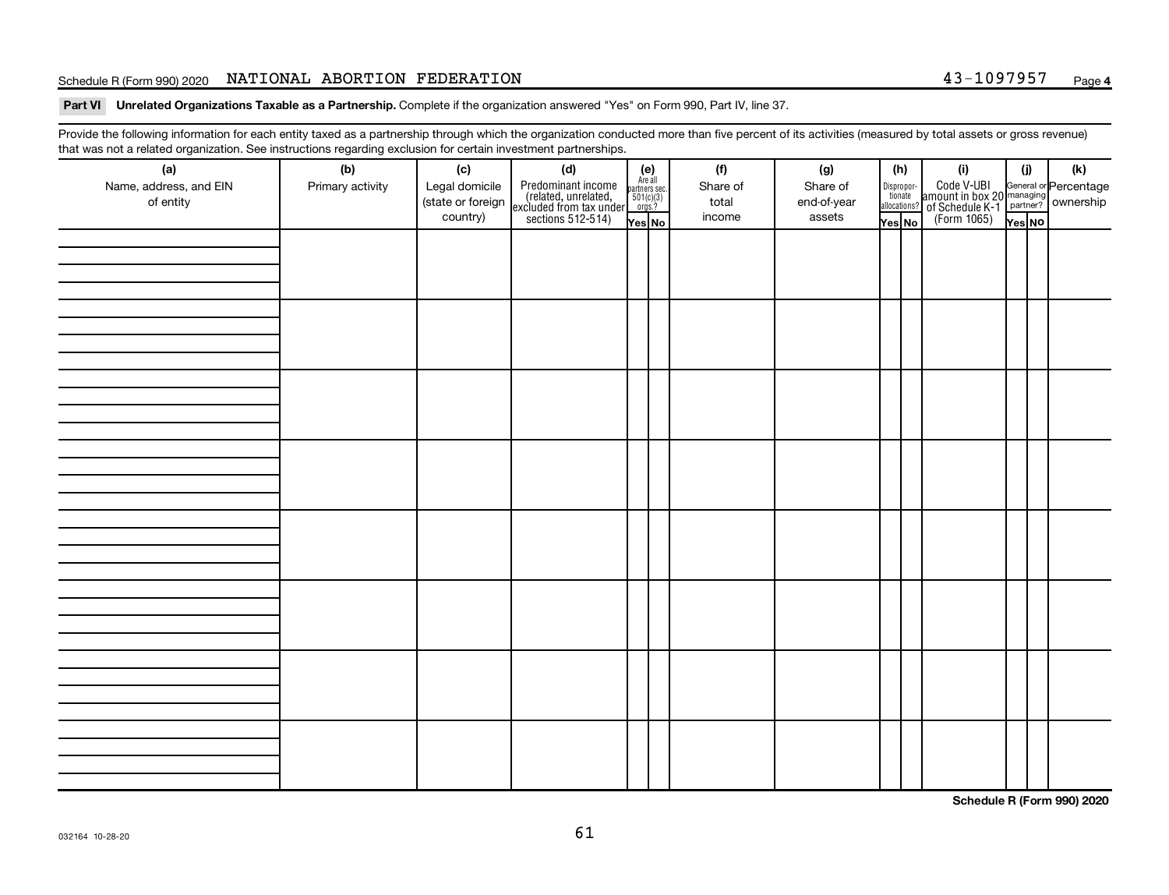## Schedule R (Form 990) 2020 Page NATIONAL ABORTION FEDERATION 43-1097957

Part VI Unrelated Organizations Taxable as a Partnership. Complete if the organization answered "Yes" on Form 990, Part IV, line 37.

Provide the following information for each entity taxed as a partnership through which the organization conducted more than five percent of its activities (measured by total assets or gross revenue) that was not a related organization. See instructions regarding exclusion for certain investment partnerships.

| (a)<br>Name, address, and EIN<br>of entity | - - -<br>(b)<br>Primary activity | (c)<br>Legal domicile<br>(state or foreign<br>country) | - - - - <sub>1</sub> - - 1<br>(d)<br>Predominant income<br>(related, unrelated,<br>excluded from tax under<br>sections 512-514) | (e)<br>Are all<br>partners sec.<br>$\frac{501(c)(3)}{0rgs?}$<br>Yes No | (f)<br>Share of<br>total<br>income | (g)<br>Share of<br>end-of-year<br>assets | (h)<br>Dispropor-<br>tionate<br>allocations?<br>Yes No | (i)<br>Code V-UBI<br>amount in box 20 managing<br>of Schedule K-1<br>(Form 1065)<br>$\overline{Y_{\text{res}}}\overline{NQ}$ | (i)<br>Yes NO | (k) |
|--------------------------------------------|----------------------------------|--------------------------------------------------------|---------------------------------------------------------------------------------------------------------------------------------|------------------------------------------------------------------------|------------------------------------|------------------------------------------|--------------------------------------------------------|------------------------------------------------------------------------------------------------------------------------------|---------------|-----|
|                                            |                                  |                                                        |                                                                                                                                 |                                                                        |                                    |                                          |                                                        |                                                                                                                              |               |     |
|                                            |                                  |                                                        |                                                                                                                                 |                                                                        |                                    |                                          |                                                        |                                                                                                                              |               |     |
|                                            |                                  |                                                        |                                                                                                                                 |                                                                        |                                    |                                          |                                                        |                                                                                                                              |               |     |
|                                            |                                  |                                                        |                                                                                                                                 |                                                                        |                                    |                                          |                                                        |                                                                                                                              |               |     |
|                                            |                                  |                                                        |                                                                                                                                 |                                                                        |                                    |                                          |                                                        |                                                                                                                              |               |     |
|                                            |                                  |                                                        |                                                                                                                                 |                                                                        |                                    |                                          |                                                        |                                                                                                                              |               |     |
|                                            |                                  |                                                        |                                                                                                                                 |                                                                        |                                    |                                          |                                                        |                                                                                                                              |               |     |
|                                            |                                  |                                                        |                                                                                                                                 |                                                                        |                                    |                                          |                                                        |                                                                                                                              |               |     |

**Schedule R (Form 990) 2020**